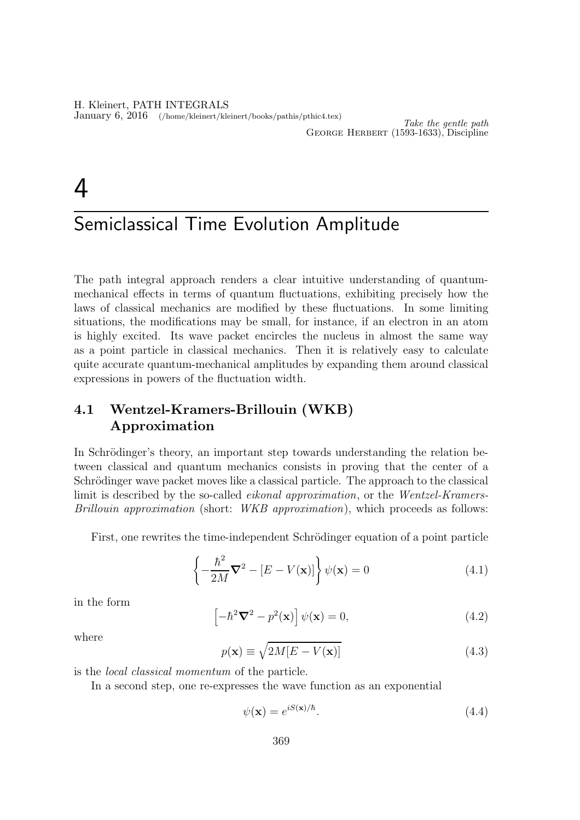H. Kleinert, PATH INTEGRALS January 6, 2016 (/home/kleinert/kleinert/books/pathis/pthic4.tex)

# $\boldsymbol{\Lambda}$

## Semiclassical Time Evolution Amplitude

The path integral approach renders a clear intuitive understanding of quantummechanical effects in terms of quantum fluctuations, exhibiting precisely how the laws of classical mechanics are modified by these fluctuations. In some limiting situations, the modifications may be small, for instance, if an electron in an atom is highly excited. Its wave packet encircles the nucleus in almost the same way as a point particle in classical mechanics. Then it is relatively easy to calculate quite accurate quantum-mechanical amplitudes by expanding them around classical expressions in powers of the fluctuation width.

## 4.1 Wentzel-Kramers-Brillouin (WKB) Approximation

In Schrödinger's theory, an important step towards understanding the relation between classical and quantum mechanics consists in proving that the center of a Schrödinger wave packet moves like a classical particle. The approach to the classical limit is described by the so-called eikonal approximation, or the Wentzel-Kramers-Brillouin approximation (short: *WKB approximation*), which proceeds as follows:

First, one rewrites the time-independent Schrödinger equation of a point particle

$$
\left\{-\frac{\hbar^2}{2M}\nabla^2 - [E - V(\mathbf{x})]\right\}\psi(\mathbf{x}) = 0
$$
\n(4.1)

in the form

$$
\left[-\hbar^2 \nabla^2 - p^2(\mathbf{x})\right] \psi(\mathbf{x}) = 0,
$$
\n(4.2)

where

$$
p(\mathbf{x}) \equiv \sqrt{2M[E - V(\mathbf{x})]}
$$
\n(4.3)

is the local classical momentum of the particle.

In a second step, one re-expresses the wave function as an exponential

$$
\psi(\mathbf{x}) = e^{iS(\mathbf{x})/\hbar}.\tag{4.4}
$$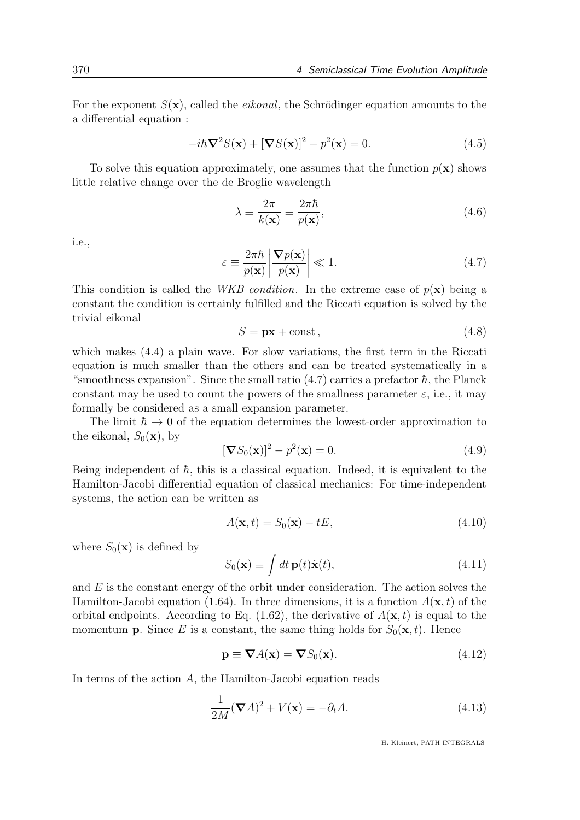For the exponent  $S(\mathbf{x})$ , called the *eikonal*, the Schrödinger equation amounts to the a differential equation :

$$
-i\hbar \nabla^2 S(\mathbf{x}) + [\nabla S(\mathbf{x})]^2 - p^2(\mathbf{x}) = 0.
$$
 (4.5)

To solve this equation approximately, one assumes that the function  $p(x)$  shows little relative change over the de Broglie wavelength

$$
\lambda \equiv \frac{2\pi}{k(\mathbf{x})} \equiv \frac{2\pi\hbar}{p(\mathbf{x})},\tag{4.6}
$$

i.e.,

$$
\varepsilon \equiv \frac{2\pi\hbar}{p(\mathbf{x})} \left| \frac{\nabla p(\mathbf{x})}{p(\mathbf{x})} \right| \ll 1.
$$
\n(4.7)

This condition is called the *WKB condition*. In the extreme case of  $p(\mathbf{x})$  being a constant the condition is certainly fulfilled and the Riccati equation is solved by the trivial eikonal

$$
S = px + const,
$$
\n
$$
(4.8)
$$

which makes (4.4) a plain wave. For slow variations, the first term in the Riccati equation is much smaller than the others and can be treated systematically in a "smoothness expansion". Since the small ratio  $(4.7)$  carries a prefactor  $\hbar$ , the Planck constant may be used to count the powers of the smallness parameter  $\varepsilon$ , i.e., it may formally be considered as a small expansion parameter.

The limit  $\hbar \to 0$  of the equation determines the lowest-order approximation to the eikonal,  $S_0(\mathbf{x})$ , by

$$
[\nabla S_0(\mathbf{x})]^2 - p^2(\mathbf{x}) = 0.
$$
\n(4.9)

Being independent of  $\hbar$ , this is a classical equation. Indeed, it is equivalent to the Hamilton-Jacobi differential equation of classical mechanics: For time-independent systems, the action can be written as

$$
A(\mathbf{x},t) = S_0(\mathbf{x}) - tE,
$$
\n(4.10)

where  $S_0(\mathbf{x})$  is defined by

$$
S_0(\mathbf{x}) \equiv \int dt \, \mathbf{p}(t) \dot{\mathbf{x}}(t), \tag{4.11}
$$

and  $E$  is the constant energy of the orbit under consideration. The action solves the Hamilton-Jacobi equation (1.64). In three dimensions, it is a function  $A(\mathbf{x}, t)$  of the orbital endpoints. According to Eq.  $(1.62)$ , the derivative of  $A(\mathbf{x}, t)$  is equal to the momentum **p**. Since E is a constant, the same thing holds for  $S_0(\mathbf{x}, t)$ . Hence

$$
\mathbf{p} \equiv \nabla A(\mathbf{x}) = \nabla S_0(\mathbf{x}).\tag{4.12}
$$

In terms of the action  $A$ , the Hamilton-Jacobi equation reads

$$
\frac{1}{2M}(\nabla A)^2 + V(\mathbf{x}) = -\partial_t A.
$$
\n(4.13)

H. Kleinert, PATH INTEGRALS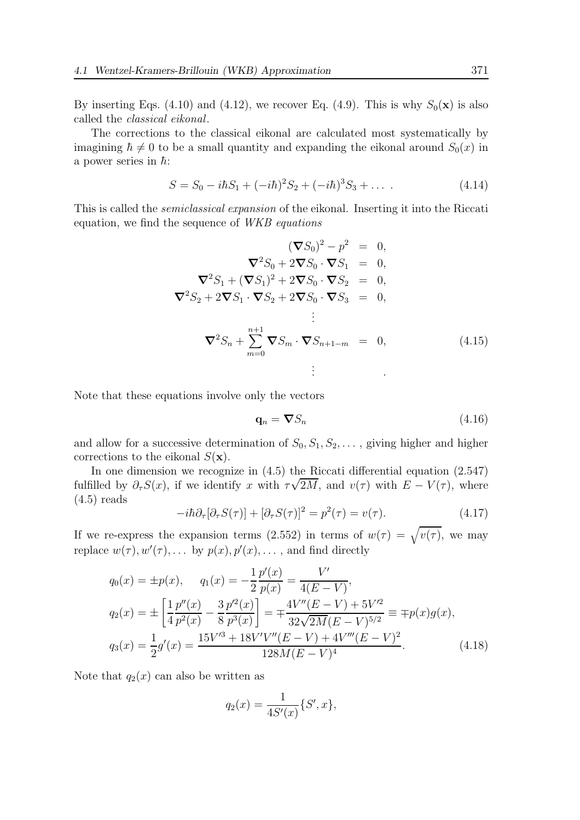By inserting Eqs. (4.10) and (4.12), we recover Eq. (4.9). This is why  $S_0(\mathbf{x})$  is also called the classical eikonal.

The corrections to the classical eikonal are calculated most systematically by imagining  $\hbar \neq 0$  to be a small quantity and expanding the eikonal around  $S_0(x)$  in a power series in  $\hbar$ :

$$
S = S_0 - i\hbar S_1 + (-i\hbar)^2 S_2 + (-i\hbar)^3 S_3 + \dots
$$
 (4.14)

This is called the semiclassical expansion of the eikonal. Inserting it into the Riccati equation, we find the sequence of WKB equations

$$
(\nabla S_0)^2 - p^2 = 0,
$$
  
\n
$$
\nabla^2 S_0 + 2 \nabla S_0 \cdot \nabla S_1 = 0,
$$
  
\n
$$
\nabla^2 S_1 + (\nabla S_1)^2 + 2 \nabla S_0 \cdot \nabla S_2 = 0,
$$
  
\n
$$
\nabla^2 S_2 + 2 \nabla S_1 \cdot \nabla S_2 + 2 \nabla S_0 \cdot \nabla S_3 = 0,
$$
  
\n
$$
\vdots
$$
  
\n
$$
\nabla^2 S_n + \sum_{m=0}^{n+1} \nabla S_m \cdot \nabla S_{n+1-m} = 0,
$$
\n(4.15)

Note that these equations involve only the vectors

$$
\mathbf{q}_n = \boldsymbol{\nabla} S_n \tag{4.16}
$$

and allow for a successive determination of  $S_0, S_1, S_2, \ldots$ , giving higher and higher corrections to the eikonal  $S(\mathbf{x})$ .

In one dimension we recognize in (4.5) the Riccati differential equation (2.547) fulfilled by  $\partial_{\tau}S(x)$ , if we identify x with  $\tau\sqrt{2M}$ , and  $v(\tau)$  with  $E - V(\tau)$ , where  $(4.5)$  reads

$$
-i\hbar \partial_{\tau}[\partial_{\tau}S(\tau)] + [\partial_{\tau}S(\tau)]^2 = p^2(\tau) = v(\tau). \tag{4.17}
$$

If we re-express the expansion terms (2.552) in terms of  $w(\tau) = \sqrt{v(\tau)}$ , we may replace  $w(\tau), w'(\tau), \ldots$  by  $p(x), p'(x), \ldots$ , and find directly

$$
q_0(x) = \pm p(x), \qquad q_1(x) = -\frac{1}{2} \frac{p'(x)}{p(x)} = \frac{V'}{4(E - V)},
$$
  
\n
$$
q_2(x) = \pm \left[ \frac{1}{4} \frac{p''(x)}{p^2(x)} - \frac{3}{8} \frac{p'^2(x)}{p^3(x)} \right] = \mp \frac{4V''(E - V) + 5V'^2}{32\sqrt{2M}(E - V)^{5/2}} \equiv \mp p(x)g(x),
$$
  
\n
$$
q_3(x) = \frac{1}{2}g'(x) = \frac{15V'^3 + 18V'V''(E - V) + 4V'''(E - V)^2}{128M(E - V)^4}.
$$
\n(4.18)

Note that  $q_2(x)$  can also be written as

$$
q_2(x) = \frac{1}{4S'(x)} \{S', x\},\,
$$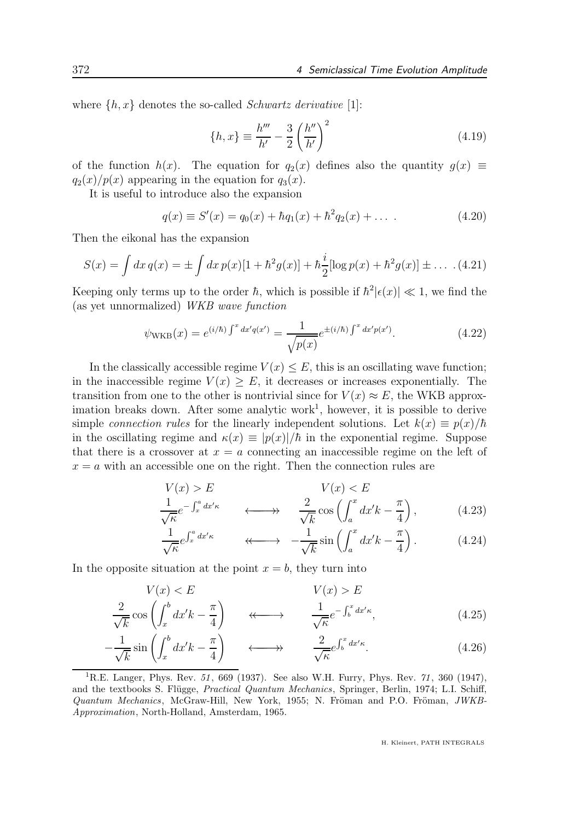where  $\{h, x\}$  denotes the so-called *Schwartz derivative* [1]:

$$
\{h, x\} \equiv \frac{h'''}{h'} - \frac{3}{2} \left(\frac{h''}{h'}\right)^2 \tag{4.19}
$$

of the function  $h(x)$ . The equation for  $q_2(x)$  defines also the quantity  $q(x) \equiv$  $q_2(x)/p(x)$  appearing in the equation for  $q_3(x)$ .

It is useful to introduce also the expansion

$$
q(x) \equiv S'(x) = q_0(x) + \hbar q_1(x) + \hbar^2 q_2(x) + \dots
$$
 (4.20)

Then the eikonal has the expansion

$$
S(x) = \int dx \, q(x) = \pm \int dx \, p(x) [1 + \hbar^2 g(x)] + \hbar \frac{i}{2} [\log p(x) + \hbar^2 g(x)] \pm \dots \tag{4.21}
$$

Keeping only terms up to the order  $\hbar$ , which is possible if  $\hbar^2 |\epsilon(x)| \ll 1$ , we find the (as yet unnormalized) WKB wave function

$$
\psi_{\text{WKB}}(x) = e^{(i/\hbar) \int^x dx' q(x')} = \frac{1}{\sqrt{p(x)}} e^{\pm (i/\hbar) \int^x dx' p(x')}.
$$
\n(4.22)

In the classically accessible regime  $V(x) \leq E$ , this is an oscillating wave function; in the inaccessible regime  $V(x) \geq E$ , it decreases or increases exponentially. The transition from one to the other is nontrivial since for  $V(x) \approx E$ , the WKB approximation breaks down. After some analytic work<sup>1</sup>, however, it is possible to derive simple connection rules for the linearly independent solutions. Let  $k(x) \equiv p(x)/\hbar$ in the oscillating regime and  $\kappa(x) \equiv |p(x)|/\hbar$  in the exponential regime. Suppose that there is a crossover at  $x = a$  connecting an inaccessible regime on the left of  $x = a$  with an accessible one on the right. Then the connection rules are

$$
V(x) > E
$$
  
\n
$$
\frac{1}{\sqrt{\kappa}} e^{-\int_x^a dx' \kappa} \qquad \longleftrightarrow \qquad \frac{2}{\sqrt{k}} \cos\left(\int_a^x dx' k - \frac{\pi}{4}\right), \qquad (4.23)
$$

$$
\frac{1}{\sqrt{\kappa}} e^{\int_x^a dx' \kappa} \qquad \qquad \longleftrightarrow \qquad -\frac{1}{\sqrt{k}} \sin\left(\int_a^x dx' k - \frac{\pi}{4}\right). \tag{4.24}
$$

In the opposite situation at the point  $x = b$ , they turn into

$$
V(x) < E
$$
\n
$$
\frac{2}{\sqrt{k}} \cos\left(\int_x^b dx' k - \frac{\pi}{4}\right) \qquad \qquad \longleftrightarrow \qquad \frac{1}{\sqrt{k}} e^{-\int_b^x dx' \kappa},\tag{4.25}
$$

$$
-\frac{1}{\sqrt{k}}\sin\left(\int_x^b dx' k - \frac{\pi}{4}\right) \qquad \longleftrightarrow \qquad \frac{2}{\sqrt{k}}e^{\int_b^x dx' \kappa}.\tag{4.26}
$$

<sup>1</sup>R.E. Langer, Phys. Rev. 51, 669 (1937). See also W.H. Furry, Phys. Rev. 71, 360 (1947), and the textbooks S. Flügge, *Practical Quantum Mechanics*, Springer, Berlin, 1974; L.I. Schiff,  $Quantum \ Mechanics$ , McGraw-Hill, New York, 1955; N. Fröman and P.O. Fröman,  $JWKB$ -Approximation, North-Holland, Amsterdam, 1965.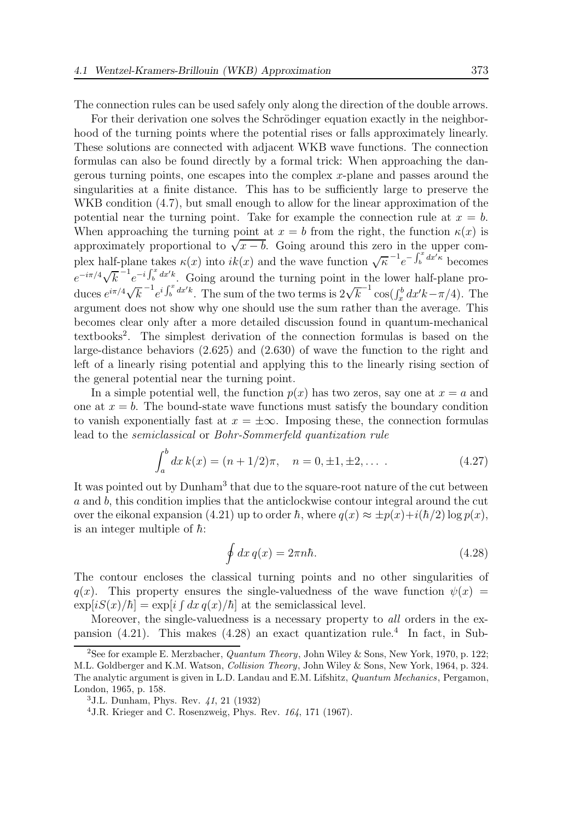The connection rules can be used safely only along the direction of the double arrows.

For their derivation one solves the Schrödinger equation exactly in the neighborhood of the turning points where the potential rises or falls approximately linearly. These solutions are connected with adjacent WKB wave functions. The connection formulas can also be found directly by a formal trick: When approaching the dangerous turning points, one escapes into the complex x-plane and passes around the singularities at a finite distance. This has to be sufficiently large to preserve the WKB condition  $(4.7)$ , but small enough to allow for the linear approximation of the potential near the turning point. Take for example the connection rule at  $x = b$ . When approaching the turning point at  $x = b$  from the right, the function  $\kappa(x)$  is approximately proportional to  $\sqrt{x-b}$ . Going around this zero in the upper complex half-plane takes  $\kappa(x)$  into  $ik(x)$  and the wave function  $\sqrt{\kappa}^{-1}e^{-\int_b^x dx'^k}$  becomes  $e^{-i\pi/4}\sqrt{k}$ <sup>-1</sup> $e^{-i\int_b^x dx^{\prime}k}$ . Going around the turning point in the lower half-plane produces  $e^{i\pi/4}\sqrt{k}^{-1}e^{i\int_b^x dx'^k}$ . The sum of the two terms is  $2\sqrt{k}^{-1}\cos(\int_x^b dx' k - \pi/4)$ . The argument does not show why one should use the sum rather than the average. This becomes clear only after a more detailed discussion found in quantum-mechanical textbooks<sup>2</sup> . The simplest derivation of the connection formulas is based on the large-distance behaviors (2.625) and (2.630) of wave the function to the right and left of a linearly rising potential and applying this to the linearly rising section of the general potential near the turning point.

In a simple potential well, the function  $p(x)$  has two zeros, say one at  $x = a$  and one at  $x = b$ . The bound-state wave functions must satisfy the boundary condition to vanish exponentially fast at  $x = \pm \infty$ . Imposing these, the connection formulas lead to the semiclassical or Bohr-Sommerfeld quantization rule

$$
\int_{a}^{b} dx k(x) = (n + 1/2)\pi, \quad n = 0, \pm 1, \pm 2, \dots
$$
 (4.27)

It was pointed out by  $Dunham^3$  that due to the square-root nature of the cut between a and b, this condition implies that the anticlockwise contour integral around the cut over the eikonal expansion (4.21) up to order  $\hbar$ , where  $q(x) \approx \pm p(x) + i(\hbar/2) \log p(x)$ , is an integer multiple of  $\hbar$ :

$$
\oint dx q(x) = 2\pi n\hbar. \tag{4.28}
$$

The contour encloses the classical turning points and no other singularities of  $q(x)$ . This property ensures the single-valuedness of the wave function  $\psi(x)$  =  $\exp[iS(x)/\hbar] = \exp[i\int dx\,q(x)/\hbar]$  at the semiclassical level.

Moreover, the single-valuedness is a necessary property to *all* orders in the expansion (4.21). This makes (4.28) an exact quantization rule.<sup>4</sup> In fact, in Sub-

<sup>&</sup>lt;sup>2</sup>See for example E. Merzbacher, *Quantum Theory*, John Wiley & Sons, New York, 1970, p. 122; M.L. Goldberger and K.M. Watson, Collision Theory, John Wiley & Sons, New York, 1964, p. 324. The analytic argument is given in L.D. Landau and E.M. Lifshitz, Quantum Mechanics, Pergamon, London, 1965, p. 158.

<sup>3</sup>J.L. Dunham, Phys. Rev. 41, 21 (1932)

<sup>&</sup>lt;sup>4</sup> J.R. Krieger and C. Rosenzweig, Phys. Rev.  $164$ , 171 (1967).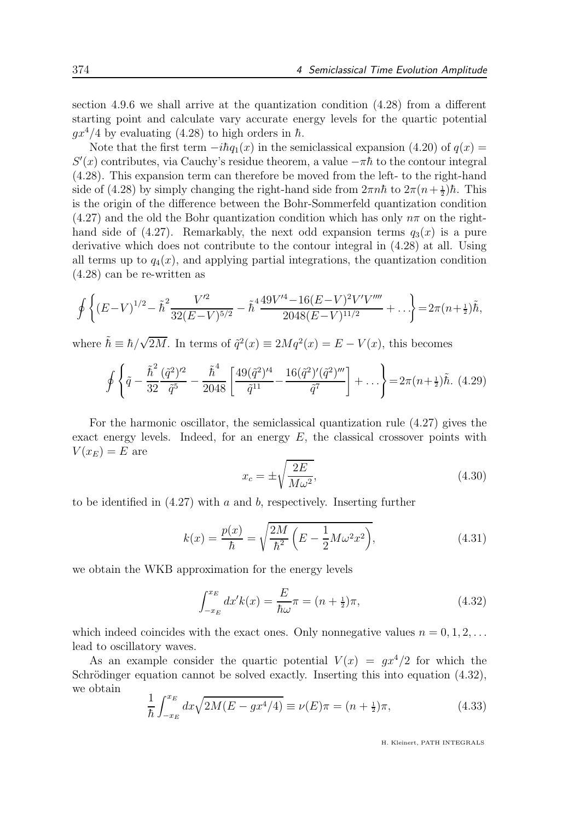section 4.9.6 we shall arrive at the quantization condition (4.28) from a different starting point and calculate vary accurate energy levels for the quartic potential  $gx^4/4$  by evaluating (4.28) to high orders in  $\hbar$ .

Note that the first term  $-i\hbar q_1(x)$  in the semiclassical expansion (4.20) of  $q(x)$  =  $S'(x)$  contributes, via Cauchy's residue theorem, a value  $-\pi\hbar$  to the contour integral (4.28). This expansion term can therefore be moved from the left- to the right-hand side of (4.28) by simply changing the right-hand side from  $2\pi n\hbar$  to  $2\pi (n+\frac{1}{2})\hbar$ . This is the origin of the difference between the Bohr-Sommerfeld quantization condition  $(4.27)$  and the old the Bohr quantization condition which has only  $n\pi$  on the righthand side of (4.27). Remarkably, the next odd expansion terms  $q_3(x)$  is a pure derivative which does not contribute to the contour integral in (4.28) at all. Using all terms up to  $q_4(x)$ , and applying partial integrations, the quantization condition (4.28) can be re-written as

$$
\oint \left\{ (E-V)^{1/2} - \tilde{\hbar}^2 \frac{V'^2}{32(E-V)^{5/2}} - \tilde{\hbar}^4 \frac{49V'^4 - 16(E-V)^2 V'V''''}{2048(E-V)^{11/2}} + \ldots \right\} = 2\pi (n+\frac{1}{2})\tilde{\hbar},
$$

where  $\tilde{\hbar} \equiv \hbar / \sqrt{2M}$ . In terms of  $\tilde{q}^2(x) \equiv 2Mq^2(x) = E - V(x)$ , this becomes

$$
\oint \left\{ \tilde{q} - \frac{\tilde{\hbar}^2}{32} \frac{(\tilde{q}^2)^{\prime 2}}{\tilde{q}^5} - \frac{\tilde{\hbar}^4}{2048} \left[ \frac{49(\tilde{q}^2)^{\prime 4}}{\tilde{q}^{11}} - \frac{16(\tilde{q}^2)^{\prime}(\tilde{q}^2)^{\prime\prime\prime}}{\tilde{q}^7} \right] + \ldots \right\} = 2\pi (n + \frac{1}{2})\tilde{\hbar}. \tag{4.29}
$$

For the harmonic oscillator, the semiclassical quantization rule (4.27) gives the exact energy levels. Indeed, for an energy  $E$ , the classical crossover points with  $V(x_E) = E$  are

$$
x_c = \pm \sqrt{\frac{2E}{M\omega^2}},\tag{4.30}
$$

to be identified in  $(4.27)$  with a and b, respectively. Inserting further

$$
k(x) = \frac{p(x)}{\hbar} = \sqrt{\frac{2M}{\hbar^2} \left( E - \frac{1}{2} M \omega^2 x^2 \right)},
$$
\n(4.31)

we obtain the WKB approximation for the energy levels

$$
\int_{-x_E}^{x_E} dx' k(x) = \frac{E}{\hbar \omega} \pi = (n + \frac{1}{2})\pi,
$$
\n(4.32)

which indeed coincides with the exact ones. Only nonnegative values  $n = 0, 1, 2, \ldots$ lead to oscillatory waves.

As an example consider the quartic potential  $V(x) = gx^4/2$  for which the Schrödinger equation cannot be solved exactly. Inserting this into equation  $(4.32)$ , we obtain

$$
\frac{1}{\hbar} \int_{-x_E}^{x_E} dx \sqrt{2M(E - gx^4/4)} \equiv \nu(E)\pi = (n + \frac{1}{2})\pi,\tag{4.33}
$$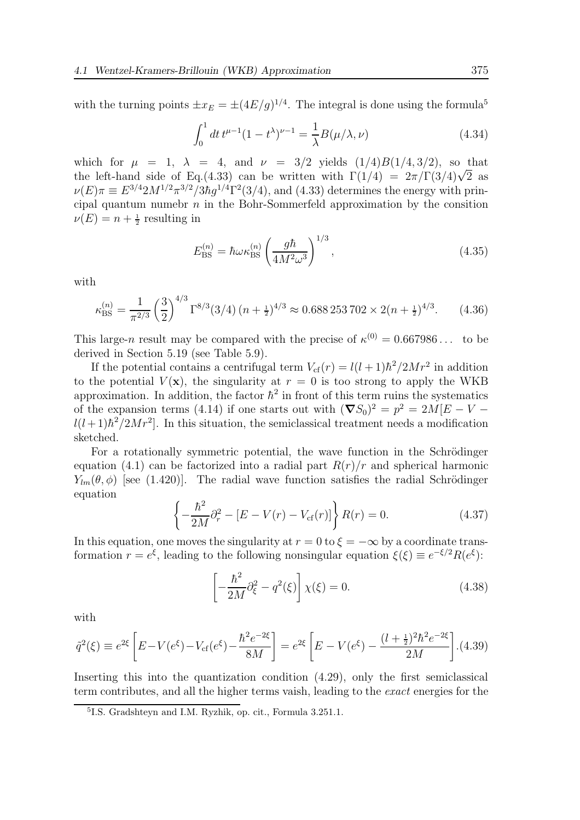with the turning points  $\pm x_E = \pm (4E/g)^{1/4}$ . The integral is done using the formula<sup>5</sup>

$$
\int_0^1 dt \, t^{\mu - 1} (1 - t^\lambda)^{\nu - 1} = \frac{1}{\lambda} B(\mu/\lambda, \nu) \tag{4.34}
$$

which for  $\mu = 1$ ,  $\lambda = 4$ , and  $\nu = 3/2$  yields  $(1/4)B(1/4, 3/2)$ , so that the left-hand side of Eq.(4.33) can be written with  $\Gamma(1/4) = 2\pi/\Gamma(3/4)\sqrt{2}$  as  $\nu(E)\pi \equiv E^{3/4} 2M^{1/2} \pi^{3/2} / 3\hbar g^{1/4} \Gamma^2(3/4)$ , and (4.33) determines the energy with principal quantum numebr  $n$  in the Bohr-Sommerfeld approximation by the consition  $\nu(E) = n + \frac{1}{2}$  resulting in

$$
E_{\rm BS}^{(n)} = \hbar \omega \kappa_{\rm BS}^{(n)} \left(\frac{g\hbar}{4M^2\omega^3}\right)^{1/3},\tag{4.35}
$$

with

$$
\kappa_{\rm BS}^{(n)} = \frac{1}{\pi^{2/3}} \left(\frac{3}{2}\right)^{4/3} \Gamma^{8/3} (3/4) \left(n + \frac{1}{2}\right)^{4/3} \approx 0.688\,253\,702 \times 2\left(n + \frac{1}{2}\right)^{4/3}.\tag{4.36}
$$

This large-n result may be compared with the precise of  $\kappa^{(0)} = 0.667986...$  to be derived in Section 5.19 (see Table 5.9).

If the potential contains a centrifugal term  $V_{cf}(r) = l(l+1)\hbar^2/2Mr^2$  in addition to the potential  $V(\mathbf{x})$ , the singularity at  $r = 0$  is too strong to apply the WKB approximation. In addition, the factor  $\hbar^2$  in front of this term ruins the systematics of the expansion terms (4.14) if one starts out with  $(\nabla S_0)^2 = p^2 = 2M[E-V-V]$  $l(l+1)\hbar^2/2Mr^2$ . In this situation, the semiclassical treatment needs a modification sketched.

For a rotationally symmetric potential, the wave function in the Schrödinger equation (4.1) can be factorized into a radial part  $R(r)/r$  and spherical harmonic  $Y_{lm}(\theta, \phi)$  [see (1.420)]. The radial wave function satisfies the radial Schrödinger equation

$$
\left\{-\frac{\hbar^2}{2M}\partial_r^2 - [E - V(r) - V_{\text{cf}}(r)]\right\} R(r) = 0.
$$
 (4.37)

In this equation, one moves the singularity at  $r = 0$  to  $\xi = -\infty$  by a coordinate transformation  $r = e^{\xi}$ , leading to the following nonsingular equation  $\xi(\xi) \equiv e^{-\xi/2} R(e^{\xi})$ :

$$
\left[-\frac{\hbar^2}{2M}\partial_{\xi}^2 - q^2(\xi)\right]\chi(\xi) = 0.
$$
\n(4.38)

with

$$
\tilde{q}^{2}(\xi) \equiv e^{2\xi} \left[ E - V(e^{\xi}) - V_{\text{cf}}(e^{\xi}) - \frac{\hbar^{2} e^{-2\xi}}{8M} \right] = e^{2\xi} \left[ E - V(e^{\xi}) - \frac{(l + \frac{1}{2})^{2} \hbar^{2} e^{-2\xi}}{2M} \right]. (4.39)
$$

Inserting this into the quantization condition (4.29), only the first semiclassical term contributes, and all the higher terms vaish, leading to the exact energies for the

<sup>5</sup> I.S. Gradshteyn and I.M. Ryzhik, op. cit., Formula 3.251.1.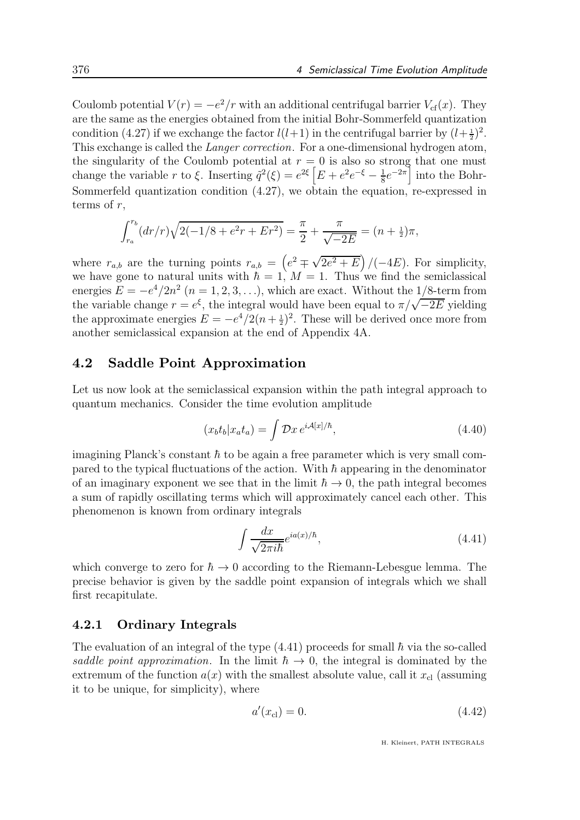Coulomb potential  $V(r) = -e^2/r$  with an additional centrifugal barrier  $V_{cf}(x)$ . They are the same as the energies obtained from the initial Bohr-Sommerfeld quantization condition (4.27) if we exchange the factor  $l(l+1)$  in the centrifugal barrier by  $(l+\frac{1}{2})^2$ . This exchange is called the Langer correction. For a one-dimensional hydrogen atom, the singularity of the Coulomb potential at  $r = 0$  is also so strong that one must change the variable r to  $\xi$ . Inserting  $\tilde{q}^2(\xi) = e^{2\xi} \left[ E + e^2 e^{-\xi} - \frac{1}{8} \right]$  $\frac{1}{8}e^{-2\pi}$  into the Bohr-Sommerfeld quantization condition  $(4.27)$ , we obtain the equation, re-expressed in terms of  $r$ ,

$$
\int_{r_a}^{r_b} (dr/r) \sqrt{2(-1/8 + e^2r + Er^2)} = \frac{\pi}{2} + \frac{\pi}{\sqrt{-2E}} = (n + \frac{1}{2})\pi,
$$

where  $r_{a,b}$  are the turning points  $r_{a,b} = \left(e^2 \mp \sqrt{2e^2 + E}\right) / (-4E)$ . For simplicity, we have gone to natural units with  $\hbar = 1$ ,  $M = 1$ . Thus we find the semiclassical energies  $E = -e^4/2n^2$   $(n = 1, 2, 3, \ldots)$ , which are exact. Without the  $1/8$ -term from the variable change  $r = e^{\xi}$ , the integral would have been equal to  $\pi/\sqrt{-2E}$  yielding the approximate energies  $E = -e^4/2(n+\frac{1}{2})^2$ . These will be derived once more from another semiclassical expansion at the end of Appendix 4A.

#### 4.2 Saddle Point Approximation

Let us now look at the semiclassical expansion within the path integral approach to quantum mechanics. Consider the time evolution amplitude

$$
(x_b t_b | x_a t_a) = \int \mathcal{D}x \, e^{i\mathcal{A}[x]/\hbar}, \tag{4.40}
$$

imagining Planck's constant  $\hbar$  to be again a free parameter which is very small compared to the typical fluctuations of the action. With  $\hbar$  appearing in the denominator of an imaginary exponent we see that in the limit  $\hbar \to 0$ , the path integral becomes a sum of rapidly oscillating terms which will approximately cancel each other. This phenomenon is known from ordinary integrals

$$
\int \frac{dx}{\sqrt{2\pi i\hbar}} e^{ia(x)/\hbar},\tag{4.41}
$$

which converge to zero for  $\hbar \to 0$  according to the Riemann-Lebesgue lemma. The precise behavior is given by the saddle point expansion of integrals which we shall first recapitulate.

#### 4.2.1 Ordinary Integrals

The evaluation of an integral of the type  $(4.41)$  proceeds for small  $\hbar$  via the so-called saddle point approximation. In the limit  $\hbar \rightarrow 0$ , the integral is dominated by the extremum of the function  $a(x)$  with the smallest absolute value, call it  $x_{\text{cl}}$  (assuming it to be unique, for simplicity), where

$$
a'(x_{\rm cl}) = 0.\t\t(4.42)
$$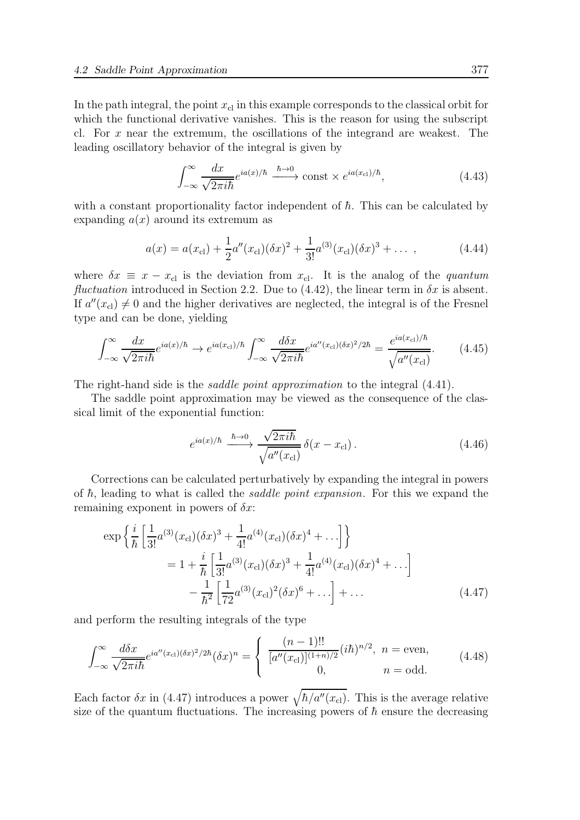In the path integral, the point  $x_{c}$  in this example corresponds to the classical orbit for which the functional derivative vanishes. This is the reason for using the subscript cl. For x near the extremum, the oscillations of the integrand are weakest. The leading oscillatory behavior of the integral is given by

$$
\int_{-\infty}^{\infty} \frac{dx}{\sqrt{2\pi i\hbar}} e^{ia(x)/\hbar} \xrightarrow{\hbar \to 0} \text{const} \times e^{ia(x_{\text{cl}})/\hbar}, \tag{4.43}
$$

with a constant proportionality factor independent of  $\hbar$ . This can be calculated by expanding  $a(x)$  around its extremum as

$$
a(x) = a(x_{\rm cl}) + \frac{1}{2}a''(x_{\rm cl})(\delta x)^2 + \frac{1}{3!}a^{(3)}(x_{\rm cl})(\delta x)^3 + \dots \,, \tag{4.44}
$$

where  $\delta x \equiv x - x_{\text{cl}}$  is the deviation from  $x_{\text{cl}}$ . It is the analog of the *quantum* fluctuation introduced in Section 2.2. Due to  $(4.42)$ , the linear term in  $\delta x$  is absent. If  $a''(x_{\text{cl}}) \neq 0$  and the higher derivatives are neglected, the integral is of the Fresnel type and can be done, yielding

$$
\int_{-\infty}^{\infty} \frac{dx}{\sqrt{2\pi i\hbar}} e^{ia(x)/\hbar} \to e^{ia(x_{\rm cl})/\hbar} \int_{-\infty}^{\infty} \frac{d\delta x}{\sqrt{2\pi i\hbar}} e^{ia''(x_{\rm cl})(\delta x)^2/2\hbar} = \frac{e^{ia(x_{\rm cl})/\hbar}}{\sqrt{a''(x_{\rm cl})}}.
$$
(4.45)

The right-hand side is the *saddle point approximation* to the integral  $(4.41)$ .

The saddle point approximation may be viewed as the consequence of the classical limit of the exponential function:

$$
e^{ia(x)/\hbar} \xrightarrow{\hbar \to 0} \frac{\sqrt{2\pi i \hbar}}{\sqrt{a''(x_{\text{cl}})}} \delta(x - x_{\text{cl}}) \,. \tag{4.46}
$$

Corrections can be calculated perturbatively by expanding the integral in powers of  $\hbar$ , leading to what is called the *saddle point expansion*. For this we expand the remaining exponent in powers of  $\delta x$ :

$$
\exp\left\{\frac{i}{\hbar}\left[\frac{1}{3!}a^{(3)}(x_{\text{cl}})(\delta x)^3 + \frac{1}{4!}a^{(4)}(x_{\text{cl}})(\delta x)^4 + \ldots\right]\right\}
$$
  
=  $1 + \frac{i}{\hbar}\left[\frac{1}{3!}a^{(3)}(x_{\text{cl}})(\delta x)^3 + \frac{1}{4!}a^{(4)}(x_{\text{cl}})(\delta x)^4 + \ldots\right]$   
 $-\frac{1}{\hbar^2}\left[\frac{1}{72}a^{(3)}(x_{\text{cl}})^2(\delta x)^6 + \ldots\right] + \ldots$  (4.47)

and perform the resulting integrals of the type

$$
\int_{-\infty}^{\infty} \frac{d\delta x}{\sqrt{2\pi i\hbar}} e^{ia''(x_{\text{cl}})(\delta x)^2/2\hbar} (\delta x)^n = \begin{cases} \frac{(n-1)!!}{[a''(x_{\text{cl}})]^{(1+n)/2}} (i\hbar)^{n/2}, & n = \text{even}, \\ 0, & n = \text{odd}. \end{cases}
$$
(4.48)

Each factor  $\delta x$  in (4.47) introduces a power  $\sqrt{\hbar/a''(x_{\text{cl}})}$ . This is the average relative size of the quantum fluctuations. The increasing powers of  $\hbar$  ensure the decreasing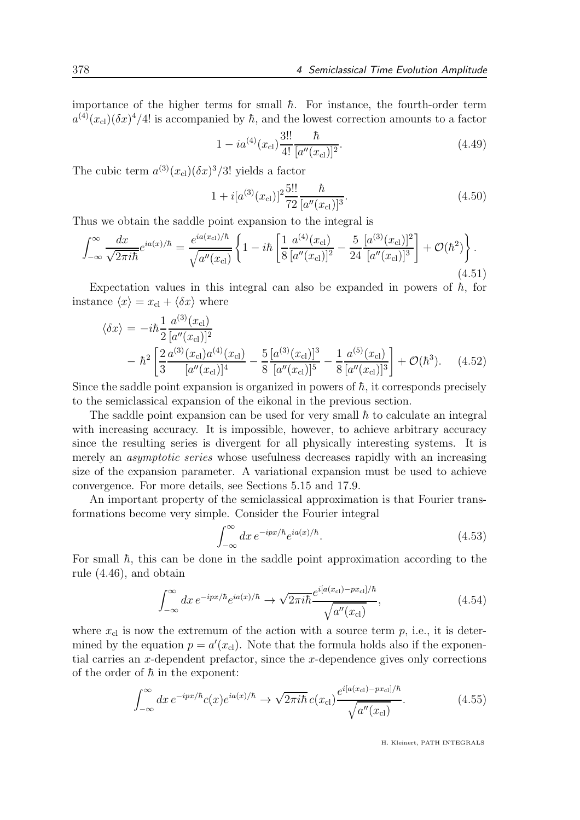importance of the higher terms for small  $\hbar$ . For instance, the fourth-order term  $a^{(4)}(x_{\text{cl}})(\delta x)^{4}/4!$  is accompanied by  $\hbar$ , and the lowest correction amounts to a factor

$$
1 - ia^{(4)}(x_{\rm cl})\frac{3!!}{4!} \frac{\hbar}{[a''(x_{\rm cl})]^2}.
$$
\n(4.49)

The cubic term  $a^{(3)}(x_{\rm cl})(\delta x)^3/3!$  yields a factor

$$
1 + i[a^{(3)}(x_{\text{cl}})]^2 \frac{5!!}{72} \frac{\hbar}{[a''(x_{\text{cl}})]^3}.
$$
\n(4.50)

Thus we obtain the saddle point expansion to the integral is

$$
\int_{-\infty}^{\infty} \frac{dx}{\sqrt{2\pi i\hbar}} e^{ia(x)/\hbar} = \frac{e^{ia(x_{\text{cl}})/\hbar}}{\sqrt{a''(x_{\text{cl}})}} \left\{ 1 - i\hbar \left[ \frac{1}{8} \frac{a^{(4)}(x_{\text{cl}})}{[a''(x_{\text{cl}})]^2} - \frac{5}{24} \frac{[a^{(3)}(x_{\text{cl}})]^2}{[a''(x_{\text{cl}})]^3} \right] + \mathcal{O}(\hbar^2) \right\}.
$$
\n(4.51)

Expectation values in this integral can also be expanded in powers of  $\hbar$ , for instance  $\langle x \rangle = x_{\text{cl}} + \langle \delta x \rangle$  where

$$
\langle \delta x \rangle = -i\hbar \frac{1}{2} \frac{a^{(3)}(x_{\text{cl}})}{[a''(x_{\text{cl}})]^2} \n- \hbar^2 \left[ \frac{2}{3} \frac{a^{(3)}(x_{\text{cl}})a^{(4)}(x_{\text{cl}})}{[a''(x_{\text{cl}})]^4} - \frac{5}{8} \frac{[a^{(3)}(x_{\text{cl}})]^3}{[a''(x_{\text{cl}})]^5} - \frac{1}{8} \frac{a^{(5)}(x_{\text{cl}})}{[a''(x_{\text{cl}})]^3} \right] + \mathcal{O}(\hbar^3). \tag{4.52}
$$

Since the saddle point expansion is organized in powers of  $\hbar$ , it corresponds precisely to the semiclassical expansion of the eikonal in the previous section.

The saddle point expansion can be used for very small  $\hbar$  to calculate an integral with increasing accuracy. It is impossible, however, to achieve arbitrary accuracy since the resulting series is divergent for all physically interesting systems. It is merely an *asymptotic series* whose usefulness decreases rapidly with an increasing size of the expansion parameter. A variational expansion must be used to achieve convergence. For more details, see Sections 5.15 and 17.9.

An important property of the semiclassical approximation is that Fourier transformations become very simple. Consider the Fourier integral

$$
\int_{-\infty}^{\infty} dx \, e^{-ipx/\hbar} e^{ia(x)/\hbar}.\tag{4.53}
$$

For small  $\hbar$ , this can be done in the saddle point approximation according to the rule (4.46), and obtain

$$
\int_{-\infty}^{\infty} dx \, e^{-ipx/\hbar} e^{ia(x)/\hbar} \to \sqrt{2\pi i \hbar} \frac{e^{i[a(x_{\text{cl}}) - px_{\text{cl}}]/\hbar}}{\sqrt{a''(x_{\text{cl}})}},\tag{4.54}
$$

where  $x_{\text{cl}}$  is now the extremum of the action with a source term p, i.e., it is determined by the equation  $p = a'(x_{\text{cl}})$ . Note that the formula holds also if the exponential carries an x-dependent prefactor, since the x-dependence gives only corrections of the order of  $\hbar$  in the exponent:

$$
\int_{-\infty}^{\infty} dx \, e^{-ipx/\hbar} c(x) e^{ia(x)/\hbar} \to \sqrt{2\pi i \hbar} \, c(x_{\rm cl}) \frac{e^{i[a(x_{\rm cl}) - px_{\rm cl}]/\hbar}}{\sqrt{a''(x_{\rm cl})}}. \tag{4.55}
$$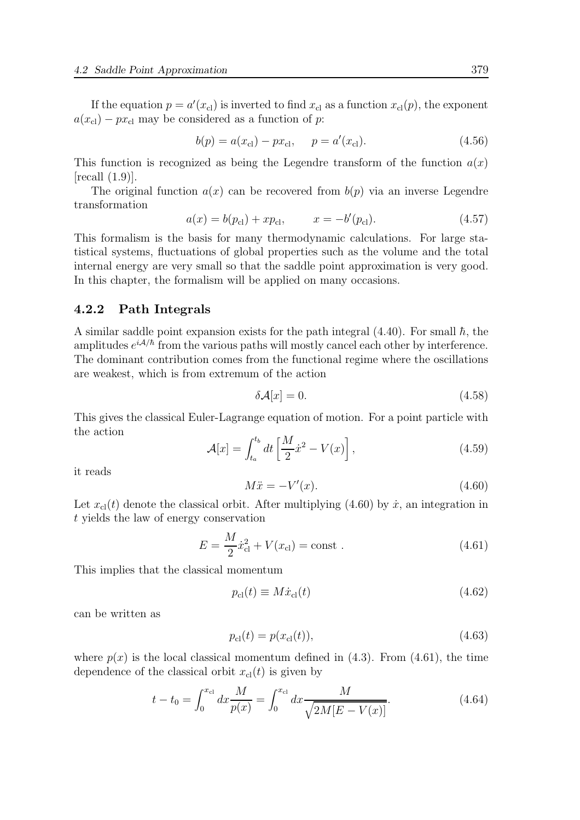If the equation  $p = a'(x_{\text{cl}})$  is inverted to find  $x_{\text{cl}}$  as a function  $x_{\text{cl}}(p)$ , the exponent  $a(x_{\rm cl}) - px_{\rm cl}$  may be considered as a function of p:

$$
b(p) = a(x_{\rm cl}) - px_{\rm cl}, \quad p = a'(x_{\rm cl}). \tag{4.56}
$$

This function is recognized as being the Legendre transform of the function  $a(x)$  $[recall (1.9)].$ 

The original function  $a(x)$  can be recovered from  $b(p)$  via an inverse Legendre transformation

$$
a(x) = b(p_{\rm cl}) + xp_{\rm cl}, \qquad x = -b'(p_{\rm cl}). \tag{4.57}
$$

This formalism is the basis for many thermodynamic calculations. For large statistical systems, fluctuations of global properties such as the volume and the total internal energy are very small so that the saddle point approximation is very good. In this chapter, the formalism will be applied on many occasions.

#### 4.2.2 Path Integrals

A similar saddle point expansion exists for the path integral  $(4.40)$ . For small  $\hbar$ , the amplitudes  $e^{iA/\hbar}$  from the various paths will mostly cancel each other by interference. The dominant contribution comes from the functional regime where the oscillations are weakest, which is from extremum of the action

$$
\delta \mathcal{A}[x] = 0. \tag{4.58}
$$

This gives the classical Euler-Lagrange equation of motion. For a point particle with the action

$$
\mathcal{A}[x] = \int_{t_a}^{t_b} dt \left[ \frac{M}{2} \dot{x}^2 - V(x) \right],\tag{4.59}
$$

it reads

$$
M\ddot{x} = -V'(x). \tag{4.60}
$$

Let  $x_{\text{cl}}(t)$  denote the classical orbit. After multiplying (4.60) by  $\dot{x}$ , an integration in t yields the law of energy conservation

$$
E = \frac{M}{2}\dot{x}_{\rm cl}^2 + V(x_{\rm cl}) = \text{const} \tag{4.61}
$$

This implies that the classical momentum

$$
p_{\rm cl}(t) \equiv M\dot{x}_{\rm cl}(t) \tag{4.62}
$$

can be written as

$$
p_{\rm cl}(t) = p(x_{\rm cl}(t)),\tag{4.63}
$$

where  $p(x)$  is the local classical momentum defined in (4.3). From (4.61), the time dependence of the classical orbit  $x_{\text{cl}}(t)$  is given by

$$
t - t_0 = \int_0^{x_{\text{cl}}} dx \frac{M}{p(x)} = \int_0^{x_{\text{cl}}} dx \frac{M}{\sqrt{2M[E - V(x)]}}.
$$
\n(4.64)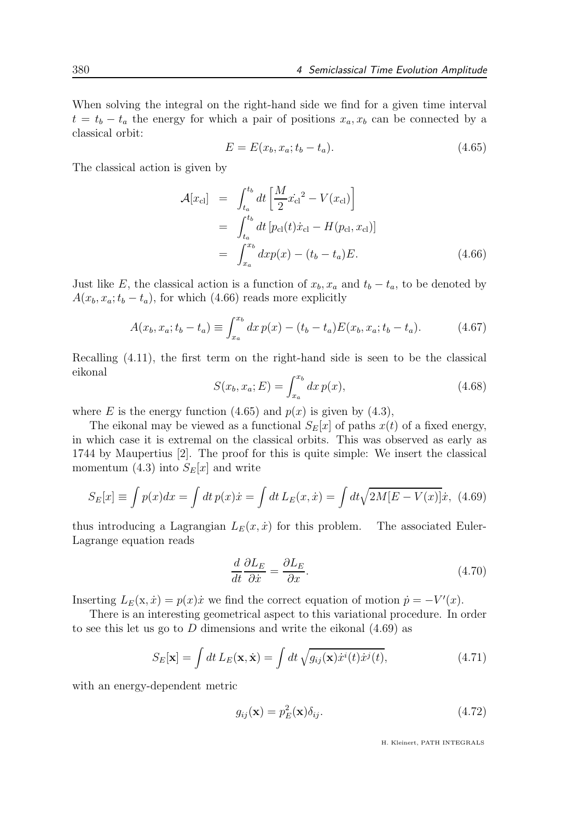When solving the integral on the right-hand side we find for a given time interval  $t = t_b - t_a$  the energy for which a pair of positions  $x_a, x_b$  can be connected by a classical orbit:

$$
E = E(x_b, x_a; t_b - t_a).
$$
 (4.65)

The classical action is given by

$$
\mathcal{A}[x_{\text{cl}}] = \int_{t_a}^{t_b} dt \left[ \frac{M}{2} \dot{x_{\text{cl}}}^2 - V(x_{\text{cl}}) \right]
$$
  
\n
$$
= \int_{t_a}^{t_b} dt \left[ p_{\text{cl}}(t) \dot{x}_{\text{cl}} - H(p_{\text{cl}}, x_{\text{cl}}) \right]
$$
  
\n
$$
= \int_{x_a}^{x_b} dx p(x) - (t_b - t_a) E. \tag{4.66}
$$

Just like E, the classical action is a function of  $x_b, x_a$  and  $t_b - t_a$ , to be denoted by  $A(x_b, x_a; t_b - t_a)$ , for which (4.66) reads more explicitly

$$
A(x_b, x_a; t_b - t_a) \equiv \int_{x_a}^{x_b} dx \, p(x) - (t_b - t_a) E(x_b, x_a; t_b - t_a). \tag{4.67}
$$

Recalling (4.11), the first term on the right-hand side is seen to be the classical eikonal

$$
S(x_b, x_a; E) = \int_{x_a}^{x_b} dx \, p(x), \tag{4.68}
$$

where E is the energy function  $(4.65)$  and  $p(x)$  is given by  $(4.3)$ ,

The eikonal may be viewed as a functional  $S_F[x]$  of paths  $x(t)$  of a fixed energy, in which case it is extremal on the classical orbits. This was observed as early as 1744 by Maupertius [2]. The proof for this is quite simple: We insert the classical momentum (4.3) into  $S_E[x]$  and write

$$
S_E[x] \equiv \int p(x)dx = \int dt \, p(x)\dot{x} = \int dt \, L_E(x,\dot{x}) = \int dt \sqrt{2M[E - V(x)]}\dot{x}, \tag{4.69}
$$

thus introducing a Lagrangian  $L_E(x, \dot{x})$  for this problem. The associated Euler-Lagrange equation reads

$$
\frac{d}{dt}\frac{\partial L_E}{\partial \dot{x}} = \frac{\partial L_E}{\partial x}.\tag{4.70}
$$

Inserting  $L_E(\mathbf{x}, \dot{x}) = p(x)\dot{x}$  we find the correct equation of motion  $\dot{p} = -V'(x)$ .

There is an interesting geometrical aspect to this variational procedure. In order to see this let us go to D dimensions and write the eikonal  $(4.69)$  as

$$
S_E[\mathbf{x}] = \int dt L_E(\mathbf{x}, \dot{\mathbf{x}}) = \int dt \sqrt{g_{ij}(\mathbf{x}) \dot{x}^i(t) \dot{x}^j(t)},
$$
(4.71)

with an energy-dependent metric

$$
g_{ij}(\mathbf{x}) = p_E^2(\mathbf{x})\delta_{ij}.
$$
\n(4.72)

H. Kleinert, PATH INTEGRALS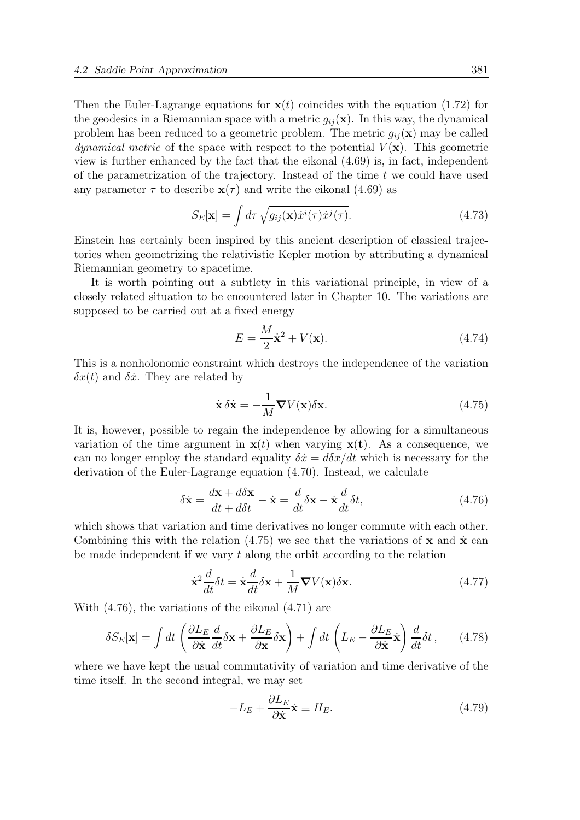Then the Euler-Lagrange equations for  $\mathbf{x}(t)$  coincides with the equation (1.72) for the geodesics in a Riemannian space with a metric  $g_{ij}(\mathbf{x})$ . In this way, the dynamical problem has been reduced to a geometric problem. The metric  $g_{ii}(\mathbf{x})$  may be called *dynamical metric* of the space with respect to the potential  $V(\mathbf{x})$ . This geometric view is further enhanced by the fact that the eikonal (4.69) is, in fact, independent of the parametrization of the trajectory. Instead of the time  $t$  we could have used any parameter  $\tau$  to describe  $\mathbf{x}(\tau)$  and write the eikonal (4.69) as

$$
S_E[\mathbf{x}] = \int d\tau \sqrt{g_{ij}(\mathbf{x}) \dot{x}^i(\tau) \dot{x}^j(\tau)}.
$$
 (4.73)

Einstein has certainly been inspired by this ancient description of classical trajectories when geometrizing the relativistic Kepler motion by attributing a dynamical Riemannian geometry to spacetime.

It is worth pointing out a subtlety in this variational principle, in view of a closely related situation to be encountered later in Chapter 10. The variations are supposed to be carried out at a fixed energy

$$
E = \frac{M}{2}\dot{\mathbf{x}}^2 + V(\mathbf{x}).\tag{4.74}
$$

This is a nonholonomic constraint which destroys the independence of the variation  $\delta x(t)$  and  $\delta \dot{x}$ . They are related by

$$
\dot{\mathbf{x}} \,\delta \dot{\mathbf{x}} = -\frac{1}{M} \mathbf{\nabla} V(\mathbf{x}) \delta \mathbf{x}.\tag{4.75}
$$

It is, however, possible to regain the independence by allowing for a simultaneous variation of the time argument in  $\mathbf{x}(t)$  when varying  $\mathbf{x}(t)$ . As a consequence, we can no longer employ the standard equality  $\delta \dot{x} = d\delta x/dt$  which is necessary for the derivation of the Euler-Lagrange equation (4.70). Instead, we calculate

$$
\delta \dot{\mathbf{x}} = \frac{d\mathbf{x} + d\delta \mathbf{x}}{dt + d\delta t} - \dot{\mathbf{x}} = \frac{d}{dt} \delta \mathbf{x} - \dot{\mathbf{x}} \frac{d}{dt} \delta t, \tag{4.76}
$$

which shows that variation and time derivatives no longer commute with each other. Combining this with the relation  $(4.75)$  we see that the variations of x and x<sup>i</sup> can be made independent if we vary  $t$  along the orbit according to the relation

$$
\dot{\mathbf{x}}^2 \frac{d}{dt} \delta t = \dot{\mathbf{x}} \frac{d}{dt} \delta \mathbf{x} + \frac{1}{M} \nabla V(\mathbf{x}) \delta \mathbf{x}.
$$
 (4.77)

With (4.76), the variations of the eikonal (4.71) are

$$
\delta S_E[\mathbf{x}] = \int dt \left( \frac{\partial L_E}{\partial \dot{\mathbf{x}}} \frac{d}{dt} \delta \mathbf{x} + \frac{\partial L_E}{\partial \mathbf{x}} \delta \mathbf{x} \right) + \int dt \left( L_E - \frac{\partial L_E}{\partial \dot{\mathbf{x}}} \dot{\mathbf{x}} \right) \frac{d}{dt} \delta t, \qquad (4.78)
$$

where we have kept the usual commutativity of variation and time derivative of the time itself. In the second integral, we may set

$$
-L_E + \frac{\partial L_E}{\partial \dot{\mathbf{x}}} \dot{\mathbf{x}} \equiv H_E.
$$
 (4.79)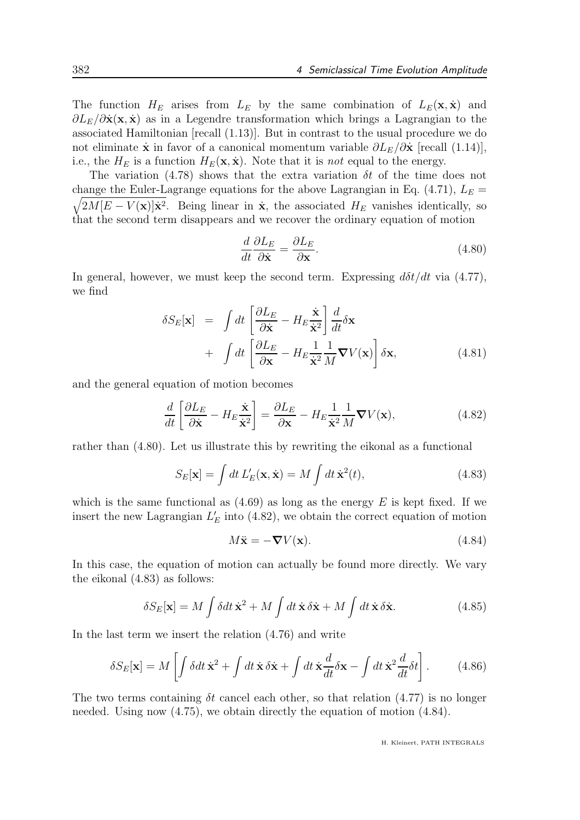The function  $H_E$  arises from  $L_E$  by the same combination of  $L_E(\mathbf{x}, \dot{\mathbf{x}})$  and  $\partial L_E/\partial \dot{\mathbf{x}}(\mathbf{x},\dot{\mathbf{x}})$  as in a Legendre transformation which brings a Lagrangian to the associated Hamiltonian [recall (1.13)]. But in contrast to the usual procedure we do not eliminate x in favor of a canonical momentum variable  $\partial L_E/\partial x$  [recall (1.14)], i.e., the  $H_E$  is a function  $H_E(\mathbf{x}, \dot{\mathbf{x}})$ . Note that it is *not* equal to the energy.

The variation (4.78) shows that the extra variation  $\delta t$  of the time does not  $\sqrt{2M[E-V(\mathbf{x})]\mathbf{x}^2}$ . Being linear in  $\mathbf{x}$ , the associated  $H_E$  vanishes identically, so change the Euler-Lagrange equations for the above Lagrangian in Eq.  $(4.71)$ ,  $L<sub>E</sub>$ that the second term disappears and we recover the ordinary equation of motion

$$
\frac{d}{dt}\frac{\partial L_E}{\partial \dot{\mathbf{x}}} = \frac{\partial L_E}{\partial \mathbf{x}}.\tag{4.80}
$$

In general, however, we must keep the second term. Expressing  $d\delta t/dt$  via (4.77), we find

$$
\delta S_E[\mathbf{x}] = \int dt \left[ \frac{\partial L_E}{\partial \dot{\mathbf{x}}} - H_E \frac{\dot{\mathbf{x}}}{\dot{\mathbf{x}}^2} \right] \frac{d}{dt} \delta \mathbf{x} + \int dt \left[ \frac{\partial L_E}{\partial \mathbf{x}} - H_E \frac{1}{\dot{\mathbf{x}}^2} \frac{1}{M} \nabla V(\mathbf{x}) \right] \delta \mathbf{x},
$$
(4.81)

and the general equation of motion becomes

$$
\frac{d}{dt}\left[\frac{\partial L_E}{\partial \dot{\mathbf{x}}} - H_E \frac{\dot{\mathbf{x}}}{\dot{\mathbf{x}}^2}\right] = \frac{\partial L_E}{\partial \mathbf{x}} - H_E \frac{1}{\dot{\mathbf{x}}^2} \frac{1}{M} \nabla V(\mathbf{x}),\tag{4.82}
$$

rather than (4.80). Let us illustrate this by rewriting the eikonal as a functional

$$
S_E[\mathbf{x}] = \int dt \, L'_E(\mathbf{x}, \dot{\mathbf{x}}) = M \int dt \, \dot{\mathbf{x}}^2(t), \tag{4.83}
$$

which is the same functional as  $(4.69)$  as long as the energy E is kept fixed. If we insert the new Lagrangian  $L'_{E}$  into (4.82), we obtain the correct equation of motion

$$
M\ddot{\mathbf{x}} = -\nabla V(\mathbf{x}).\tag{4.84}
$$

In this case, the equation of motion can actually be found more directly. We vary the eikonal (4.83) as follows:

$$
\delta S_E[\mathbf{x}] = M \int \delta dt \,\dot{\mathbf{x}}^2 + M \int dt \,\dot{\mathbf{x}} \,\delta \dot{\mathbf{x}} + M \int dt \,\dot{\mathbf{x}} \,\delta \dot{\mathbf{x}}.\tag{4.85}
$$

In the last term we insert the relation (4.76) and write

$$
\delta S_E[\mathbf{x}] = M \left[ \int \delta dt \, \dot{\mathbf{x}}^2 + \int dt \, \dot{\mathbf{x}} \, \delta \dot{\mathbf{x}} + \int dt \, \dot{\mathbf{x}} \frac{d}{dt} \delta \mathbf{x} - \int dt \, \dot{\mathbf{x}}^2 \frac{d}{dt} \delta t \right]. \tag{4.86}
$$

The two terms containing  $\delta t$  cancel each other, so that relation (4.77) is no longer needed. Using now (4.75), we obtain directly the equation of motion (4.84).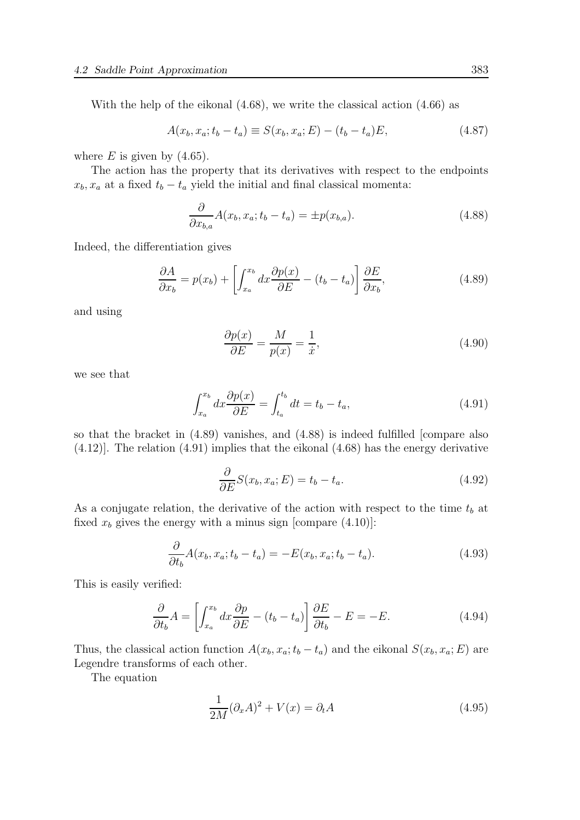With the help of the eikonal (4.68), we write the classical action (4.66) as

$$
A(x_b, x_a; t_b - t_a) \equiv S(x_b, x_a; E) - (t_b - t_a)E, \tag{4.87}
$$

where  $E$  is given by  $(4.65)$ .

The action has the property that its derivatives with respect to the endpoints  $x_b, x_a$  at a fixed  $t_b - t_a$  yield the initial and final classical momenta:

$$
\frac{\partial}{\partial x_{b,a}} A(x_b, x_a; t_b - t_a) = \pm p(x_{b,a}).\tag{4.88}
$$

Indeed, the differentiation gives

$$
\frac{\partial A}{\partial x_b} = p(x_b) + \left[ \int_{x_a}^{x_b} dx \frac{\partial p(x)}{\partial E} - (t_b - t_a) \right] \frac{\partial E}{\partial x_b},\tag{4.89}
$$

and using

$$
\frac{\partial p(x)}{\partial E} = \frac{M}{p(x)} = \frac{1}{\dot{x}},\tag{4.90}
$$

we see that

$$
\int_{x_a}^{x_b} dx \frac{\partial p(x)}{\partial E} = \int_{t_a}^{t_b} dt = t_b - t_a,
$$
\n(4.91)

so that the bracket in (4.89) vanishes, and (4.88) is indeed fulfilled [compare also (4.12)]. The relation (4.91) implies that the eikonal (4.68) has the energy derivative

$$
\frac{\partial}{\partial E} S(x_b, x_a; E) = t_b - t_a.
$$
\n(4.92)

As a conjugate relation, the derivative of the action with respect to the time  $t_b$  at fixed  $x_b$  gives the energy with a minus sign [compare  $(4.10)$ ]:

$$
\frac{\partial}{\partial t_b} A(x_b, x_a; t_b - t_a) = -E(x_b, x_a; t_b - t_a). \tag{4.93}
$$

This is easily verified:

$$
\frac{\partial}{\partial t_b} A = \left[ \int_{x_a}^{x_b} dx \frac{\partial p}{\partial E} - (t_b - t_a) \right] \frac{\partial E}{\partial t_b} - E = -E.
$$
 (4.94)

Thus, the classical action function  $A(x_b, x_a; t_b - t_a)$  and the eikonal  $S(x_b, x_a; E)$  are Legendre transforms of each other.

The equation

$$
\frac{1}{2M}(\partial_x A)^2 + V(x) = \partial_t A \tag{4.95}
$$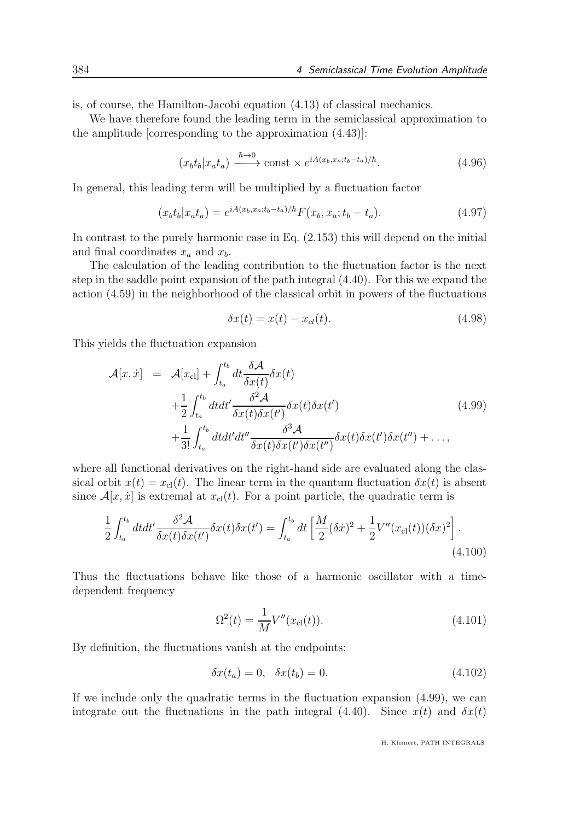is, of course, the Hamilton-Jacobi equation (4.13) of classical mechanics.

We have therefore found the leading term in the semiclassical approximation to the amplitude [corresponding to the approximation (4.43)]:

$$
(x_b t_b | x_a t_a) \xrightarrow{\hbar \to 0} \text{const} \times e^{iA(x_b, x_a; t_b - t_a)/\hbar}.\tag{4.96}
$$

In general, this leading term will be multiplied by a fluctuation factor

$$
(x_b t_b | x_a t_a) = e^{iA(x_b, x_a; t_b - t_a)/\hbar} F(x_b, x_a; t_b - t_a).
$$
 (4.97)

In contrast to the purely harmonic case in Eq. (2.153) this will depend on the initial and final coordinates  $x_a$  and  $x_b$ .

The calculation of the leading contribution to the fluctuation factor is the next step in the saddle point expansion of the path integral (4.40). For this we expand the action (4.59) in the neighborhood of the classical orbit in powers of the fluctuations

$$
\delta x(t) = x(t) - x_{cl}(t). \tag{4.98}
$$

This yields the fluctuation expansion

$$
\mathcal{A}[x,\dot{x}] = \mathcal{A}[x_{\text{cl}}] + \int_{t_a}^{t_b} dt \frac{\delta \mathcal{A}}{\delta x(t)} \delta x(t)
$$
  
+ 
$$
\frac{1}{2} \int_{t_a}^{t_b} dt dt' \frac{\delta^2 \mathcal{A}}{\delta x(t) \delta x(t')} \delta x(t) \delta x(t')
$$
  
+ 
$$
\frac{1}{3!} \int_{t_a}^{t_b} dt dt' dt'' \frac{\delta^3 \mathcal{A}}{\delta x(t) \delta x(t') \delta x(t'')} \delta x(t) \delta x(t'') \delta x(t'') + ...,
$$
(4.99)

where all functional derivatives on the right-hand side are evaluated along the classical orbit  $x(t) = x_{\text{cl}}(t)$ . The linear term in the quantum fluctuation  $\delta x(t)$  is absent since  $\mathcal{A}[x, \dot{x}]$  is extremal at  $x_{\text{cl}}(t)$ . For a point particle, the quadratic term is

$$
\frac{1}{2} \int_{t_a}^{t_b} dt dt' \frac{\delta^2 \mathcal{A}}{\delta x(t) \delta x(t')} \delta x(t) \delta x(t') = \int_{t_a}^{t_b} dt \left[ \frac{M}{2} (\delta \dot{x})^2 + \frac{1}{2} V''(x_{\text{cl}}(t)) (\delta x)^2 \right]. \tag{4.100}
$$

Thus the fluctuations behave like those of a harmonic oscillator with a timedependent frequency

$$
\Omega^2(t) = \frac{1}{M} V''(x_{\text{cl}}(t)).
$$
\n(4.101)

By definition, the fluctuations vanish at the endpoints:

$$
\delta x(t_a) = 0, \quad \delta x(t_b) = 0. \tag{4.102}
$$

If we include only the quadratic terms in the fluctuation expansion (4.99), we can integrate out the fluctuations in the path integral (4.40). Since  $x(t)$  and  $\delta x(t)$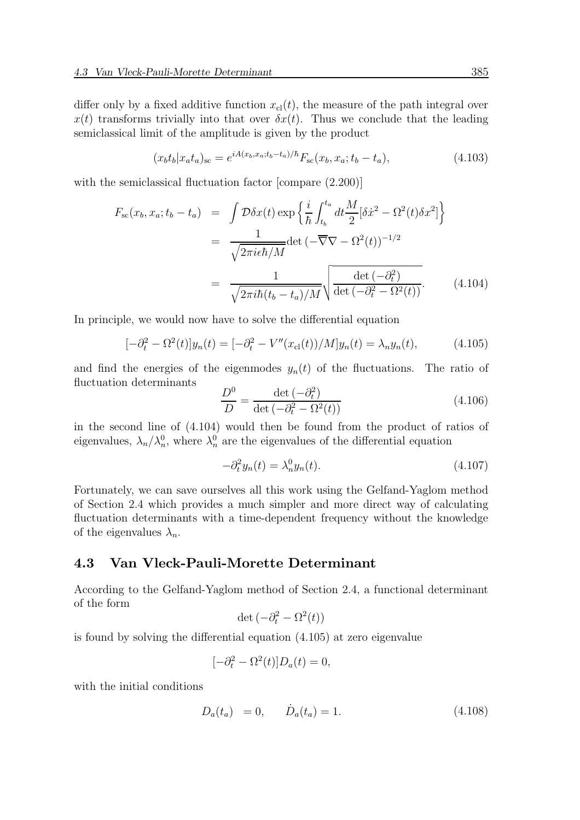differ only by a fixed additive function  $x_{\text{cl}}(t)$ , the measure of the path integral over  $x(t)$  transforms trivially into that over  $\delta x(t)$ . Thus we conclude that the leading semiclassical limit of the amplitude is given by the product

$$
(x_b t_b | x_a t_a)_{\rm sc} = e^{iA(x_b, x_a; t_b - t_a)/\hbar} F_{\rm sc}(x_b, x_a; t_b - t_a), \tag{4.103}
$$

with the semiclassical fluctuation factor [compare  $(2.200)$ ]

$$
F_{\rm sc}(x_b, x_a; t_b - t_a) = \int \mathcal{D}\delta x(t) \exp\left\{\frac{i}{\hbar} \int_{t_b}^{t_a} dt \frac{M}{2} [\delta \dot{x}^2 - \Omega^2(t) \delta x^2] \right\}
$$

$$
= \frac{1}{\sqrt{2\pi i \epsilon \hbar/M}} \det \left( -\overline{\nabla} \nabla - \Omega^2(t) \right)^{-1/2}
$$

$$
= \frac{1}{\sqrt{2\pi i \hbar (t_b - t_a)/M}} \sqrt{\frac{\det \left( -\partial_t^2 \right)}{\det \left( -\partial_t^2 - \Omega^2(t) \right)}}. \tag{4.104}
$$

In principle, we would now have to solve the differential equation

$$
[-\partial_t^2 - \Omega^2(t)]y_n(t) = [-\partial_t^2 - V''(x_{\text{cl}}(t))/M]y_n(t) = \lambda_n y_n(t), \qquad (4.105)
$$

and find the energies of the eigenmodes  $y_n(t)$  of the fluctuations. The ratio of fluctuation determinants  $\overline{2}$   $\overline{2}$ 

$$
\frac{D^0}{D} = \frac{\det\left(-\partial_t^2\right)}{\det\left(-\partial_t^2 - \Omega^2(t)\right)}\tag{4.106}
$$

in the second line of (4.104) would then be found from the product of ratios of eigenvalues,  $\lambda_n/\lambda_n^0$ , where  $\lambda_n^0$  are the eigenvalues of the differential equation

$$
-\partial_t^2 y_n(t) = \lambda_n^0 y_n(t). \tag{4.107}
$$

Fortunately, we can save ourselves all this work using the Gelfand-Yaglom method of Section 2.4 which provides a much simpler and more direct way of calculating fluctuation determinants with a time-dependent frequency without the knowledge of the eigenvalues  $\lambda_n$ .

#### 4.3 Van Vleck-Pauli-Morette Determinant

According to the Gelfand-Yaglom method of Section 2.4, a functional determinant of the form

$$
\det\left(-\partial_t^2 - \Omega^2(t)\right)
$$

is found by solving the differential equation (4.105) at zero eigenvalue

$$
[-\partial_t^2 - \Omega^2(t)]D_a(t) = 0,
$$

with the initial conditions

$$
D_a(t_a) = 0, \qquad \dot{D}_a(t_a) = 1. \tag{4.108}
$$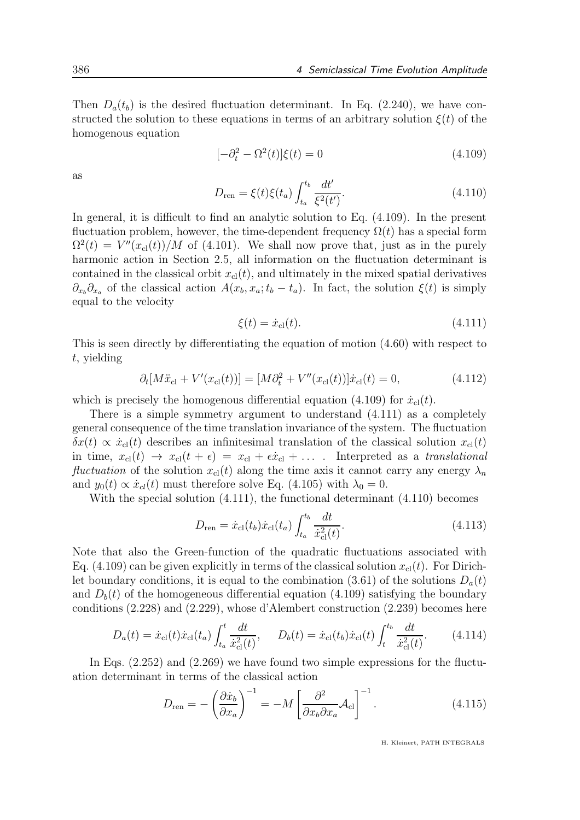Then  $D_a(t_b)$  is the desired fluctuation determinant. In Eq. (2.240), we have constructed the solution to these equations in terms of an arbitrary solution  $\xi(t)$  of the homogenous equation

$$
[-\partial_t^2 - \Omega^2(t)]\xi(t) = 0\tag{4.109}
$$

as

$$
D_{\text{ren}} = \xi(t)\xi(t_a) \int_{t_a}^{t_b} \frac{dt'}{\xi^2(t')}.
$$
\n(4.110)

In general, it is difficult to find an analytic solution to Eq. (4.109). In the present fluctuation problem, however, the time-dependent frequency  $\Omega(t)$  has a special form  $\Omega^2(t) = V''(x_{\text{cl}}(t))/M$  of (4.101). We shall now prove that, just as in the purely harmonic action in Section 2.5, all information on the fluctuation determinant is contained in the classical orbit  $x_{\text{cl}}(t)$ , and ultimately in the mixed spatial derivatives  $\partial_{x_b}\partial_{x_a}$  of the classical action  $A(x_b, x_a; t_b - t_a)$ . In fact, the solution  $\xi(t)$  is simply equal to the velocity

$$
\xi(t) = \dot{x}_{\rm cl}(t). \tag{4.111}
$$

This is seen directly by differentiating the equation of motion (4.60) with respect to t, yielding

$$
\partial_t[M\ddot{x}_{\rm cl} + V'(x_{\rm cl}(t))] = [M\partial_t^2 + V''(x_{\rm cl}(t))] \dot{x}_{\rm cl}(t) = 0, \qquad (4.112)
$$

which is precisely the homogenous differential equation (4.109) for  $\dot{x}_{\text{cl}}(t)$ .

There is a simple symmetry argument to understand (4.111) as a completely general consequence of the time translation invariance of the system. The fluctuation  $\delta x(t) \propto \dot{x}_{\text{cl}}(t)$  describes an infinitesimal translation of the classical solution  $x_{\text{cl}}(t)$ in time,  $x_{\text{cl}}(t) \rightarrow x_{\text{cl}}(t + \epsilon) = x_{\text{cl}} + \epsilon \dot{x}_{\text{cl}} + \ldots$  . Interpreted as a translational fluctuation of the solution  $x_{\text{cl}}(t)$  along the time axis it cannot carry any energy  $\lambda_n$ and  $y_0(t) \propto \dot{x}_{cl}(t)$  must therefore solve Eq. (4.105) with  $\lambda_0 = 0$ .

With the special solution (4.111), the functional determinant (4.110) becomes

$$
D_{\rm ren} = \dot{x}_{\rm cl}(t_b)\dot{x}_{\rm cl}(t_a) \int_{t_a}^{t_b} \frac{dt}{\dot{x}_{\rm cl}^2(t)}.
$$
\n(4.113)

Note that also the Green-function of the quadratic fluctuations associated with Eq. (4.109) can be given explicitly in terms of the classical solution  $x_{\text{cl}}(t)$ . For Dirichlet boundary conditions, it is equal to the combination (3.61) of the solutions  $D_a(t)$ and  $D<sub>b</sub>(t)$  of the homogeneous differential equation (4.109) satisfying the boundary conditions (2.228) and (2.229), whose d'Alembert construction (2.239) becomes here

$$
D_a(t) = \dot{x}_{\rm cl}(t)\dot{x}_{\rm cl}(t_a) \int_{t_a}^t \frac{dt}{\dot{x}_{\rm cl}^2(t)}, \quad D_b(t) = \dot{x}_{\rm cl}(t_b)\dot{x}_{\rm cl}(t) \int_t^{t_b} \frac{dt}{\dot{x}_{\rm cl}^2(t)}.
$$
 (4.114)

In Eqs. (2.252) and (2.269) we have found two simple expressions for the fluctuation determinant in terms of the classical action

$$
D_{\text{ren}} = -\left(\frac{\partial \dot{x}_b}{\partial x_a}\right)^{-1} = -M \left[\frac{\partial^2}{\partial x_b \partial x_a} \mathcal{A}_{\text{cl}}\right]^{-1}.
$$
 (4.115)

H. Kleinert, PATH INTEGRALS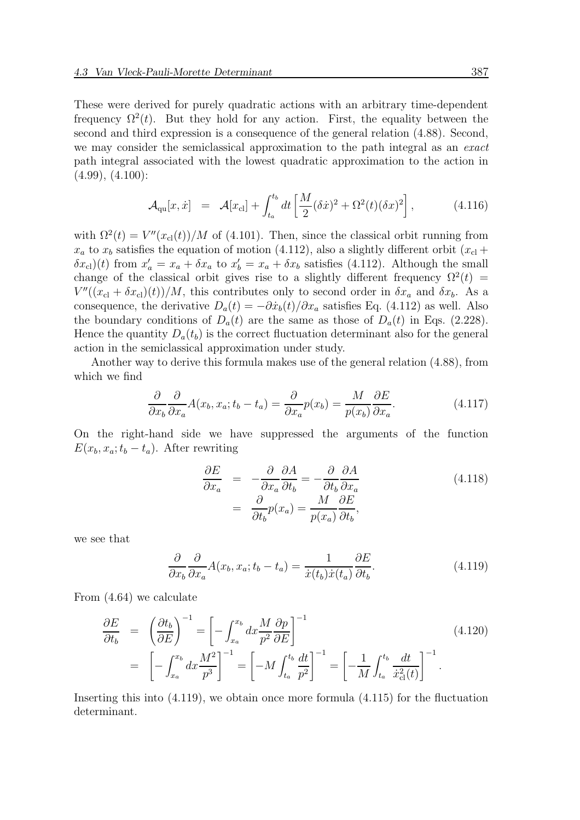These were derived for purely quadratic actions with an arbitrary time-dependent frequency  $\Omega^2(t)$ . But they hold for any action. First, the equality between the second and third expression is a consequence of the general relation (4.88). Second, we may consider the semiclassical approximation to the path integral as an exact path integral associated with the lowest quadratic approximation to the action in  $(4.99), (4.100):$ 

$$
\mathcal{A}_{\text{qu}}[x, \dot{x}] = \mathcal{A}[x_{\text{cl}}] + \int_{t_a}^{t_b} dt \left[ \frac{M}{2} (\delta \dot{x})^2 + \Omega^2(t) (\delta x)^2 \right], \tag{4.116}
$$

with  $\Omega^2(t) = V''(x_{\text{cl}}(t))/M$  of (4.101). Then, since the classical orbit running from  $x_a$  to  $x_b$  satisfies the equation of motion (4.112), also a slightly different orbit  $(x_c)$  +  $(\delta x_{\rm cl})(t)$  from  $x'_a = x_a + \delta x_a$  to  $x'_b = x_a + \delta x_b$  satisfies (4.112). Although the small change of the classical orbit gives rise to a slightly different frequency  $\Omega^2(t)$  =  $V''((x_{\text{cl}} + \delta x_{\text{cl}})(t))/M$ , this contributes only to second order in  $\delta x_a$  and  $\delta x_b$ . As a consequence, the derivative  $D_a(t) = -\partial \dot{x}_b(t)/\partial x_a$  satisfies Eq. (4.112) as well. Also the boundary conditions of  $D_a(t)$  are the same as those of  $D_a(t)$  in Eqs. (2.228). Hence the quantity  $D_a(t_b)$  is the correct fluctuation determinant also for the general action in the semiclassical approximation under study.

Another way to derive this formula makes use of the general relation (4.88), from which we find

$$
\frac{\partial}{\partial x_b} \frac{\partial}{\partial x_a} A(x_b, x_a; t_b - t_a) = \frac{\partial}{\partial x_a} p(x_b) = \frac{M}{p(x_b)} \frac{\partial E}{\partial x_a}.
$$
\n(4.117)

On the right-hand side we have suppressed the arguments of the function  $E(x_b, x_a; t_b - t_a)$ . After rewriting

$$
\frac{\partial E}{\partial x_a} = -\frac{\partial}{\partial x_a} \frac{\partial A}{\partial t_b} = -\frac{\partial}{\partial t_b} \frac{\partial A}{\partial x_a}
$$
\n
$$
= \frac{\partial}{\partial t_b} p(x_a) = \frac{M}{p(x_a)} \frac{\partial E}{\partial t_b},
$$
\n(4.118)

we see that

$$
\frac{\partial}{\partial x_b} \frac{\partial}{\partial x_a} A(x_b, x_a; t_b - t_a) = \frac{1}{\dot{x}(t_b)\dot{x}(t_a)} \frac{\partial E}{\partial t_b}.
$$
\n(4.119)

From (4.64) we calculate

$$
\frac{\partial E}{\partial t_b} = \left(\frac{\partial t_b}{\partial E}\right)^{-1} = \left[-\int_{x_a}^{x_b} dx \frac{M}{p^2} \frac{\partial p}{\partial E}\right]^{-1}
$$
\n
$$
= \left[-\int_{x_a}^{x_b} dx \frac{M^2}{p^3}\right]^{-1} = \left[-M \int_{t_a}^{t_b} \frac{dt}{p^2}\right]^{-1} = \left[-\frac{1}{M} \int_{t_a}^{t_b} \frac{dt}{\dot{x}_{\text{cl}}^2(t)}\right]^{-1}.
$$
\n(4.120)

Inserting this into (4.119), we obtain once more formula (4.115) for the fluctuation determinant.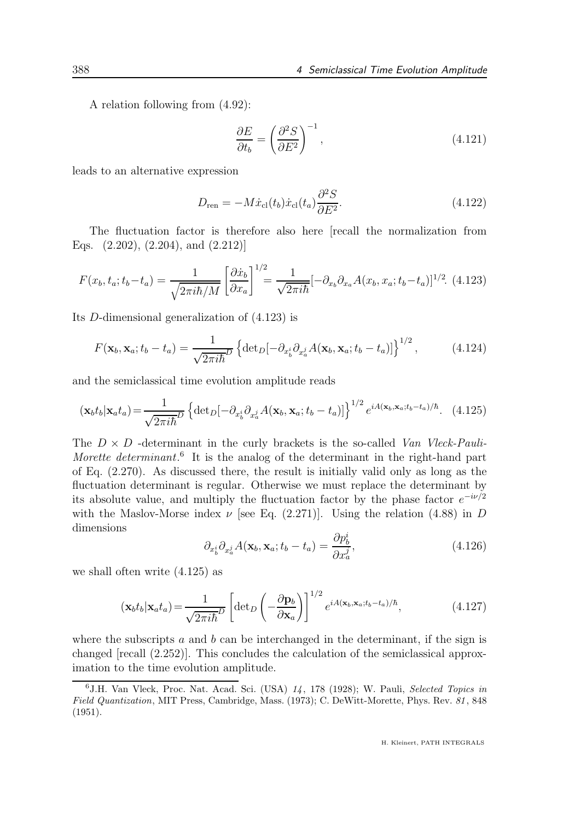A relation following from (4.92):

$$
\frac{\partial E}{\partial t_b} = \left(\frac{\partial^2 S}{\partial E^2}\right)^{-1},\tag{4.121}
$$

leads to an alternative expression

$$
D_{\rm ren} = -M\dot{x}_{\rm cl}(t_b)\dot{x}_{\rm cl}(t_a)\frac{\partial^2 S}{\partial E^2}.
$$
\n(4.122)

The fluctuation factor is therefore also here [recall the normalization from Eqs. (2.202), (2.204), and (2.212)]

$$
F(x_b, t_a; t_b - t_a) = \frac{1}{\sqrt{2\pi i\hbar/M}} \left[ \frac{\partial \dot{x}_b}{\partial x_a} \right]^{1/2} = \frac{1}{\sqrt{2\pi i\hbar}} [-\partial_{x_b} \partial_{x_a} A(x_b, x_a; t_b - t_a)]^{1/2}.
$$
 (4.123)

Its D-dimensional generalization of (4.123) is

$$
F(\mathbf{x}_b, \mathbf{x}_a; t_b - t_a) = \frac{1}{\sqrt{2\pi i\hbar}^D} \left\{ \det_D[-\partial_{x_b^i} \partial_{x_a^j} A(\mathbf{x}_b, \mathbf{x}_a; t_b - t_a)] \right\}^{1/2},\tag{4.124}
$$

and the semiclassical time evolution amplitude reads

$$
(\mathbf{x}_b t_b | \mathbf{x}_a t_a) = \frac{1}{\sqrt{2\pi i\hbar}^D} \left\{ \det_D \left[ -\partial_{x_b^i} \partial_{x_a^j} A(\mathbf{x}_b, \mathbf{x}_a; t_b - t_a) \right] \right\}^{1/2} e^{iA(\mathbf{x}_b, \mathbf{x}_a; t_b - t_a)/\hbar}.
$$
 (4.125)

The  $D \times D$  -determinant in the curly brackets is the so-called Van Vleck-Pauli-Morette determinant.<sup>6</sup> It is the analog of the determinant in the right-hand part of Eq. (2.270). As discussed there, the result is initially valid only as long as the fluctuation determinant is regular. Otherwise we must replace the determinant by its absolute value, and multiply the fluctuation factor by the phase factor  $e^{-i\nu/2}$ with the Maslov-Morse index  $\nu$  [see Eq. (2.271)]. Using the relation (4.88) in D dimensions

$$
\partial_{x_b^i} \partial_{x_a^j} A(\mathbf{x}_b, \mathbf{x}_a; t_b - t_a) = \frac{\partial p_b^i}{\partial x_a^j},\tag{4.126}
$$

we shall often write (4.125) as

$$
(\mathbf{x}_b t_b | \mathbf{x}_a t_a) = \frac{1}{\sqrt{2\pi i\hbar}^D} \left[ \det_D \left( -\frac{\partial \mathbf{p}_b}{\partial \mathbf{x}_a} \right) \right]^{1/2} e^{iA(\mathbf{x}_b, \mathbf{x}_a; t_b - t_a)/\hbar}, \tag{4.127}
$$

where the subscripts  $a$  and  $b$  can be interchanged in the determinant, if the sign is changed [recall (2.252)]. This concludes the calculation of the semiclassical approximation to the time evolution amplitude.

 $6$ J.H. Van Vleck, Proc. Nat. Acad. Sci. (USA)  $14$ , 178 (1928); W. Pauli, Selected Topics in Field Quantization, MIT Press, Cambridge, Mass. (1973); C. DeWitt-Morette, Phys. Rev. 81, 848 (1951).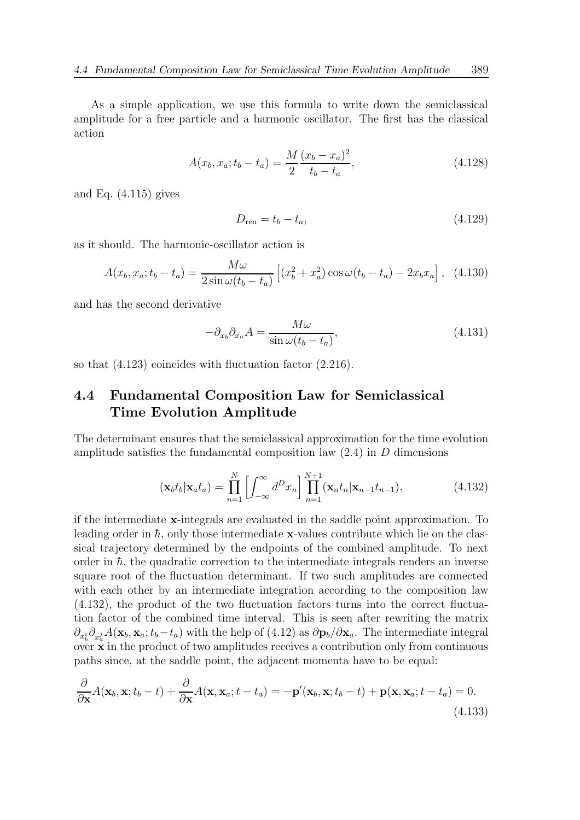As a simple application, we use this formula to write down the semiclassical amplitude for a free particle and a harmonic oscillator. The first has the classical action

$$
A(x_b, x_a; t_b - t_a) = \frac{M}{2} \frac{(x_b - x_a)^2}{t_b - t_a},
$$
\n(4.128)

and Eq.  $(4.115)$  gives

$$
D_{\rm ren} = t_b - t_a,\tag{4.129}
$$

as it should. The harmonic-oscillator action is

$$
A(x_b, x_a; t_b - t_a) = \frac{M\omega}{2\sin\omega(t_b - t_a)} \left[ (x_b^2 + x_a^2)\cos\omega(t_b - t_a) - 2x_bx_a \right], \tag{4.130}
$$

and has the second derivative

$$
-\partial_{x_b}\partial_{x_a}A = \frac{M\omega}{\sin\omega(t_b - t_a)},\tag{4.131}
$$

so that (4.123) coincides with fluctuation factor (2.216).

### 4.4 Fundamental Composition Law for Semiclassical Time Evolution Amplitude

The determinant ensures that the semiclassical approximation for the time evolution amplitude satisfies the fundamental composition law  $(2.4)$  in D dimensions

$$
(\mathbf{x}_b t_b | \mathbf{x}_a t_a) = \prod_{n=1}^N \left[ \int_{-\infty}^\infty d^D x_n \right] \prod_{n=1}^{N+1} (\mathbf{x}_n t_n | \mathbf{x}_{n-1} t_{n-1}), \tag{4.132}
$$

if the intermediate x-integrals are evaluated in the saddle point approximation. To leading order in  $\hbar$ , only those intermediate x-values contribute which lie on the classical trajectory determined by the endpoints of the combined amplitude. To next order in  $\hbar$ , the quadratic correction to the intermediate integrals renders an inverse square root of the fluctuation determinant. If two such amplitudes are connected with each other by an intermediate integration according to the composition law (4.132), the product of the two fluctuation factors turns into the correct fluctuation factor of the combined time interval. This is seen after rewriting the matrix  $\partial_{x_b^i}\partial_{x_a^j}A(\mathbf{x}_b,\mathbf{x}_a;t_b-t_a)$  with the help of (4.12) as  $\partial \mathbf{p}_b/\partial \mathbf{x}_a$ . The intermediate integral over  $\mathbf{\dot{x}}$  in the product of two amplitudes receives a contribution only from continuous paths since, at the saddle point, the adjacent momenta have to be equal:

$$
\frac{\partial}{\partial \mathbf{x}}A(\mathbf{x}_b, \mathbf{x}; t_b - t) + \frac{\partial}{\partial \mathbf{x}}A(\mathbf{x}, \mathbf{x}_a; t - t_a) = -\mathbf{p}'(\mathbf{x}_b, \mathbf{x}; t_b - t) + \mathbf{p}(\mathbf{x}, \mathbf{x}_a; t - t_a) = 0.
$$
\n(4.133)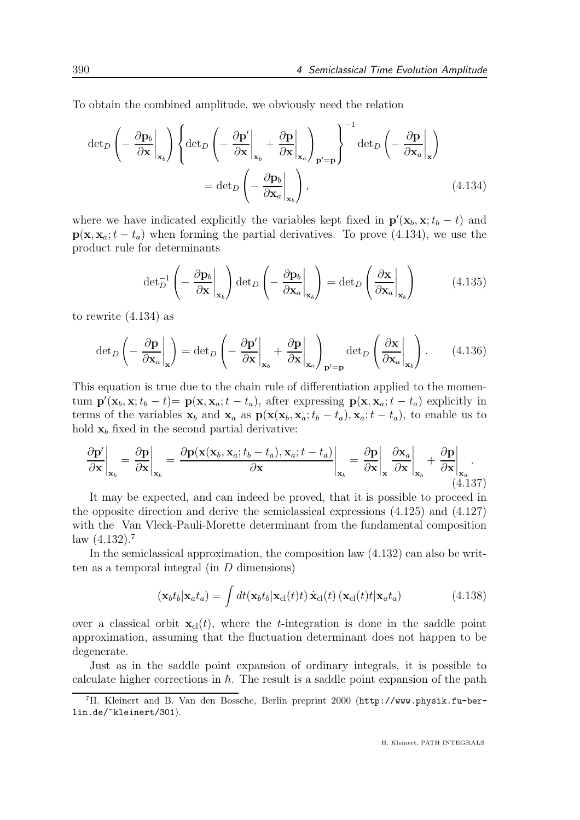To obtain the combined amplitude, we obviously need the relation

$$
\det_{D} \left( -\frac{\partial \mathbf{p}_{b}}{\partial \mathbf{x}} \bigg|_{\mathbf{x}_{b}} \right) \left\{ \det_{D} \left( -\frac{\partial \mathbf{p}'}{\partial \mathbf{x}} \bigg|_{\mathbf{x}_{b}} + \frac{\partial \mathbf{p}}{\partial \mathbf{x}} \bigg|_{\mathbf{x}_{a}} \right)_{\mathbf{p}' = \mathbf{p}} \right\}^{-1} \det_{D} \left( -\frac{\partial \mathbf{p}}{\partial \mathbf{x}_{a}} \bigg|_{\mathbf{x}} \right)
$$
\n
$$
= \det_{D} \left( -\frac{\partial \mathbf{p}_{b}}{\partial \mathbf{x}_{a}} \bigg|_{\mathbf{x}_{b}} \right), \tag{4.134}
$$

where we have indicated explicitly the variables kept fixed in  $\mathbf{p}'(\mathbf{x}_b, \mathbf{x}; t_b - t)$  and  $p(x, x_a; t - t_a)$  when forming the partial derivatives. To prove (4.134), we use the product rule for determinants

$$
\det_D^{-1} \left( - \left. \frac{\partial \mathbf{p}_b}{\partial \mathbf{x}} \right|_{\mathbf{x}_b} \right) \det_D \left( - \left. \frac{\partial \mathbf{p}_b}{\partial \mathbf{x}_a} \right|_{\mathbf{x}_b} \right) = \det_D \left( \left. \frac{\partial \mathbf{x}}{\partial \mathbf{x}_a} \right|_{\mathbf{x}_b} \right) \tag{4.135}
$$

to rewrite (4.134) as

$$
\det_D \left( - \frac{\partial \mathbf{p}}{\partial \mathbf{x}_a} \bigg|_{\mathbf{x}} \right) = \det_D \left( - \frac{\partial \mathbf{p}'}{\partial \mathbf{x}} \bigg|_{\mathbf{x}_b} + \frac{\partial \mathbf{p}}{\partial \mathbf{x}} \bigg|_{\mathbf{x}_a} \right)_{\mathbf{p}' = \mathbf{p}} \det_D \left( \frac{\partial \mathbf{x}}{\partial \mathbf{x}_a} \bigg|_{\mathbf{x}_b} \right). \tag{4.136}
$$

This equation is true due to the chain rule of differentiation applied to the momentum  $\mathbf{p}'(\mathbf{x}_b, \mathbf{x}; t_b - t) = \mathbf{p}(\mathbf{x}, \mathbf{x}_a; t - t_a)$ , after expressing  $\mathbf{p}(\mathbf{x}, \mathbf{x}_a; t - t_a)$  explicitly in terms of the variables  $\mathbf{x}_b$  and  $\mathbf{x}_a$  as  $\mathbf{p}(\mathbf{x}(\mathbf{x}_b, \mathbf{x}_a; t_b - t_a), \mathbf{x}_a; t - t_a)$ , to enable us to hold  $x_b$  fixed in the second partial derivative:

$$
\frac{\partial \mathbf{p}'}{\partial \mathbf{x}}\bigg|_{\mathbf{x}_b} = \frac{\partial \mathbf{p}}{\partial \mathbf{x}}\bigg|_{\mathbf{x}_b} = \frac{\partial \mathbf{p}(\mathbf{x}(\mathbf{x}_b, \mathbf{x}_a; t_b - t_a), \mathbf{x}_a; t - t_a)}{\partial \mathbf{x}}\bigg|_{\mathbf{x}_b} = \frac{\partial \mathbf{p}}{\partial \mathbf{x}}\bigg|_{\mathbf{x}} \frac{\partial \mathbf{x}_a}{\partial \mathbf{x}}\bigg|_{\mathbf{x}_b} + \frac{\partial \mathbf{p}}{\partial \mathbf{x}}\bigg|_{\mathbf{x}_a}.
$$
\n(4.137)

It may be expected, and can indeed be proved, that it is possible to proceed in the opposite direction and derive the semiclassical expressions (4.125) and (4.127) with the Van Vleck-Pauli-Morette determinant from the fundamental composition law  $(4.132).7$ 

In the semiclassical approximation, the composition law (4.132) can also be written as a temporal integral (in  $D$  dimensions)

$$
(\mathbf{x}_b t_b | \mathbf{x}_a t_a) = \int dt (\mathbf{x}_b t_b | \mathbf{x}_{cl}(t) t) \dot{\mathbf{x}}_{cl}(t) (\mathbf{x}_{cl}(t) t | \mathbf{x}_a t_a)
$$
(4.138)

over a classical orbit  $\mathbf{x}_{\text{cl}}(t)$ , where the t-integration is done in the saddle point approximation, assuming that the fluctuation determinant does not happen to be degenerate.

Just as in the saddle point expansion of ordinary integrals, it is possible to calculate higher corrections in  $\hbar$ . The result is a saddle point expansion of the path

<sup>7</sup>H. Kleinert and B. Van den Bossche, Berlin preprint 2000 (http://www.physik.fu-berlin.de/~kleinert/301).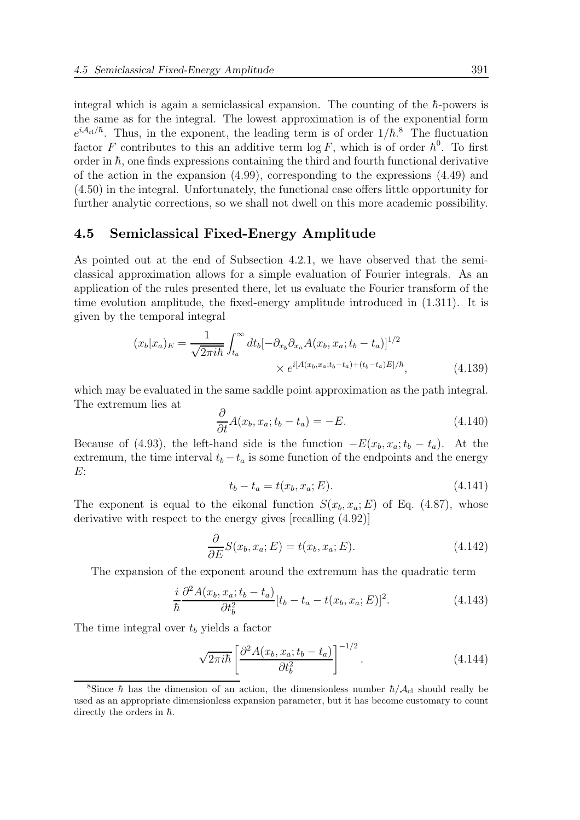integral which is again a semiclassical expansion. The counting of the  $\hbar$ -powers is the same as for the integral. The lowest approximation is of the exponential form  $e^{iA_{\rm cl}/\hbar}$ . Thus, in the exponent, the leading term is of order  $1/\hbar$ <sup>8</sup>. The fluctuation factor F contributes to this an additive term  $\log F$ , which is of order  $\hbar^0$ . To first order in  $\hbar$ , one finds expressions containing the third and fourth functional derivative of the action in the expansion  $(4.99)$ , corresponding to the expressions  $(4.49)$  and (4.50) in the integral. Unfortunately, the functional case offers little opportunity for further analytic corrections, so we shall not dwell on this more academic possibility.

#### 4.5 Semiclassical Fixed-Energy Amplitude

As pointed out at the end of Subsection 4.2.1, we have observed that the semiclassical approximation allows for a simple evaluation of Fourier integrals. As an application of the rules presented there, let us evaluate the Fourier transform of the time evolution amplitude, the fixed-energy amplitude introduced in (1.311). It is given by the temporal integral

$$
(x_b|x_a)_E = \frac{1}{\sqrt{2\pi i\hbar}} \int_{t_a}^{\infty} dt_b [-\partial_{x_b}\partial_{x_a}A(x_b, x_a; t_b - t_a)]^{1/2}
$$

$$
\times e^{i[A(x_b, x_a; t_b - t_a) + (t_b - t_a)E]/\hbar}, \tag{4.139}
$$

which may be evaluated in the same saddle point approximation as the path integral. The extremum lies at

$$
\frac{\partial}{\partial t}A(x_b, x_a; t_b - t_a) = -E.
$$
\n(4.140)

Because of (4.93), the left-hand side is the function  $-E(x_b, x_a; t_b - t_a)$ . At the extremum, the time interval  $t_b - t_a$  is some function of the endpoints and the energy E:

$$
t_b - t_a = t(x_b, x_a; E). \t\t(4.141)
$$

The exponent is equal to the eikonal function  $S(x_b, x_a; E)$  of Eq. (4.87), whose derivative with respect to the energy gives [recalling (4.92)]

$$
\frac{\partial}{\partial E} S(x_b, x_a; E) = t(x_b, x_a; E). \tag{4.142}
$$

The expansion of the exponent around the extremum has the quadratic term

$$
\frac{i}{\hbar} \frac{\partial^2 A(x_b, x_a; t_b - t_a)}{\partial t_b^2} [t_b - t_a - t(x_b, x_a; E)]^2.
$$
 (4.143)

The time integral over  $t<sub>b</sub>$  yields a factor

$$
\sqrt{2\pi i\hbar} \left[ \frac{\partial^2 A(x_b, x_a; t_b - t_a)}{\partial t_b^2} \right]^{-1/2}.
$$
 (4.144)

<sup>&</sup>lt;sup>8</sup>Since  $\hbar$  has the dimension of an action, the dimensionless number  $\hbar/\mathcal{A}_{c}$  should really be used as an appropriate dimensionless expansion parameter, but it has become customary to count directly the orders in  $\hbar$ .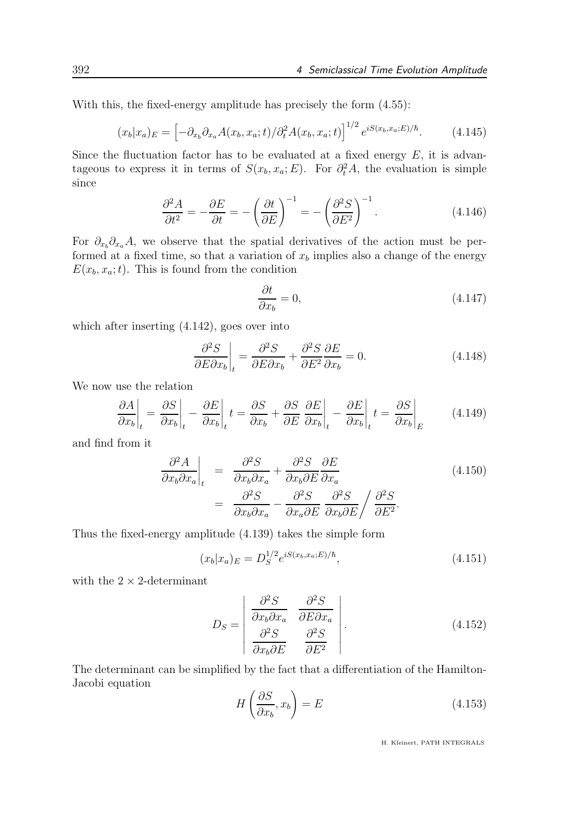With this, the fixed-energy amplitude has precisely the form (4.55):

$$
(x_b|x_a)_E = \left[ -\partial_{x_b} \partial_{x_a} A(x_b, x_a; t) / \partial_t^2 A(x_b, x_a; t) \right]^{1/2} e^{iS(x_b, x_a; E)/\hbar}.
$$
 (4.145)

Since the fluctuation factor has to be evaluated at a fixed energy  $E$ , it is advantageous to express it in terms of  $S(x_b, x_a; E)$ . For  $\partial_t^2 A$ , the evaluation is simple since

$$
\frac{\partial^2 A}{\partial t^2} = -\frac{\partial E}{\partial t} = -\left(\frac{\partial t}{\partial E}\right)^{-1} = -\left(\frac{\partial^2 S}{\partial E^2}\right)^{-1}.
$$
\n(4.146)

For  $\partial_{x_b}\partial_{x_a}A$ , we observe that the spatial derivatives of the action must be performed at a fixed time, so that a variation of  $x<sub>b</sub>$  implies also a change of the energy  $E(x_b, x_a; t)$ . This is found from the condition

$$
\frac{\partial t}{\partial x_b} = 0,\t\t(4.147)
$$

which after inserting (4.142), goes over into

$$
\left. \frac{\partial^2 S}{\partial E \partial x_b} \right|_t = \frac{\partial^2 S}{\partial E \partial x_b} + \frac{\partial^2 S}{\partial E^2} \frac{\partial E}{\partial x_b} = 0. \tag{4.148}
$$

We now use the relation

$$
\left. \frac{\partial A}{\partial x_b} \right|_t = \left. \frac{\partial S}{\partial x_b} \right|_t - \left. \frac{\partial E}{\partial x_b} \right|_t t = \left. \frac{\partial S}{\partial x_b} + \frac{\partial S}{\partial E} \right|_t - \left. \frac{\partial E}{\partial x_b} \right|_t = \left. \frac{\partial S}{\partial x_b} \right|_E \tag{4.149}
$$

and find from it

$$
\frac{\partial^2 A}{\partial x_b \partial x_a}\Big|_t = \frac{\partial^2 S}{\partial x_b \partial x_a} + \frac{\partial^2 S}{\partial x_b \partial E} \frac{\partial E}{\partial x_a}
$$
\n
$$
= \frac{\partial^2 S}{\partial x_b \partial x_a} - \frac{\partial^2 S}{\partial x_a \partial E} \frac{\partial^2 S}{\partial x_b \partial E} / \frac{\partial^2 S}{\partial E^2}.
$$
\n(4.150)

Thus the fixed-energy amplitude (4.139) takes the simple form

$$
(x_b|x_a)_E = D_S^{1/2} e^{iS(x_b, x_a; E)/\hbar}, \qquad (4.151)
$$

with the  $2 \times 2$ -determinant

$$
D_S = \begin{vmatrix} \frac{\partial^2 S}{\partial x_b \partial x_a} & \frac{\partial^2 S}{\partial E \partial x_a} \\ \frac{\partial^2 S}{\partial x_b \partial E} & \frac{\partial^2 S}{\partial E^2} \end{vmatrix}.
$$
 (4.152)

The determinant can be simplified by the fact that a differentiation of the Hamilton-Jacobi equation

$$
H\left(\frac{\partial S}{\partial x_b}, x_b\right) = E\tag{4.153}
$$

H. Kleinert, PATH INTEGRALS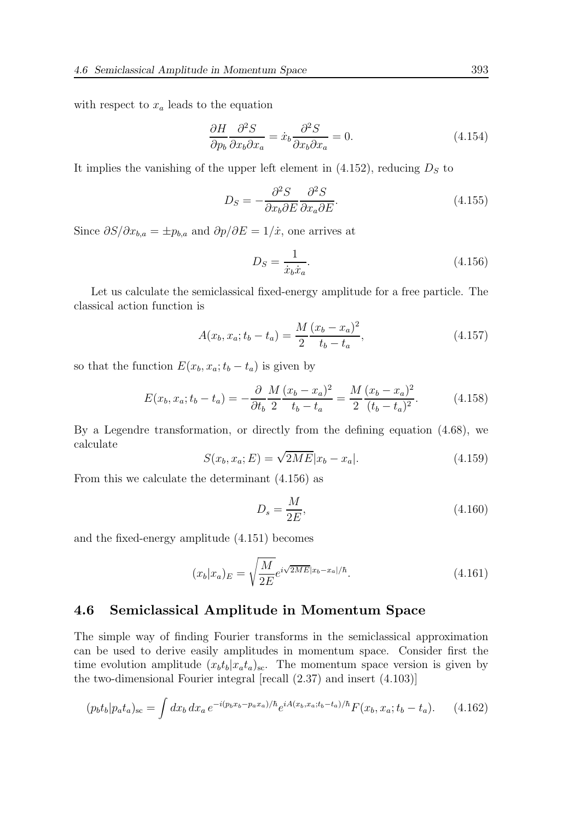with respect to  $x_a$  leads to the equation

$$
\frac{\partial H}{\partial p_b} \frac{\partial^2 S}{\partial x_b \partial x_a} = \dot{x}_b \frac{\partial^2 S}{\partial x_b \partial x_a} = 0.
$$
\n(4.154)

It implies the vanishing of the upper left element in  $(4.152)$ , reducing  $D<sub>S</sub>$  to

$$
D_S = -\frac{\partial^2 S}{\partial x_b \partial E} \frac{\partial^2 S}{\partial x_a \partial E}.
$$
\n(4.155)

Since  $\partial S/\partial x_{b,a} = \pm p_{b,a}$  and  $\partial p/\partial E = 1/\dot{x}$ , one arrives at

$$
D_S = \frac{1}{\dot{x}_b \dot{x}_a}.\tag{4.156}
$$

Let us calculate the semiclassical fixed-energy amplitude for a free particle. The classical action function is

$$
A(x_b, x_a; t_b - t_a) = \frac{M}{2} \frac{(x_b - x_a)^2}{t_b - t_a},
$$
\n(4.157)

so that the function  $E(x_b, x_a; t_b - t_a)$  is given by

$$
E(x_b, x_a; t_b - t_a) = -\frac{\partial}{\partial t_b} \frac{M}{2} \frac{(x_b - x_a)^2}{t_b - t_a} = \frac{M}{2} \frac{(x_b - x_a)^2}{(t_b - t_a)^2}.
$$
 (4.158)

By a Legendre transformation, or directly from the defining equation (4.68), we calculate

$$
S(x_b, x_a; E) = \sqrt{2ME}|x_b - x_a|.
$$
 (4.159)

From this we calculate the determinant (4.156) as

$$
D_s = \frac{M}{2E},\tag{4.160}
$$

and the fixed-energy amplitude (4.151) becomes

$$
(x_b|x_a)_E = \sqrt{\frac{M}{2E}} e^{i\sqrt{2ME}|x_b - x_a|/\hbar}.
$$
\n(4.161)

#### 4.6 Semiclassical Amplitude in Momentum Space

The simple way of finding Fourier transforms in the semiclassical approximation can be used to derive easily amplitudes in momentum space. Consider first the time evolution amplitude  $(x_b t_b | x_a t_a)_{sc}$ . The momentum space version is given by the two-dimensional Fourier integral [recall (2.37) and insert (4.103)]

$$
(p_b t_b | p_a t_a)_{\rm sc} = \int dx_b dx_a e^{-i(p_b x_b - p_a x_a)/\hbar} e^{iA(x_b, x_a; t_b - t_a)/\hbar} F(x_b, x_a; t_b - t_a). \tag{4.162}
$$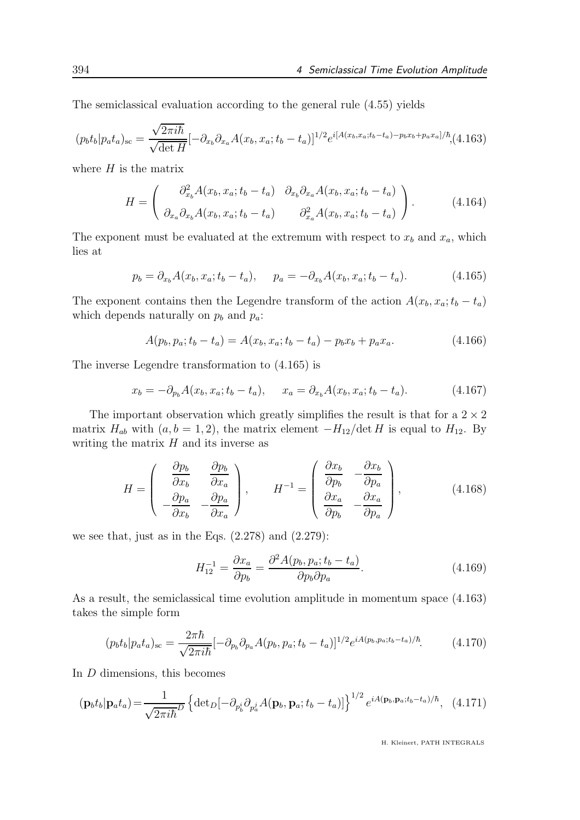The semiclassical evaluation according to the general rule (4.55) yields

$$
(p_b t_b | p_a t_a)_{\rm sc} = \frac{\sqrt{2\pi i\hbar}}{\sqrt{\det H}} [-\partial_{x_b} \partial_{x_a} A(x_b, x_a; t_b - t_a)]^{1/2} e^{i[A(x_b, x_a; t_b - t_a) - p_b x_b + p_a x_a]/\hbar} (4.163)
$$

where  $H$  is the matrix

$$
H = \begin{pmatrix} \partial_{x_b}^2 A(x_b, x_a; t_b - t_a) & \partial_{x_b} \partial_{x_a} A(x_b, x_a; t_b - t_a) \\ \partial_{x_a} \partial_{x_b} A(x_b, x_a; t_b - t_a) & \partial_{x_a}^2 A(x_b, x_a; t_b - t_a) \end{pmatrix}.
$$
 (4.164)

The exponent must be evaluated at the extremum with respect to  $x_b$  and  $x_a$ , which lies at

$$
p_b = \partial_{x_b} A(x_b, x_a; t_b - t_a), \quad p_a = -\partial_{x_b} A(x_b, x_a; t_b - t_a).
$$
 (4.165)

The exponent contains then the Legendre transform of the action  $A(x_b, x_a; t_b - t_a)$ which depends naturally on  $p_b$  and  $p_a$ :

$$
A(p_b, p_a; t_b - t_a) = A(x_b, x_a; t_b - t_a) - p_b x_b + p_a x_a.
$$
\n(4.166)

The inverse Legendre transformation to (4.165) is

$$
x_b = -\partial_{p_b} A(x_b, x_a; t_b - t_a), \quad x_a = \partial_{x_b} A(x_b, x_a; t_b - t_a). \tag{4.167}
$$

The important observation which greatly simplifies the result is that for a  $2\times 2$ matrix  $H_{ab}$  with  $(a, b = 1, 2)$ , the matrix element  $-H_{12}/\text{det } H$  is equal to  $H_{12}$ . By writing the matrix  $H$  and its inverse as

$$
H = \begin{pmatrix} \frac{\partial p_b}{\partial x_b} & \frac{\partial p_b}{\partial x_a} \\ -\frac{\partial p_a}{\partial x_b} & -\frac{\partial p_a}{\partial x_a} \end{pmatrix}, \qquad H^{-1} = \begin{pmatrix} \frac{\partial x_b}{\partial p_b} & -\frac{\partial x_b}{\partial p_a} \\ \frac{\partial x_a}{\partial p_b} & -\frac{\partial x_a}{\partial p_a} \end{pmatrix}, \tag{4.168}
$$

we see that, just as in the Eqs.  $(2.278)$  and  $(2.279)$ :

$$
H_{12}^{-1} = \frac{\partial x_a}{\partial p_b} = \frac{\partial^2 A(p_b, p_a; t_b - t_a)}{\partial p_b \partial p_a}.
$$
\n(4.169)

As a result, the semiclassical time evolution amplitude in momentum space (4.163) takes the simple form

$$
(p_b t_b | p_a t_a)_{\rm sc} = \frac{2\pi\hbar}{\sqrt{2\pi i\hbar}} [-\partial_{p_b} \partial_{p_a} A(p_b, p_a; t_b - t_a)]^{1/2} e^{iA(p_b, p_a; t_b - t_a)/\hbar}.\tag{4.170}
$$

In D dimensions, this becomes

$$
\left(\mathbf{p}_b t_b \middle| \mathbf{p}_a t_a\right) = \frac{1}{\sqrt{2\pi i\hbar}^D} \left\{ \det_D \left[ -\partial_{p_b^i} \partial_{p_a^j} A(\mathbf{p}_b, \mathbf{p}_a; t_b - t_a) \right] \right\}^{1/2} e^{iA(\mathbf{p}_b, \mathbf{p}_a; t_b - t_a)/\hbar}, \tag{4.171}
$$

H. Kleinert, PATH INTEGRALS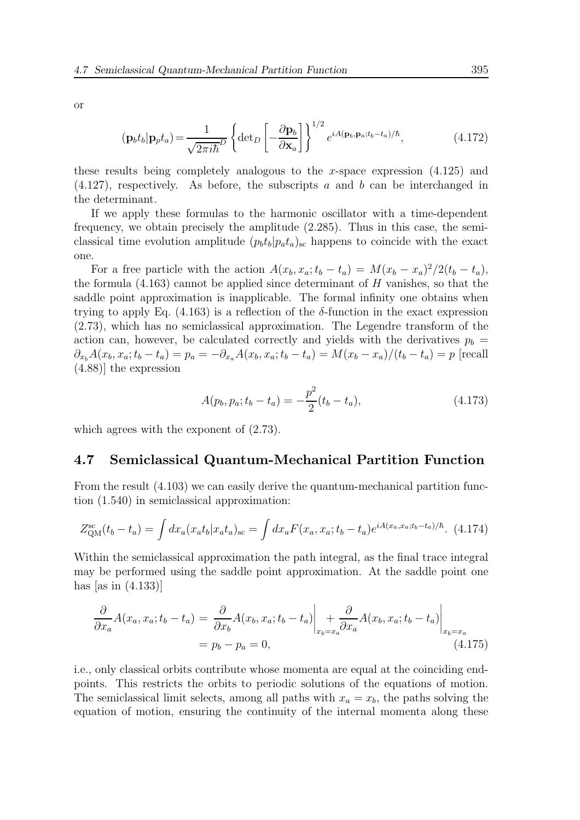or

$$
(\mathbf{p}_b t_b | \mathbf{p}_p t_a) = \frac{1}{\sqrt{2\pi i\hbar}^D} \left\{ \det_D \left[ -\frac{\partial \mathbf{p}_b}{\partial \mathbf{x}_a} \right] \right\}^{1/2} e^{iA(\mathbf{p}_b, \mathbf{p}_a; t_b - t_a)/\hbar}, \tag{4.172}
$$

these results being completely analogous to the x-space expression  $(4.125)$  and  $(4.127)$ , respectively. As before, the subscripts a and b can be interchanged in the determinant.

If we apply these formulas to the harmonic oscillator with a time-dependent frequency, we obtain precisely the amplitude (2.285). Thus in this case, the semiclassical time evolution amplitude  $(p_b t_b|p_a t_a)$ <sub>sc</sub> happens to coincide with the exact one.

For a free particle with the action  $A(x_b, x_a; t_b - t_a) = M(x_b - x_a)^2/2(t_b - t_a)$ , the formula  $(4.163)$  cannot be applied since determinant of H vanishes, so that the saddle point approximation is inapplicable. The formal infinity one obtains when trying to apply Eq. (4.163) is a reflection of the  $\delta$ -function in the exact expression (2.73), which has no semiclassical approximation. The Legendre transform of the action can, however, be calculated correctly and yields with the derivatives  $p_b =$  $\partial_{x_b}A(x_b, x_a; t_b - t_a) = p_a = -\partial_{x_a}A(x_b, x_a; t_b - t_a) = M(x_b - x_a)/(t_b - t_a) = p$  [recall (4.88)] the expression

$$
A(p_b, p_a; t_b - t_a) = -\frac{p^2}{2}(t_b - t_a),
$$
\n(4.173)

which agrees with the exponent of  $(2.73)$ .

#### 4.7 Semiclassical Quantum-Mechanical Partition Function

From the result (4.103) we can easily derive the quantum-mechanical partition function (1.540) in semiclassical approximation:

$$
Z_{\text{QM}}^{\text{sc}}(t_b - t_a) = \int dx_a (x_a t_b | x_a t_a)_{\text{sc}} = \int dx_a F(x_a, x_a; t_b - t_a) e^{iA(x_a, x_a; t_b - t_a)/\hbar}.
$$
 (4.174)

Within the semiclassical approximation the path integral, as the final trace integral may be performed using the saddle point approximation. At the saddle point one has [as in  $(4.133)$ ]

$$
\frac{\partial}{\partial x_a} A(x_a, x_a; t_b - t_a) = \frac{\partial}{\partial x_b} A(x_b, x_a; t_b - t_a) \Big|_{x_b = x_a} + \frac{\partial}{\partial x_a} A(x_b, x_a; t_b - t_a) \Big|_{x_b = x_a}
$$
\n
$$
= p_b - p_a = 0,
$$
\n(4.175)

i.e., only classical orbits contribute whose momenta are equal at the coinciding endpoints. This restricts the orbits to periodic solutions of the equations of motion. The semiclassical limit selects, among all paths with  $x_a = x_b$ , the paths solving the equation of motion, ensuring the continuity of the internal momenta along these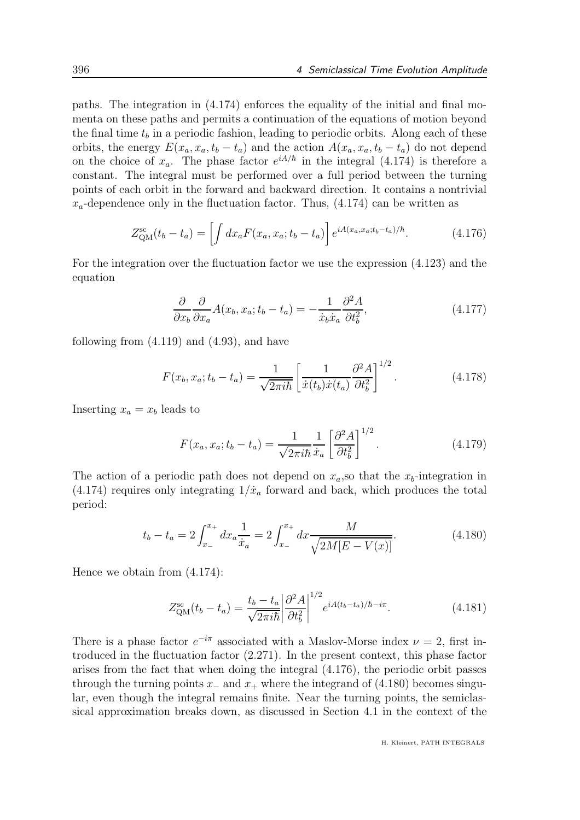paths. The integration in (4.174) enforces the equality of the initial and final momenta on these paths and permits a continuation of the equations of motion beyond the final time  $t_b$  in a periodic fashion, leading to periodic orbits. Along each of these orbits, the energy  $E(x_a, x_a, t_b - t_a)$  and the action  $A(x_a, x_a, t_b - t_a)$  do not depend on the choice of  $x_a$ . The phase factor  $e^{iA/\hbar}$  in the integral (4.174) is therefore a constant. The integral must be performed over a full period between the turning points of each orbit in the forward and backward direction. It contains a nontrivial  $x_a$ -dependence only in the fluctuation factor. Thus,  $(4.174)$  can be written as

$$
Z_{\text{QM}}^{\text{sc}}(t_b - t_a) = \left[ \int dx_a F(x_a, x_a; t_b - t_a) \right] e^{iA(x_a, x_a; t_b - t_a)/\hbar}.
$$
 (4.176)

For the integration over the fluctuation factor we use the expression (4.123) and the equation

$$
\frac{\partial}{\partial x_b} \frac{\partial}{\partial x_a} A(x_b, x_a; t_b - t_a) = -\frac{1}{\dot{x}_b \dot{x}_a} \frac{\partial^2 A}{\partial t_b^2},
$$
\n(4.177)

following from  $(4.119)$  and  $(4.93)$ , and have

$$
F(x_b, x_a; t_b - t_a) = \frac{1}{\sqrt{2\pi i\hbar}} \left[ \frac{1}{\dot{x}(t_b)\dot{x}(t_a)} \frac{\partial^2 A}{\partial t_b^2} \right]^{1/2}.
$$
 (4.178)

Inserting  $x_a = x_b$  leads to

$$
F(x_a, x_a; t_b - t_a) = \frac{1}{\sqrt{2\pi i\hbar}} \frac{1}{\dot{x}_a} \left[ \frac{\partial^2 A}{\partial t_b^2} \right]^{1/2}.
$$
 (4.179)

The action of a periodic path does not depend on  $x_a$ , so that the  $x_b$ -integration in (4.174) requires only integrating  $1/\dot{x}_a$  forward and back, which produces the total period:

$$
t_b - t_a = 2 \int_{x_-}^{x_+} dx_a \frac{1}{\dot{x}_a} = 2 \int_{x_-}^{x_+} dx \frac{M}{\sqrt{2M[E - V(x)]}}.
$$
 (4.180)

Hence we obtain from (4.174):

$$
Z_{\rm QM}^{\rm sc}(t_b - t_a) = \frac{t_b - t_a}{\sqrt{2\pi i\hbar}} \left| \frac{\partial^2 A}{\partial t_b^2} \right|^{1/2} e^{iA(t_b - t_a)/\hbar - i\pi}.
$$
 (4.181)

There is a phase factor  $e^{-i\pi}$  associated with a Maslov-Morse index  $\nu = 2$ , first introduced in the fluctuation factor (2.271). In the present context, this phase factor arises from the fact that when doing the integral (4.176), the periodic orbit passes through the turning points  $x_-\text{ and }x_+\text{ where the integrand of (4.180) becomes singular.}$ lar, even though the integral remains finite. Near the turning points, the semiclassical approximation breaks down, as discussed in Section 4.1 in the context of the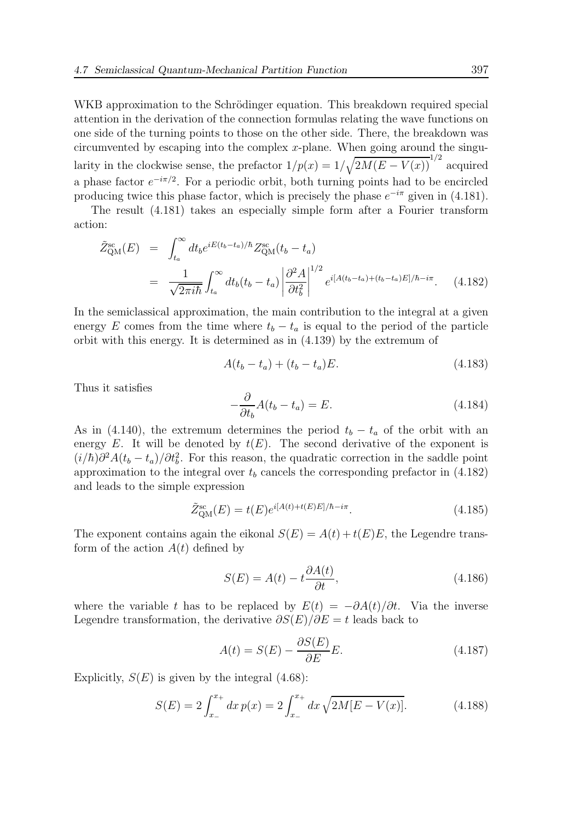WKB approximation to the Schrödinger equation. This breakdown required special attention in the derivation of the connection formulas relating the wave functions on one side of the turning points to those on the other side. There, the breakdown was circumvented by escaping into the complex  $x$ -plane. When going around the singularity in the clockwise sense, the prefactor  $1/p(x) = 1/\sqrt{2M(E - V(x))}^{1/2}$  acquired a phase factor  $e^{-i\pi/2}$ . For a periodic orbit, both turning points had to be encircled producing twice this phase factor, which is precisely the phase  $e^{-i\pi}$  given in (4.181).

The result (4.181) takes an especially simple form after a Fourier transform action:

$$
\tilde{Z}_{QM}^{sc}(E) = \int_{t_a}^{\infty} dt_b e^{iE(t_b - t_a)/\hbar} Z_{QM}^{sc}(t_b - t_a)
$$
\n
$$
= \frac{1}{\sqrt{2\pi i\hbar}} \int_{t_a}^{\infty} dt_b(t_b - t_a) \left| \frac{\partial^2 A}{\partial t_b^2} \right|^{1/2} e^{i[A(t_b - t_a) + (t_b - t_a)E]/\hbar - i\pi}.
$$
\n(4.182)

In the semiclassical approximation, the main contribution to the integral at a given energy E comes from the time where  $t_b - t_a$  is equal to the period of the particle orbit with this energy. It is determined as in (4.139) by the extremum of

$$
A(t_b - t_a) + (t_b - t_a)E.
$$
 (4.183)

Thus it satisfies

$$
-\frac{\partial}{\partial t_b}A(t_b - t_a) = E. \tag{4.184}
$$

As in (4.140), the extremum determines the period  $t_b - t_a$  of the orbit with an energy E. It will be denoted by  $t(E)$ . The second derivative of the exponent is  $(i/\hbar)\partial^2 A(t_b - t_a)/\partial t_b^2$ . For this reason, the quadratic correction in the saddle point approximation to the integral over  $t<sub>b</sub>$  cancels the corresponding prefactor in (4.182) and leads to the simple expression

$$
\tilde{Z}_{\text{QM}}^{\text{sc}}(E) = t(E)e^{i[A(t) + t(E)E]/\hbar - i\pi}.
$$
\n(4.185)

The exponent contains again the eikonal  $S(E) = A(t) + t(E)E$ , the Legendre transform of the action  $A(t)$  defined by

$$
S(E) = A(t) - t \frac{\partial A(t)}{\partial t},
$$
\n(4.186)

where the variable t has to be replaced by  $E(t) = -\partial A(t)/\partial t$ . Via the inverse Legendre transformation, the derivative  $\partial S(E)/\partial E = t$  leads back to

$$
A(t) = S(E) - \frac{\partial S(E)}{\partial E}E.
$$
\n(4.187)

Explicitly,  $S(E)$  is given by the integral  $(4.68)$ :

$$
S(E) = 2 \int_{x_{-}}^{x_{+}} dx \, p(x) = 2 \int_{x_{-}}^{x_{+}} dx \, \sqrt{2M[E - V(x)]}.
$$
 (4.188)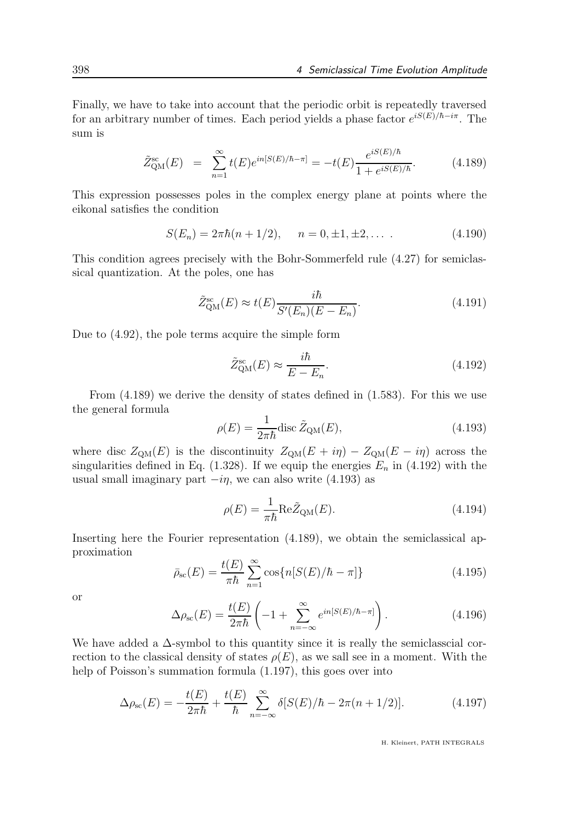Finally, we have to take into account that the periodic orbit is repeatedly traversed for an arbitrary number of times. Each period yields a phase factor  $e^{iS(E)/\hbar - i\pi}$ . The sum is

$$
\tilde{Z}_{\text{QM}}^{\text{sc}}(E) = \sum_{n=1}^{\infty} t(E) e^{in[S(E)/\hbar - \pi]} = -t(E) \frac{e^{iS(E)/\hbar}}{1 + e^{iS(E)/\hbar}}.
$$
(4.189)

This expression possesses poles in the complex energy plane at points where the eikonal satisfies the condition

$$
S(E_n) = 2\pi\hbar(n+1/2), \quad n = 0, \pm 1, \pm 2, \dots \tag{4.190}
$$

This condition agrees precisely with the Bohr-Sommerfeld rule (4.27) for semiclassical quantization. At the poles, one has

$$
\tilde{Z}_{\text{QM}}^{\text{sc}}(E) \approx t(E) \frac{i\hbar}{S'(E_n)(E - E_n)}.
$$
\n(4.191)

Due to (4.92), the pole terms acquire the simple form

$$
\tilde{Z}_{\rm QM}^{\rm sc}(E) \approx \frac{i\hbar}{E - E_n}.\tag{4.192}
$$

From (4.189) we derive the density of states defined in (1.583). For this we use the general formula

$$
\rho(E) = \frac{1}{2\pi\hbar} \text{disc}\,\tilde{Z}_{\text{QM}}(E),\tag{4.193}
$$

where disc  $Z_{QM}(E)$  is the discontinuity  $Z_{QM}(E + i\eta) - Z_{QM}(E - i\eta)$  across the singularities defined in Eq.  $(1.328)$ . If we equip the energies  $E_n$  in  $(4.192)$  with the usual small imaginary part  $-i\eta$ , we can also write (4.193) as

$$
\rho(E) = \frac{1}{\pi \hbar} \text{Re}\tilde{Z}_{\text{QM}}(E). \tag{4.194}
$$

Inserting here the Fourier representation (4.189), we obtain the semiclassical approximation

$$
\bar{\rho}_{\rm sc}(E) = \frac{t(E)}{\pi \hbar} \sum_{n=1}^{\infty} \cos\{n[S(E)/\hbar - \pi]\} \tag{4.195}
$$

or

$$
\Delta \rho_{\rm sc}(E) = \frac{t(E)}{2\pi\hbar} \left( -1 + \sum_{n=-\infty}^{\infty} e^{in[S(E)/\hbar - \pi]} \right). \tag{4.196}
$$

We have added a  $\Delta$ -symbol to this quantity since it is really the semiclasscial correction to the classical density of states  $\rho(E)$ , as we sall see in a moment. With the help of Poisson's summation formula (1.197), this goes over into

$$
\Delta \rho_{\rm sc}(E) = -\frac{t(E)}{2\pi\hbar} + \frac{t(E)}{\hbar} \sum_{n=-\infty}^{\infty} \delta[S(E)/\hbar - 2\pi(n+1/2)]. \tag{4.197}
$$

H. Kleinert, PATH INTEGRALS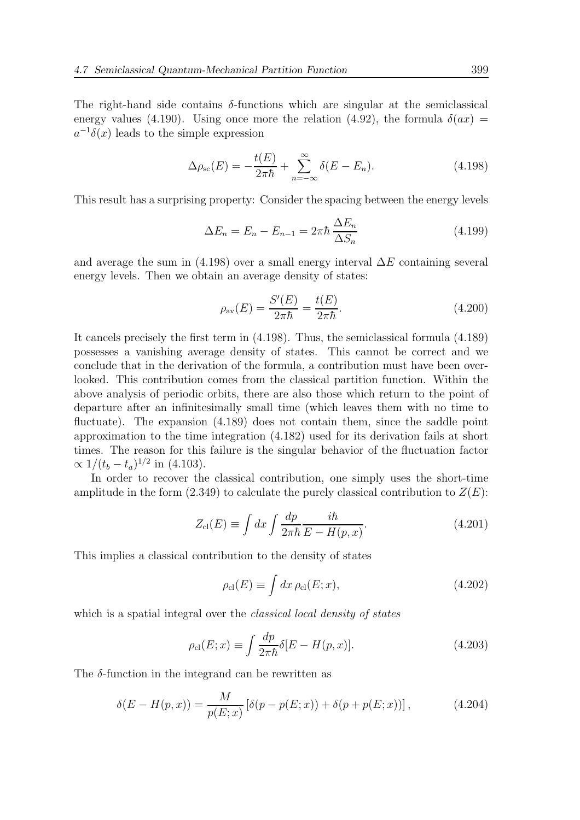The right-hand side contains  $\delta$ -functions which are singular at the semiclassical energy values (4.190). Using once more the relation (4.92), the formula  $\delta(ax)$  =  $a^{-1}\delta(x)$  leads to the simple expression

$$
\Delta \rho_{\rm sc}(E) = -\frac{t(E)}{2\pi\hbar} + \sum_{n=-\infty}^{\infty} \delta(E - E_n).
$$
 (4.198)

This result has a surprising property: Consider the spacing between the energy levels

$$
\Delta E_n = E_n - E_{n-1} = 2\pi\hbar \frac{\Delta E_n}{\Delta S_n} \tag{4.199}
$$

and average the sum in (4.198) over a small energy interval  $\Delta E$  containing several energy levels. Then we obtain an average density of states:

$$
\rho_{\text{av}}(E) = \frac{S'(E)}{2\pi\hbar} = \frac{t(E)}{2\pi\hbar}.
$$
\n(4.200)

It cancels precisely the first term in (4.198). Thus, the semiclassical formula (4.189) possesses a vanishing average density of states. This cannot be correct and we conclude that in the derivation of the formula, a contribution must have been overlooked. This contribution comes from the classical partition function. Within the above analysis of periodic orbits, there are also those which return to the point of departure after an infinitesimally small time (which leaves them with no time to fluctuate). The expansion  $(4.189)$  does not contain them, since the saddle point approximation to the time integration (4.182) used for its derivation fails at short times. The reason for this failure is the singular behavior of the fluctuation factor  $\propto 1/(t_b - t_a)^{1/2}$  in (4.103).

In order to recover the classical contribution, one simply uses the short-time amplitude in the form  $(2.349)$  to calculate the purely classical contribution to  $Z(E)$ :

$$
Z_{\rm cl}(E) \equiv \int dx \int \frac{dp}{2\pi\hbar} \frac{i\hbar}{E - H(p, x)}.\tag{4.201}
$$

This implies a classical contribution to the density of states

$$
\rho_{\rm cl}(E) \equiv \int dx \,\rho_{\rm cl}(E; x),\tag{4.202}
$$

which is a spatial integral over the *classical local density of states* 

$$
\rho_{\rm cl}(E; x) \equiv \int \frac{dp}{2\pi\hbar} \delta[E - H(p, x)]. \tag{4.203}
$$

The  $\delta$ -function in the integrand can be rewritten as

$$
\delta(E - H(p, x)) = \frac{M}{p(E; x)} [\delta(p - p(E; x)) + \delta(p + p(E; x))],
$$
\n(4.204)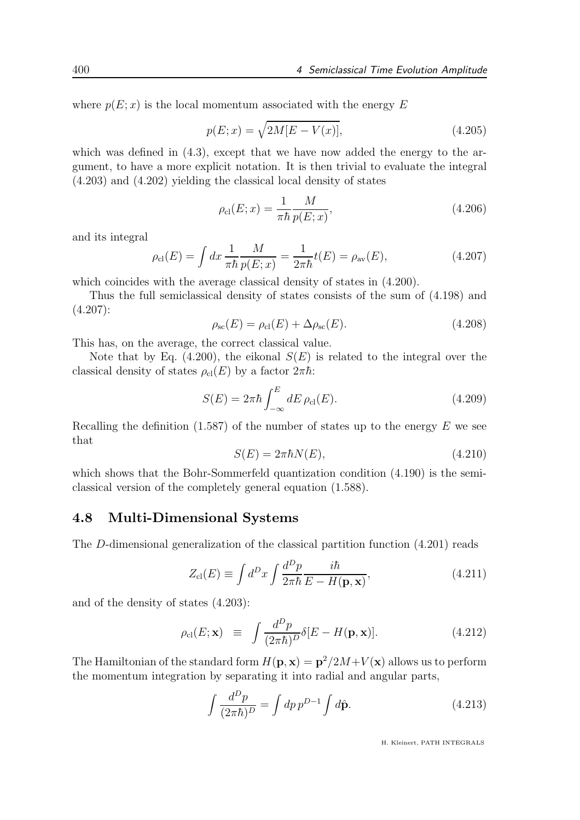where  $p(E; x)$  is the local momentum associated with the energy E

$$
p(E; x) = \sqrt{2M[E - V(x)]},
$$
\n(4.205)

which was defined in  $(4.3)$ , except that we have now added the energy to the argument, to have a more explicit notation. It is then trivial to evaluate the integral (4.203) and (4.202) yielding the classical local density of states

$$
\rho_{\rm cl}(E; x) = \frac{1}{\pi \hbar} \frac{M}{p(E; x)},
$$
\n(4.206)

and its integral

$$
\rho_{\rm cl}(E) = \int dx \, \frac{1}{\pi \hbar} \frac{M}{p(E; x)} = \frac{1}{2\pi \hbar} t(E) = \rho_{\rm av}(E), \tag{4.207}
$$

which coincides with the average classical density of states in  $(4.200)$ .

Thus the full semiclassical density of states consists of the sum of (4.198) and (4.207):

$$
\rho_{\rm sc}(E) = \rho_{\rm cl}(E) + \Delta \rho_{\rm sc}(E). \tag{4.208}
$$

This has, on the average, the correct classical value.

Note that by Eq. (4.200), the eikonal  $S(E)$  is related to the integral over the classical density of states  $\rho_{\rm cl}(E)$  by a factor  $2\pi\hbar$ :

$$
S(E) = 2\pi\hbar \int_{-\infty}^{E} dE \,\rho_{\rm cl}(E). \tag{4.209}
$$

Recalling the definition  $(1.587)$  of the number of states up to the energy E we see that

$$
S(E) = 2\pi\hbar N(E),\tag{4.210}
$$

which shows that the Bohr-Sommerfeld quantization condition  $(4.190)$  is the semiclassical version of the completely general equation (1.588).

#### 4.8 Multi-Dimensional Systems

The D-dimensional generalization of the classical partition function (4.201) reads

$$
Z_{\rm cl}(E) \equiv \int d^D x \int \frac{d^D p}{2\pi \hbar} \frac{i\hbar}{E - H(\mathbf{p}, \mathbf{x})},\tag{4.211}
$$

and of the density of states (4.203):

$$
\rho_{\rm cl}(E; \mathbf{x}) \equiv \int \frac{d^D p}{(2\pi\hbar)^D} \delta[E - H(\mathbf{p}, \mathbf{x})]. \tag{4.212}
$$

The Hamiltonian of the standard form  $H(\mathbf{p}, \mathbf{x}) = \mathbf{p}^2/2M + V(\mathbf{x})$  allows us to perform the momentum integration by separating it into radial and angular parts,

$$
\int \frac{d^D p}{(2\pi\hbar)^D} = \int dp \, p^{D-1} \int d\hat{\mathbf{p}}.\tag{4.213}
$$

H. Kleinert, PATH INTEGRALS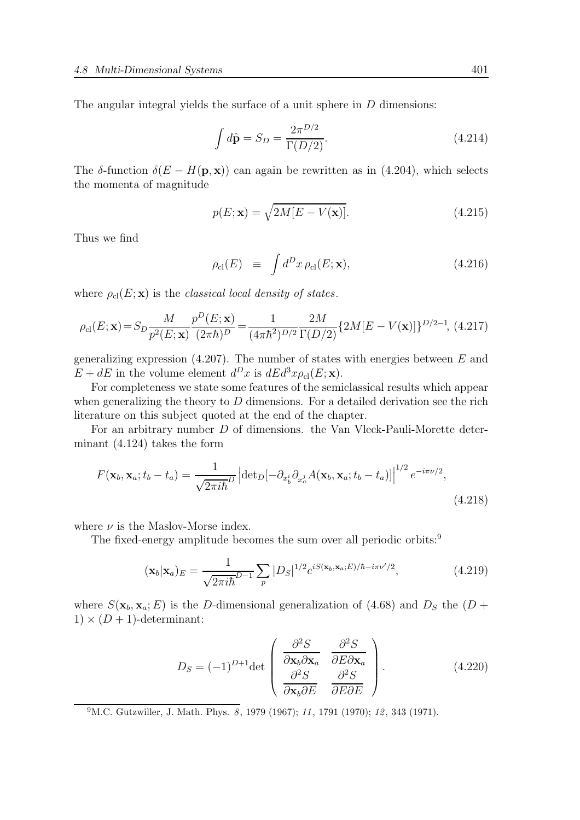The angular integral yields the surface of a unit sphere in D dimensions:

$$
\int d\hat{\mathbf{p}} = S_D = \frac{2\pi^{D/2}}{\Gamma(D/2)}.
$$
\n(4.214)

The δ-function  $\delta(E - H(\mathbf{p}, \mathbf{x}))$  can again be rewritten as in (4.204), which selects the momenta of magnitude

$$
p(E; \mathbf{x}) = \sqrt{2M[E - V(\mathbf{x})]}.
$$
\n(4.215)

Thus we find

$$
\rho_{\rm cl}(E) \equiv \int d^D x \,\rho_{\rm cl}(E; \mathbf{x}), \tag{4.216}
$$

where  $\rho_{\text{cl}}(E; \mathbf{x})$  is the classical local density of states.

$$
\rho_{\rm cl}(E; \mathbf{x}) = S_D \frac{M}{p^2(E; \mathbf{x})} \frac{p^D(E; \mathbf{x})}{(2\pi\hbar)^D} = \frac{1}{(4\pi\hbar^2)^{D/2}} \frac{2M}{\Gamma(D/2)} \{2M[E - V(\mathbf{x})]\}^{D/2 - 1},
$$
(4.217)

generalizing expression  $(4.207)$ . The number of states with energies between E and  $E + dE$  in the volume element  $d^D x$  is  $dEd^3 x \rho_{\text{cl}}(E; \mathbf{x})$ .

For completeness we state some features of the semiclassical results which appear when generalizing the theory to  $D$  dimensions. For a detailed derivation see the rich literature on this subject quoted at the end of the chapter.

For an arbitrary number D of dimensions. the Van Vleck-Pauli-Morette determinant (4.124) takes the form

$$
F(\mathbf{x}_b, \mathbf{x}_a; t_b - t_a) = \frac{1}{\sqrt{2\pi i\hbar}^D} \left| \det_D[-\partial_{x_b^i} \partial_{x_a^j} A(\mathbf{x}_b, \mathbf{x}_a; t_b - t_a)] \right|^{1/2} e^{-i\pi\nu/2},\tag{4.218}
$$

where  $\nu$  is the Maslov-Morse index.

The fixed-energy amplitude becomes the sum over all periodic orbits:<sup>9</sup>

$$
(\mathbf{x}_b|\mathbf{x}_a)_E = \frac{1}{\sqrt{2\pi i\hbar}^{D-1}} \sum_p |D_S|^{1/2} e^{iS(\mathbf{x}_b,\mathbf{x}_a;E)/\hbar - i\pi\nu'/2}, \qquad (4.219)
$$

where  $S(\mathbf{x}_b, \mathbf{x}_a; E)$  is the D-dimensional generalization of (4.68) and  $D_S$  the (D +  $1) \times (D+1)$ -determinant:

$$
D_S = (-1)^{D+1} \det \begin{pmatrix} \frac{\partial^2 S}{\partial \mathbf{x}_b \partial \mathbf{x}_a} & \frac{\partial^2 S}{\partial E \partial \mathbf{x}_a} \\ \frac{\partial^2 S}{\partial \mathbf{x}_b \partial E} & \frac{\partial^2 S}{\partial E \partial E} \end{pmatrix} .
$$
 (4.220)

 $^{9}$ M.C. Gutzwiller, J. Math. Phys.  $\overline{8}$ , 1979 (1967); 11, 1791 (1970); 12, 343 (1971).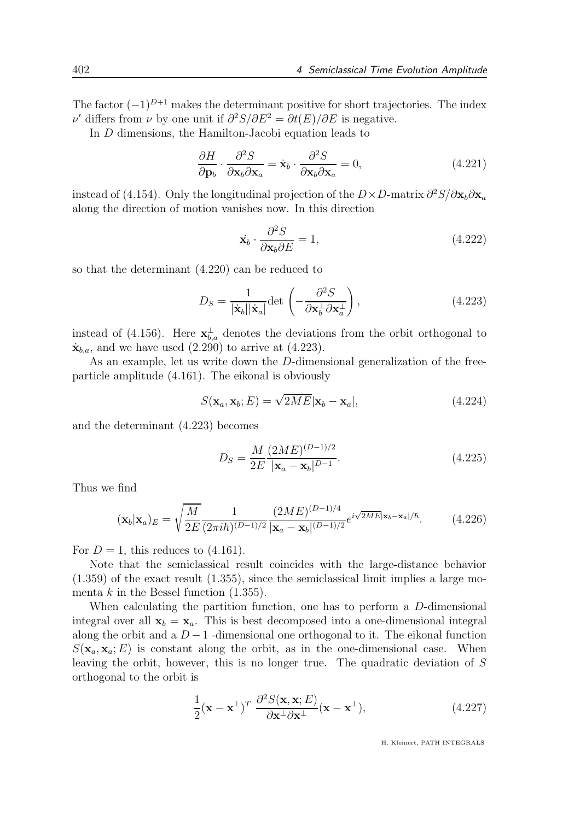The factor  $(-1)^{D+1}$  makes the determinant positive for short trajectories. The index  $ν'$  differs from  $ν$  by one unit if  $\partial^2 S/\partial E^2 = \partial t(E)/\partial E$  is negative.

In D dimensions, the Hamilton-Jacobi equation leads to

$$
\frac{\partial H}{\partial \mathbf{p}_b} \cdot \frac{\partial^2 S}{\partial \mathbf{x}_b \partial \mathbf{x}_a} = \dot{\mathbf{x}}_b \cdot \frac{\partial^2 S}{\partial \mathbf{x}_b \partial \mathbf{x}_a} = 0,
$$
\n(4.221)

instead of (4.154). Only the longitudinal projection of the  $D \times D$ -matrix  $\partial^2 S / \partial \mathbf{x}_b \partial \mathbf{x}_a$ along the direction of motion vanishes now. In this direction

$$
\dot{\mathbf{x}}_b \cdot \frac{\partial^2 S}{\partial \mathbf{x}_b \partial E} = 1,\tag{4.222}
$$

so that the determinant (4.220) can be reduced to

$$
D_S = \frac{1}{|\dot{\mathbf{x}}_b||\dot{\mathbf{x}}_a|} \text{det}\left(-\frac{\partial^2 S}{\partial \mathbf{x}_b^{\perp} \partial \mathbf{x}_a^{\perp}}\right),\tag{4.223}
$$

instead of (4.156). Here  $\mathbf{x}_{b,a}^{\perp}$  denotes the deviations from the orbit orthogonal to  $\dot{\mathbf{x}}_{b.a}$ , and we have used (2.290) to arrive at (4.223).

As an example, let us write down the D-dimensional generalization of the freeparticle amplitude (4.161). The eikonal is obviously

$$
S(\mathbf{x}_a, \mathbf{x}_b; E) = \sqrt{2ME} |\mathbf{x}_b - \mathbf{x}_a|, \qquad (4.224)
$$

and the determinant (4.223) becomes

$$
D_S = \frac{M}{2E} \frac{(2ME)^{(D-1)/2}}{|\mathbf{x}_a - \mathbf{x}_b|^{D-1}}.
$$
\n(4.225)

Thus we find

$$
(\mathbf{x}_b|\mathbf{x}_a)_E = \sqrt{\frac{M}{2E}} \frac{1}{(2\pi i\hbar)^{(D-1)/2}} \frac{(2ME)^{(D-1)/4}}{|\mathbf{x}_a - \mathbf{x}_b|^{(D-1)/2}} e^{i\sqrt{2ME}|\mathbf{x}_b - \mathbf{x}_a|/\hbar}.
$$
 (4.226)

For  $D = 1$ , this reduces to  $(4.161)$ .

Note that the semiclassical result coincides with the large-distance behavior (1.359) of the exact result (1.355), since the semiclassical limit implies a large momenta  $k$  in the Bessel function  $(1.355)$ .

When calculating the partition function, one has to perform a D-dimensional integral over all  $\mathbf{x}_b = \mathbf{x}_a$ . This is best decomposed into a one-dimensional integral along the orbit and a  $D-1$  -dimensional one orthogonal to it. The eikonal function  $S(\mathbf{x}_a, \mathbf{x}_a; E)$  is constant along the orbit, as in the one-dimensional case. When leaving the orbit, however, this is no longer true. The quadratic deviation of S orthogonal to the orbit is

$$
\frac{1}{2}(\mathbf{x} - \mathbf{x}^{\perp})^T \frac{\partial^2 S(\mathbf{x}, \mathbf{x}; E)}{\partial \mathbf{x}^{\perp} \partial \mathbf{x}^{\perp}} (\mathbf{x} - \mathbf{x}^{\perp}),
$$
\n(4.227)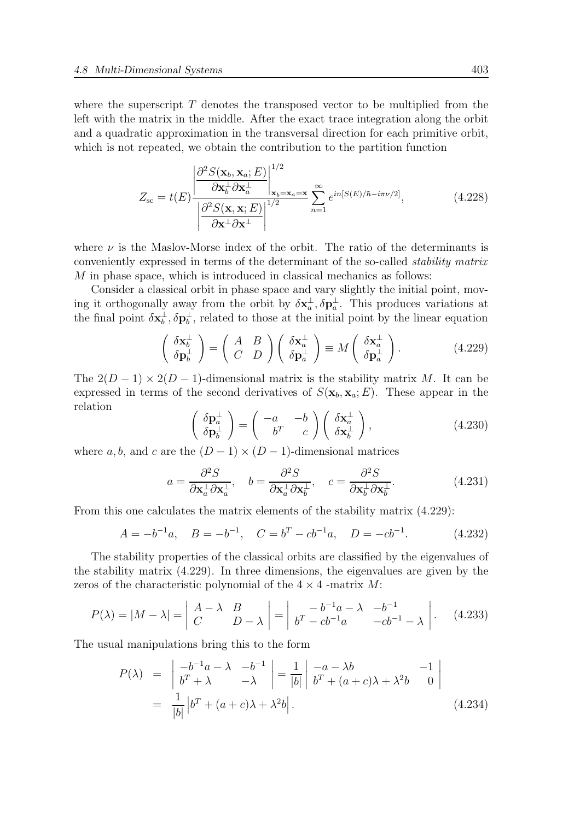where the superscript  $T$  denotes the transposed vector to be multiplied from the left with the matrix in the middle. After the exact trace integration along the orbit and a quadratic approximation in the transversal direction for each primitive orbit, which is not repeated, we obtain the contribution to the partition function

$$
Z_{\rm sc} = t(E) \frac{\left| \frac{\partial^2 S(\mathbf{x}_b, \mathbf{x}_a; E)}{\partial \mathbf{x}_b^{\perp} \partial \mathbf{x}_a^{\perp}} \right|_{\mathbf{x}_b = \mathbf{x}_a = \mathbf{x}}^{1/2} \sum_{n=1}^{\infty} e^{in[S(E)/\hbar - i\pi \nu/2]},
$$
(4.228)  

$$
\left| \frac{\partial^2 S(\mathbf{x}, \mathbf{x}; E)}{\partial \mathbf{x}^{\perp} \partial \mathbf{x}^{\perp}} \right|^{1/2}
$$

where  $\nu$  is the Maslov-Morse index of the orbit. The ratio of the determinants is conveniently expressed in terms of the determinant of the so-called stability matrix M in phase space, which is introduced in classical mechanics as follows:

Consider a classical orbit in phase space and vary slightly the initial point, moving it orthogonally away from the orbit by  $\delta \mathbf{x}_a^{\perp}, \delta \mathbf{p}_a^{\perp}$ . This produces variations at the final point  $\delta \mathbf{x}_b^{\perp}, \delta \mathbf{p}_b^{\perp}$ , related to those at the initial point by the linear equation

$$
\begin{pmatrix}\n\delta \mathbf{x}_b^{\perp} \\
\delta \mathbf{p}_b^{\perp}\n\end{pmatrix} = \begin{pmatrix}\nA & B \\
C & D\n\end{pmatrix} \begin{pmatrix}\n\delta \mathbf{x}_a^{\perp} \\
\delta \mathbf{p}_a^{\perp}\n\end{pmatrix} \equiv M \begin{pmatrix}\n\delta \mathbf{x}_a^{\perp} \\
\delta \mathbf{p}_a^{\perp}\n\end{pmatrix}.
$$
\n(4.229)

The  $2(D-1) \times 2(D-1)$ -dimensional matrix is the stability matrix M. It can be expressed in terms of the second derivatives of  $S(\mathbf{x}_b, \mathbf{x}_a; E)$ . These appear in the relation

$$
\begin{pmatrix}\n\delta \mathbf{p}_a^{\perp} \\
\delta \mathbf{p}_b^{\perp}\n\end{pmatrix} = \begin{pmatrix}\n-a & -b \\
b^T & c\n\end{pmatrix} \begin{pmatrix}\n\delta \mathbf{x}_a^{\perp} \\
\delta \mathbf{x}_b^{\perp}\n\end{pmatrix},
$$
\n(4.230)

where a, b, and c are the  $(D-1) \times (D-1)$ -dimensional matrices

$$
a = \frac{\partial^2 S}{\partial \mathbf{x}_a^{\perp} \partial \mathbf{x}_a^{\perp}}, \quad b = \frac{\partial^2 S}{\partial \mathbf{x}_a^{\perp} \partial \mathbf{x}_b^{\perp}}, \quad c = \frac{\partial^2 S}{\partial \mathbf{x}_b^{\perp} \partial \mathbf{x}_b^{\perp}}.
$$
 (4.231)

From this one calculates the matrix elements of the stability matrix (4.229):

$$
A = -b^{-1}a, \quad B = -b^{-1}, \quad C = b^{T} - cb^{-1}a, \quad D = -cb^{-1}.
$$
 (4.232)

The stability properties of the classical orbits are classified by the eigenvalues of the stability matrix (4.229). In three dimensions, the eigenvalues are given by the zeros of the characteristic polynomial of the  $4 \times 4$  -matrix M:

$$
P(\lambda) = |M - \lambda| = \left| \begin{array}{cc} A - \lambda & B \\ C & D - \lambda \end{array} \right| = \left| \begin{array}{cc} -b^{-1}a - \lambda & -b^{-1} \\ b^T - cb^{-1}a & -cb^{-1} - \lambda \end{array} \right| \tag{4.233}
$$

The usual manipulations bring this to the form

$$
P(\lambda) = \begin{vmatrix} -b^{-1}a - \lambda & -b^{-1} \\ b^T + \lambda & -\lambda \end{vmatrix} = \frac{1}{|b|} \begin{vmatrix} -a - \lambda b & -1 \\ b^T + (a+c)\lambda + \lambda^2 b & 0 \end{vmatrix}
$$
  
=  $\frac{1}{|b|} |b^T + (a+c)\lambda + \lambda^2 b|.$  (4.234)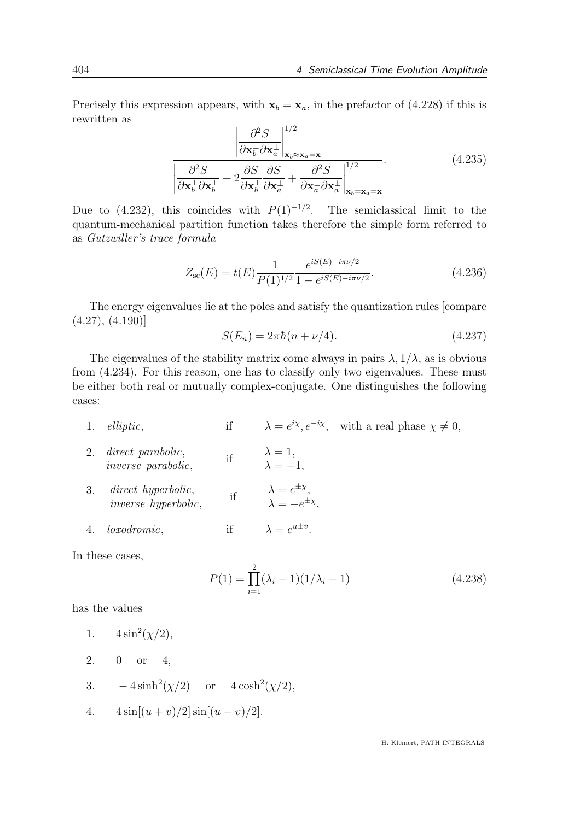Precisely this expression appears, with  $x_b = x_a$ , in the prefactor of (4.228) if this is rewritten as  $\mathbf{r}$ 

$$
\frac{\left|\frac{\partial^2 S}{\partial \mathbf{x}_b^{\perp} \partial \mathbf{x}_a^{\perp}}\right|_{\mathbf{x}_b \approx \mathbf{x}_a = \mathbf{x}}^{1/2}}{\left|\frac{\partial^2 S}{\partial \mathbf{x}_b^{\perp} \partial \mathbf{x}_b^{\perp}} + 2 \frac{\partial S}{\partial \mathbf{x}_b^{\perp} \partial \mathbf{x}_a^{\perp}} + \frac{\partial^2 S}{\partial \mathbf{x}_a^{\perp} \partial \mathbf{x}_a^{\perp}}\right|_{\mathbf{x}_b = \mathbf{x}_a = \mathbf{x}}^{1/2}}.
$$
\n(4.235)

Due to (4.232), this coincides with  $P(1)^{-1/2}$ . The semiclassical limit to the quantum-mechanical partition function takes therefore the simple form referred to as Gutzwiller's trace formula

$$
Z_{\rm sc}(E) = t(E) \frac{1}{P(1)^{1/2}} \frac{e^{iS(E) - i\pi \nu/2}}{1 - e^{iS(E) - i\pi \nu/2}}.
$$
\n(4.236)

The energy eigenvalues lie at the poles and satisfy the quantization rules [compare  $(4.27), (4.190)$ 

$$
S(E_n) = 2\pi\hbar(n + \nu/4). \tag{4.237}
$$

The eigenvalues of the stability matrix come always in pairs  $\lambda$ ,  $1/\lambda$ , as is obvious from (4.234). For this reason, one has to classify only two eigenvalues. These must be either both real or mutually complex-conjugate. One distinguishes the following cases:

- 1. *elliptic*, if  $\lambda = e^{i\chi}, e^{-i\chi}$ , with a real phase  $\chi \neq 0$ ,
- 2. direct parabolic, inverse parabolic, if  $\lambda = 1$ ,  $\lambda = -1,$
- 3. direct hyperbolic, inverse hyperbolic, if  $\lambda = e^{\pm x},$  $\lambda = -e^{\pm \chi},$
- 4. *loxodromic*.  $\stackrel{u+v}{\ldots}$

In these cases,

$$
P(1) = \prod_{i=1}^{2} (\lambda_i - 1)(1/\lambda_i - 1)
$$
\n(4.238)

has the values

- 1.  $4\sin^2(\chi/2),$
- 2. 0 or 4,
- 3.  $-4\sinh^2(\chi/2)$  or  $4\cosh^2(\chi/2)$ ,
- 4.  $4 \sin[(u+v)/2] \sin[(u-v)/2]$ .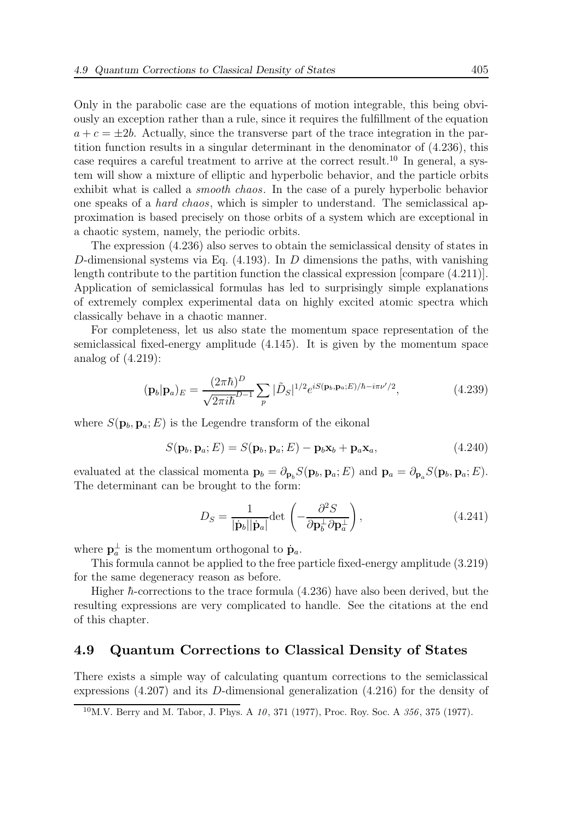Only in the parabolic case are the equations of motion integrable, this being obviously an exception rather than a rule, since it requires the fulfillment of the equation  $a + c = \pm 2b$ . Actually, since the transverse part of the trace integration in the partition function results in a singular determinant in the denominator of (4.236), this case requires a careful treatment to arrive at the correct result.<sup>10</sup> In general, a system will show a mixture of elliptic and hyperbolic behavior, and the particle orbits exhibit what is called a smooth chaos. In the case of a purely hyperbolic behavior one speaks of a hard chaos, which is simpler to understand. The semiclassical approximation is based precisely on those orbits of a system which are exceptional in a chaotic system, namely, the periodic orbits.

The expression (4.236) also serves to obtain the semiclassical density of states in D-dimensional systems via Eq.  $(4.193)$ . In D dimensions the paths, with vanishing length contribute to the partition function the classical expression [compare (4.211)]. Application of semiclassical formulas has led to surprisingly simple explanations of extremely complex experimental data on highly excited atomic spectra which classically behave in a chaotic manner.

For completeness, let us also state the momentum space representation of the semiclassical fixed-energy amplitude (4.145). It is given by the momentum space analog of (4.219):

$$
(\mathbf{p}_b|\mathbf{p}_a)_E = \frac{(2\pi\hbar)^D}{\sqrt{2\pi i\hbar}^{D-1}} \sum_p |\tilde{D}_S|^{1/2} e^{iS(\mathbf{p}_b, \mathbf{p}_a; E)/\hbar - i\pi\nu'/2}, \qquad (4.239)
$$

where  $S(\mathbf{p}_b, \mathbf{p}_a; E)$  is the Legendre transform of the eikonal

$$
S(\mathbf{p}_b, \mathbf{p}_a; E) = S(\mathbf{p}_b, \mathbf{p}_a; E) - \mathbf{p}_b \mathbf{x}_b + \mathbf{p}_a \mathbf{x}_a,
$$
\n(4.240)

evaluated at the classical momenta  $\mathbf{p}_b = \partial_{\mathbf{p}_b} S(\mathbf{p}_b, \mathbf{p}_a; E)$  and  $\mathbf{p}_a = \partial_{\mathbf{p}_a} S(\mathbf{p}_b, \mathbf{p}_a; E)$ . The determinant can be brought to the form:

$$
D_S = \frac{1}{|\dot{\mathbf{p}}_b||\dot{\mathbf{p}}_a|} \det \left(-\frac{\partial^2 S}{\partial \mathbf{p}_b^{\perp} \partial \mathbf{p}_a^{\perp}}\right),\tag{4.241}
$$

where  $\mathbf{p}_a^{\perp}$  is the momentum orthogonal to  $\dot{\mathbf{p}}_a$ .

This formula cannot be applied to the free particle fixed-energy amplitude (3.219) for the same degeneracy reason as before.

Higher  $\hbar$ -corrections to the trace formula  $(4.236)$  have also been derived, but the resulting expressions are very complicated to handle. See the citations at the end of this chapter.

### 4.9 Quantum Corrections to Classical Density of States

There exists a simple way of calculating quantum corrections to the semiclassical expressions (4.207) and its D-dimensional generalization (4.216) for the density of

 $10$ M.V. Berry and M. Tabor, J. Phys. A  $10$ , 371 (1977), Proc. Roy. Soc. A  $356$ , 375 (1977).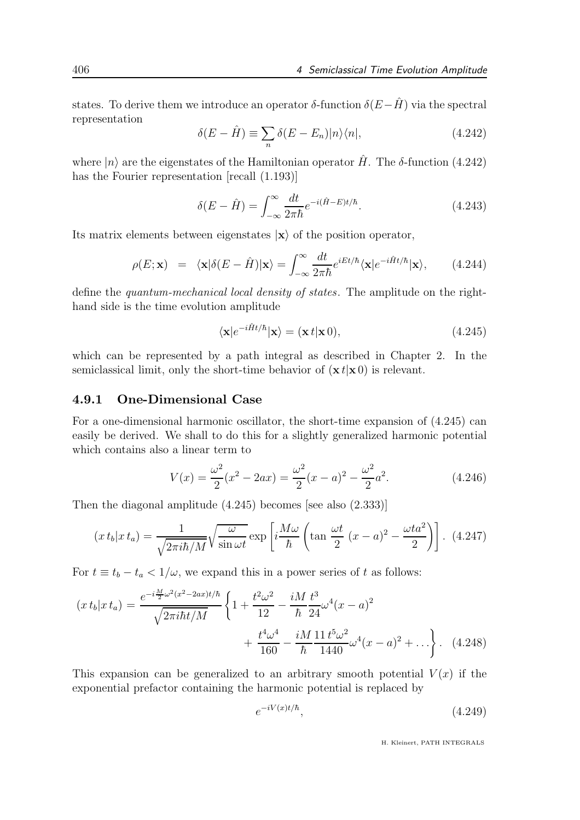states. To derive them we introduce an operator  $\delta$ -function  $\delta(E-\hat{H})$  via the spectral representation

$$
\delta(E - \hat{H}) \equiv \sum_{n} \delta(E - E_n) |n\rangle\langle n|,\tag{4.242}
$$

where  $|n\rangle$  are the eigenstates of the Hamiltonian operator  $\hat{H}$ . The  $\delta$ -function (4.242) has the Fourier representation [recall (1.193)]

$$
\delta(E - \hat{H}) = \int_{-\infty}^{\infty} \frac{dt}{2\pi\hbar} e^{-i(\hat{H} - E)t/\hbar}.
$$
\n(4.243)

Its matrix elements between eigenstates  $|x\rangle$  of the position operator,

$$
\rho(E; \mathbf{x}) = \langle \mathbf{x} | \delta(E - \hat{H}) | \mathbf{x} \rangle = \int_{-\infty}^{\infty} \frac{dt}{2\pi \hbar} e^{iEt/\hbar} \langle \mathbf{x} | e^{-i\hat{H}t/\hbar} | \mathbf{x} \rangle, \qquad (4.244)
$$

define the quantum-mechanical local density of states. The amplitude on the righthand side is the time evolution amplitude

$$
\langle \mathbf{x} | e^{-i\hat{H}t/\hbar} | \mathbf{x} \rangle = (\mathbf{x} t | \mathbf{x} 0), \tag{4.245}
$$

which can be represented by a path integral as described in Chapter 2. In the semiclassical limit, only the short-time behavior of  $(\mathbf{x} t | \mathbf{x} 0)$  is relevant.

### 4.9.1 One-Dimensional Case

For a one-dimensional harmonic oscillator, the short-time expansion of (4.245) can easily be derived. We shall to do this for a slightly generalized harmonic potential which contains also a linear term to

$$
V(x) = \frac{\omega^2}{2}(x^2 - 2ax) = \frac{\omega^2}{2}(x - a)^2 - \frac{\omega^2}{2}a^2.
$$
 (4.246)

Then the diagonal amplitude (4.245) becomes [see also (2.333)]

$$
(x t_b | x t_a) = \frac{1}{\sqrt{2\pi i\hbar/M}} \sqrt{\frac{\omega}{\sin \omega t}} \exp\left[i\frac{M\omega}{\hbar} \left(\tan \frac{\omega t}{2} (x - a)^2 - \frac{\omega t a^2}{2}\right)\right].
$$
 (4.247)

For  $t \equiv t_b - t_a < 1/\omega$ , we expand this in a power series of t as follows:

$$
(x t_b | x t_a) = \frac{e^{-i\frac{M}{2}\omega^2(x^2 - 2ax)t/\hbar}}{\sqrt{2\pi i\hbar t/M}} \left\{ 1 + \frac{t^2 \omega^2}{12} - \frac{iM}{\hbar} \frac{t^3}{24} \omega^4 (x - a)^2 + \frac{t^4 \omega^4}{160} - \frac{iM}{\hbar} \frac{11 t^5 \omega^2}{1440} \omega^4 (x - a)^2 + \ldots \right\}.
$$
 (4.248)

This expansion can be generalized to an arbitrary smooth potential  $V(x)$  if the exponential prefactor containing the harmonic potential is replaced by

$$
e^{-iV(x)t/\hbar},\tag{4.249}
$$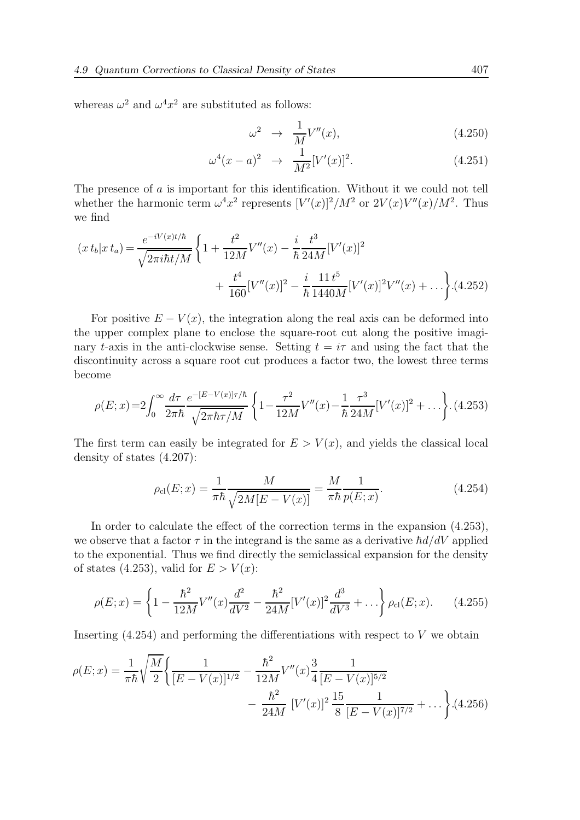whereas  $\omega^2$  and  $\omega^4 x^2$  are substituted as follows:

$$
\omega^2 \rightarrow \frac{1}{M} V''(x), \tag{4.250}
$$

$$
\omega^4(x-a)^2 \to \frac{1}{M^2} [V'(x)]^2. \tag{4.251}
$$

The presence of a is important for this identification. Without it we could not tell whether the harmonic term  $\omega^4 x^2$  represents  $[V'(x)]^2/M^2$  or  $2V(x)V''(x)/M^2$ . Thus we find

$$
(x t_b | x t_a) = \frac{e^{-iV(x)t/\hbar}}{\sqrt{2\pi i \hbar t/M}} \left\{ 1 + \frac{t^2}{12M} V''(x) - \frac{i}{\hbar} \frac{t^3}{24M} [V'(x)]^2 + \frac{t^4}{160} [V''(x)]^2 - \frac{i}{\hbar} \frac{11}{1440M} [V'(x)]^2 V''(x) + \dots \right\} .(4.252)
$$

For positive  $E - V(x)$ , the integration along the real axis can be deformed into the upper complex plane to enclose the square-root cut along the positive imaginary t-axis in the anti-clockwise sense. Setting  $t = i\tau$  and using the fact that the discontinuity across a square root cut produces a factor two, the lowest three terms become

$$
\rho(E;x) = 2 \int_0^\infty \frac{d\tau}{2\pi\hbar} \frac{e^{-[E-V(x)]\tau/\hbar}}{\sqrt{2\pi\hbar\tau/M}} \left\{ 1 - \frac{\tau^2}{12M} V''(x) - \frac{1}{\hbar} \frac{\tau^3}{24M} [V'(x)]^2 + \dots \right\} . \tag{4.253}
$$

The first term can easily be integrated for  $E > V(x)$ , and yields the classical local density of states (4.207):

$$
\rho_{\rm cl}(E; x) = \frac{1}{\pi \hbar} \frac{M}{\sqrt{2M[E - V(x)]}} = \frac{M}{\pi \hbar} \frac{1}{p(E; x)}.
$$
\n(4.254)

In order to calculate the effect of the correction terms in the expansion (4.253), we observe that a factor  $\tau$  in the integrand is the same as a derivative  $\hbar d/dV$  applied to the exponential. Thus we find directly the semiclassical expansion for the density of states (4.253), valid for  $E > V(x)$ :

$$
\rho(E;x) = \left\{ 1 - \frac{\hbar^2}{12M} V''(x) \frac{d^2}{dV^2} - \frac{\hbar^2}{24M} [V'(x)]^2 \frac{d^3}{dV^3} + \ldots \right\} \rho_{\text{cl}}(E;x). \tag{4.255}
$$

Inserting  $(4.254)$  and performing the differentiations with respect to V we obtain

$$
\rho(E;x) = \frac{1}{\pi\hbar} \sqrt{\frac{M}{2}} \left\{ \frac{1}{[E - V(x)]^{1/2}} - \frac{\hbar^2}{12M} V''(x) \frac{3}{4} \frac{1}{[E - V(x)]^{5/2}} - \frac{\hbar^2}{24M} [V'(x)]^2 \frac{15}{8} \frac{1}{[E - V(x)]^{7/2}} + \dots \right\} .(4.256)
$$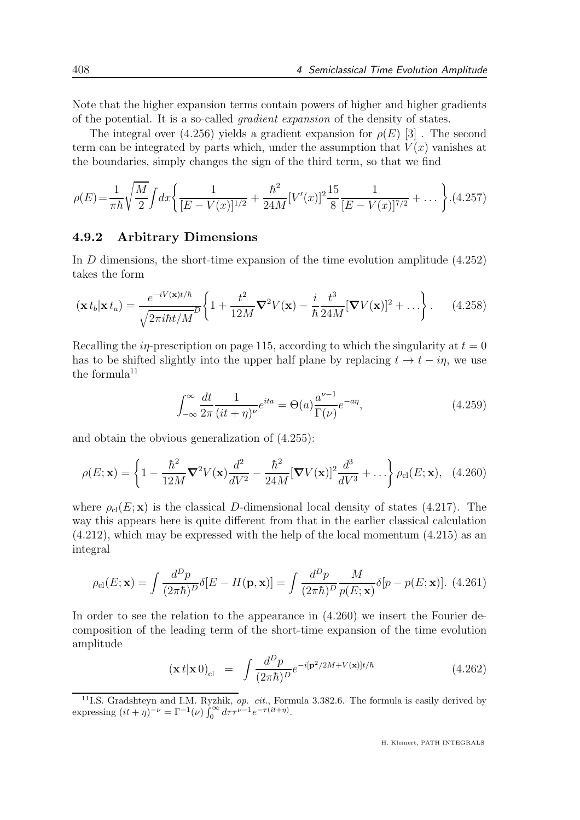Note that the higher expansion terms contain powers of higher and higher gradients of the potential. It is a so-called gradient expansion of the density of states.

The integral over (4.256) yields a gradient expansion for  $\rho(E)$  [3]. The second term can be integrated by parts which, under the assumption that  $V(x)$  vanishes at the boundaries, simply changes the sign of the third term, so that we find

$$
\rho(E) = \frac{1}{\pi \hbar} \sqrt{\frac{M}{2}} \int dx \left\{ \frac{1}{[E - V(x)]^{1/2}} + \frac{\hbar^2}{24M} [V'(x)]^2 \frac{15}{8} \frac{1}{[E - V(x)]^{7/2}} + \dots \right\} . (4.257)
$$

#### 4.9.2 Arbitrary Dimensions

In D dimensions, the short-time expansion of the time evolution amplitude (4.252) takes the form

$$
(\mathbf{x} t_b | \mathbf{x} t_a) = \frac{e^{-iV(\mathbf{x})t/\hbar}}{\sqrt{2\pi i\hbar t/M}} \left\{ 1 + \frac{t^2}{12M} \mathbf{\nabla}^2 V(\mathbf{x}) - \frac{i}{\hbar} \frac{t^3}{24M} [\mathbf{\nabla} V(\mathbf{x})]^2 + \dots \right\}.
$$
 (4.258)

Recalling the in-prescription on page 115, according to which the singularity at  $t = 0$ has to be shifted slightly into the upper half plane by replacing  $t \to t - i\eta$ , we use the formula $^{11}$ 

$$
\int_{-\infty}^{\infty} \frac{dt}{2\pi} \frac{1}{(it+\eta)^{\nu}} e^{ita} = \Theta(a) \frac{a^{\nu-1}}{\Gamma(\nu)} e^{-a\eta},
$$
\n(4.259)

and obtain the obvious generalization of (4.255):

$$
\rho(E; \mathbf{x}) = \left\{ 1 - \frac{\hbar^2}{12M} \nabla^2 V(\mathbf{x}) \frac{d^2}{dV^2} - \frac{\hbar^2}{24M} [\nabla V(\mathbf{x})]^2 \frac{d^3}{dV^3} + \ldots \right\} \rho_{cl}(E; \mathbf{x}), \quad (4.260)
$$

where  $\rho_{\rm cl}(E;{\bf x})$  is the classical D-dimensional local density of states (4.217). The way this appears here is quite different from that in the earlier classical calculation (4.212), which may be expressed with the help of the local momentum (4.215) as an integral

$$
\rho_{\rm cl}(E; \mathbf{x}) = \int \frac{d^D p}{(2\pi\hbar)^D} \delta[E - H(\mathbf{p}, \mathbf{x})] = \int \frac{d^D p}{(2\pi\hbar)^D} \frac{M}{p(E; \mathbf{x})} \delta[p - p(E; \mathbf{x})].
$$
 (4.261)

In order to see the relation to the appearance in  $(4.260)$  we insert the Fourier decomposition of the leading term of the short-time expansion of the time evolution amplitude

$$
(\mathbf{x} t | \mathbf{x} 0)_{\text{cl}} = \int \frac{d^D p}{(2\pi\hbar)^D} e^{-i[\mathbf{p}^2/2M + V(\mathbf{x})]t/\hbar}
$$
(4.262)

<sup>&</sup>lt;sup>11</sup>I.S. Gradshteyn and I.M. Ryzhik, *op. cit.*, Formula 3.382.6. The formula is easily derived by expressing  $(it + \eta)^{-\nu} = \Gamma^{-1}(\nu) \int_0^\infty d\tau \tau^{\nu-1} e^{-\tau(it + \eta)}$ .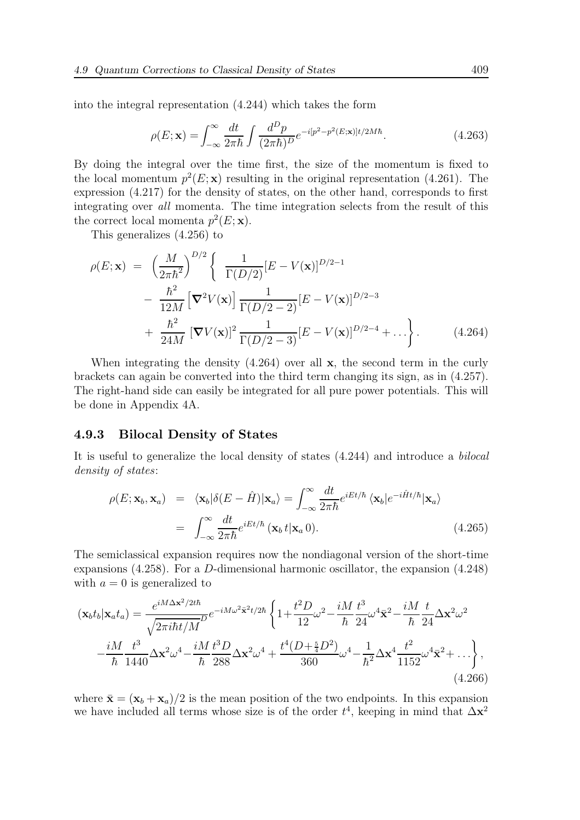into the integral representation (4.244) which takes the form

$$
\rho(E; \mathbf{x}) = \int_{-\infty}^{\infty} \frac{dt}{2\pi\hbar} \int \frac{d^D p}{(2\pi\hbar)^D} e^{-i[p^2 - p^2(E; \mathbf{x})]t/2M\hbar}.
$$
\n(4.263)

By doing the integral over the time first, the size of the momentum is fixed to the local momentum  $p^2(E; \mathbf{x})$  resulting in the original representation (4.261). The expression (4.217) for the density of states, on the other hand, corresponds to first integrating over all momenta. The time integration selects from the result of this the correct local momenta  $p^2(E; \mathbf{x})$ .

This generalizes (4.256) to

$$
\rho(E; \mathbf{x}) = \left(\frac{M}{2\pi\hbar^2}\right)^{D/2} \left\{\n\frac{1}{\Gamma(D/2)} [E - V(\mathbf{x})]^{D/2 - 1}\n- \frac{\hbar^2}{12M} \left[\nabla^2 V(\mathbf{x})\right] \frac{1}{\Gamma(D/2 - 2)} [E - V(\mathbf{x})]^{D/2 - 3}\n+ \frac{\hbar^2}{24M} \left[\nabla V(\mathbf{x})\right]^2 \frac{1}{\Gamma(D/2 - 3)} [E - V(\mathbf{x})]^{D/2 - 4} + \ldots\n\right\}.
$$
\n(4.264)

When integrating the density  $(4.264)$  over all **x**, the second term in the curly brackets can again be converted into the third term changing its sign, as in (4.257). The right-hand side can easily be integrated for all pure power potentials. This will be done in Appendix 4A.

#### 4.9.3 Bilocal Density of States

It is useful to generalize the local density of states (4.244) and introduce a bilocal density of states:

$$
\rho(E; \mathbf{x}_b, \mathbf{x}_a) = \langle \mathbf{x}_b | \delta(E - \hat{H}) | \mathbf{x}_a \rangle = \int_{-\infty}^{\infty} \frac{dt}{2\pi \hbar} e^{iEt/\hbar} \langle \mathbf{x}_b | e^{-i\hat{H}t/\hbar} | \mathbf{x}_a \rangle
$$

$$
= \int_{-\infty}^{\infty} \frac{dt}{2\pi \hbar} e^{iEt/\hbar} (\mathbf{x}_b t | \mathbf{x}_a 0). \tag{4.265}
$$

The semiclassical expansion requires now the nondiagonal version of the short-time expansions (4.258). For a D-dimensional harmonic oscillator, the expansion (4.248) with  $a = 0$  is generalized to

$$
(\mathbf{x}_{b}t_{b}|\mathbf{x}_{a}t_{a}) = \frac{e^{iM\Delta\mathbf{x}^{2}/2t\hbar}}{\sqrt{2\pi i\hbar t/M}}e^{-iM\omega^{2}\bar{\mathbf{x}}^{2}t/2\hbar}\left\{1+\frac{t^{2}D}{12}\omega^{2}-\frac{iM}{\hbar}\frac{t^{3}}{24}\omega^{4}\bar{\mathbf{x}}^{2}-\frac{iM}{\hbar}\frac{t}{24}\Delta\mathbf{x}^{2}\omega^{2}\right.-\frac{iM}{\hbar}\frac{t^{3}}{1440}\Delta\mathbf{x}^{2}\omega^{4}-\frac{iM}{\hbar}\frac{t^{3}D}{288}\Delta\mathbf{x}^{2}\omega^{4}+\frac{t^{4}(D+\frac{5}{4}D^{2})}{360}\omega^{4}-\frac{1}{\hbar^{2}}\Delta\mathbf{x}^{4}\frac{t^{2}}{1152}\omega^{4}\bar{\mathbf{x}}^{2}+\ldots\right\},\tag{4.266}
$$

where  $\bar{\mathbf{x}} = (\mathbf{x}_b + \mathbf{x}_a)/2$  is the mean position of the two endpoints. In this expansion we have included all terms whose size is of the order  $t^4$ , keeping in mind that  $\Delta \mathbf{x}^2$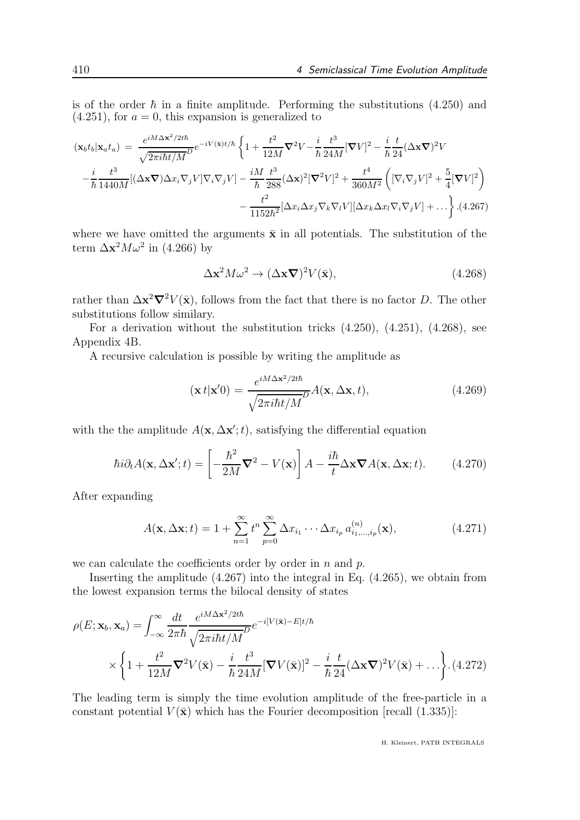is of the order  $\hbar$  in a finite amplitude. Performing the substitutions (4.250) and  $(4.251)$ , for  $a = 0$ , this expansion is generalized to

$$
(\mathbf{x}_{b}t_{b}|\mathbf{x}_{a}t_{a}) = \frac{e^{iM\Delta\mathbf{x}^{2}/2t\hbar}}{\sqrt{2\pi i\hbar t/M}}e^{-iV(\bar{\mathbf{x}})t/\hbar}\left\{1+\frac{t^{2}}{12M}\nabla^{2}V-\frac{i}{\hbar}\frac{t^{3}}{24M}[\nabla V]^{2}-\frac{i}{\hbar}\frac{t}{24}(\Delta\mathbf{x}\nabla)^{2}V -\frac{i}{\hbar}\frac{t^{3}}{24M}[\Delta\mathbf{x}\nabla)^{2}V\right\}-\frac{i}{\hbar}\frac{t^{3}}{1440M}[(\Delta\mathbf{x}\nabla)\Delta x_{i}\nabla_{j}V]\nabla_{i}\nabla_{j}V] - \frac{iM}{\hbar}\frac{t^{3}}{288}(\Delta\mathbf{x})^{2}[\nabla^{2}V]^{2} + \frac{t^{4}}{360M^{2}}\left([\nabla_{i}\nabla_{j}V]^{2} + \frac{5}{4}[\nabla V]^{2}\right) -\frac{t^{2}}{1152\hbar^{2}}[\Delta x_{i}\Delta x_{j}\nabla_{k}\nabla_{l}V][\Delta x_{k}\Delta x_{l}\nabla_{i}\nabla_{j}V] + \dots\right\}.
$$
(4.267)

where we have omitted the arguments  $\bar{\mathbf{x}}$  in all potentials. The substitution of the term  $\Delta \mathbf{x}^2 M \omega^2$  in (4.266) by

$$
\Delta \mathbf{x}^2 M \omega^2 \to (\Delta \mathbf{x} \nabla)^2 V(\bar{\mathbf{x}}), \tag{4.268}
$$

rather than  $\Delta \mathbf{x}^2 \nabla^2 V(\bar{\mathbf{x}})$ , follows from the fact that there is no factor D. The other substitutions follow similary.

For a derivation without the substitution tricks (4.250), (4.251), (4.268), see Appendix 4B.

A recursive calculation is possible by writing the amplitude as

$$
(\mathbf{x}t|\mathbf{x}'0) = \frac{e^{iM\Delta\mathbf{x}^2/2t\hbar}}{\sqrt{2\pi i\hbar t/M}}A(\mathbf{x},\Delta\mathbf{x},t),
$$
\n(4.269)

with the the amplitude  $A(\mathbf{x}, \Delta \mathbf{x}'; t)$ , satisfying the differential equation

$$
\hbar i \partial_t A(\mathbf{x}, \Delta \mathbf{x}'; t) = \left[ -\frac{\hbar^2}{2M} \nabla^2 - V(\mathbf{x}) \right] A - \frac{i\hbar}{t} \Delta \mathbf{x} \nabla A(\mathbf{x}, \Delta \mathbf{x}; t). \tag{4.270}
$$

After expanding

$$
A(\mathbf{x}, \Delta \mathbf{x}; t) = 1 + \sum_{n=1}^{\infty} t^n \sum_{p=0}^{\infty} \Delta x_{i_1} \cdots \Delta x_{i_p} a_{i_1, \dots, i_p}^{(n)}(\mathbf{x}), \qquad (4.271)
$$

we can calculate the coefficients order by order in  $n$  and  $p$ .

Inserting the amplitude (4.267) into the integral in Eq. (4.265), we obtain from the lowest expansion terms the bilocal density of states

$$
\rho(E; \mathbf{x}_b, \mathbf{x}_a) = \int_{-\infty}^{\infty} \frac{dt}{2\pi\hbar} \frac{e^{iM\Delta\mathbf{x}^2/2t\hbar}}{\sqrt{2\pi i\hbar t/M}} e^{-i[V(\bar{\mathbf{x}}) - E]t/\hbar}
$$

$$
\times \left\{ 1 + \frac{t^2}{12M} \nabla^2 V(\bar{\mathbf{x}}) - \frac{i}{\hbar} \frac{t^3}{24M} [\nabla V(\bar{\mathbf{x}})]^2 - \frac{i}{\hbar} \frac{t}{24} (\Delta\mathbf{x}\nabla)^2 V(\bar{\mathbf{x}}) + \dots \right\} . (4.272)
$$

The leading term is simply the time evolution amplitude of the free-particle in a constant potential  $V(\bar{\mathbf{x}})$  which has the Fourier decomposition [recall (1.335)]: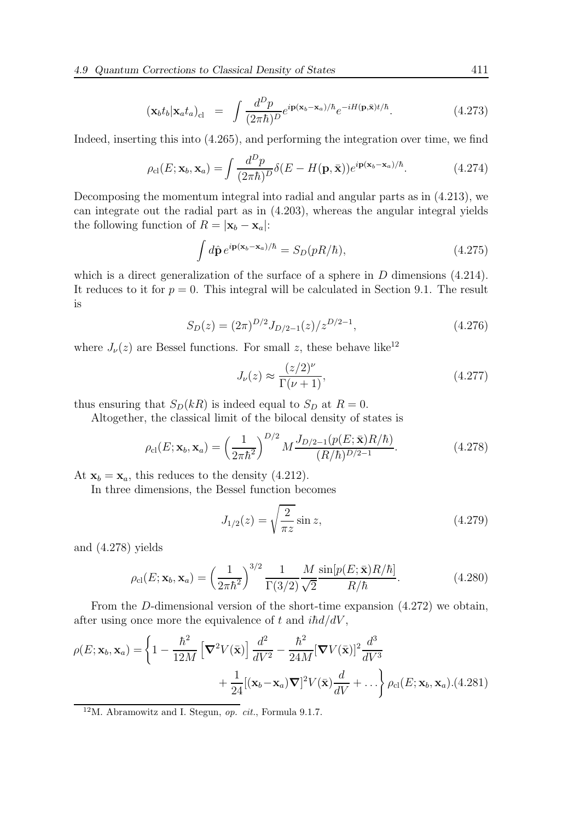$$
(\mathbf{x}_b t_b | \mathbf{x}_a t_a)_{\text{cl}} = \int \frac{d^D p}{(2\pi\hbar)^D} e^{i\mathbf{p}(\mathbf{x}_b - \mathbf{x}_a)/\hbar} e^{-iH(\mathbf{p}, \bar{\mathbf{x}})t/\hbar}.
$$
 (4.273)

Indeed, inserting this into (4.265), and performing the integration over time, we find

$$
\rho_{\rm cl}(E; \mathbf{x}_b, \mathbf{x}_a) = \int \frac{d^D p}{(2\pi\hbar)^D} \delta(E - H(\mathbf{p}, \bar{\mathbf{x}})) e^{i \mathbf{p}(\mathbf{x}_b - \mathbf{x}_a)/\hbar}.
$$
 (4.274)

Decomposing the momentum integral into radial and angular parts as in (4.213), we can integrate out the radial part as in (4.203), whereas the angular integral yields the following function of  $R = |\mathbf{x}_b - \mathbf{x}_a|$ :

$$
\int d\hat{\mathbf{p}} \, e^{i\mathbf{p}(\mathbf{x}_b - \mathbf{x}_a)/\hbar} = S_D(pR/\hbar),\tag{4.275}
$$

which is a direct generalization of the surface of a sphere in  $D$  dimensions  $(4.214)$ . It reduces to it for  $p = 0$ . This integral will be calculated in Section 9.1. The result is

$$
S_D(z) = (2\pi)^{D/2} J_{D/2-1}(z) / z^{D/2-1},
$$
\n(4.276)

where  $J_{\nu}(z)$  are Bessel functions. For small z, these behave like<sup>12</sup>

$$
J_{\nu}(z) \approx \frac{(z/2)^{\nu}}{\Gamma(\nu+1)},\tag{4.277}
$$

thus ensuring that  $S_D(kR)$  is indeed equal to  $S_D$  at  $R = 0$ .

Altogether, the classical limit of the bilocal density of states is

$$
\rho_{\rm cl}(E; \mathbf{x}_b, \mathbf{x}_a) = \left(\frac{1}{2\pi\hbar^2}\right)^{D/2} M \frac{J_{D/2-1}(p(E; \bar{\mathbf{x}})R/\hbar)}{(R/\hbar)^{D/2-1}}.
$$
(4.278)

At  $\mathbf{x}_b = \mathbf{x}_a$ , this reduces to the density (4.212).

In three dimensions, the Bessel function becomes

$$
J_{1/2}(z) = \sqrt{\frac{2}{\pi z}} \sin z,
$$
\n(4.279)

and (4.278) yields

$$
\rho_{\rm cl}(E; \mathbf{x}_b, \mathbf{x}_a) = \left(\frac{1}{2\pi\hbar^2}\right)^{3/2} \frac{1}{\Gamma(3/2)} \frac{M}{\sqrt{2}} \frac{\sin[p(E; \bar{\mathbf{x}})R/\hbar]}{R/\hbar}.\tag{4.280}
$$

From the D-dimensional version of the short-time expansion (4.272) we obtain, after using once more the equivalence of t and  $i\hbar d/dV$ ,

$$
\rho(E; \mathbf{x}_b, \mathbf{x}_a) = \left\{ 1 - \frac{\hbar^2}{12M} \left[ \boldsymbol{\nabla}^2 V(\bar{\mathbf{x}}) \right] \frac{d^2}{dV^2} - \frac{\hbar^2}{24M} [\boldsymbol{\nabla} V(\bar{\mathbf{x}})]^2 \frac{d^3}{dV^3} + \frac{1}{24} [(\mathbf{x}_b - \mathbf{x}_a) \boldsymbol{\nabla}]^2 V(\bar{\mathbf{x}}) \frac{d}{dV} + \dots \right\} \rho_{\text{cl}}(E; \mathbf{x}_b, \mathbf{x}_a). (4.281)
$$

 $12M$ . Abramowitz and I. Stegun, *op. cit.*, Formula 9.1.7.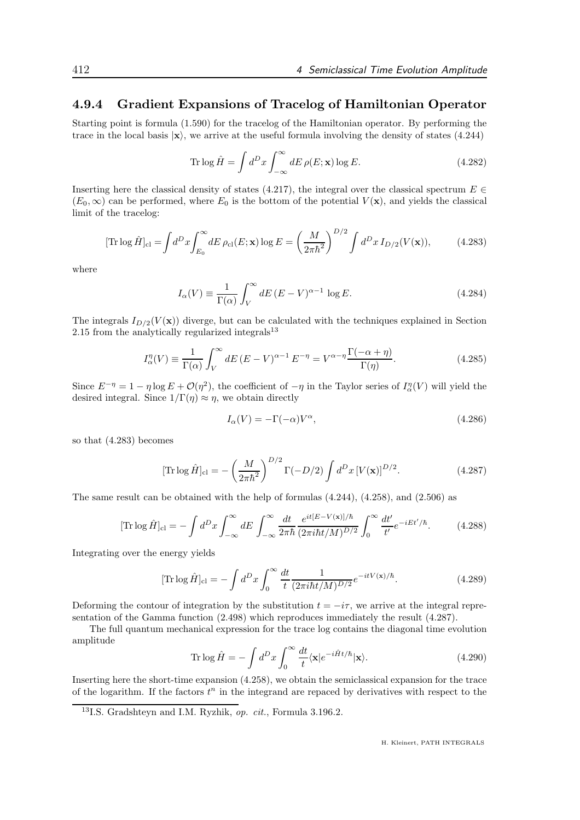### 4.9.4 Gradient Expansions of Tracelog of Hamiltonian Operator

Starting point is formula (1.590) for the tracelog of the Hamiltonian operator. By performing the trace in the local basis  $|x\rangle$ , we arrive at the useful formula involving the density of states (4.244)

$$
\operatorname{Tr}\log\hat{H} = \int d^D x \int_{-\infty}^{\infty} dE \,\rho(E; \mathbf{x}) \log E. \tag{4.282}
$$

Inserting here the classical density of states (4.217), the integral over the classical spectrum  $E \in \mathbb{R}$  $(E_0, \infty)$  can be performed, where  $E_0$  is the bottom of the potential  $V(\mathbf{x})$ , and yields the classical limit of the tracelog:

$$
[\text{Tr}\log\hat{H}]_{\text{cl}} = \int d^D x \int_{E_0}^{\infty} dE \,\rho_{\text{cl}}(E; \mathbf{x}) \log E = \left(\frac{M}{2\pi\hbar^2}\right)^{D/2} \int d^D x \, I_{D/2}(V(\mathbf{x})),\tag{4.283}
$$

where

$$
I_{\alpha}(V) \equiv \frac{1}{\Gamma(\alpha)} \int_{V}^{\infty} dE \, (E - V)^{\alpha - 1} \log E. \tag{4.284}
$$

The integrals  $I_{D/2}(V(\mathbf{x}))$  diverge, but can be calculated with the techniques explained in Section 2.15 from the analytically regularized integrals $^{13}$ 

$$
I_{\alpha}^{\eta}(V) \equiv \frac{1}{\Gamma(\alpha)} \int_{V}^{\infty} dE \left( E - V \right)^{\alpha - 1} E^{-\eta} = V^{\alpha - \eta} \frac{\Gamma(-\alpha + \eta)}{\Gamma(\eta)}.
$$
 (4.285)

Since  $E^{-\eta} = 1 - \eta \log E + \mathcal{O}(\eta^2)$ , the coefficient of  $-\eta$  in the Taylor series of  $I_{\alpha}^{\eta}(V)$  will yield the desired integral. Since  $1/\Gamma(\eta) \approx \eta$ , we obtain directly

$$
I_{\alpha}(V) = -\Gamma(-\alpha)V^{\alpha},\tag{4.286}
$$

so that (4.283) becomes

$$
[\text{Tr}\log\hat{H}]_{\text{cl}} = -\left(\frac{M}{2\pi\hbar^2}\right)^{D/2}\Gamma(-D/2)\int d^D x \,[V(\mathbf{x})]^{D/2}.\tag{4.287}
$$

The same result can be obtained with the help of formulas (4.244), (4.258), and (2.506) as

$$
[\text{Tr}\log\hat{H}]_{\text{cl}} = -\int d^D x \int_{-\infty}^{\infty} dE \int_{-\infty}^{\infty} \frac{dt}{2\pi\hbar} \frac{e^{it[E-V(\mathbf{x})]/\hbar}}{(2\pi i\hbar t/M)^{D/2}} \int_{0}^{\infty} \frac{dt'}{t'} e^{-iEt'/\hbar}.
$$
 (4.288)

Integrating over the energy yields

$$
[\text{Tr}\log\hat{H}]_{\text{cl}} = -\int d^D x \int_0^\infty \frac{dt}{t} \frac{1}{(2\pi i\hbar t/M)^{D/2}} e^{-itV(\mathbf{x})/\hbar}.\tag{4.289}
$$

Deforming the contour of integration by the substitution  $t = -i\tau$ , we arrive at the integral representation of the Gamma function (2.498) which reproduces immediately the result (4.287).

The full quantum mechanical expression for the trace log contains the diagonal time evolution amplitude

Tr 
$$
\log \hat{H} = -\int d^D x \int_0^\infty \frac{dt}{t} \langle \mathbf{x} | e^{-i\hat{H}t/\hbar} | \mathbf{x} \rangle.
$$
 (4.290)

Inserting here the short-time expansion (4.258), we obtain the semiclassical expansion for the trace of the logarithm. If the factors  $t^n$  in the integrand are repaced by derivatives with respect to the

<sup>13</sup>I.S. Gradshteyn and I.M. Ryzhik, op. cit., Formula 3.196.2.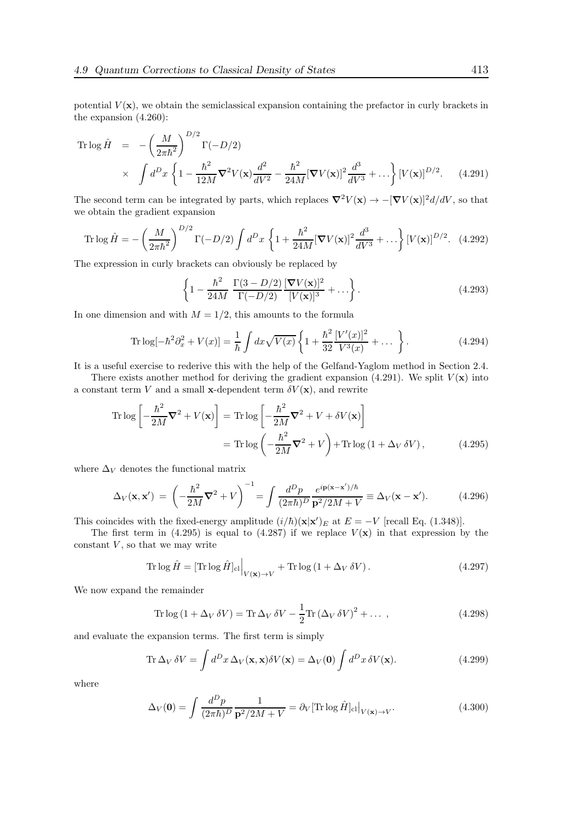potential  $V(\mathbf{x})$ , we obtain the semiclassical expansion containing the prefactor in curly brackets in the expansion (4.260):

Tr log 
$$
\hat{H}
$$
 =  $-\left(\frac{M}{2\pi\hbar^2}\right)^{D/2} \Gamma(-D/2)$   
  $\times \int d^D x \left\{1 - \frac{\hbar^2}{12M} \nabla^2 V(\mathbf{x}) \frac{d^2}{dV^2} - \frac{\hbar^2}{24M} [\nabla V(\mathbf{x})]^2 \frac{d^3}{dV^3} + \dots \right\} [V(\mathbf{x})]^{D/2}.$  (4.291)

The second term can be integrated by parts, which replaces  $\nabla^2 V(\mathbf{x}) \to -[\nabla V(\mathbf{x})]^2 d/dV$ , so that we obtain the gradient expansion

Tr log 
$$
\hat{H}
$$
 =  $-\left(\frac{M}{2\pi\hbar^2}\right)^{D/2} \Gamma(-D/2) \int d^D x \left\{ 1 + \frac{\hbar^2}{24M} [\nabla V(\mathbf{x})]^2 \frac{d^3}{dV^3} + \dots \right\} [V(\mathbf{x})]^{D/2}$ . (4.292)

The expression in curly brackets can obviously be replaced by

$$
\left\{1 - \frac{\hbar^2}{24M} \frac{\Gamma(3 - D/2)}{\Gamma(-D/2)} \frac{[\nabla V(\mathbf{x})]^2}{[V(\mathbf{x})]^3} + \dots \right\}.
$$
\n(4.293)

In one dimension and with  $M = 1/2$ , this amounts to the formula

Tr log
$$
[-\hbar^2 \partial_x^2 + V(x)]
$$
 =  $\frac{1}{\hbar} \int dx \sqrt{V(x)} \left\{ 1 + \frac{\hbar^2}{32} \frac{[V'(x)]^2}{V^3(x)} + \dots \right\}.$  (4.294)

It is a useful exercise to rederive this with the help of the Gelfand-Yaglom method in Section 2.4.

There exists another method for deriving the gradient expansion (4.291). We split  $V(\mathbf{x})$  into a constant term V and a small x-dependent term  $\delta V(\mathbf{x})$ , and rewrite

$$
\operatorname{Tr} \log \left[ -\frac{\hbar^2}{2M} \nabla^2 + V(\mathbf{x}) \right] = \operatorname{Tr} \log \left[ -\frac{\hbar^2}{2M} \nabla^2 + V + \delta V(\mathbf{x}) \right]
$$

$$
= \operatorname{Tr} \log \left( -\frac{\hbar^2}{2M} \nabla^2 + V \right) + \operatorname{Tr} \log \left( 1 + \Delta_V \delta V \right), \tag{4.295}
$$

where  $\Delta_V$  denotes the functional matrix

$$
\Delta_V(\mathbf{x}, \mathbf{x}') = \left(-\frac{\hbar^2}{2M}\nabla^2 + V\right)^{-1} = \int \frac{d^D p}{(2\pi\hbar)^D} \frac{e^{i\mathbf{p}(\mathbf{x} - \mathbf{x}')/\hbar}}{\mathbf{p}^2/2M + V} \equiv \Delta_V(\mathbf{x} - \mathbf{x}'). \tag{4.296}
$$

This coincides with the fixed-energy amplitude  $(i/\hbar)(\mathbf{x}|\mathbf{x}')_E$  at  $E = -V$  [recall Eq. (1.348)].

The first term in (4.295) is equal to (4.287) if we replace  $V(\mathbf{x})$  in that expression by the constant  $V$ , so that we may write

$$
\text{Tr}\log\hat{H} = \left[\text{Tr}\log\hat{H}\right]_{\text{cl}}\Big|_{V(\mathbf{x}) \to V} + \text{Tr}\log\left(1 + \Delta_V \,\delta V\right). \tag{4.297}
$$

We now expand the remainder

$$
\operatorname{Tr}\log\left(1+\Delta_V\,\delta V\right) = \operatorname{Tr}\Delta_V\,\delta V - \frac{1}{2}\operatorname{Tr}\left(\Delta_V\,\delta V\right)^2 + \dots \,,\tag{4.298}
$$

and evaluate the expansion terms. The first term is simply

Tr 
$$
\Delta_V \delta V = \int d^D x \,\Delta_V(\mathbf{x}, \mathbf{x}) \delta V(\mathbf{x}) = \Delta_V(\mathbf{0}) \int d^D x \,\delta V(\mathbf{x}).
$$
 (4.299)

where

$$
\Delta_V(\mathbf{0}) = \int \frac{d^D p}{(2\pi\hbar)^D} \frac{1}{\mathbf{p}^2/2M + V} = \partial_V[\text{Tr}\log\hat{H}]_{\text{cl}}|_{V(\mathbf{x}) \to V}.
$$
\n(4.300)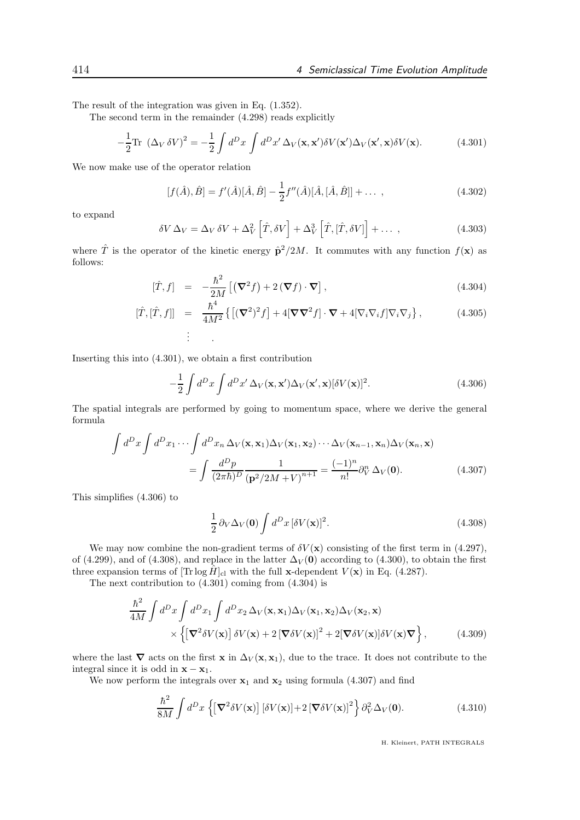The result of the integration was given in Eq. (1.352).

The second term in the remainder (4.298) reads explicitly

$$
-\frac{1}{2}\text{Tr}(\Delta_V \delta V)^2 = -\frac{1}{2}\int d^D x \int d^D x' \Delta_V(\mathbf{x}, \mathbf{x}') \delta V(\mathbf{x}') \Delta_V(\mathbf{x}', \mathbf{x}) \delta V(\mathbf{x}).\tag{4.301}
$$

We now make use of the operator relation

$$
[f(\hat{A}), \hat{B}] = f'(\hat{A})[\hat{A}, \hat{B}] - \frac{1}{2}f''(\hat{A})[\hat{A}, [\hat{A}, \hat{B}]] + \dots ,
$$
\n(4.302)

to expand

$$
\delta V \Delta_V = \Delta_V \, \delta V + \Delta_V^2 \left[ \hat{T}, \delta V \right] + \Delta_V^3 \left[ \hat{T}, \left[ \hat{T}, \delta V \right] \right] + \dots \,, \tag{4.303}
$$

where  $\hat{T}$  is the operator of the kinetic energy  $\hat{p}^2/2M$ . It commutes with any function  $f(\mathbf{x})$  as follows:

$$
[\hat{T}, f] = -\frac{\hbar^2}{2M} \left[ (\nabla^2 f) + 2 (\nabla f) \cdot \nabla \right],
$$
\n(4.304)

$$
[\hat{T}, [\hat{T}, f]] = \frac{\hbar^4}{4M^2} \left\{ \left[ (\nabla^2)^2 f \right] + 4[\nabla \nabla^2 f] \cdot \nabla + 4[\nabla_i \nabla_i f] \nabla_i \nabla_j \right\},
$$
\n(4.305)\n
$$
\vdots
$$

Inserting this into (4.301), we obtain a first contribution

$$
-\frac{1}{2}\int d^D x \int d^D x' \,\Delta_V(\mathbf{x}, \mathbf{x}') \Delta_V(\mathbf{x}', \mathbf{x}) [\delta V(\mathbf{x})]^2.
$$
 (4.306)

The spatial integrals are performed by going to momentum space, where we derive the general formula

$$
\int d^D x \int d^D x_1 \cdots \int d^D x_n \,\Delta_V(\mathbf{x}, \mathbf{x}_1) \Delta_V(\mathbf{x}_1, \mathbf{x}_2) \cdots \Delta_V(\mathbf{x}_{n-1}, \mathbf{x}_n) \Delta_V(\mathbf{x}_n, \mathbf{x})
$$
\n
$$
= \int \frac{d^D p}{(2\pi\hbar)^D} \frac{1}{(\mathbf{p}^2/2M + V)^{n+1}} = \frac{(-1)^n}{n!} \partial_V^n \,\Delta_V(\mathbf{0}).\tag{4.307}
$$

This simplifies (4.306) to

$$
\frac{1}{2}\,\partial_V\Delta_V(\mathbf{0})\int d^Dx\,[\delta V(\mathbf{x})]^2.\tag{4.308}
$$

We may now combine the non-gradient terms of  $\delta V(\mathbf{x})$  consisting of the first term in (4.297), of (4.299), and of (4.308), and replace in the latter  $\Delta_V(0)$  according to (4.300), to obtain the first three expansion terms of  $[\text{Tr} \log \hat{H}]_{\text{cl}}$  with the full x-dependent  $V(\mathbf{x})$  in Eq. (4.287).

The next contribution to (4.301) coming from (4.304) is

$$
\frac{\hbar^2}{4M} \int d^D x \int d^D x_1 \int d^D x_2 \,\Delta_V(\mathbf{x}, \mathbf{x}_1) \Delta_V(\mathbf{x}_1, \mathbf{x}_2) \Delta_V(\mathbf{x}_2, \mathbf{x}) \times \left\{ \left[ \nabla^2 \delta V(\mathbf{x}) \right] \delta V(\mathbf{x}) + 2 \left[ \nabla \delta V(\mathbf{x}) \right]^2 + 2 \left[ \nabla \delta V(\mathbf{x}) \right] \delta V(\mathbf{x}) \nabla \right\},
$$
\n(4.309)

where the last  $\nabla$  acts on the first x in  $\Delta_V(\mathbf{x}, \mathbf{x}_1)$ , due to the trace. It does not contribute to the integral since it is odd in  $\mathbf{x} - \mathbf{x}_1$ .

We now perform the integrals over  $x_1$  and  $x_2$  using formula (4.307) and find

$$
\frac{\hbar^2}{8M} \int d^D x \left\{ \left[ \nabla^2 \delta V(\mathbf{x}) \right] \left[ \delta V(\mathbf{x}) \right] + 2 \left[ \nabla \delta V(\mathbf{x}) \right]^2 \right\} \partial_V^2 \Delta_V(\mathbf{0}). \tag{4.310}
$$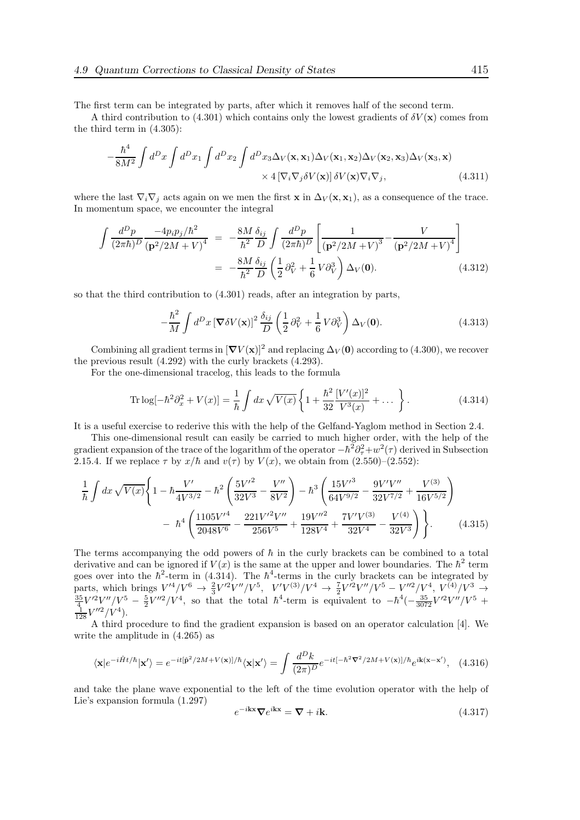The first term can be integrated by parts, after which it removes half of the second term.

A third contribution to (4.301) which contains only the lowest gradients of  $\delta V(\mathbf{x})$  comes from the third term in (4.305):

$$
-\frac{\hbar^4}{8M^2} \int d^D x \int d^D x_1 \int d^D x_2 \int d^D x_3 \Delta_V(\mathbf{x}, \mathbf{x}_1) \Delta_V(\mathbf{x}_1, \mathbf{x}_2) \Delta_V(\mathbf{x}_2, \mathbf{x}_3) \Delta_V(\mathbf{x}_3, \mathbf{x})
$$
  
× 4 [ $\nabla_i \nabla_j \delta V(\mathbf{x})$ ]  $\delta V(\mathbf{x}) \nabla_i \nabla_j$ , (4.311)

where the last  $\nabla_i \nabla_j$  acts again on we men the first **x** in  $\Delta_V(\mathbf{x}, \mathbf{x}_1)$ , as a consequence of the trace. In momentum space, we encounter the integral

$$
\int \frac{d^D p}{(2\pi\hbar)^D} \frac{-4p_i p_j/\hbar^2}{(\mathbf{p}^2/2M + V)^4} = -\frac{8M}{\hbar^2} \frac{\delta_{ij}}{D} \int \frac{d^D p}{(2\pi\hbar)^D} \left[ \frac{1}{(\mathbf{p}^2/2M + V)^3} - \frac{V}{(\mathbf{p}^2/2M + V)^4} \right]
$$

$$
= -\frac{8M}{\hbar^2} \frac{\delta_{ij}}{D} \left( \frac{1}{2} \partial_V^2 + \frac{1}{6} V \partial_V^3 \right) \Delta_V(\mathbf{0}). \tag{4.312}
$$

so that the third contribution to (4.301) reads, after an integration by parts,

$$
-\frac{\hbar^2}{M} \int d^D x \left[ \nabla \delta V(\mathbf{x}) \right]^2 \frac{\delta_{ij}}{D} \left( \frac{1}{2} \partial_V^2 + \frac{1}{6} V \partial_V^3 \right) \Delta_V(\mathbf{0}). \tag{4.313}
$$

Combining all gradient terms in  $[\nabla V(\mathbf{x})]^2$  and replacing  $\Delta_V(\mathbf{0})$  according to (4.300), we recover the previous result (4.292) with the curly brackets (4.293).

For the one-dimensional tracelog, this leads to the formula

Tr log
$$
[-\hbar^2 \partial_x^2 + V(x)]
$$
 =  $\frac{1}{\hbar} \int dx \sqrt{V(x)} \left\{ 1 + \frac{\hbar^2}{32} \frac{[V'(x)]^2}{V^3(x)} + \dots \right\}.$  (4.314)

It is a useful exercise to rederive this with the help of the Gelfand-Yaglom method in Section 2.4.

This one-dimensional result can easily be carried to much higher order, with the help of the gradient expansion of the trace of the logarithm of the operator  $-\hbar^2\partial^2_\tau+w^2(\tau)$  derived in Subsection 2.15.4. If we replace  $\tau$  by  $x/\hbar$  and  $v(\tau)$  by  $V(x)$ , we obtain from (2.550)–(2.552):

$$
\frac{1}{\hbar} \int dx \sqrt{V(x)} \left\{ 1 - \hbar \frac{V'}{4V^{3/2}} - \hbar^2 \left( \frac{5V'^2}{32V^3} - \frac{V''}{8V^2} \right) - \hbar^3 \left( \frac{15V'^3}{64V^{9/2}} - \frac{9V'V''}{32V^{7/2}} + \frac{V^{(3)}}{16V^{5/2}} \right) \right. \\
\left. - \hbar^4 \left( \frac{1105V'^4}{2048V^6} - \frac{221V'^2V''}{256V^5} + \frac{19V''^2}{128V^4} + \frac{7V'V^{(3)}}{32V^4} - \frac{V^{(4)}}{32V^3} \right) \right\}.
$$
\n(4.315)

The terms accompanying the odd powers of  $\hbar$  in the curly brackets can be combined to a total derivative and can be ignored if  $V(x)$  is the same at the upper and lower boundaries. The  $\hbar^2$  term goes over into the  $\hbar^2$ -term in (4.314). The  $\hbar^4$ -terms in the curly brackets can be integrated by parts, which brings  $V'^4/V^6 \rightarrow \frac{2}{3}V'^2V''/V^5$ ,  $V'V^{(3)}/V^4 \rightarrow \frac{7}{2}V'^2V''/V^5 - V''^2/V^4$ , V parts, which brings  $V'^4/V^6 \rightarrow \frac{2}{3}V'^2V''/V^5$ ,  $V'V^{(3)}/V^4 \rightarrow \frac{7}{2}V'^2V''/V^5 - V''^2/V^4$ ,  $V^{(4)}/V^3 \rightarrow \frac{35}{4}V'^2V''/V^5 - \frac{5}{2}V''^2/V^4$ , so that the total  $\hbar^4$ -term is equivalent to  $-\hbar^4(-\frac{35}{3072}V'^2V''/V^5 + \frac{1}{128}$ 

A third procedure to find the gradient expansion is based on an operator calculation [4]. We write the amplitude in (4.265) as

$$
\langle \mathbf{x} | e^{-i\hat{H}t/\hbar} | \mathbf{x}' \rangle = e^{-it[\hat{\mathbf{p}}^2/2M + V(\mathbf{x})]/\hbar} \langle \mathbf{x} | \mathbf{x}' \rangle = \int \frac{d^D k}{(2\pi)^D} e^{-it[-\hbar^2 \nabla^2/2M + V(\mathbf{x})]/\hbar} e^{i\mathbf{k}(\mathbf{x} - \mathbf{x}')}, \quad (4.316)
$$

and take the plane wave exponential to the left of the time evolution operator with the help of Lie's expansion formula (1.297)

$$
e^{-i\mathbf{k}\mathbf{x}}\nabla e^{i\mathbf{k}\mathbf{x}} = \nabla + i\mathbf{k}.\tag{4.317}
$$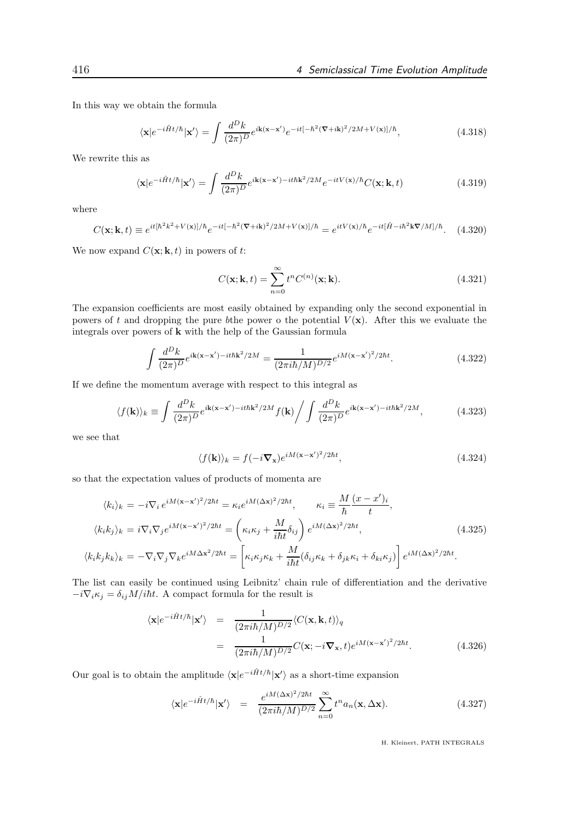In this way we obtain the formula

$$
\langle \mathbf{x} | e^{-i\hat{H}t/\hbar} | \mathbf{x}' \rangle = \int \frac{d^D k}{(2\pi)^D} e^{i\mathbf{k}(\mathbf{x} - \mathbf{x}')} e^{-it[-\hbar^2 (\nabla + i\mathbf{k})^2 / 2M + V(\mathbf{x})]/\hbar}, \tag{4.318}
$$

We rewrite this as

$$
\langle \mathbf{x} | e^{-i\hat{H}t/\hbar} | \mathbf{x}' \rangle = \int \frac{d^D k}{(2\pi)^D} e^{i\mathbf{k}(\mathbf{x} - \mathbf{x}') - it\hbar \mathbf{k}^2 / 2M} e^{-itV(\mathbf{x})/\hbar} C(\mathbf{x}; \mathbf{k}, t)
$$
(4.319)

where

$$
C(\mathbf{x}; \mathbf{k}, t) \equiv e^{it[\hbar^2 k^2 + V(\mathbf{x})]/\hbar} e^{-it[-\hbar^2 (\nabla + i\mathbf{k})^2 / 2M + V(\mathbf{x})]/\hbar} = e^{itV(\mathbf{x})/\hbar} e^{-it[\hat{H} - i\hbar^2 \mathbf{k} \nabla/M]/\hbar}.
$$
 (4.320)

We now expand  $C(\mathbf{x}; \mathbf{k}, t)$  in powers of t:

$$
C(\mathbf{x}; \mathbf{k}, t) = \sum_{n=0}^{\infty} t^n C^{(n)}(\mathbf{x}; \mathbf{k}).
$$
\n(4.321)

The expansion coefficients are most easily obtained by expanding only the second exponential in powers of t and dropping the pure bthe power o the potential  $V(\mathbf{x})$ . After this we evaluate the integrals over powers of  ${\bf k}$  with the help of the Gaussian formula

$$
\int \frac{d^D k}{(2\pi)^D} e^{i\mathbf{k}(\mathbf{x}-\mathbf{x}')-it\hbar \mathbf{k}^2/2M} = \frac{1}{(2\pi i\hbar/M)^{D/2}} e^{iM(\mathbf{x}-\mathbf{x}')^2/2\hbar t}.
$$
\n(4.322)

If we define the momentum average with respect to this integral as

$$
\langle f(\mathbf{k})\rangle_k \equiv \int \frac{d^D k}{(2\pi)^D} e^{i\mathbf{k}(\mathbf{x}-\mathbf{x}')-it\hbar \mathbf{k}^2/2M} f(\mathbf{k}) \Bigg/ \int \frac{d^D k}{(2\pi)^D} e^{i\mathbf{k}(\mathbf{x}-\mathbf{x}')-it\hbar \mathbf{k}^2/2M},\tag{4.323}
$$

we see that

$$
\langle f(\mathbf{k}) \rangle_k = f(-i\mathbf{\nabla}_{\mathbf{x}}) e^{iM(\mathbf{x} - \mathbf{x}')^2/2\hbar t}, \qquad (4.324)
$$

so that the expectation values of products of momenta are

$$
\langle k_i \rangle_k = -i \nabla_i e^{iM(\mathbf{x} - \mathbf{x}')^2/2\hbar t} = \kappa_i e^{iM(\Delta \mathbf{x})^2/2\hbar t}, \qquad \kappa_i \equiv \frac{M}{\hbar} \frac{(x - x')_i}{t},
$$
  

$$
\langle k_i k_j \rangle_k = i \nabla_i \nabla_j e^{iM(\mathbf{x} - \mathbf{x}')^2/2\hbar t} = \left(\kappa_i \kappa_j + \frac{M}{i\hbar t} \delta_{ij}\right) e^{iM(\Delta \mathbf{x})^2/2\hbar t},
$$
  

$$
\langle k_i k_j k_k \rangle_k = -\nabla_i \nabla_j \nabla_k e^{iM\Delta \mathbf{x}^2/2\hbar t} = \left[\kappa_i \kappa_j \kappa_k + \frac{M}{i\hbar t} (\delta_{ij} \kappa_k + \delta_{jk} \kappa_i + \delta_{ki} \kappa_j)\right] e^{iM(\Delta \mathbf{x})^2/2\hbar t}.
$$
  
(4.325)

The list can easily be continued using Leibnitz' chain rule of differentiation and the derivative  $-i\nabla_i \kappa_j = \delta_{ij} M/i\hbar t$ . A compact formula for the result is

$$
\langle \mathbf{x} | e^{-i\hat{H}t/\hbar} | \mathbf{x}' \rangle = \frac{1}{(2\pi i\hbar/M)^{D/2}} \langle C(\mathbf{x}, \mathbf{k}, t) \rangle_q
$$
  
= 
$$
\frac{1}{(2\pi i\hbar/M)^{D/2}} C(\mathbf{x}; -i\nabla_{\mathbf{x}}, t) e^{iM(\mathbf{x} - \mathbf{x}')^2/2\hbar t}.
$$
(4.326)

Our goal is to obtain the amplitude  $\langle \mathbf{x}|e^{-i\hat{H}t/\hbar}|\mathbf{x}'\rangle$  as a short-time expansion

$$
\langle \mathbf{x} | e^{-i\hat{H}t/\hbar} | \mathbf{x}' \rangle = \frac{e^{iM(\Delta \mathbf{x})^2/2\hbar t}}{(2\pi i\hbar/M)^{D/2}} \sum_{n=0}^{\infty} t^n a_n(\mathbf{x}, \Delta \mathbf{x}). \tag{4.327}
$$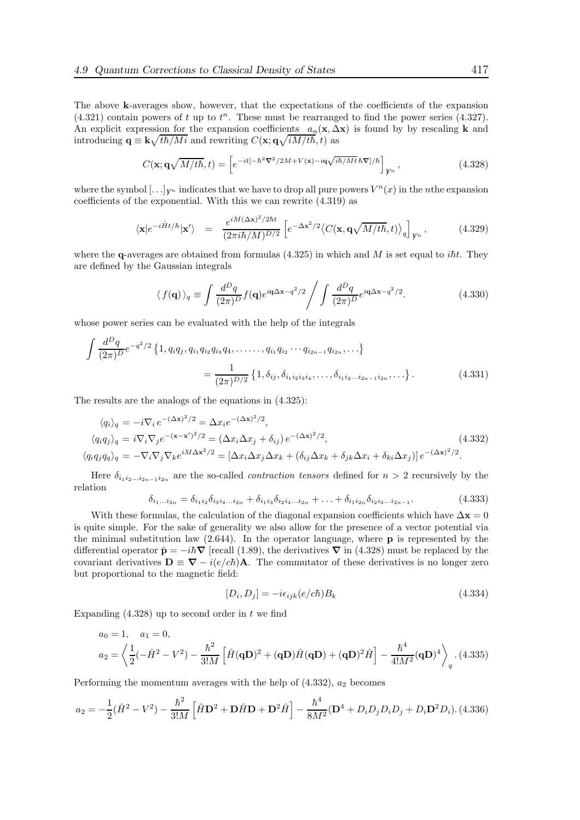The above k-averages show, however, that the expectations of the coefficients of the expansion  $(4.321)$  contain powers of t up to  $t^n$ . These must be rearranged to find the power series  $(4.327)$ . An explicit expression for the expansion coefficients  $a_n(x, \Delta x)$  is found by by rescaling k and introducing  $\mathbf{q} \equiv \mathbf{k} \sqrt{t\hbar/M} i$  and rewriting  $C(\mathbf{x}; \mathbf{q} \sqrt{iM/t\hbar}, t)$  as

$$
C(\mathbf{x}; \mathbf{q}\sqrt{M/t\hbar}, t) = \left[e^{-it[-\hbar^2 \mathbf{\nabla}^2/2M + V(\mathbf{x}) - i\mathbf{q}\sqrt{i\hbar/Mt}\,\hbar\mathbf{\nabla}]/\hbar}\right]_{\mathbf{y}_n},
$$
\n(4.328)

where the symbol  $[\ldots]_{\mathcal{V}^n}$  indicates that we have to drop all pure powers  $V^n(x)$  in the *n*the expansion coefficients of the exponential. With this we can rewrite (4.319) as

$$
\langle \mathbf{x} | e^{-i\hat{H}t/\hbar} | \mathbf{x}' \rangle = \frac{e^{iM(\Delta \mathbf{x})^2/2\hbar t}}{(2\pi i\hbar/M)^{D/2}} \left[ e^{-\Delta \mathbf{x}^2/2} \langle C(\mathbf{x}, \mathbf{q} \sqrt{M/t\hbar}, t) \rangle_q \right]_{\mathcal{V}^n}, \tag{4.329}
$$

where the q-averages are obtained from formulas  $(4.325)$  in which and M is set equal to *iht*. They are defined by the Gaussian integrals

$$
\langle f(\mathbf{q}) \rangle_q \equiv \int \frac{d^D q}{(2\pi)^D} f(\mathbf{q}) e^{i\mathbf{q}\Delta \mathbf{x} - q^2/2} \Bigg/ \int \frac{d^D q}{(2\pi)^D} e^{i\mathbf{q}\Delta \mathbf{x} - q^2/2}.
$$
 (4.330)

whose power series can be evaluated with the help of the integrals

$$
\int \frac{d^D q}{(2\pi)^D} e^{-q^2/2} \left\{ 1, q_i q_j, q_{i_1} q_{i_2} q_{i_3} q_4, \dots, q_{i_1} q_{i_2} \cdots q_{i_{2n-1}} q_{i_{2n}}, \dots \right\}
$$
\n
$$
= \frac{1}{(2\pi)^{D/2}} \left\{ 1, \delta_{ij}, \delta_{i_1 i_2 i_3 i_4}, \dots, \delta_{i_1 i_2 \dots i_{2n-1} i_{2n}}, \dots \right\}.
$$
\n(4.331)

The results are the analogs of the equations in (4.325):

$$
\langle q_i \rangle_q = -i \nabla_i e^{-(\Delta \mathbf{x})^2/2} = \Delta x_i e^{-(\Delta \mathbf{x})^2/2},
$$
  
\n
$$
\langle q_i q_j \rangle_q = i \nabla_i \nabla_j e^{-(\mathbf{x} - \mathbf{x}')^2/2} = (\Delta x_i \Delta x_j + \delta_{ij}) e^{-(\Delta \mathbf{x})^2/2},
$$
  
\n
$$
\langle q_i q_j q_q \rangle_q = -\nabla_i \nabla_j \nabla_k e^{iM \Delta \mathbf{x}^2/2} = [\Delta x_i \Delta x_j \Delta x_k + (\delta_{ij} \Delta x_k + \delta_{jk} \Delta x_i + \delta_{ki} \Delta x_j)] e^{-(\Delta \mathbf{x})^2/2}.
$$
\n(4.332)

Here  $\delta_{i_1i_2...i_{2n-1}i_{2n}}$  are the so-called *contraction tensors* defined for  $n > 2$  recursively by the relation

$$
\delta_{i_1...i_{2n}} = \delta_{i_1i_2}\delta_{i_3i_4...i_{2n}} + \delta_{i_1i_3}\delta_{i_2i_4...i_{2n}} + ... + \delta_{i_1i_{2n}}\delta_{i_2i_3...i_{2n-1}}.
$$
\n(4.333)

With these formulas, the calculation of the diagonal expansion coefficients which have  $\Delta x = 0$ is quite simple. For the sake of generality we also allow for the presence of a vector potential via the minimal substitution law  $(2.644)$ . In the operator language, where **p** is represented by the differential operator  $\hat{\mathbf{p}} = -i\hbar \nabla$  [recall (1.89), the derivatives  $\nabla$  in (4.328) must be replaced by the covariant derivatives  $\mathbf{D} \equiv \nabla - i(e/c\hbar)\mathbf{A}$ . The commutator of these derivatives is no longer zero but proportional to the magnetic field:

$$
[D_i, D_j] = -i\epsilon_{ijk}(e/c\hbar)B_k
$$
\n(4.334)

Expanding  $(4.328)$  up to second order in t we find

$$
a_0 = 1, \quad a_1 = 0,
$$
  
\n
$$
a_2 = \left\langle \frac{1}{2}(-\hat{H}^2 - V^2) - \frac{\hbar^2}{3!M} \left[ \hat{H}(\mathbf{q}\mathbf{D})^2 + (\mathbf{q}\mathbf{D})\hat{H}(\mathbf{q}\mathbf{D}) + (\mathbf{q}\mathbf{D})^2 \hat{H} \right] - \frac{\hbar^4}{4!M^2} (\mathbf{q}\mathbf{D})^4 \right\rangle_q . (4.335)
$$

Performing the momentum averages with the help of  $(4.332)$ ,  $a_2$  becomes

$$
a_2 = -\frac{1}{2}(\hat{H}^2 - V^2) - \frac{\hbar^2}{3!M} \left[ \hat{H}\mathbf{D}^2 + \mathbf{D}\hat{H}\mathbf{D} + \mathbf{D}^2\hat{H} \right] - \frac{\hbar^4}{8M^2}(\mathbf{D}^4 + D_iD_jD_iD_j + D_i\mathbf{D}^2D_i). \tag{4.336}
$$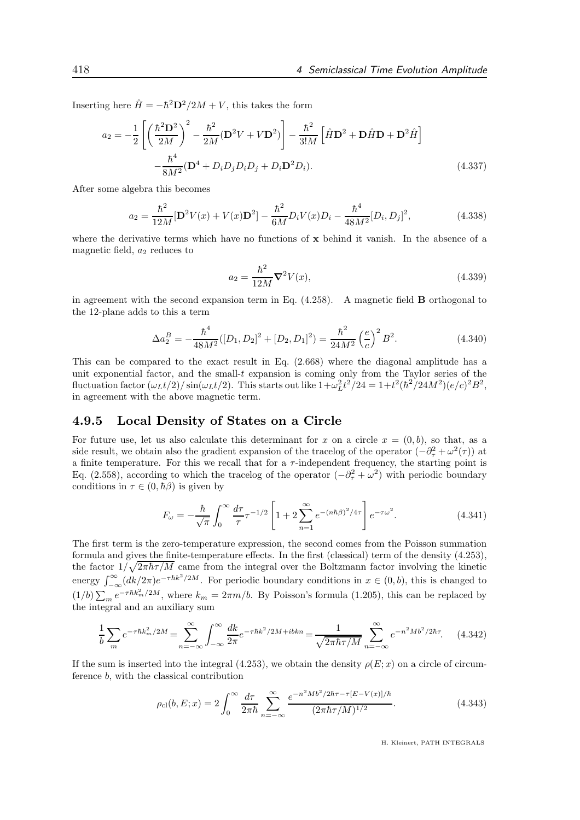Inserting here  $\hat{H} = -\hbar^2 \mathbf{D}^2 / 2M + V$ , this takes the form

$$
a_2 = -\frac{1}{2} \left[ \left( \frac{\hbar^2 \mathbf{D}^2}{2M} \right)^2 - \frac{\hbar^2}{2M} (\mathbf{D}^2 V + V \mathbf{D}^2) \right] - \frac{\hbar^2}{3!M} \left[ \hat{H} \mathbf{D}^2 + \mathbf{D} \hat{H} \mathbf{D} + \mathbf{D}^2 \hat{H} \right]
$$

$$
- \frac{\hbar^4}{8M^2} (\mathbf{D}^4 + D_i D_j D_i D_j + D_i \mathbf{D}^2 D_i).
$$
(4.337)

After some algebra this becomes

$$
a_2 = \frac{\hbar^2}{12M} [\mathbf{D}^2 V(x) + V(x)\mathbf{D}^2] - \frac{\hbar^2}{6M} D_i V(x) D_i - \frac{\hbar^4}{48M^2} [D_i, D_j]^2,
$$
(4.338)

where the derivative terms which have no functions of  $x$  behind it vanish. In the absence of a magnetic field,  $a_2$  reduces to

$$
a_2 = \frac{\hbar^2}{12M} \nabla^2 V(x),
$$
\n(4.339)

in agreement with the second expansion term in Eq.  $(4.258)$ . A magnetic field **B** orthogonal to the 12-plane adds to this a term

$$
\Delta a_2^B = -\frac{\hbar^4}{48M^2} ([D_1, D_2]^2 + [D_2, D_1]^2) = \frac{\hbar^2}{24M^2} \left(\frac{e}{c}\right)^2 B^2.
$$
 (4.340)

This can be compared to the exact result in Eq. (2.668) where the diagonal amplitude has a unit exponential factor, and the small-t expansion is coming only from the Taylor series of the fluctuation factor  $(\omega_L t/2) / \sin(\omega_L t/2)$ . This starts out like  $1 + \omega_L^2 t^2 / 24 = 1 + t^2 (\hbar^2 / 24M^2) (e/c)^2 B^2$ , in agreement with the above magnetic term.

### 4.9.5 Local Density of States on a Circle

For future use, let us also calculate this determinant for x on a circle  $x = (0, b)$ , so that, as a side result, we obtain also the gradient expansion of the tracelog of the operator  $\left(-\partial_{\tau}^{2} + \omega^{2}(\tau)\right)$  at a finite temperature. For this we recall that for a  $\tau$ -independent frequency, the starting point is Eq. (2.558), according to which the tracelog of the operator  $(-\partial_{\tau}^{2} + \omega^{2})$  with periodic boundary conditions in  $\tau \in (0, \hbar \beta)$  is given by

$$
F_{\omega} = -\frac{\hbar}{\sqrt{\pi}} \int_0^{\infty} \frac{d\tau}{\tau} \tau^{-1/2} \left[ 1 + 2 \sum_{n=1}^{\infty} e^{-(n\hbar\beta)^2/4\tau} \right] e^{-\tau\omega^2}.
$$
 (4.341)

The first term is the zero-temperature expression, the second comes from the Poisson summation formula and gives the finite-temperature effects. In the first (classical) term of the density (4.253), the factor  $1/\sqrt{2\pi\hbar\tau/M}$  came from the integral over the Boltzmann factor involving the kinetic energy  $\int_{-\infty}^{\infty} (dk/2\pi)e^{-\tau\hbar k^2/2M}$ . For periodic boundary conditions in  $x \in (0, b)$ , this is changed to  $(1/b)\sum_{m}e^{-\tau\hbar k_{m}^{2}/2M}$ , where  $k_{m}=2\pi m/b$ . By Poisson's formula (1.205), this can be replaced by the integral and an auxiliary sum

$$
\frac{1}{b} \sum_{m} e^{-\tau \hbar k_{m}^{2}/2M} = \sum_{n=-\infty}^{\infty} \int_{-\infty}^{\infty} \frac{dk}{2\pi} e^{-\tau \hbar k^{2}/2M + ibkn} = \frac{1}{\sqrt{2\pi\hbar\tau/M}} \sum_{n=-\infty}^{\infty} e^{-n^{2}Mb^{2}/2\hbar\tau}.
$$
 (4.342)

If the sum is inserted into the integral (4.253), we obtain the density  $\rho(E; x)$  on a circle of circumference b, with the classical contribution

$$
\rho_{\rm cl}(b, E; x) = 2 \int_0^\infty \frac{d\tau}{2\pi\hbar} \sum_{n=-\infty}^\infty \frac{e^{-n^2 Mb^2/2\hbar\tau - \tau [E - V(x)]/\hbar}}{(2\pi\hbar\tau/M)^{1/2}}.
$$
(4.343)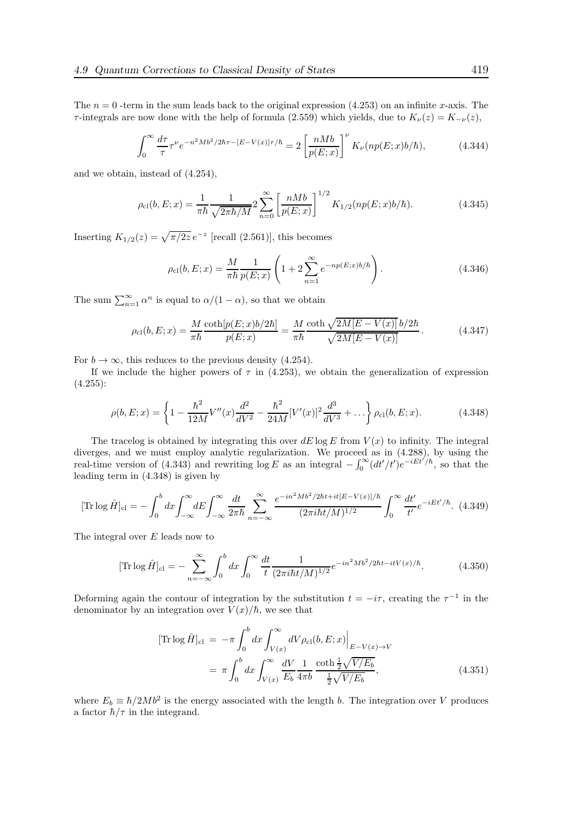The  $n = 0$  -term in the sum leads back to the original expression (4.253) on an infinite x-axis. The  $τ$ -integrals are now done with the help of formula (2.559) which yields, due to  $K<sub>ν</sub>(z) = K<sub>−ν</sub>(z)$ ,

$$
\int_0^\infty \frac{d\tau}{\tau} \tau^\nu e^{-n^2 Mb^2/2\hbar\tau - [E-V(x)]\tau/\hbar} = 2 \left[ \frac{nMb}{p(E;x)} \right]^\nu K_\nu(np(E;x)b/\hbar),\tag{4.344}
$$

and we obtain, instead of (4.254),

$$
\rho_{\rm cl}(b, E; x) = \frac{1}{\pi \hbar} \frac{1}{\sqrt{2\pi \hbar/M}} 2 \sum_{n=0}^{\infty} \left[ \frac{nMb}{p(E; x)} \right]^{1/2} K_{1/2}(np(E; x)b/\hbar). \tag{4.345}
$$

Inserting  $K_{1/2}(z) = \sqrt{\pi/2z} e^{-z}$  [recall (2.561)], this becomes

$$
\rho_{\rm cl}(b, E; x) = \frac{M}{\pi \hbar} \frac{1}{p(E; x)} \left( 1 + 2 \sum_{n=1}^{\infty} e^{-np(E; x)b/\hbar} \right). \tag{4.346}
$$

The sum  $\sum_{n=1}^{\infty} \alpha^n$  is equal to  $\alpha/(1-\alpha)$ , so that we obtain

$$
\rho_{\rm cl}(b, E; x) = \frac{M}{\pi \hbar} \frac{\coth[p(E; x)b/2\hbar]}{p(E; x)} = \frac{M}{\pi \hbar} \frac{\coth\sqrt{2M[E - V(x)]b/2\hbar}}{\sqrt{2M[E - V(x)]}}.
$$
(4.347)

For  $b \to \infty$ , this reduces to the previous density (4.254).

If we include the higher powers of  $\tau$  in (4.253), we obtain the generalization of expression  $(4.255)$ :

$$
\rho(b, E; x) = \left\{ 1 - \frac{\hbar^2}{12M} V''(x) \frac{d^2}{dV^2} - \frac{\hbar^2}{24M} [V'(x)]^2 \frac{d^3}{dV^3} + \ldots \right\} \rho_{\rm cl}(b, E; x). \tag{4.348}
$$

The tracelog is obtained by integrating this over  $dE \log E$  from  $V(x)$  to infinity. The integral diverges, and we must employ analytic regularization. We proceed as in (4.288), by using the real-time version of (4.343) and rewriting  $\log E$  as an integral  $-\int_0^\infty (dt'/t')e^{-iEt'/\hbar}$ , so that the leading term in (4.348) is given by

$$
[\text{Tr}\log\hat{H}]_{\text{cl}} = -\int_0^b dx \int_{-\infty}^\infty dE \int_{-\infty}^\infty \frac{dt}{2\pi\hbar} \sum_{n=-\infty}^\infty \frac{e^{-in^2Mb^2/2\hbar t + it[E-V(x)]/\hbar}}{(2\pi i\hbar t/M)^{1/2}} \int_0^\infty \frac{dt'}{t'} e^{-iEt'/\hbar}.\tag{4.349}
$$

The integral over E leads now to

$$
[\text{Tr}\log\hat{H}]_{\text{cl}} = -\sum_{n=-\infty}^{\infty} \int_0^b dx \int_0^{\infty} \frac{dt}{t} \frac{1}{(2\pi i\hbar t/M)^{1/2}} e^{-in^2 Mb^2/2\hbar t - itV(x)/\hbar}.
$$
 (4.350)

Deforming again the contour of integration by the substitution  $t = -i\tau$ , creating the  $\tau^{-1}$  in the denominator by an integration over  $V(x)/\hbar$ , we see that

$$
[\text{Tr}\log\hat{H}]_{\text{cl}} = -\pi \int_0^b dx \int_{V(x)}^\infty dV \rho_{\text{cl}}(b, E; x)\Big|_{E-V(x)\to V} = \pi \int_0^b dx \int_{V(x)}^\infty \frac{dV}{E_b} \frac{1}{4\pi b} \frac{\coth\frac{1}{2}\sqrt{V/E_b}}{\frac{1}{2}\sqrt{V/E_b}},
$$
(4.351)

where  $E_b \equiv \hbar/2Mb^2$  is the energy associated with the length b. The integration over V produces a factor  $\hbar/\tau$  in the integrand.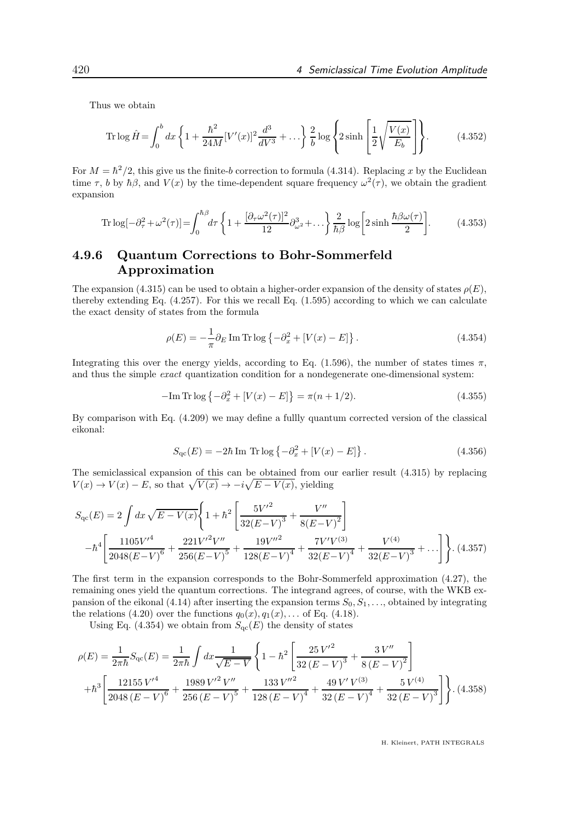Thus we obtain

Tr 
$$
\log \hat{H} = \int_0^b dx \left\{ 1 + \frac{\hbar^2}{24M} [V'(x)]^2 \frac{d^3}{dV^3} + \dots \right\} \frac{2}{b} \log \left\{ 2 \sinh \left[ \frac{1}{2} \sqrt{\frac{V(x)}{E_b}} \right] \right\}.
$$
 (4.352)

For  $M = \hbar^2/2$ , this give us the finite-b correction to formula (4.314). Replacing x by the Euclidean time  $\tau$ , b by  $\hbar\beta$ , and  $V(x)$  by the time-dependent square frequency  $\omega^2(\tau)$ , we obtain the gradient expansion

$$
\operatorname{Tr}\log[-\partial_{\tau}^{2}+\omega^{2}(\tau)]=\int_{0}^{\hbar\beta}d\tau\left\{1+\frac{[\partial_{\tau}\omega^{2}(\tau)]^{2}}{12}\partial_{\omega^{2}}^{3}+\dots\right\}\frac{2}{\hbar\beta}\log\bigg[2\sinh\frac{\hbar\beta\omega(\tau)}{2}\bigg].\tag{4.353}
$$

## 4.9.6 Quantum Corrections to Bohr-Sommerfeld Approximation

The expansion (4.315) can be used to obtain a higher-order expansion of the density of states  $\rho(E)$ , thereby extending Eq.  $(4.257)$ . For this we recall Eq.  $(1.595)$  according to which we can calculate the exact density of states from the formula

$$
\rho(E) = -\frac{1}{\pi} \partial_E \operatorname{Im} \operatorname{Tr} \log \left\{ -\partial_x^2 + \left[ V(x) - E \right] \right\}.
$$
\n(4.354)

Integrating this over the energy yields, according to Eq. (1.596), the number of states times  $\pi$ , and thus the simple exact quantization condition for a nondegenerate one-dimensional system:

$$
-\text{Im Tr} \log \left\{-\partial_x^2 + [V(x) - E]\right\} = \pi (n + 1/2). \tag{4.355}
$$

By comparison with Eq. (4.209) we may define a fullly quantum corrected version of the classical eikonal:

$$
S_{\rm qc}(E) = -2\hbar \operatorname{Im} \, \operatorname{Tr} \log \left\{ -\partial_x^2 + [V(x) - E] \right\}.
$$
 (4.356)

The semiclassical expansion of this can be obtained from our earlier result (4.315) by replacing  $V(x) \to V(x) - E$ , so that  $\sqrt{V(x)} \to -i\sqrt{E - V(x)}$ , yielding

$$
S_{\rm qc}(E) = 2 \int dx \sqrt{E - V(x)} \left\{ 1 + \hbar^2 \left[ \frac{5V'^2}{32(E - V)^3} + \frac{V''}{8(E - V)^2} \right] - \hbar^4 \left[ \frac{1105V'^4}{2048(E - V)^6} + \frac{221V'^2V''}{256(E - V)^5} + \frac{19V''^2}{128(E - V)^4} + \frac{7V'V^{(3)}}{32(E - V)^4} + \frac{V^{(4)}}{32(E - V)^3} + \dots \right] \right\}.
$$
 (4.357)

The first term in the expansion corresponds to the Bohr-Sommerfeld approximation (4.27), the remaining ones yield the quantum corrections. The integrand agrees, of course, with the WKB expansion of the eikonal (4.14) after inserting the expansion terms  $S_0, S_1, \ldots$ , obtained by integrating the relations (4.20) over the functions  $q_0(x), q_1(x), \ldots$  of Eq. (4.18).

Using Eq. (4.354) we obtain from  $S_{\text{qc}}(E)$  the density of states

$$
\rho(E) = \frac{1}{2\pi\hbar} S_{\text{qc}}(E) = \frac{1}{2\pi\hbar} \int dx \frac{1}{\sqrt{E - V}} \left\{ 1 - \hbar^2 \left[ \frac{25 V'^2}{32 (E - V)^3} + \frac{3 V''}{8 (E - V)^2} \right] + \hbar^3 \left[ \frac{12155 V'^4}{2048 (E - V)^6} + \frac{1989 V'^2 V''}{256 (E - V)^5} + \frac{133 V''^2}{128 (E - V)^4} + \frac{49 V' V^{(3)}}{32 (E - V)^4} + \frac{5 V^{(4)}}{32 (E - V)^3} \right] \right\}.
$$
(4.358)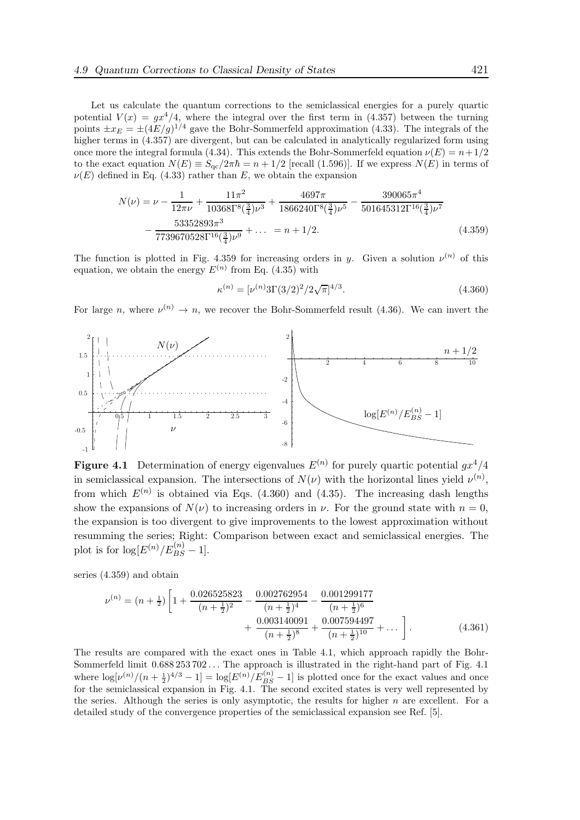Let us calculate the quantum corrections to the semiclassical energies for a purely quartic potential  $V(x) = gx^4/4$ , where the integral over the first term in (4.357) between the turning points  $\pm x_E = \pm (4E/g)^{1/4}$  gave the Bohr-Sommerfeld approximation (4.33). The integrals of the higher terms in  $(4.357)$  are divergent, but can be calculated in analytically regularized form using once more the integral formula (4.34). This extends the Bohr-Sommerfeld equation  $\nu(E) = n + 1/2$ to the exact equation  $N(E) \equiv S_{\text{qc}}/2\pi\hbar = n + 1/2$  [recall (1.596)]. If we express  $N(E)$  in terms of  $\nu(E)$  defined in Eq. (4.33) rather than E, we obtain the expansion

$$
N(\nu) = \nu - \frac{1}{12\pi\nu} + \frac{11\pi^2}{10368\Gamma^8(\frac{3}{4})\nu^3} + \frac{4697\pi}{1866240\Gamma^8(\frac{3}{4})\nu^5} - \frac{390065\pi^4}{501645312\Gamma^{16}(\frac{3}{4})\nu^7} - \frac{53352893\pi^3}{7739670528\Gamma^{16}(\frac{3}{4})\nu^9} + \dots = n + 1/2.
$$
 (4.359)

The function is plotted in Fig. 4.359 for increasing orders in y. Given a solution  $\nu^{(n)}$  of this equation, we obtain the energy  $E^{(n)}$  from Eq. (4.35) with

$$
\kappa^{(n)} = \left[\nu^{(n)} 3\Gamma(3/2)^2 / 2\sqrt{\pi}\right]^{4/3}.\tag{4.360}
$$

For large n, where  $\nu^{(n)} \to n$ , we recover the Bohr-Sommerfeld result (4.36). We can invert the



**Figure 4.1** Determination of energy eigenvalues  $E^{(n)}$  for purely quartic potential  $gx^4/4$ in semiclassical expansion. The intersections of  $N(\nu)$  with the horizontal lines yield  $\nu^{(n)}$ , from which  $E^{(n)}$  is obtained via Eqs. (4.360) and (4.35). The increasing dash lengths show the expansions of  $N(\nu)$  to increasing orders in  $\nu$ . For the ground state with  $n = 0$ , the expansion is too divergent to give improvements to the lowest approximation without resumming the series; Right: Comparison between exact and semiclassical energies. The plot is for  $\log[E^{(n)}/E_{BS}^{(n)}-1]$ .

series (4.359) and obtain

$$
\nu^{(n)} = (n + \frac{1}{2}) \left[ 1 + \frac{0.026525823}{(n + \frac{1}{2})^2} - \frac{0.002762954}{(n + \frac{1}{2})^4} - \frac{0.001299177}{(n + \frac{1}{2})^6} + \frac{0.003140091}{(n + \frac{1}{2})^8} + \frac{0.007594497}{(n + \frac{1}{2})^{10}} + \dots \right].
$$
\n(4.361)

The results are compared with the exact ones in Table 4.1, which approach rapidly the Bohr-Sommerfeld limit 0.688 253 702 . . . The approach is illustrated in the right-hand part of Fig. 4.1 where  $\log[\nu^{(n)}/(n+\frac{1}{2})^{4/3}-1] = \log[E^{(n)}/E_{BS}^{(n)}-1]$  is plotted once for the exact values and once for the semiclassical expansion in Fig. 4.1. The second excited states is very well represented by the series. Although the series is only asymptotic, the results for higher  $n$  are excellent. For a detailed study of the convergence properties of the semiclassical expansion see Ref. [5].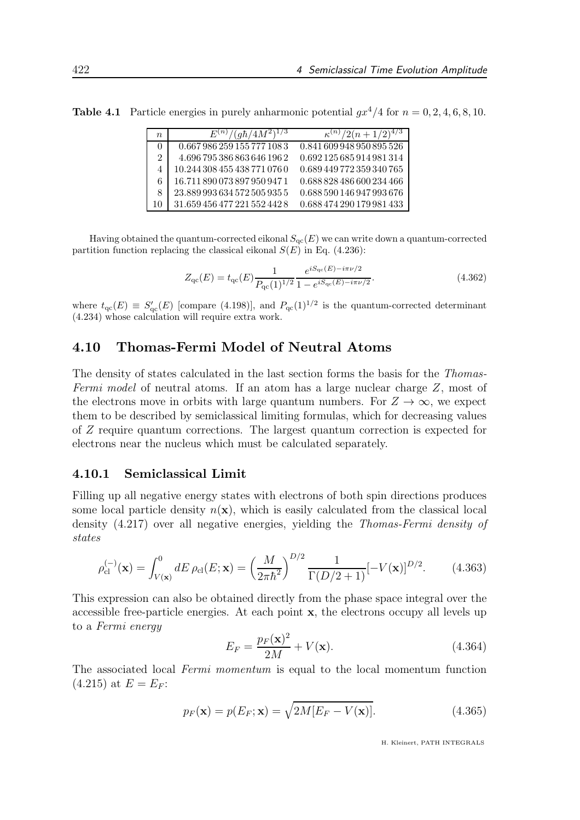**Table 4.1** Particle energies in purely anharmonic potential  $qx^4/4$  for  $n = 0, 2, 4, 6, 8, 10$ .

| $n_{\rm}$      | $(g\hbar/4M^2)^2$<br>$E^{(n)}$ | $(n+1/2)$                 |
|----------------|--------------------------------|---------------------------|
|                | 0.667 986 259 155 777 108 3    | 0.841 609 948 950 895 526 |
| $\overline{2}$ | 4.696 795 386 863 646 196 2    | 0.692125685914981314      |
|                | 10.244 308 455 438 771 076 0   | 0.689 449 772 359 340 765 |
| 6              | 16.711 890 073 897 950 947 1   | 0.688 828 486 600 234 466 |
| 8              | 23.889 993 634 572 505 935 5   | 0.688 590 146 947 993 676 |
| 10             | 31.659 456 477 221 552 442 8   | 0.688 474 290 179 981 433 |

Having obtained the quantum-corrected eikonal  $S_{\text{qc}}(E)$  we can write down a quantum-corrected partition function replacing the classical eikonal  $S(E)$  in Eq. (4.236):

$$
Z_{\rm qc}(E) = t_{\rm qc}(E) \frac{1}{P_{\rm qc}(1)^{1/2}} \frac{e^{iS_{\rm qc}(E) - i\pi\nu/2}}{1 - e^{iS_{\rm qc}(E) - i\pi\nu/2}}.
$$
(4.362)

where  $t_{\rm qc}(E) \equiv S'_{\rm qc}(E)$  [compare (4.198)], and  $P_{\rm qc}(1)^{1/2}$  is the quantum-corrected determinant (4.234) whose calculation will require extra work.

## 4.10 Thomas-Fermi Model of Neutral Atoms

The density of states calculated in the last section forms the basis for the Thomas-Fermi model of neutral atoms. If an atom has a large nuclear charge Z, most of the electrons move in orbits with large quantum numbers. For  $Z \to \infty$ , we expect them to be described by semiclassical limiting formulas, which for decreasing values of Z require quantum corrections. The largest quantum correction is expected for electrons near the nucleus which must be calculated separately.

#### 4.10.1 Semiclassical Limit

Filling up all negative energy states with electrons of both spin directions produces some local particle density  $n(\mathbf{x})$ , which is easily calculated from the classical local density (4.217) over all negative energies, yielding the Thomas-Fermi density of states

$$
\rho_{\rm cl}^{(-)}(\mathbf{x}) = \int_{V(\mathbf{x})}^{0} dE \,\rho_{\rm cl}(E; \mathbf{x}) = \left(\frac{M}{2\pi\hbar^2}\right)^{D/2} \frac{1}{\Gamma(D/2+1)} [-V(\mathbf{x})]^{D/2}.
$$
 (4.363)

This expression can also be obtained directly from the phase space integral over the accessible free-particle energies. At each point x, the electrons occupy all levels up to a Fermi energy

$$
E_F = \frac{p_F(\mathbf{x})^2}{2M} + V(\mathbf{x}).\tag{4.364}
$$

The associated local Fermi momentum is equal to the local momentum function  $(4.215)$  at  $E = E_F$ :

$$
p_F(\mathbf{x}) = p(E_F; \mathbf{x}) = \sqrt{2M[E_F - V(\mathbf{x})]}.
$$
\n(4.365)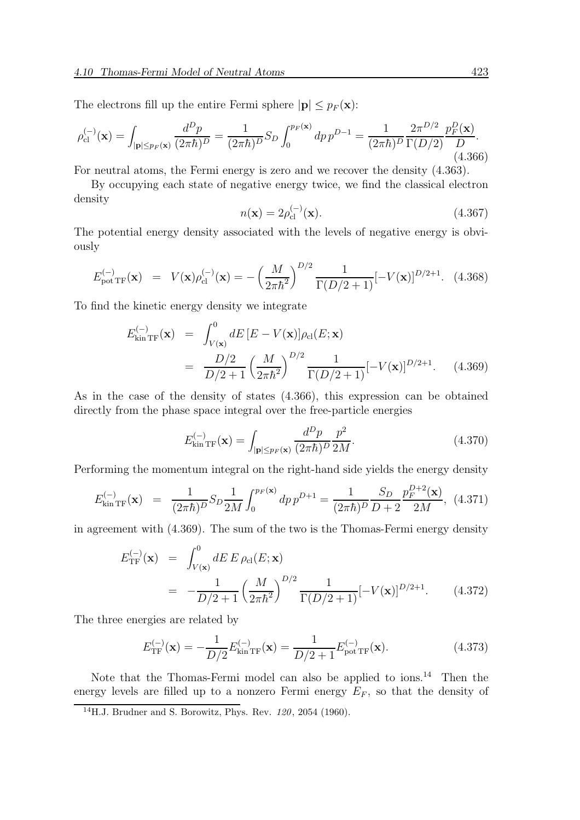The electrons fill up the entire Fermi sphere  $|\mathbf{p}| \leq p_F(\mathbf{x})$ :

$$
\rho_{\rm cl}^{(-)}(\mathbf{x}) = \int_{|\mathbf{p}| \le p_F(\mathbf{x})} \frac{d^D p}{(2\pi\hbar)^D} = \frac{1}{(2\pi\hbar)^D} S_D \int_0^{p_F(\mathbf{x})} dp \, p^{D-1} = \frac{1}{(2\pi\hbar)^D} \frac{2\pi^{D/2}}{\Gamma(D/2)} \frac{p_F^D(\mathbf{x})}{D}.
$$
\n(4.366)

For neutral atoms, the Fermi energy is zero and we recover the density (4.363).

By occupying each state of negative energy twice, we find the classical electron density

$$
n(\mathbf{x}) = 2\rho_{\rm cl}^{(-)}(\mathbf{x}).\tag{4.367}
$$

The potential energy density associated with the levels of negative energy is obviously

$$
E_{\text{pot TF}}^{(-)}(\mathbf{x}) = V(\mathbf{x})\rho_{\text{cl}}^{(-)}(\mathbf{x}) = -\left(\frac{M}{2\pi\hbar^2}\right)^{D/2} \frac{1}{\Gamma(D/2+1)} [-V(\mathbf{x})]^{D/2+1}.
$$
 (4.368)

To find the kinetic energy density we integrate

$$
E_{\text{kin TF}}^{(-)}(\mathbf{x}) = \int_{V(\mathbf{x})}^{0} dE \left[ E - V(\mathbf{x}) \right] \rho_{\text{cl}}(E; \mathbf{x})
$$
  
= 
$$
\frac{D/2}{D/2 + 1} \left( \frac{M}{2\pi \hbar^2} \right)^{D/2} \frac{1}{\Gamma(D/2 + 1)} [-V(\mathbf{x})]^{D/2 + 1}.
$$
 (4.369)

As in the case of the density of states (4.366), this expression can be obtained directly from the phase space integral over the free-particle energies

$$
E_{\text{kin TF}}^{(-)}(\mathbf{x}) = \int_{|\mathbf{p}| \le p_F(\mathbf{x})} \frac{d^D p}{(2\pi\hbar)^D} \frac{p^2}{2M}.
$$
 (4.370)

Performing the momentum integral on the right-hand side yields the energy density

$$
E_{\text{kin TF}}^{(-)}(\mathbf{x}) = \frac{1}{(2\pi\hbar)^D} S_D \frac{1}{2M} \int_0^{p_F(\mathbf{x})} dp \, p^{D+1} = \frac{1}{(2\pi\hbar)^D} \frac{S_D}{D+2} \frac{p_F^{D+2}(\mathbf{x})}{2M}, \tag{4.371}
$$

in agreement with (4.369). The sum of the two is the Thomas-Fermi energy density

$$
E_{\rm TF}^{(-)}(\mathbf{x}) = \int_{V(\mathbf{x})}^{0} dE E \rho_{\rm cl}(E; \mathbf{x})
$$
  
= 
$$
-\frac{1}{D/2+1} \left(\frac{M}{2\pi\hbar^2}\right)^{D/2} \frac{1}{\Gamma(D/2+1)} [-V(\mathbf{x})]^{D/2+1}.
$$
 (4.372)

The three energies are related by

$$
E_{\rm TF}^{(-)}(\mathbf{x}) = -\frac{1}{D/2} E_{\rm kin\,TF}^{(-)}(\mathbf{x}) = \frac{1}{D/2 + 1} E_{\rm pot\,TF}^{(-)}(\mathbf{x}).
$$
\n(4.373)

Note that the Thomas-Fermi model can also be applied to ions.<sup>14</sup> Then the energy levels are filled up to a nonzero Fermi energy  $E_F$ , so that the density of

<sup>&</sup>lt;sup>14</sup>H.J. Brudner and S. Borowitz, Phys. Rev.  $120$ ,  $2054$  (1960).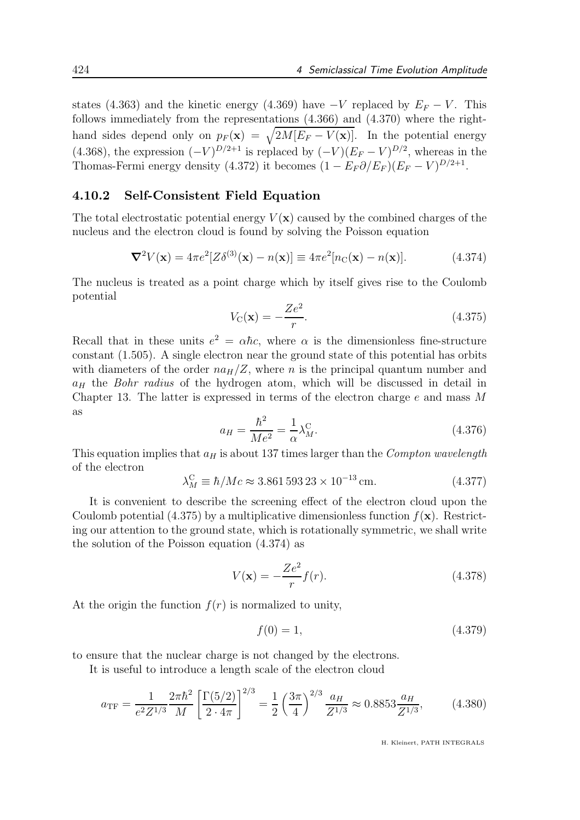states (4.363) and the kinetic energy (4.369) have  $-V$  replaced by  $E_F - V$ . This follows immediately from the representations (4.366) and (4.370) where the righthand sides depend only on  $p_F(\mathbf{x}) = \sqrt{2M[E_F - V(\mathbf{x})]}$ . In the potential energy (4.368), the expression  $(-V)^{D/2+1}$  is replaced by  $(-V)(E_F - V)^{D/2}$ , whereas in the Thomas-Fermi energy density (4.372) it becomes  $(1 - E_F \partial / E_F)(E_F - V)^{D/2+1}$ .

#### 4.10.2 Self-Consistent Field Equation

The total electrostatic potential energy  $V(\mathbf{x})$  caused by the combined charges of the nucleus and the electron cloud is found by solving the Poisson equation

$$
\nabla^2 V(\mathbf{x}) = 4\pi e^2 [Z\delta^{(3)}(\mathbf{x}) - n(\mathbf{x})] \equiv 4\pi e^2 [n_C(\mathbf{x}) - n(\mathbf{x})]. \tag{4.374}
$$

The nucleus is treated as a point charge which by itself gives rise to the Coulomb potential

$$
V_{\rm C}(\mathbf{x}) = -\frac{Ze^2}{r}.\tag{4.375}
$$

Recall that in these units  $e^2 = \alpha \hbar c$ , where  $\alpha$  is the dimensionless fine-structure constant (1.505). A single electron near the ground state of this potential has orbits with diameters of the order  $na_H/Z$ , where n is the principal quantum number and  $a_H$  the Bohr radius of the hydrogen atom, which will be discussed in detail in Chapter 13. The latter is expressed in terms of the electron charge  $e$  and mass M as

$$
a_H = \frac{\hbar^2}{Me^2} = \frac{1}{\alpha} \lambda_M^{\text{C}}.
$$
\n(4.376)

This equation implies that  $a_H$  is about 137 times larger than the Compton wavelength of the electron

$$
\lambda_M^{\rm C} \equiv \hbar / Mc \approx 3.861\,593\,23 \times 10^{-13} \,\text{cm}.
$$
\n(4.377)

It is convenient to describe the screening effect of the electron cloud upon the Coulomb potential (4.375) by a multiplicative dimensionless function  $f(\mathbf{x})$ . Restricting our attention to the ground state, which is rotationally symmetric, we shall write the solution of the Poisson equation (4.374) as

$$
V(\mathbf{x}) = -\frac{Ze^2}{r}f(r). \tag{4.378}
$$

At the origin the function  $f(r)$  is normalized to unity,

$$
f(0) = 1,\t(4.379)
$$

to ensure that the nuclear charge is not changed by the electrons.

It is useful to introduce a length scale of the electron cloud

$$
a_{\rm TF} = \frac{1}{e^2 Z^{1/3}} \frac{2\pi \hbar^2}{M} \left[ \frac{\Gamma(5/2)}{2 \cdot 4\pi} \right]^{2/3} = \frac{1}{2} \left( \frac{3\pi}{4} \right)^{2/3} \frac{a_H}{Z^{1/3}} \approx 0.8853 \frac{a_H}{Z^{1/3}},\tag{4.380}
$$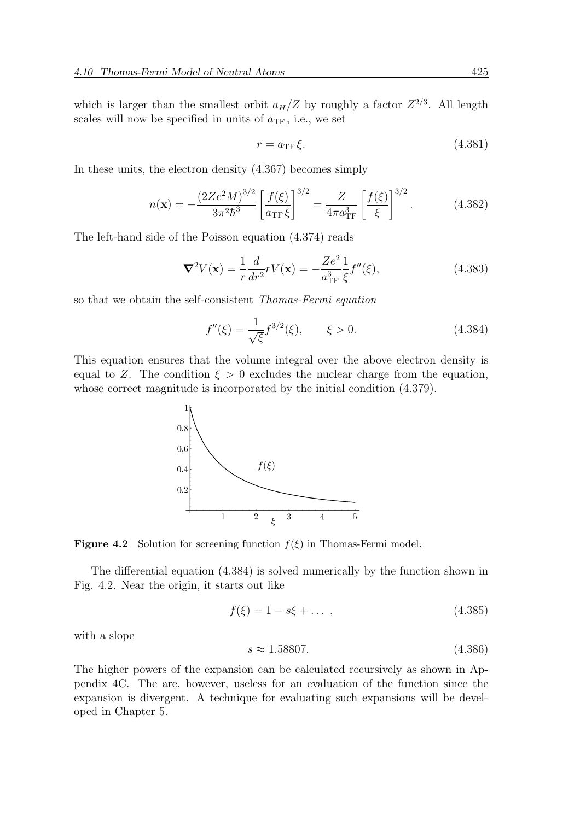which is larger than the smallest orbit  $a_H/Z$  by roughly a factor  $Z^{2/3}$ . All length scales will now be specified in units of  $a_{\text{TF}}$ , i.e., we set

$$
r = a_{\rm TF} \xi. \tag{4.381}
$$

In these units, the electron density (4.367) becomes simply

$$
n(\mathbf{x}) = -\frac{\left(2Ze^2M\right)^{3/2}}{3\pi^2\hbar^3} \left[\frac{f(\xi)}{a_{\rm TF}\xi}\right]^{3/2} = \frac{Z}{4\pi a_{\rm TF}^3} \left[\frac{f(\xi)}{\xi}\right]^{3/2}.\tag{4.382}
$$

The left-hand side of the Poisson equation (4.374) reads

$$
\nabla^2 V(\mathbf{x}) = \frac{1}{r} \frac{d}{dr^2} r V(\mathbf{x}) = -\frac{Ze^2}{a_{\rm TF}^3} \frac{1}{\xi} f''(\xi),\tag{4.383}
$$

so that we obtain the self-consistent Thomas-Fermi equation

$$
f''(\xi) = \frac{1}{\sqrt{\xi}} f^{3/2}(\xi), \qquad \xi > 0.
$$
 (4.384)

This equation ensures that the volume integral over the above electron density is equal to Z. The condition  $\xi > 0$  excludes the nuclear charge from the equation, whose correct magnitude is incorporated by the initial condition (4.379).



**Figure 4.2** Solution for screening function  $f(\xi)$  in Thomas-Fermi model.

The differential equation (4.384) is solved numerically by the function shown in Fig. 4.2. Near the origin, it starts out like

$$
f(\xi) = 1 - s\xi + \dots \,,\tag{4.385}
$$

with a slope

$$
s \approx 1.58807.\tag{4.386}
$$

The higher powers of the expansion can be calculated recursively as shown in Appendix 4C. The are, however, useless for an evaluation of the function since the expansion is divergent. A technique for evaluating such expansions will be developed in Chapter 5.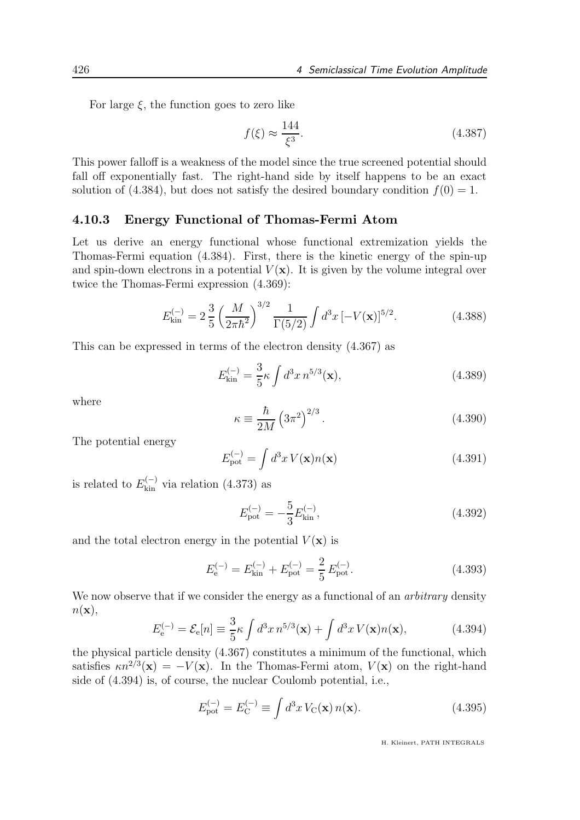For large  $\xi$ , the function goes to zero like

$$
f(\xi) \approx \frac{144}{\xi^3}.\tag{4.387}
$$

This power falloff is a weakness of the model since the true screened potential should fall off exponentially fast. The right-hand side by itself happens to be an exact solution of (4.384), but does not satisfy the desired boundary condition  $f(0) = 1$ .

#### 4.10.3 Energy Functional of Thomas-Fermi Atom

Let us derive an energy functional whose functional extremization yields the Thomas-Fermi equation (4.384). First, there is the kinetic energy of the spin-up and spin-down electrons in a potential  $V(\mathbf{x})$ . It is given by the volume integral over twice the Thomas-Fermi expression (4.369):

$$
E_{\rm kin}^{(-)} = 2\frac{3}{5} \left(\frac{M}{2\pi\hbar^2}\right)^{3/2} \frac{1}{\Gamma(5/2)} \int d^3x \left[-V(\mathbf{x})\right]^{5/2}.
$$
 (4.388)

This can be expressed in terms of the electron density (4.367) as

$$
E_{\rm kin}^{(-)} = \frac{3}{5} \kappa \int d^3 x \, n^{5/3}(\mathbf{x}),\tag{4.389}
$$

where

$$
\kappa \equiv \frac{\hbar}{2M} \left(3\pi^2\right)^{2/3}.\tag{4.390}
$$

The potential energy

$$
E_{\rm pot}^{(-)} = \int d^3x \, V(\mathbf{x}) n(\mathbf{x}) \tag{4.391}
$$

is related to  $E_{\text{kin}}^{(-)}$  via relation (4.373) as

$$
E_{\rm pot}^{(-)} = -\frac{5}{3} E_{\rm kin}^{(-)},\tag{4.392}
$$

and the total electron energy in the potential  $V(\mathbf{x})$  is

$$
E_{\rm e}^{(-)} = E_{\rm kin}^{(-)} + E_{\rm pot}^{(-)} = \frac{2}{5} E_{\rm pot}^{(-)}.
$$
\n(4.393)

We now observe that if we consider the energy as a functional of an *arbitrary* density  $n(\mathbf{x}),$ 

$$
E_{\mathbf{e}}^{(-)} = \mathcal{E}_{\mathbf{e}}[n] \equiv \frac{3}{5} \kappa \int d^3 x \, n^{5/3}(\mathbf{x}) + \int d^3 x \, V(\mathbf{x}) n(\mathbf{x}), \tag{4.394}
$$

the physical particle density (4.367) constitutes a minimum of the functional, which satisfies  $\kappa n^{2/3}(\mathbf{x}) = -V(\mathbf{x})$ . In the Thomas-Fermi atom,  $V(\mathbf{x})$  on the right-hand side of (4.394) is, of course, the nuclear Coulomb potential, i.e.,

$$
E_{\text{pot}}^{(-)} = E_{\text{C}}^{(-)} \equiv \int d^3x \, V_{\text{C}}(\mathbf{x}) \, n(\mathbf{x}). \tag{4.395}
$$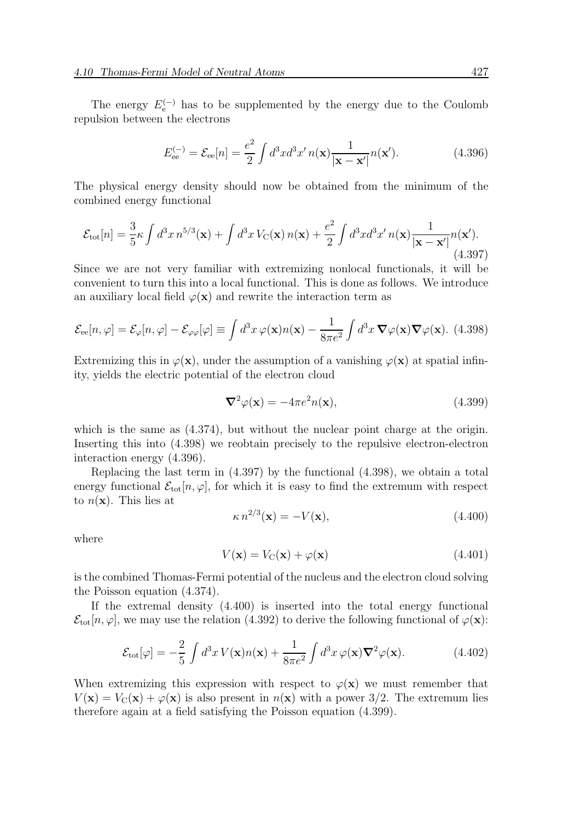The energy  $E_{e}^{(-)}$  has to be supplemented by the energy due to the Coulomb repulsion between the electrons

$$
E_{\text{ee}}^{(-)} = \mathcal{E}_{\text{ee}}[n] = \frac{e^2}{2} \int d^3x d^3x' \, n(\mathbf{x}) \frac{1}{|\mathbf{x} - \mathbf{x}'|} n(\mathbf{x}'). \tag{4.396}
$$

The physical energy density should now be obtained from the minimum of the combined energy functional

$$
\mathcal{E}_{\text{tot}}[n] = \frac{3}{5} \kappa \int d^3 x \, n^{5/3}(\mathbf{x}) + \int d^3 x \, V_{\text{C}}(\mathbf{x}) \, n(\mathbf{x}) + \frac{e^2}{2} \int d^3 x \, d^3 x' \, n(\mathbf{x}) \frac{1}{|\mathbf{x} - \mathbf{x}'|} n(\mathbf{x}'). \tag{4.397}
$$

Since we are not very familiar with extremizing nonlocal functionals, it will be convenient to turn this into a local functional. This is done as follows. We introduce an auxiliary local field  $\varphi(\mathbf{x})$  and rewrite the interaction term as

$$
\mathcal{E}_{ee}[n,\varphi] = \mathcal{E}_{\varphi}[n,\varphi] - \mathcal{E}_{\varphi\varphi}[\varphi] \equiv \int d^3x \,\varphi(\mathbf{x})n(\mathbf{x}) - \frac{1}{8\pi e^2} \int d^3x \,\nabla\varphi(\mathbf{x})\nabla\varphi(\mathbf{x}). \tag{4.398}
$$

Extremizing this in  $\varphi(\mathbf{x})$ , under the assumption of a vanishing  $\varphi(\mathbf{x})$  at spatial infinity, yields the electric potential of the electron cloud

$$
\nabla^2 \varphi(\mathbf{x}) = -4\pi e^2 n(\mathbf{x}),\tag{4.399}
$$

which is the same as  $(4.374)$ , but without the nuclear point charge at the origin. Inserting this into (4.398) we reobtain precisely to the repulsive electron-electron interaction energy (4.396).

Replacing the last term in (4.397) by the functional (4.398), we obtain a total energy functional  $\mathcal{E}_{\text{tot}}[n, \varphi]$ , for which it is easy to find the extremum with respect to  $n(\mathbf{x})$ . This lies at

$$
\kappa n^{2/3}(\mathbf{x}) = -V(\mathbf{x}),\tag{4.400}
$$

where

$$
V(\mathbf{x}) = V_{\mathcal{C}}(\mathbf{x}) + \varphi(\mathbf{x})
$$
\n(4.401)

is the combined Thomas-Fermi potential of the nucleus and the electron cloud solving the Poisson equation (4.374).

If the extremal density (4.400) is inserted into the total energy functional  $\mathcal{E}_{\text{tot}}[n,\varphi]$ , we may use the relation (4.392) to derive the following functional of  $\varphi(\mathbf{x})$ :

$$
\mathcal{E}_{\text{tot}}[\varphi] = -\frac{2}{5} \int d^3x \, V(\mathbf{x}) n(\mathbf{x}) + \frac{1}{8\pi e^2} \int d^3x \, \varphi(\mathbf{x}) \nabla^2 \varphi(\mathbf{x}). \tag{4.402}
$$

When extremizing this expression with respect to  $\varphi(\mathbf{x})$  we must remember that  $V(\mathbf{x}) = V_{\mathcal{C}}(\mathbf{x}) + \varphi(\mathbf{x})$  is also present in  $n(\mathbf{x})$  with a power 3/2. The extremum lies therefore again at a field satisfying the Poisson equation (4.399).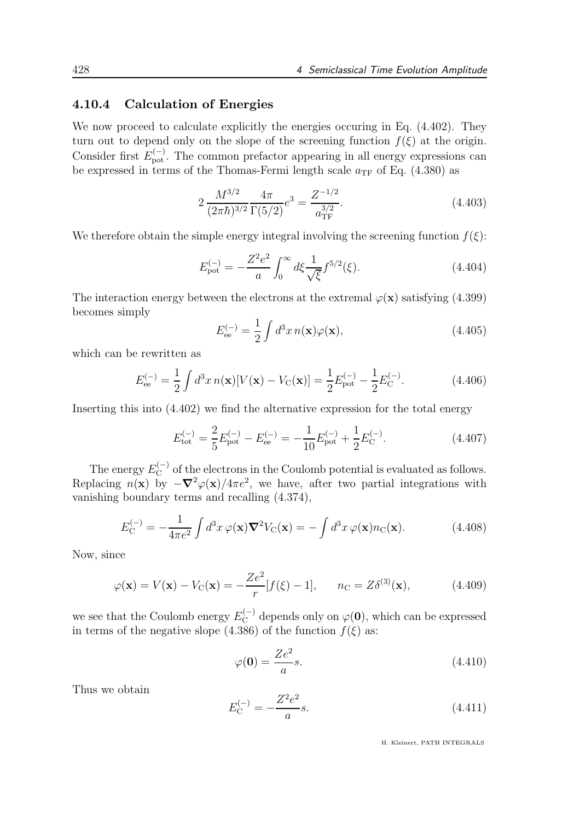### 4.10.4 Calculation of Energies

We now proceed to calculate explicitly the energies occuring in Eq. (4.402). They turn out to depend only on the slope of the screening function  $f(\xi)$  at the origin. Consider first  $E_{\text{pot}}^{(-)}$ . The common prefactor appearing in all energy expressions can be expressed in terms of the Thomas-Fermi length scale  $a_{\text{TF}}$  of Eq. (4.380) as

$$
2\frac{M^{3/2}}{(2\pi\hbar)^{3/2}}\frac{4\pi}{\Gamma(5/2)}e^3 = \frac{Z^{-1/2}}{a_{\rm TF}^{3/2}}.\tag{4.403}
$$

We therefore obtain the simple energy integral involving the screening function  $f(\xi)$ :

$$
E_{\rm pot}^{(-)} = -\frac{Z^2 e^2}{a} \int_0^\infty d\xi \frac{1}{\sqrt{\xi}} f^{5/2}(\xi). \tag{4.404}
$$

The interaction energy between the electrons at the extremal  $\varphi(\mathbf{x})$  satisfying (4.399) becomes simply

$$
E_{\text{ee}}^{(-)} = \frac{1}{2} \int d^3 x \, n(\mathbf{x}) \varphi(\mathbf{x}), \tag{4.405}
$$

which can be rewritten as

$$
E_{\text{ee}}^{(-)} = \frac{1}{2} \int d^3 x \, n(\mathbf{x}) [V(\mathbf{x}) - V_{\text{C}}(\mathbf{x})] = \frac{1}{2} E_{\text{pot}}^{(-)} - \frac{1}{2} E_{\text{C}}^{(-)}.
$$
 (4.406)

Inserting this into (4.402) we find the alternative expression for the total energy

$$
E_{\rm tot}^{(-)} = \frac{2}{5} E_{\rm pot}^{(-)} - E_{\rm ee}^{(-)} = -\frac{1}{10} E_{\rm pot}^{(-)} + \frac{1}{2} E_{\rm C}^{(-)}.
$$
 (4.407)

The energy  $E_C^{(-)}$  of the electrons in the Coulomb potential is evaluated as follows. Replacing  $n(\mathbf{x})$  by  $-\nabla^2 \varphi(\mathbf{x})/4\pi e^2$ , we have, after two partial integrations with vanishing boundary terms and recalling (4.374),

$$
E_{\mathcal{C}}^{(-)} = -\frac{1}{4\pi e^2} \int d^3x \,\varphi(\mathbf{x}) \nabla^2 V_{\mathcal{C}}(\mathbf{x}) = -\int d^3x \,\varphi(\mathbf{x}) n_{\mathcal{C}}(\mathbf{x}). \tag{4.408}
$$

Now, since

$$
\varphi(\mathbf{x}) = V(\mathbf{x}) - V_C(\mathbf{x}) = -\frac{Ze^2}{r} [f(\xi) - 1], \quad n_C = Z\delta^{(3)}(\mathbf{x}),
$$
\n(4.409)

we see that the Coulomb energy  $E_C^{(-)}$  depends only on  $\varphi(0)$ , which can be expressed in terms of the negative slope (4.386) of the function  $f(\xi)$  as:

$$
\varphi(\mathbf{0}) = \frac{Ze^2}{a}s.\tag{4.410}
$$

Thus we obtain

$$
E_C^{(-)} = -\frac{Z^2 e^2}{a}s.\t\t(4.411)
$$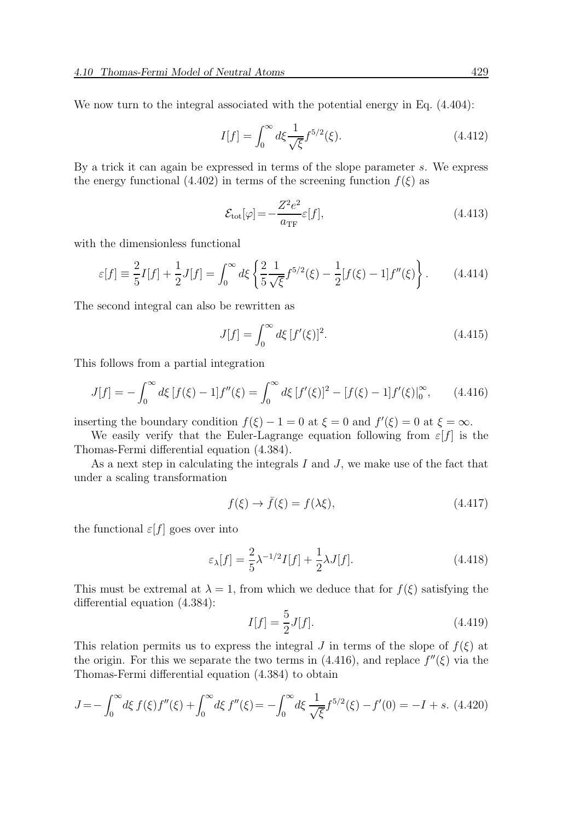We now turn to the integral associated with the potential energy in Eq.  $(4.404)$ :

$$
I[f] = \int_0^\infty d\xi \frac{1}{\sqrt{\xi}} f^{5/2}(\xi). \tag{4.412}
$$

By a trick it can again be expressed in terms of the slope parameter s. We express the energy functional (4.402) in terms of the screening function  $f(\xi)$  as

$$
\mathcal{E}_{\text{tot}}[\varphi] = -\frac{Z^2 e^2}{a_{\text{TF}}} \varepsilon[f],\tag{4.413}
$$

with the dimensionless functional

$$
\varepsilon[f] \equiv \frac{2}{5}I[f] + \frac{1}{2}J[f] = \int_0^\infty d\xi \left\{ \frac{2}{5} \frac{1}{\sqrt{\xi}} f^{5/2}(\xi) - \frac{1}{2} [f(\xi) - 1] f''(\xi) \right\}.
$$
 (4.414)

The second integral can also be rewritten as

$$
J[f] = \int_0^\infty d\xi \, [f'(\xi)]^2. \tag{4.415}
$$

This follows from a partial integration

$$
J[f] = -\int_0^\infty d\xi \left[ f(\xi) - 1 \right] f''(\xi) = \int_0^\infty d\xi \left[ f'(\xi) \right]^2 - \left[ f(\xi) - 1 \right] f'(\xi) \Big|_0^\infty, \tag{4.416}
$$

inserting the boundary condition  $f(\xi) - 1 = 0$  at  $\xi = 0$  and  $f'(\xi) = 0$  at  $\xi = \infty$ .

We easily verify that the Euler-Lagrange equation following from  $\varepsilon[f]$  is the Thomas-Fermi differential equation (4.384).

As a next step in calculating the integrals  $I$  and  $J$ , we make use of the fact that under a scaling transformation

$$
f(\xi) \to \bar{f}(\xi) = f(\lambda \xi), \tag{4.417}
$$

the functional  $\varepsilon[f]$  goes over into

$$
\varepsilon_{\lambda}[f] = \frac{2}{5}\lambda^{-1/2}I[f] + \frac{1}{2}\lambda J[f].\tag{4.418}
$$

This must be extremal at  $\lambda = 1$ , from which we deduce that for  $f(\xi)$  satisfying the differential equation (4.384):

$$
I[f] = \frac{5}{2}J[f].
$$
\n(4.419)

This relation permits us to express the integral J in terms of the slope of  $f(\xi)$  at the origin. For this we separate the two terms in  $(4.416)$ , and replace  $f''(\xi)$  via the Thomas-Fermi differential equation (4.384) to obtain

$$
J = -\int_0^\infty d\xi \, f(\xi) f''(\xi) + \int_0^\infty d\xi \, f''(\xi) = -\int_0^\infty d\xi \, \frac{1}{\sqrt{\xi}} f^{5/2}(\xi) - f'(0) = -I + s. \tag{4.420}
$$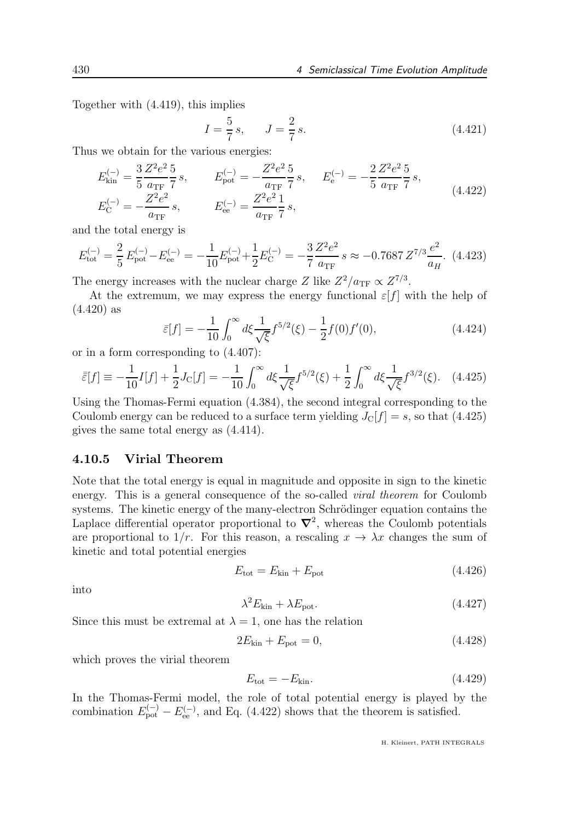Together with (4.419), this implies

$$
I = \frac{5}{7}s, \qquad J = \frac{2}{7}s. \tag{4.421}
$$

Thus we obtain for the various energies:

$$
E_{\text{kin}}^{(-)} = \frac{3}{5} \frac{Z^2 e^2}{a_{\text{TF}}} \frac{5}{7} s, \qquad E_{\text{pot}}^{(-)} = -\frac{Z^2 e^2}{a_{\text{TF}}} \frac{5}{7} s, \qquad E_{\text{e}}^{(-)} = -\frac{2}{5} \frac{Z^2 e^2}{a_{\text{TF}}} \frac{5}{7} s,
$$
\n
$$
E_{\text{C}}^{(-)} = -\frac{Z^2 e^2}{a_{\text{TF}}} s, \qquad E_{\text{ee}}^{(-)} = \frac{Z^2 e^2}{a_{\text{TF}}} \frac{1}{7} s,
$$
\n
$$
(4.422)
$$

and the total energy is

$$
E_{\text{tot}}^{(-)} = \frac{2}{5} E_{\text{pot}}^{(-)} - E_{\text{ee}}^{(-)} = -\frac{1}{10} E_{\text{pot}}^{(-)} + \frac{1}{2} E_{\text{C}}^{(-)} = -\frac{3}{7} \frac{Z^2 e^2}{a_{\text{TF}}} \, s \approx -0.7687 \, Z^{7/3} \frac{e^2}{a_H}.
$$
 (4.423)

The energy increases with the nuclear charge Z like  $Z^2/a_{\text{TF}} \propto Z^{7/3}$ .

At the extremum, we may express the energy functional  $\varepsilon[f]$  with the help of (4.420) as

$$
\bar{\varepsilon}[f] = -\frac{1}{10} \int_0^\infty d\xi \frac{1}{\sqrt{\xi}} f^{5/2}(\xi) - \frac{1}{2} f(0) f'(0), \tag{4.424}
$$

or in a form corresponding to (4.407):

$$
\bar{\bar{z}}[f] \equiv -\frac{1}{10}I[f] + \frac{1}{2}J_C[f] = -\frac{1}{10}\int_0^\infty d\xi \frac{1}{\sqrt{\xi}} f^{5/2}(\xi) + \frac{1}{2}\int_0^\infty d\xi \frac{1}{\sqrt{\xi}} f^{3/2}(\xi). \quad (4.425)
$$

Using the Thomas-Fermi equation (4.384), the second integral corresponding to the Coulomb energy can be reduced to a surface term yielding  $J_{\rm C}[f] = s$ , so that (4.425) gives the same total energy as (4.414).

### 4.10.5 Virial Theorem

Note that the total energy is equal in magnitude and opposite in sign to the kinetic energy. This is a general consequence of the so-called viral theorem for Coulomb systems. The kinetic energy of the many-electron Schrödinger equation contains the Laplace differential operator proportional to  $\nabla^2$ , whereas the Coulomb potentials are proportional to  $1/r$ . For this reason, a rescaling  $x \to \lambda x$  changes the sum of kinetic and total potential energies

$$
E_{\text{tot}} = E_{\text{kin}} + E_{\text{pot}} \tag{4.426}
$$

into

$$
\lambda^2 E_{\text{kin}} + \lambda E_{\text{pot}}.\tag{4.427}
$$

Since this must be extremal at  $\lambda = 1$ , one has the relation

$$
2E_{\rm kin} + E_{\rm pot} = 0,\t\t(4.428)
$$

which proves the virial theorem

$$
E_{\text{tot}} = -E_{\text{kin}}.\tag{4.429}
$$

In the Thomas-Fermi model, the role of total potential energy is played by the combination  $E_{\text{pot}}^{(-)} - E_{\text{ee}}^{(-)}$ , and Eq. (4.422) shows that the theorem is satisfied.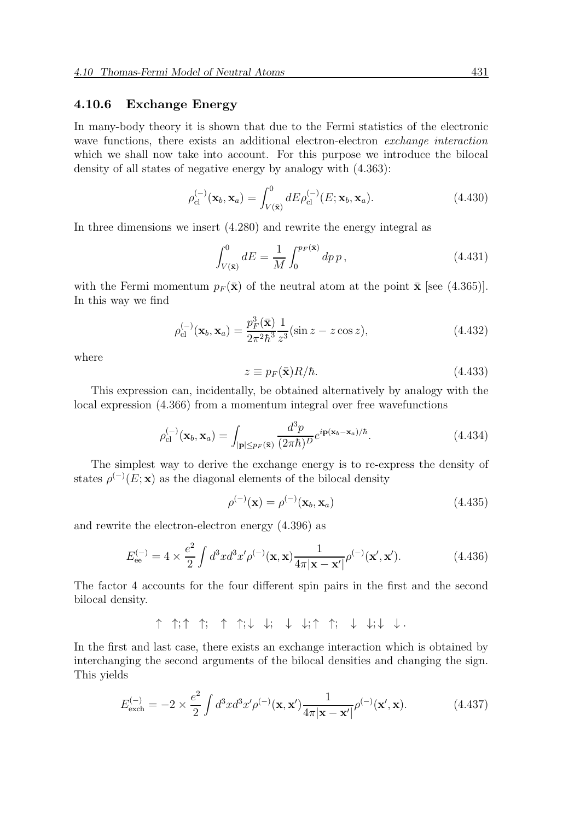### 4.10.6 Exchange Energy

In many-body theory it is shown that due to the Fermi statistics of the electronic wave functions, there exists an additional electron-electron exchange interaction which we shall now take into account. For this purpose we introduce the bilocal density of all states of negative energy by analogy with (4.363):

$$
\rho_{\text{cl}}^{(-)}(\mathbf{x}_b, \mathbf{x}_a) = \int_{V(\bar{\mathbf{x}})}^0 dE \rho_{\text{cl}}^{(-)}(E; \mathbf{x}_b, \mathbf{x}_a). \tag{4.430}
$$

In three dimensions we insert (4.280) and rewrite the energy integral as

$$
\int_{V(\bar{\mathbf{x}})}^{0} dE = \frac{1}{M} \int_{0}^{p_F(\bar{\mathbf{x}})} dp \, p \,, \tag{4.431}
$$

with the Fermi momentum  $p_F(\bar{\mathbf{x}})$  of the neutral atom at the point  $\bar{\mathbf{x}}$  [see (4.365)]. In this way we find

$$
\rho_{\rm cl}^{(-)}(\mathbf{x}_b, \mathbf{x}_a) = \frac{p_F^3(\bar{\mathbf{x}})}{2\pi^2\hbar^3} \frac{1}{z^3} (\sin z - z \cos z),\tag{4.432}
$$

where

$$
z \equiv p_F(\bar{\mathbf{x}})R/\hbar. \tag{4.433}
$$

This expression can, incidentally, be obtained alternatively by analogy with the local expression (4.366) from a momentum integral over free wavefunctions

$$
\rho_{\rm cl}^{(-)}(\mathbf{x}_b, \mathbf{x}_a) = \int_{|\mathbf{p}| \le p_F(\bar{\mathbf{x}})} \frac{d^3 p}{(2\pi\hbar)^D} e^{i\mathbf{p}(\mathbf{x}_b - \mathbf{x}_a)/\hbar}.\tag{4.434}
$$

The simplest way to derive the exchange energy is to re-express the density of states  $\rho^{(-)}(E; \mathbf{x})$  as the diagonal elements of the bilocal density

$$
\rho^{(-)}(\mathbf{x}) = \rho^{(-)}(\mathbf{x}_b, \mathbf{x}_a) \tag{4.435}
$$

and rewrite the electron-electron energy (4.396) as

$$
E_{\text{ee}}^{(-)} = 4 \times \frac{e^2}{2} \int d^3x d^3x' \rho^{(-)}(\mathbf{x}, \mathbf{x}) \frac{1}{4\pi |\mathbf{x} - \mathbf{x}'|} \rho^{(-)}(\mathbf{x}', \mathbf{x}'). \tag{4.436}
$$

The factor 4 accounts for the four different spin pairs in the first and the second bilocal density.

↑ ↑; ↑ ↑; ↑ ↑; ↓ ↓; ↓ ↓; ↑ ↑; ↓ ↓; ↓ ↓ .

In the first and last case, there exists an exchange interaction which is obtained by interchanging the second arguments of the bilocal densities and changing the sign. This yields

$$
E_{\text{exch}}^{(-)} = -2 \times \frac{e^2}{2} \int d^3x d^3x' \rho^{(-)}(\mathbf{x}, \mathbf{x}') \frac{1}{4\pi |\mathbf{x} - \mathbf{x}'|} \rho^{(-)}(\mathbf{x}', \mathbf{x}). \tag{4.437}
$$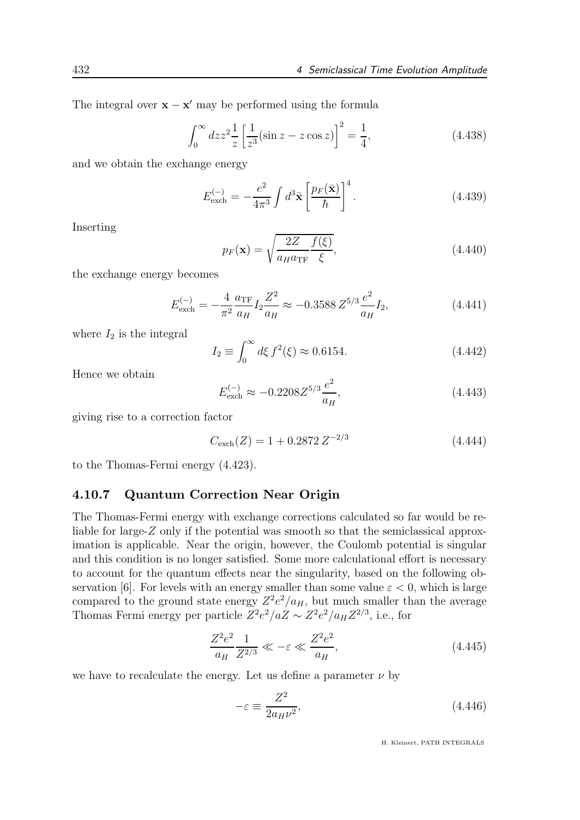The integral over  $\mathbf{x} - \mathbf{x}'$  may be performed using the formula

$$
\int_0^\infty dz z^2 \frac{1}{z} \left[ \frac{1}{z^3} (\sin z - z \cos z) \right]^2 = \frac{1}{4},\tag{4.438}
$$

and we obtain the exchange energy

$$
E_{\text{exch}}^{(-)} = -\frac{e^2}{4\pi^3} \int d^3 \bar{\mathbf{x}} \left[ \frac{p_F(\bar{\mathbf{x}})}{\hbar} \right]^4.
$$
 (4.439)

Inserting

$$
p_F(\mathbf{x}) = \sqrt{\frac{2Z}{a_H a_{\text{TF}}}} \frac{f(\xi)}{\xi},\tag{4.440}
$$

the exchange energy becomes

$$
E_{\text{exch}}^{(-)} = -\frac{4}{\pi^2} \frac{a_{\text{TF}}}{a_H} I_2 \frac{Z^2}{a_H} \approx -0.3588 Z^{5/3} \frac{e^2}{a_H} I_2,\tag{4.441}
$$

where  $I_2$  is the integral

$$
I_2 \equiv \int_0^\infty d\xi \, f^2(\xi) \approx 0.6154. \tag{4.442}
$$

Hence we obtain

$$
E_{\text{exch}}^{(-)} \approx -0.2208 Z^{5/3} \frac{e^2}{a_H},\tag{4.443}
$$

giving rise to a correction factor

$$
C_{\text{exch}}(Z) = 1 + 0.2872 Z^{-2/3}
$$
\n(4.444)

to the Thomas-Fermi energy (4.423).

#### 4.10.7 Quantum Correction Near Origin

The Thomas-Fermi energy with exchange corrections calculated so far would be reliable for large-Z only if the potential was smooth so that the semiclassical approximation is applicable. Near the origin, however, the Coulomb potential is singular and this condition is no longer satisfied. Some more calculational effort is necessary to account for the quantum effects near the singularity, based on the following observation [6]. For levels with an energy smaller than some value  $\varepsilon < 0$ , which is large compared to the ground state energy  $Z^2 e^2/a_H$ , but much smaller than the average Thomas Fermi energy per particle  $Z^2 e^2/aZ \sim Z^2 e^2/a_H Z^{2/3}$ , i.e., for

$$
\frac{Z^2 e^2}{a_H} \frac{1}{Z^{2/3}} \ll -\varepsilon \ll \frac{Z^2 e^2}{a_H},\tag{4.445}
$$

we have to recalculate the energy. Let us define a parameter  $\nu$  by

$$
-\varepsilon \equiv \frac{Z^2}{2a_H \nu^2},\tag{4.446}
$$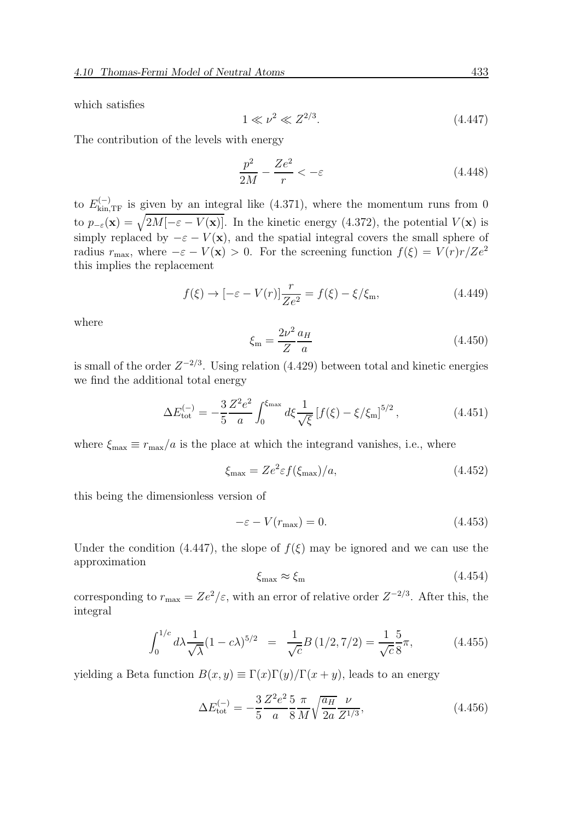which satisfies

$$
1 \ll \nu^2 \ll Z^{2/3}.\tag{4.447}
$$

The contribution of the levels with energy

$$
\frac{p^2}{2M} - \frac{Ze^2}{r} < -\varepsilon \tag{4.448}
$$

to  $E_{\text{kin,TF}}^{(-)}$  is given by an integral like (4.371), where the momentum runs from 0 to  $p_{-\varepsilon}(\mathbf{x}) = \sqrt{2M[-\varepsilon - V(\mathbf{x})]}$ . In the kinetic energy (4.372), the potential  $V(\mathbf{x})$  is simply replaced by  $-\varepsilon - V(\mathbf{x})$ , and the spatial integral covers the small sphere of radius  $r_{\text{max}}$ , where  $-\varepsilon - V(\mathbf{x}) > 0$ . For the screening function  $f(\xi) = V(r)r/Ze^2$ this implies the replacement

$$
f(\xi) \to [-\varepsilon - V(r)] \frac{r}{Ze^2} = f(\xi) - \xi/\xi_m,
$$
\n(4.449)

where

$$
\xi_{\rm m} = \frac{2\nu^2}{Z} \frac{a_H}{a} \tag{4.450}
$$

is small of the order  $Z^{-2/3}$ . Using relation (4.429) between total and kinetic energies we find the additional total energy

$$
\Delta E_{\text{tot}}^{(-)} = -\frac{3}{5} \frac{Z^2 e^2}{a} \int_0^{\xi_{\text{max}}} d\xi \frac{1}{\sqrt{\xi}} \left[ f(\xi) - \xi / \xi_{\text{m}} \right]^{5/2}, \tag{4.451}
$$

where  $\xi_{\text{max}} \equiv r_{\text{max}}/a$  is the place at which the integrand vanishes, i.e., where

$$
\xi_{\text{max}} = Ze^2 \varepsilon f(\xi_{\text{max}})/a,\tag{4.452}
$$

this being the dimensionless version of

$$
-\varepsilon - V(r_{\text{max}}) = 0. \tag{4.453}
$$

Under the condition (4.447), the slope of  $f(\xi)$  may be ignored and we can use the approximation

$$
\xi_{\text{max}} \approx \xi_{\text{m}} \tag{4.454}
$$

corresponding to  $r_{\text{max}} = Ze^2/\varepsilon$ , with an error of relative order  $Z^{-2/3}$ . After this, the integral

$$
\int_0^{1/c} d\lambda \frac{1}{\sqrt{\lambda}} (1 - c\lambda)^{5/2} = \frac{1}{\sqrt{c}} B(1/2, 7/2) = \frac{1}{\sqrt{c}} \frac{5}{8} \pi,
$$
 (4.455)

yielding a Beta function  $B(x, y) \equiv \Gamma(x)\Gamma(y)/\Gamma(x + y)$ , leads to an energy

$$
\Delta E_{\text{tot}}^{(-)} = -\frac{3}{5} \frac{Z^2 e^2}{a} \frac{5}{8} \frac{\pi}{M} \sqrt{\frac{a_H}{2a}} \frac{\nu}{Z^{1/3}},\tag{4.456}
$$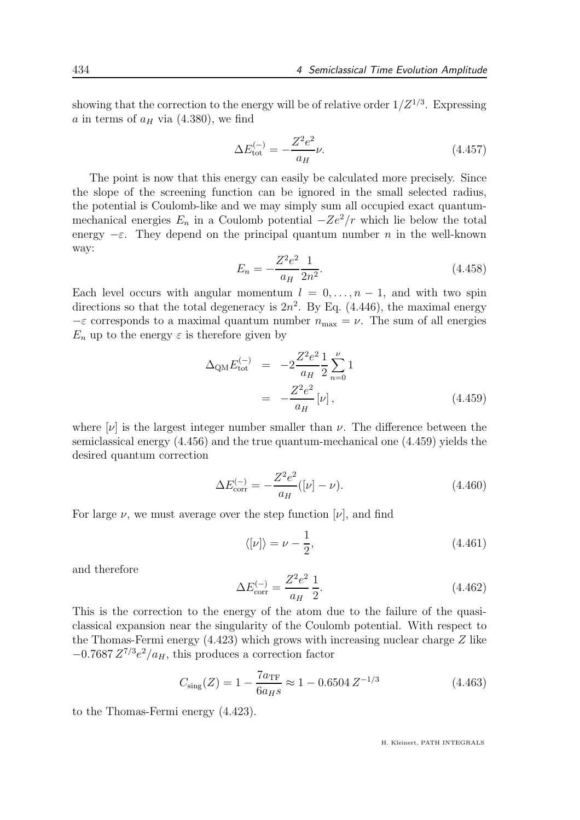showing that the correction to the energy will be of relative order  $1/Z^{1/3}$ . Expressing a in terms of  $a_H$  via (4.380), we find

$$
\Delta E_{\text{tot}}^{(-)} = -\frac{Z^2 e^2}{a_H} \nu.
$$
\n(4.457)

The point is now that this energy can easily be calculated more precisely. Since the slope of the screening function can be ignored in the small selected radius, the potential is Coulomb-like and we may simply sum all occupied exact quantummechanical energies  $E_n$  in a Coulomb potential  $-Ze^2/r$  which lie below the total energy  $-\varepsilon$ . They depend on the principal quantum number n in the well-known way:

$$
E_n = -\frac{Z^2 e^2}{a_H} \frac{1}{2n^2}.
$$
\n(4.458)

Each level occurs with angular momentum  $l = 0, \ldots, n-1$ , and with two spin directions so that the total degeneracy is  $2n^2$ . By Eq. (4.446), the maximal energy  $-\varepsilon$  corresponds to a maximal quantum number  $n_{\text{max}} = \nu$ . The sum of all energies  $E_n$  up to the energy  $\varepsilon$  is therefore given by

$$
\Delta_{\rm QM} E_{\rm tot}^{(-)} = -2 \frac{Z^2 e^2}{a_H} \frac{1}{2} \sum_{n=0}^{\nu} 1
$$
  
= 
$$
-\frac{Z^2 e^2}{a_H} [\nu], \qquad (4.459)
$$

where  $[\nu]$  is the largest integer number smaller than  $\nu$ . The difference between the semiclassical energy (4.456) and the true quantum-mechanical one (4.459) yields the desired quantum correction

$$
\Delta E_{\rm corr}^{(-)} = -\frac{Z^2 e^2}{a_H} ([\nu] - \nu). \tag{4.460}
$$

For large  $\nu$ , we must average over the step function  $[\nu]$ , and find

$$
\langle \left[ \nu \right] \rangle = \nu - \frac{1}{2},\tag{4.461}
$$

and therefore

$$
\Delta E_{\rm corr}^{(-)} = \frac{Z^2 e^2}{a_H} \frac{1}{2}.
$$
\n(4.462)

This is the correction to the energy of the atom due to the failure of the quasiclassical expansion near the singularity of the Coulomb potential. With respect to the Thomas-Fermi energy (4.423) which grows with increasing nuclear charge Z like  $-0.7687 Z^{7/3} e^2/a_H$ , this produces a correction factor

$$
C_{\text{sing}}(Z) = 1 - \frac{7a_{\text{TF}}}{6a_{H}s} \approx 1 - 0.6504 Z^{-1/3}
$$
 (4.463)

to the Thomas-Fermi energy (4.423).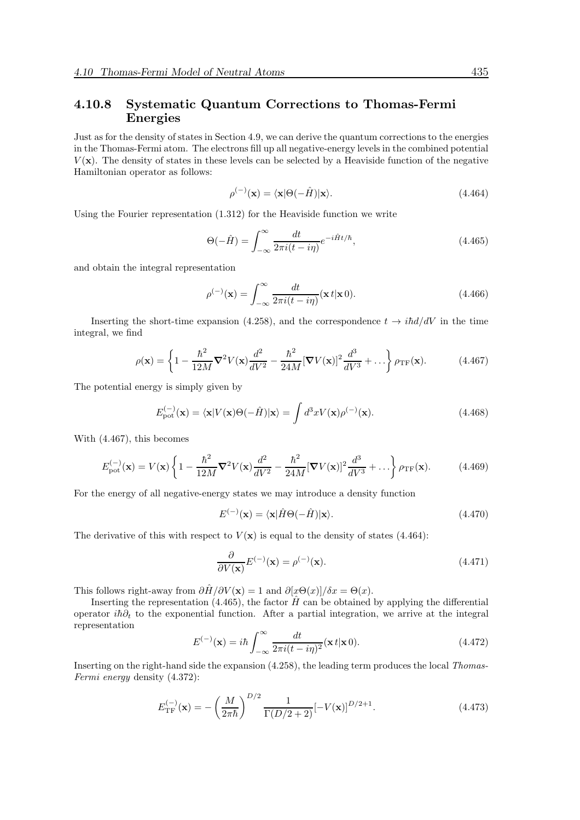### 4.10.8 Systematic Quantum Corrections to Thomas-Fermi Energies

Just as for the density of states in Section 4.9, we can derive the quantum corrections to the energies in the Thomas-Fermi atom. The electrons fill up all negative-energy levels in the combined potential  $V(\mathbf{x})$ . The density of states in these levels can be selected by a Heaviside function of the negative Hamiltonian operator as follows:

$$
\rho^{(-)}(\mathbf{x}) = \langle \mathbf{x} | \Theta(-\hat{H}) | \mathbf{x} \rangle.
$$
\n(4.464)

Using the Fourier representation (1.312) for the Heaviside function we write

$$
\Theta(-\hat{H}) = \int_{-\infty}^{\infty} \frac{dt}{2\pi i (t - i\eta)} e^{-i\hat{H}t/\hbar}, \qquad (4.465)
$$

and obtain the integral representation

$$
\rho^{(-)}(\mathbf{x}) = \int_{-\infty}^{\infty} \frac{dt}{2\pi i (t - i\eta)} (\mathbf{x} \, t | \mathbf{x} \, 0). \tag{4.466}
$$

Inserting the short-time expansion (4.258), and the correspondence  $t \rightarrow i\hbar d/dV$  in the time integral, we find

$$
\rho(\mathbf{x}) = \left\{ 1 - \frac{\hbar^2}{12M} \mathbf{\nabla}^2 V(\mathbf{x}) \frac{d^2}{dV^2} - \frac{\hbar^2}{24M} [\mathbf{\nabla} V(\mathbf{x})]^2 \frac{d^3}{dV^3} + \ldots \right\} \rho_{\rm TF}(\mathbf{x}).\tag{4.467}
$$

The potential energy is simply given by

$$
E_{\rm pot}^{(-)}(\mathbf{x}) = \langle \mathbf{x} | V(\mathbf{x}) \Theta(-\hat{H}) | \mathbf{x} \rangle = \int d^3x V(\mathbf{x}) \rho^{(-)}(\mathbf{x}). \tag{4.468}
$$

With (4.467), this becomes

$$
E_{\text{pot}}^{(-)}(\mathbf{x}) = V(\mathbf{x}) \left\{ 1 - \frac{\hbar^2}{12M} \mathbf{\nabla}^2 V(\mathbf{x}) \frac{d^2}{dV^2} - \frac{\hbar^2}{24M} [\mathbf{\nabla} V(\mathbf{x})]^2 \frac{d^3}{dV^3} + \dots \right\} \rho_{\text{TF}}(\mathbf{x}). \tag{4.469}
$$

For the energy of all negative-energy states we may introduce a density function

$$
E^{(-)}(\mathbf{x}) = \langle \mathbf{x} | \hat{H} \Theta(-\hat{H}) | \mathbf{x} \rangle.
$$
 (4.470)

The derivative of this with respect to  $V(\mathbf{x})$  is equal to the density of states (4.464):

$$
\frac{\partial}{\partial V(\mathbf{x})} E^{(-)}(\mathbf{x}) = \rho^{(-)}(\mathbf{x}).
$$
\n(4.471)

This follows right-away from  $\frac{\partial \hat{H}}{\partial V(\mathbf{x})} = 1$  and  $\frac{\partial [x \Theta(x)]}{\partial x} = \Theta(x)$ .

Inserting the representation (4.465), the factor  $\hat{H}$  can be obtained by applying the differential operator i $\hbar \partial_t$  to the exponential function. After a partial integration, we arrive at the integral representation

$$
E^{(-)}(\mathbf{x}) = i\hbar \int_{-\infty}^{\infty} \frac{dt}{2\pi i (t - i\eta)^2} (\mathbf{x} \, t | \mathbf{x} \, 0).
$$
 (4.472)

Inserting on the right-hand side the expansion (4.258), the leading term produces the local Thomas-Fermi energy density (4.372):

$$
E_{\rm TF}^{(-)}(\mathbf{x}) = -\left(\frac{M}{2\pi\hbar}\right)^{D/2} \frac{1}{\Gamma(D/2+2)} [-V(\mathbf{x})]^{D/2+1}.
$$
 (4.473)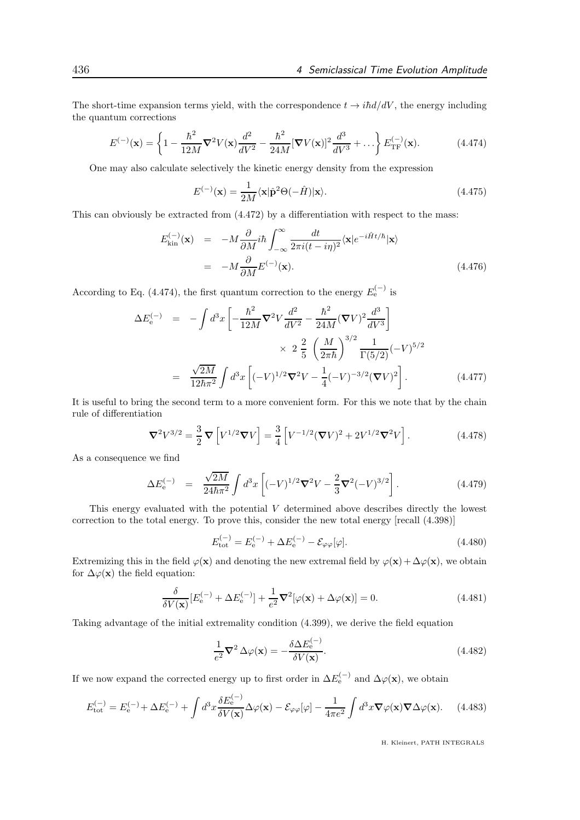The short-time expansion terms yield, with the correspondence  $t \to i\hbar d/dV$ , the energy including the quantum corrections

$$
E^{(-)}(\mathbf{x}) = \left\{ 1 - \frac{\hbar^2}{12M} \nabla^2 V(\mathbf{x}) \frac{d^2}{dV^2} - \frac{\hbar^2}{24M} [\nabla V(\mathbf{x})]^2 \frac{d^3}{dV^3} + \dots \right\} E_{\text{TF}}^{(-)}(\mathbf{x}).\tag{4.474}
$$

One may also calculate selectively the kinetic energy density from the expression

$$
E^{(-)}(\mathbf{x}) = \frac{1}{2M} \langle \mathbf{x} | \hat{\mathbf{p}}^2 \Theta(-\hat{H}) | \mathbf{x} \rangle.
$$
 (4.475)

This can obviously be extracted from (4.472) by a differentiation with respect to the mass:

$$
E_{\text{kin}}^{(-)}(\mathbf{x}) = -M \frac{\partial}{\partial M} i\hbar \int_{-\infty}^{\infty} \frac{dt}{2\pi i (t - i\eta)^2} \langle \mathbf{x} | e^{-i\hat{H}t/\hbar} | \mathbf{x} \rangle
$$
  
= 
$$
-M \frac{\partial}{\partial M} E^{(-)}(\mathbf{x}).
$$
 (4.476)

According to Eq. (4.474), the first quantum correction to the energy  $E_e^{(-)}$  is

$$
\Delta E_{\rm e}^{(-)} = -\int d^3x \left[ -\frac{\hbar^2}{12M} \nabla^2 V \frac{d^2}{dV^2} - \frac{\hbar^2}{24M} (\nabla V)^2 \frac{d^3}{dV^3} \right] \times 2 \frac{2}{5} \left( \frac{M}{2\pi\hbar} \right)^{3/2} \frac{1}{\Gamma(5/2)} (-V)^{5/2}
$$
  
=  $\frac{\sqrt{2M}}{12\hbar\pi^2} \int d^3x \left[ (-V)^{1/2} \nabla^2 V - \frac{1}{4} (-V)^{-3/2} (\nabla V)^2 \right].$  (4.477)

It is useful to bring the second term to a more convenient form. For this we note that by the chain rule of differentiation

$$
\nabla^2 V^{3/2} = \frac{3}{2} \nabla \left[ V^{1/2} \nabla V \right] = \frac{3}{4} \left[ V^{-1/2} (\nabla V)^2 + 2V^{1/2} \nabla^2 V \right]. \tag{4.478}
$$

As a consequence we find

$$
\Delta E_{\rm e}^{(-)} = \frac{\sqrt{2M}}{24\hbar\pi^2} \int d^3x \left[ (-V)^{1/2} \nabla^2 V - \frac{2}{3} \nabla^2 (-V)^{3/2} \right]. \tag{4.479}
$$

This energy evaluated with the potential V determined above describes directly the lowest correction to the total energy. To prove this, consider the new total energy [recall (4.398)]

$$
E_{\text{tot}}^{(-)} = E_{\text{e}}^{(-)} + \Delta E_{\text{e}}^{(-)} - \mathcal{E}_{\varphi\varphi}[\varphi].
$$
\n(4.480)

Extremizing this in the field  $\varphi(\mathbf{x})$  and denoting the new extremal field by  $\varphi(\mathbf{x}) + \Delta \varphi(\mathbf{x})$ , we obtain for  $\Delta\varphi(\mathbf{x})$  the field equation:

$$
\frac{\delta}{\delta V(\mathbf{x})} [E_e^{(-)} + \Delta E_e^{(-)}] + \frac{1}{e^2} \nabla^2 [\varphi(\mathbf{x}) + \Delta \varphi(\mathbf{x})] = 0.
$$
\n(4.481)

Taking advantage of the initial extremality condition (4.399), we derive the field equation

$$
\frac{1}{e^2} \nabla^2 \Delta \varphi(\mathbf{x}) = -\frac{\delta \Delta E_e^{(-)}}{\delta V(\mathbf{x})}.
$$
\n(4.482)

If we now expand the corrected energy up to first order in  $\Delta E_{\rm e}^{(-)}$  and  $\Delta \varphi({\bf x})$ , we obtain

$$
E_{\rm tot}^{(-)} = E_{\rm e}^{(-)} + \Delta E_{\rm e}^{(-)} + \int d^3x \frac{\delta E_{\rm e}^{(-)}}{\delta V(\mathbf{x})} \Delta \varphi(\mathbf{x}) - \mathcal{E}_{\varphi\varphi}[\varphi] - \frac{1}{4\pi e^2} \int d^3x \nabla \varphi(\mathbf{x}) \nabla \Delta \varphi(\mathbf{x}). \tag{4.483}
$$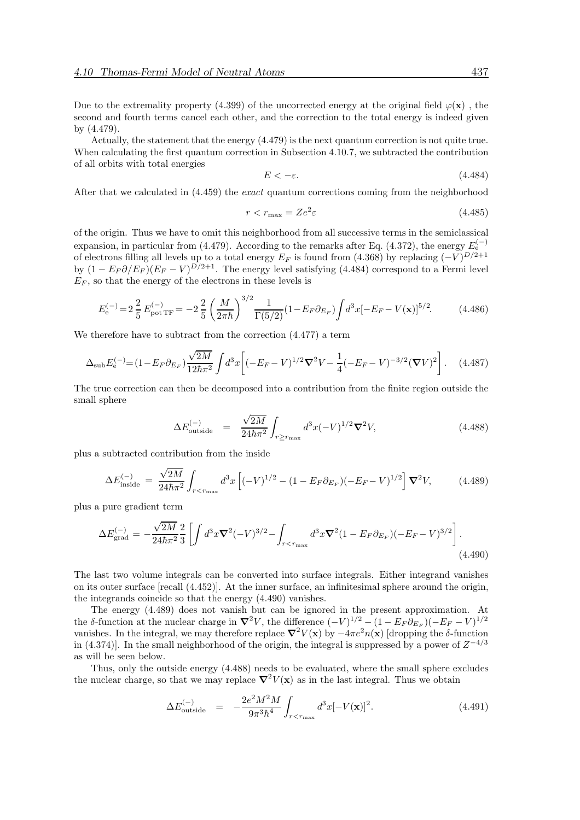Due to the extremality property (4.399) of the uncorrected energy at the original field  $\varphi(\mathbf{x})$ , the second and fourth terms cancel each other, and the correction to the total energy is indeed given by (4.479).

Actually, the statement that the energy (4.479) is the next quantum correction is not quite true. When calculating the first quantum correction in Subsection 4.10.7, we subtracted the contribution of all orbits with total energies

$$
E < -\varepsilon. \tag{4.484}
$$

After that we calculated in (4.459) the exact quantum corrections coming from the neighborhood

$$
r < r_{\text{max}} = Ze^2 \varepsilon \tag{4.485}
$$

of the origin. Thus we have to omit this neighborhood from all successive terms in the semiclassical expansion, in particular from (4.479). According to the remarks after Eq. (4.372), the energy  $E_e^{(-)}$ of electrons filling all levels up to a total energy  $E_F$  is found from (4.368) by replacing  $(-V)^{D/2+1}$ by  $(1 - E_F \partial / E_F) (E_F - V)^{D/2+1}$ . The energy level satisfying (4.484) correspond to a Fermi level  $E_F$ , so that the energy of the electrons in these levels is

$$
E_{\rm e}^{(-)} = 2\frac{2}{5} E_{\rm pot\,TF}^{(-)} = -2\frac{2}{5} \left(\frac{M}{2\pi\hbar}\right)^{3/2} \frac{1}{\Gamma(5/2)} (1 - E_F \partial_{E_F}) \int d^3x [-E_F - V(\mathbf{x})]^{5/2}.
$$
 (4.486)

We therefore have to subtract from the correction (4.477) a term

$$
\Delta_{\rm sub} E_{\rm e}^{(-)} = (1 - E_F \partial_{E_F}) \frac{\sqrt{2M}}{12\hbar \pi^2} \int d^3x \left[ (-E_F - V)^{1/2} \nabla^2 V - \frac{1}{4} (-E_F - V)^{-3/2} (\nabla V)^2 \right]. \tag{4.487}
$$

The true correction can then be decomposed into a contribution from the finite region outside the small sphere

$$
\Delta E_{\text{outside}}^{(-)} = \frac{\sqrt{2M}}{24\hbar\pi^2} \int_{r \ge r_{\text{max}}} d^3x (-V)^{1/2} \nabla^2 V,\tag{4.488}
$$

plus a subtracted contribution from the inside

$$
\Delta E_{\rm inside}^{(-)} = \frac{\sqrt{2M}}{24\hbar\pi^2} \int_{r < r_{\rm max}} d^3x \left[ (-V)^{1/2} - (1 - E_F \partial_{E_F}) (-E_F - V)^{1/2} \right] \nabla^2 V,\tag{4.489}
$$

plus a pure gradient term

$$
\Delta E_{\text{grad}}^{(-)} = -\frac{\sqrt{2M}}{24\hbar\pi^2} \frac{2}{3} \left[ \int d^3x \nabla^2 (-V)^{3/2} - \int_{r < r_{\text{max}}} d^3x \nabla^2 (1 - E_F \partial_{E_F}) (-E_F - V)^{3/2} \right]. \tag{4.490}
$$

The last two volume integrals can be converted into surface integrals. Either integrand vanishes on its outer surface [recall (4.452)]. At the inner surface, an infinitesimal sphere around the origin, the integrands coincide so that the energy (4.490) vanishes.

The energy (4.489) does not vanish but can be ignored in the present approximation. At the δ-function at the nuclear charge in  $\nabla^2 V$ , the difference  $(-V)^{1/2} - (1 - E_F \partial_{E_F}) (-E_F - V)^{1/2}$ vanishes. In the integral, we may therefore replace  $\nabla^2 V(\mathbf{x})$  by  $-4\pi e^2 n(\mathbf{x})$  [dropping the δ-function in (4.374)]. In the small neighborhood of the origin, the integral is suppressed by a power of  $Z^{-4/3}$ as will be seen below.

Thus, only the outside energy (4.488) needs to be evaluated, where the small sphere excludes the nuclear charge, so that we may replace  $\nabla^2 V(\mathbf{x})$  as in the last integral. Thus we obtain

$$
\Delta E_{\text{outside}}^{(-)} = -\frac{2e^2M^2M}{9\pi^3\hbar^4} \int_{r < r_{\text{max}}} d^3x [-V(\mathbf{x})]^2. \tag{4.491}
$$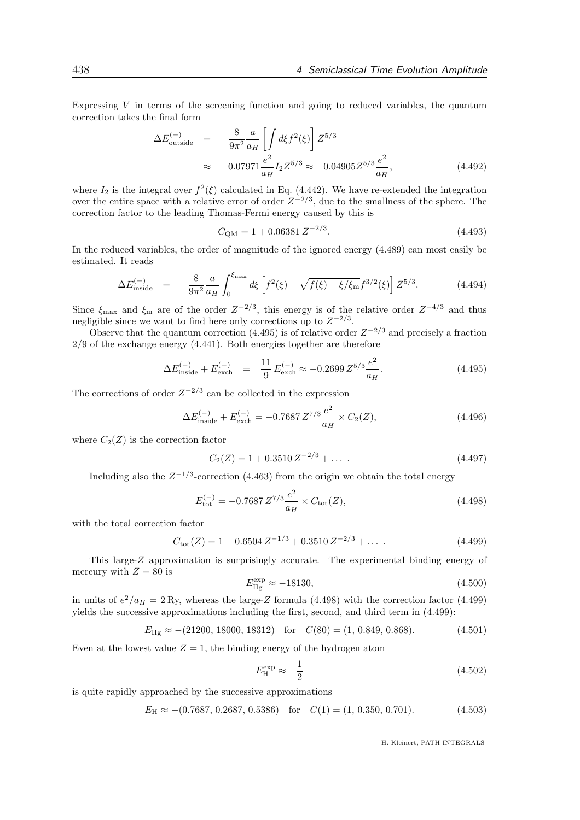Expressing  $V$  in terms of the screening function and going to reduced variables, the quantum correction takes the final form

$$
\Delta E_{\text{outside}}^{(-)} = -\frac{8}{9\pi^2} \frac{a}{a_H} \left[ \int d\xi f^2(\xi) \right] Z^{5/3}
$$
  

$$
\approx -0.07971 \frac{e^2}{a_H} I_2 Z^{5/3} \approx -0.04905 Z^{5/3} \frac{e^2}{a_H}, \qquad (4.492)
$$

where  $I_2$  is the integral over  $f^2(\xi)$  calculated in Eq. (4.442). We have re-extended the integration over the entire space with a relative error of order  $Z^{-2/3}$ , due to the smallness of the sphere. The correction factor to the leading Thomas-Fermi energy caused by this is

$$
C_{\rm QM} = 1 + 0.06381 Z^{-2/3}.
$$
\n(4.493)

In the reduced variables, the order of magnitude of the ignored energy (4.489) can most easily be estimated. It reads

$$
\Delta E_{\text{inside}}^{(-)} = -\frac{8}{9\pi^2} \frac{a}{a_H} \int_0^{\xi_{\text{max}}} d\xi \left[ f^2(\xi) - \sqrt{f(\xi) - \xi/\xi_{\text{m}}} f^{3/2}(\xi) \right] Z^{5/3}.
$$
 (4.494)

Since  $\xi_{\text{max}}$  and  $\xi_{\text{m}}$  are of the order  $Z^{-2/3}$ , this energy is of the relative order  $Z^{-4/3}$  and thus negligible since we want to find here only corrections up to  $Z^{-2/3}$ .

Observe that the quantum correction (4.495) is of relative order  $Z^{-2/3}$  and precisely a fraction 2/9 of the exchange energy (4.441). Both energies together are therefore

$$
\Delta E_{\text{inside}}^{(-)} + E_{\text{exch}}^{(-)} = \frac{11}{9} E_{\text{exch}}^{(-)} \approx -0.2699 Z^{5/3} \frac{e^2}{a_H}.
$$
\n(4.495)

The corrections of order  $Z^{-2/3}$  can be collected in the expression

$$
\Delta E_{\text{inside}}^{(-)} + E_{\text{exch}}^{(-)} = -0.7687 Z^{7/3} \frac{e^2}{a_H} \times C_2(Z),\tag{4.496}
$$

where  $C_2(Z)$  is the correction factor

$$
C_2(Z) = 1 + 0.3510 Z^{-2/3} + \dots \tag{4.497}
$$

Including also the  $Z^{-1/3}$ -correction (4.463) from the origin we obtain the total energy

$$
E_{\text{tot}}^{(-)} = -0.7687 Z^{7/3} \frac{e^2}{a_H} \times C_{\text{tot}}(Z),
$$
\n(4.498)

with the total correction factor

$$
C_{\text{tot}}(Z) = 1 - 0.6504 Z^{-1/3} + 0.3510 Z^{-2/3} + \dots
$$
 (4.499)

This large-Z approximation is surprisingly accurate. The experimental binding energy of mercury with  $Z = 80$  is

$$
E_{\rm Hg}^{\rm exp} \approx -18130,\tag{4.500}
$$

in units of  $e^2/a_H = 2$  Ry, whereas the large-Z formula (4.498) with the correction factor (4.499) yields the successive approximations including the first, second, and third term in (4.499):

$$
E_{\text{Hg}} \approx -(21200, 18000, 18312)
$$
 for  $C(80) = (1, 0.849, 0.868)$ . (4.501)

Even at the lowest value  $Z = 1$ , the binding energy of the hydrogen atom

$$
E_{\rm H}^{\rm exp} \approx -\frac{1}{2} \tag{4.502}
$$

is quite rapidly approached by the successive approximations

$$
E_{\rm H} \approx -(0.7687, 0.2687, 0.5386) \quad \text{for} \quad C(1) = (1, 0.350, 0.701). \tag{4.503}
$$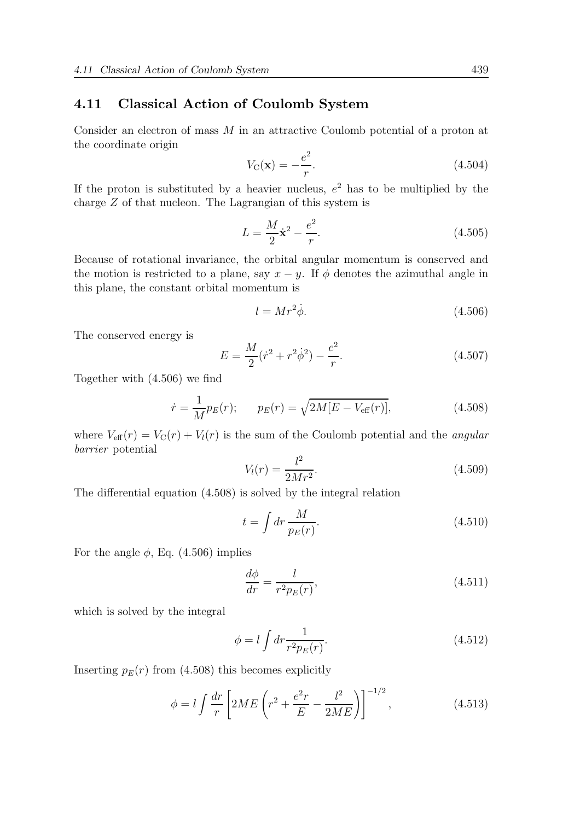# 4.11 Classical Action of Coulomb System

Consider an electron of mass M in an attractive Coulomb potential of a proton at the coordinate origin

$$
V_{\mathcal{C}}(\mathbf{x}) = -\frac{e^2}{r}.\tag{4.504}
$$

If the proton is substituted by a heavier nucleus,  $e^2$  has to be multiplied by the charge Z of that nucleon. The Lagrangian of this system is

$$
L = \frac{M}{2}\dot{\mathbf{x}}^2 - \frac{e^2}{r}.
$$
 (4.505)

Because of rotational invariance, the orbital angular momentum is conserved and the motion is restricted to a plane, say  $x - y$ . If  $\phi$  denotes the azimuthal angle in this plane, the constant orbital momentum is

$$
l = Mr^2 \dot{\phi}.\tag{4.506}
$$

The conserved energy is

$$
E = \frac{M}{2}(\dot{r}^2 + r^2\dot{\phi}^2) - \frac{e^2}{r}.
$$
\n(4.507)

Together with (4.506) we find

$$
\dot{r} = \frac{1}{M} p_E(r); \qquad p_E(r) = \sqrt{2M[E - V_{\text{eff}}(r)]}, \tag{4.508}
$$

where  $V_{\text{eff}}(r) = V_{\text{C}}(r) + V_l(r)$  is the sum of the Coulomb potential and the *angular* barrier potential

$$
V_l(r) = \frac{l^2}{2Mr^2}.
$$
\n(4.509)

The differential equation (4.508) is solved by the integral relation

$$
t = \int dr \frac{M}{p_E(r)}.\tag{4.510}
$$

For the angle  $\phi$ , Eq. (4.506) implies

$$
\frac{d\phi}{dr} = \frac{l}{r^2 p_E(r)},\tag{4.511}
$$

which is solved by the integral

$$
\phi = l \int dr \frac{1}{r^2 p_E(r)}.\tag{4.512}
$$

Inserting  $p_E(r)$  from (4.508) this becomes explicitly

$$
\phi = l \int \frac{dr}{r} \left[ 2ME \left( r^2 + \frac{e^2 r}{E} - \frac{l^2}{2ME} \right) \right]^{-1/2}, \tag{4.513}
$$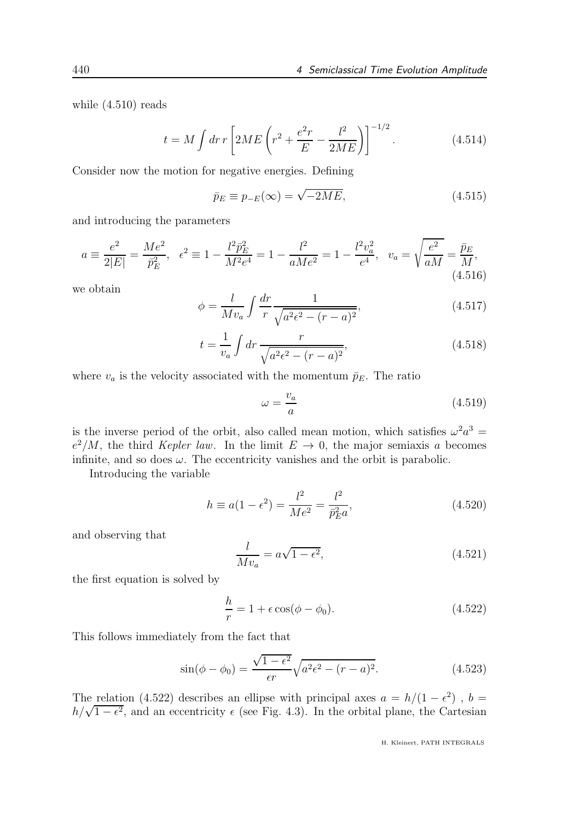while (4.510) reads

$$
t = M \int dr \, r \left[ 2ME \left( r^2 + \frac{e^2 r}{E} - \frac{l^2}{2ME} \right) \right]^{-1/2} . \tag{4.514}
$$

Consider now the motion for negative energies. Defining

$$
\bar{p}_E \equiv p_{-E}(\infty) = \sqrt{-2ME},\tag{4.515}
$$

and introducing the parameters

$$
a \equiv \frac{e^2}{2|E|} = \frac{Me^2}{\bar{p}_E^2}, \quad \epsilon^2 \equiv 1 - \frac{l^2 \bar{p}_E^2}{M^2 e^4} = 1 - \frac{l^2}{aMe^2} = 1 - \frac{l^2 v_a^2}{e^4}, \quad v_a = \sqrt{\frac{e^2}{aM}} = \frac{\bar{p}_E}{M},\tag{4.516}
$$

we obtain

$$
\phi = \frac{l}{Mv_a} \int \frac{dr}{r} \frac{1}{\sqrt{a^2 \epsilon^2 - (r - a)^2}},\tag{4.517}
$$

$$
t = \frac{1}{v_a} \int dr \, \frac{r}{\sqrt{a^2 \epsilon^2 - (r - a)^2}},\tag{4.518}
$$

where  $v_a$  is the velocity associated with the momentum  $\bar{p}_E$ . The ratio

$$
\omega = \frac{v_a}{a} \tag{4.519}
$$

is the inverse period of the orbit, also called mean motion, which satisfies  $\omega^2 a^3 =$  $e^2/M$ , the third *Kepler law*. In the limit  $E \to 0$ , the major semiaxis a becomes infinite, and so does  $\omega$ . The eccentricity vanishes and the orbit is parabolic.

Introducing the variable

$$
h \equiv a(1 - \epsilon^2) = \frac{l^2}{Me^2} = \frac{l^2}{\bar{p}_E^2 a},
$$
\n(4.520)

and observing that

$$
\frac{l}{Mv_a} = a\sqrt{1 - \epsilon^2},\tag{4.521}
$$

the first equation is solved by

$$
\frac{h}{r} = 1 + \epsilon \cos(\phi - \phi_0). \tag{4.522}
$$

This follows immediately from the fact that

$$
\sin(\phi - \phi_0) = \frac{\sqrt{1 - \epsilon^2}}{\epsilon r} \sqrt{a^2 \epsilon^2 - (r - a)^2}.
$$
 (4.523)

The relation (4.522) describes an ellipse with principal axes  $a = h/(1 - \epsilon^2)$ ,  $b =$  $h/\sqrt{1-\epsilon^2}$ , and an eccentricity  $\epsilon$  (see Fig. 4.3). In the orbital plane, the Cartesian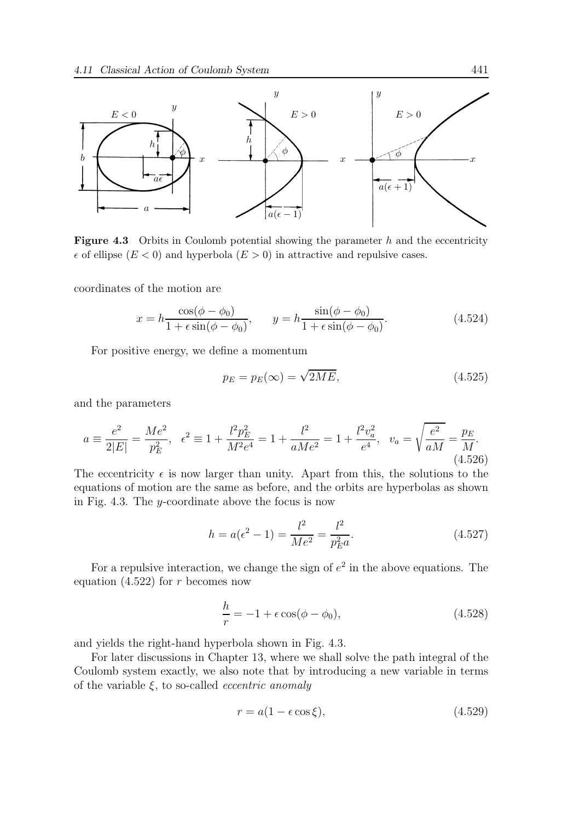

**Figure 4.3** Orbits in Coulomb potential showing the parameter  $h$  and the eccentricity  $\epsilon$  of ellipse  $(E < 0)$  and hyperbola  $(E > 0)$  in attractive and repulsive cases.

coordinates of the motion are

$$
x = h \frac{\cos(\phi - \phi_0)}{1 + \epsilon \sin(\phi - \phi_0)}, \qquad y = h \frac{\sin(\phi - \phi_0)}{1 + \epsilon \sin(\phi - \phi_0)}.
$$
 (4.524)

For positive energy, we define a momentum

$$
p_E = p_E(\infty) = \sqrt{2ME},\tag{4.525}
$$

and the parameters

$$
a \equiv \frac{e^2}{2|E|} = \frac{Me^2}{p_E^2}, \quad \epsilon^2 \equiv 1 + \frac{l^2 p_E^2}{M^2 e^4} = 1 + \frac{l^2}{aMe^2} = 1 + \frac{l^2 v_a^2}{e^4}, \quad v_a = \sqrt{\frac{e^2}{aM}} = \frac{p_E}{M}.
$$
\n(4.526)

The eccentricity  $\epsilon$  is now larger than unity. Apart from this, the solutions to the equations of motion are the same as before, and the orbits are hyperbolas as shown in Fig. 4.3. The y-coordinate above the focus is now

$$
h = a(\epsilon^2 - 1) = \frac{l^2}{Me^2} = \frac{l^2}{p_E^2 a}.
$$
\n(4.527)

For a repulsive interaction, we change the sign of  $e^2$  in the above equations. The equation  $(4.522)$  for r becomes now

$$
\frac{h}{r} = -1 + \epsilon \cos(\phi - \phi_0),\tag{4.528}
$$

and yields the right-hand hyperbola shown in Fig. 4.3.

For later discussions in Chapter 13, where we shall solve the path integral of the Coulomb system exactly, we also note that by introducing a new variable in terms of the variable  $\xi$ , to so-called *eccentric anomaly* 

$$
r = a(1 - \epsilon \cos \xi), \tag{4.529}
$$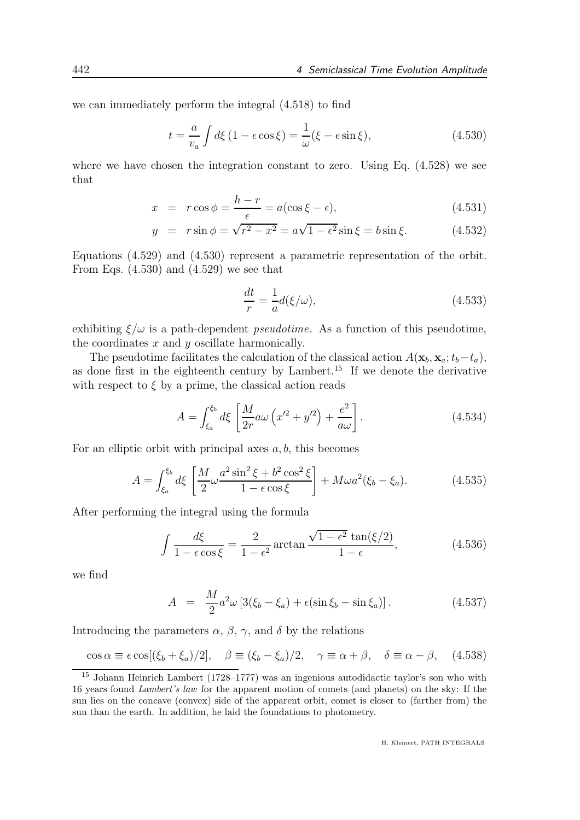we can immediately perform the integral (4.518) to find

$$
t = \frac{a}{v_a} \int d\xi \left( 1 - \epsilon \cos \xi \right) = \frac{1}{\omega} (\xi - \epsilon \sin \xi), \tag{4.530}
$$

where we have chosen the integration constant to zero. Using Eq. (4.528) we see that

$$
x = r \cos \phi = \frac{h - r}{\epsilon} = a(\cos \xi - \epsilon), \qquad (4.531)
$$

$$
y = r \sin \phi = \sqrt{r^2 - x^2} = a\sqrt{1 - \epsilon^2} \sin \xi = b \sin \xi. \tag{4.532}
$$

Equations (4.529) and (4.530) represent a parametric representation of the orbit. From Eqs. (4.530) and (4.529) we see that

$$
\frac{dt}{r} = -\frac{1}{a}d(\xi/\omega),\tag{4.533}
$$

exhibiting  $\xi/\omega$  is a path-dependent *pseudotime*. As a function of this pseudotime, the coordinates  $x$  and  $y$  oscillate harmonically.

The pseudotime facilitates the calculation of the classical action  $A(\mathbf{x}_b, \mathbf{x}_a; t_b-t_a)$ , as done first in the eighteenth century by Lambert.<sup>15</sup> If we denote the derivative with respect to  $\xi$  by a prime, the classical action reads

$$
A = \int_{\xi_a}^{\xi_b} d\xi \left[ \frac{M}{2r} a\omega \left( x'^2 + y'^2 \right) + \frac{e^2}{a\omega} \right]. \tag{4.534}
$$

For an elliptic orbit with principal axes  $a, b$ , this becomes

$$
A = \int_{\xi_a}^{\xi_b} d\xi \left[ \frac{M}{2} \omega \frac{a^2 \sin^2 \xi + b^2 \cos^2 \xi}{1 - \epsilon \cos \xi} \right] + M \omega a^2 (\xi_b - \xi_a).
$$
 (4.535)

After performing the integral using the formula

$$
\int \frac{d\xi}{1 - \epsilon \cos \xi} = \frac{2}{1 - \epsilon^2} \arctan \frac{\sqrt{1 - \epsilon^2} \tan(\xi/2)}{1 - \epsilon},
$$
\n(4.536)

we find

$$
A = \frac{M}{2}a^2\omega\left[3(\xi_b - \xi_a) + \epsilon(\sin\xi_b - \sin\xi_a)\right].\tag{4.537}
$$

Introducing the parameters  $\alpha$ ,  $\beta$ ,  $\gamma$ , and  $\delta$  by the relations

$$
\cos \alpha \equiv \epsilon \cos[(\xi_b + \xi_a)/2], \quad \beta \equiv (\xi_b - \xi_a)/2, \quad \gamma \equiv \alpha + \beta, \quad \delta \equiv \alpha - \beta, \quad (4.538)
$$

<sup>15</sup> Johann Heinrich Lambert (1728–1777) was an ingenious autodidactic taylor's son who with 16 years found Lambert's law for the apparent motion of comets (and planets) on the sky: If the sun lies on the concave (convex) side of the apparent orbit, comet is closer to (farther from) the sun than the earth. In addition, he laid the foundations to photometry.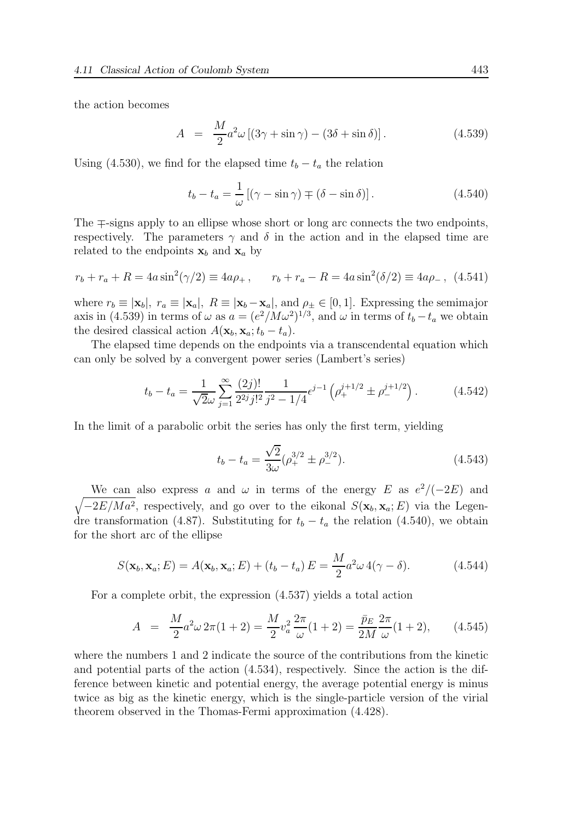the action becomes

$$
A = \frac{M}{2}a^2\omega\left[\left(3\gamma + \sin\gamma\right) - \left(3\delta + \sin\delta\right)\right].\tag{4.539}
$$

Using (4.530), we find for the elapsed time  $t_b - t_a$  the relation

$$
t_b - t_a = \frac{1}{\omega} \left[ (\gamma - \sin \gamma) \mp (\delta - \sin \delta) \right]. \tag{4.540}
$$

The ∓-signs apply to an ellipse whose short or long arc connects the two endpoints, respectively. The parameters  $\gamma$  and  $\delta$  in the action and in the elapsed time are related to the endpoints  $x_b$  and  $x_a$  by

$$
r_b + r_a + R = 4a \sin^2(\gamma/2) \equiv 4a\rho_+, \qquad r_b + r_a - R = 4a \sin^2(\delta/2) \equiv 4a\rho_-, \tag{4.541}
$$

where  $r_b \equiv |\mathbf{x}_b|$ ,  $r_a \equiv |\mathbf{x}_a|$ ,  $R \equiv |\mathbf{x}_b - \mathbf{x}_a|$ , and  $\rho_{\pm} \in [0, 1]$ . Expressing the semimajor axis in (4.539) in terms of  $\omega$  as  $a = (e^2/M\omega^2)^{1/3}$ , and  $\omega$  in terms of  $t_b - t_a$  we obtain the desired classical action  $A(\mathbf{x}_b, \mathbf{x}_a; t_b - t_a)$ .

The elapsed time depends on the endpoints via a transcendental equation which can only be solved by a convergent power series (Lambert's series)

$$
t_b - t_a = \frac{1}{\sqrt{2}\omega} \sum_{j=1}^{\infty} \frac{(2j)!}{2^{2j}j!^2} \frac{1}{j^2 - 1/4} \epsilon^{j-1} \left( \rho_+^{j+1/2} \pm \rho_-^{j+1/2} \right). \tag{4.542}
$$

In the limit of a parabolic orbit the series has only the first term, yielding

$$
t_b - t_a = \frac{\sqrt{2}}{3\omega} (\rho_+^{3/2} \pm \rho_-^{3/2}).
$$
\n(4.543)

We can also express a and  $\omega$  in terms of the energy E as  $e^2/(-2E)$  and  $\sqrt{-2E/Ma^2}$ , respectively, and go over to the eikonal  $S(\mathbf{x}_b, \mathbf{x}_a; E)$  via the Legendre transformation (4.87). Substituting for  $t_b - t_a$  the relation (4.540), we obtain for the short arc of the ellipse

$$
S(\mathbf{x}_b, \mathbf{x}_a; E) = A(\mathbf{x}_b, \mathbf{x}_a; E) + (t_b - t_a) E = \frac{M}{2} a^2 \omega 4(\gamma - \delta).
$$
 (4.544)

For a complete orbit, the expression (4.537) yields a total action

$$
A = \frac{M}{2}a^2\omega 2\pi (1+2) = \frac{M}{2}v_a^2 \frac{2\pi}{\omega}(1+2) = \frac{\bar{p}_E}{2M} \frac{2\pi}{\omega}(1+2), \qquad (4.545)
$$

where the numbers 1 and 2 indicate the source of the contributions from the kinetic and potential parts of the action (4.534), respectively. Since the action is the difference between kinetic and potential energy, the average potential energy is minus twice as big as the kinetic energy, which is the single-particle version of the virial theorem observed in the Thomas-Fermi approximation (4.428).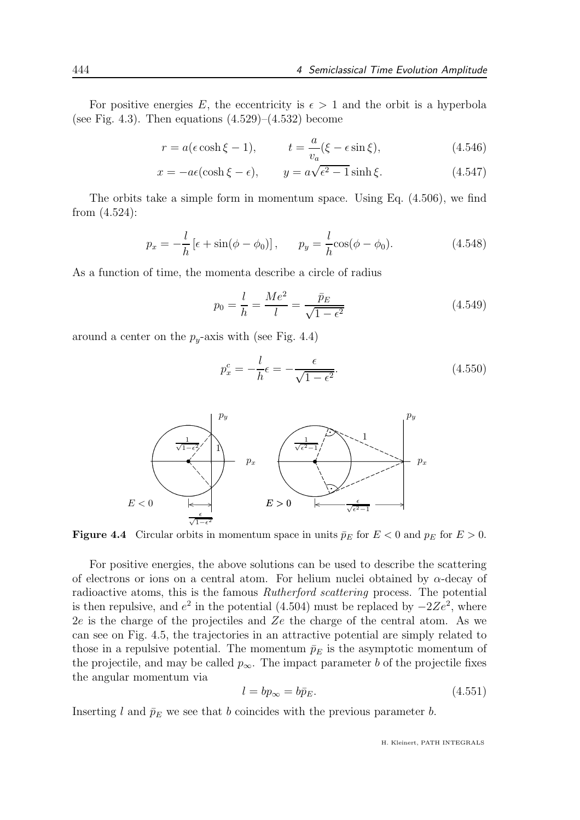For positive energies E, the eccentricity is  $\epsilon > 1$  and the orbit is a hyperbola (see Fig. 4.3). Then equations  $(4.529)$ – $(4.532)$  become

$$
r = a(\epsilon \cosh \xi - 1), \qquad t = \frac{a}{v_a}(\xi - \epsilon \sin \xi), \qquad (4.546)
$$

$$
x = -a\epsilon(\cosh\xi - \epsilon), \qquad y = a\sqrt{\epsilon^2 - 1}\sinh\xi. \tag{4.547}
$$

The orbits take a simple form in momentum space. Using Eq. (4.506), we find from (4.524):

$$
p_x = -\frac{l}{h} \left[ \epsilon + \sin(\phi - \phi_0) \right], \qquad p_y = \frac{l}{h} \cos(\phi - \phi_0). \tag{4.548}
$$

As a function of time, the momenta describe a circle of radius

$$
p_0 = \frac{l}{h} = \frac{Me^2}{l} = \frac{\bar{p}_E}{\sqrt{1 - \epsilon^2}}
$$
(4.549)

around a center on the  $p_y$ -axis with (see Fig. 4.4)

$$
p_x^c = -\frac{l}{h}\epsilon = -\frac{\epsilon}{\sqrt{1 - \epsilon^2}}.\tag{4.550}
$$



**Figure 4.4** Circular orbits in momentum space in units  $\bar{p}_E$  for  $E < 0$  and  $p_E$  for  $E > 0$ .

For positive energies, the above solutions can be used to describe the scattering of electrons or ions on a central atom. For helium nuclei obtained by  $\alpha$ -decay of radioactive atoms, this is the famous Rutherford scattering process. The potential is then repulsive, and  $e^2$  in the potential (4.504) must be replaced by  $-2Ze^2$ , where  $2e$  is the charge of the projectiles and  $Ze$  the charge of the central atom. As we can see on Fig. 4.5, the trajectories in an attractive potential are simply related to those in a repulsive potential. The momentum  $\bar{p}_E$  is the asymptotic momentum of the projectile, and may be called  $p_{\infty}$ . The impact parameter b of the projectile fixes the angular momentum via

$$
l = bp_{\infty} = b\bar{p}_E. \tag{4.551}
$$

Inserting l and  $\bar{p}_E$  we see that b coincides with the previous parameter b.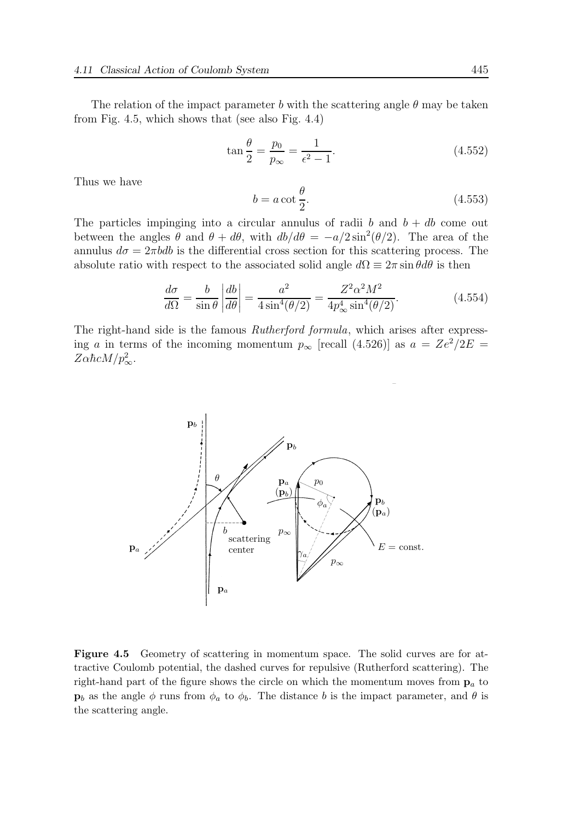The relation of the impact parameter b with the scattering angle  $\theta$  may be taken from Fig. 4.5, which shows that (see also Fig. 4.4)

$$
\tan\frac{\theta}{2} = \frac{p_0}{p_{\infty}} = \frac{1}{\epsilon^2 - 1}.
$$
\n(4.552)

Thus we have

$$
b = a \cot \frac{\theta}{2}.
$$
\n
$$
(4.553)
$$

The particles impinging into a circular annulus of radii b and  $b + db$  come out between the angles  $\theta$  and  $\theta + d\theta$ , with  $db/d\theta = -a/2 \sin^2(\theta/2)$ . The area of the annulus  $d\sigma = 2\pi bdb$  is the differential cross section for this scattering process. The absolute ratio with respect to the associated solid angle  $d\Omega \equiv 2\pi \sin \theta d\theta$  is then

$$
\frac{d\sigma}{d\Omega} = \frac{b}{\sin\theta} \left| \frac{db}{d\theta} \right| = \frac{a^2}{4\sin^4(\theta/2)} = \frac{Z^2\alpha^2 M^2}{4p_\infty^4 \sin^4(\theta/2)}.
$$
\n(4.554)

The right-hand side is the famous Rutherford formula, which arises after expressing a in terms of the incoming momentum  $p_{\infty}$  [recall (4.526)] as  $a = Ze^2/2E =$  $Z\alpha\hbar c M/p_\infty^2$ .



Figure 4.5 Geometry of scattering in momentum space. The solid curves are for attractive Coulomb potential, the dashed curves for repulsive (Rutherford scattering). The right-hand part of the figure shows the circle on which the momentum moves from  $p_a$  to  $\mathbf{p}_b$  as the angle  $\phi$  runs from  $\phi_a$  to  $\phi_b$ . The distance b is the impact parameter, and  $\theta$  is the scattering angle.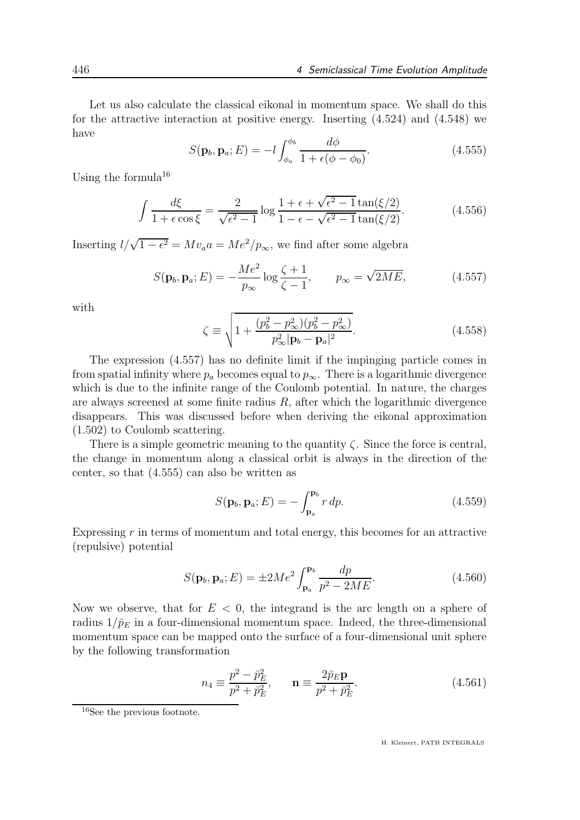Let us also calculate the classical eikonal in momentum space. We shall do this for the attractive interaction at positive energy. Inserting (4.524) and (4.548) we have

$$
S(\mathbf{p}_b, \mathbf{p}_a; E) = -l \int_{\phi_a}^{\phi_b} \frac{d\phi}{1 + \epsilon(\phi - \phi_0)}.
$$
 (4.555)

Using the formula  $16$ 

$$
\int \frac{d\xi}{1 + \epsilon \cos \xi} = \frac{2}{\sqrt{\epsilon^2 - 1}} \log \frac{1 + \epsilon + \sqrt{\epsilon^2 - 1} \tan(\xi/2)}{1 - \epsilon - \sqrt{\epsilon^2 - 1} \tan(\xi/2)}.
$$
(4.556)

Inserting  $l/\sqrt{1-\epsilon^2} = Mv_a a = Me^2/p_\infty$ , we find after some algebra

$$
S(\mathbf{p}_b, \mathbf{p}_a; E) = -\frac{Me^2}{p_\infty} \log \frac{\zeta + 1}{\zeta - 1}, \qquad p_\infty = \sqrt{2ME}, \tag{4.557}
$$

with

$$
\zeta \equiv \sqrt{1 + \frac{(p_b^2 - p_{\infty}^2)(p_b^2 - p_{\infty}^2)}{p_{\infty}^2 |\mathbf{p}_b - \mathbf{p}_a|^2}}.
$$
\n(4.558)

The expression (4.557) has no definite limit if the impinging particle comes in from spatial infinity where  $p_a$  becomes equal to  $p_\infty$ . There is a logarithmic divergence which is due to the infinite range of the Coulomb potential. In nature, the charges are always screened at some finite radius  $R$ , after which the logarithmic divergence disappears. This was discussed before when deriving the eikonal approximation (1.502) to Coulomb scattering.

There is a simple geometric meaning to the quantity  $\zeta$ . Since the force is central, the change in momentum along a classical orbit is always in the direction of the center, so that (4.555) can also be written as

$$
S(\mathbf{p}_b, \mathbf{p}_a; E) = -\int_{\mathbf{p}_a}^{\mathbf{p}_b} r \, dp. \tag{4.559}
$$

Expressing  $r$  in terms of momentum and total energy, this becomes for an attractive (repulsive) potential

$$
S(\mathbf{p}_b, \mathbf{p}_a; E) = \pm 2Me^2 \int_{\mathbf{p}_a}^{\mathbf{p}_b} \frac{dp}{p^2 - 2ME}.
$$
 (4.560)

Now we observe, that for  $E < 0$ , the integrand is the arc length on a sphere of radius  $1/\bar{p}_E$  in a four-dimensional momentum space. Indeed, the three-dimensional momentum space can be mapped onto the surface of a four-dimensional unit sphere by the following transformation

$$
n_4 \equiv \frac{p^2 - \bar{p}_E^2}{p^2 + \bar{p}_E^2}, \qquad \mathbf{n} \equiv \frac{2\bar{p}_E \mathbf{p}}{p^2 + \bar{p}_E^2}.
$$
 (4.561)

<sup>16</sup>See the previous footnote.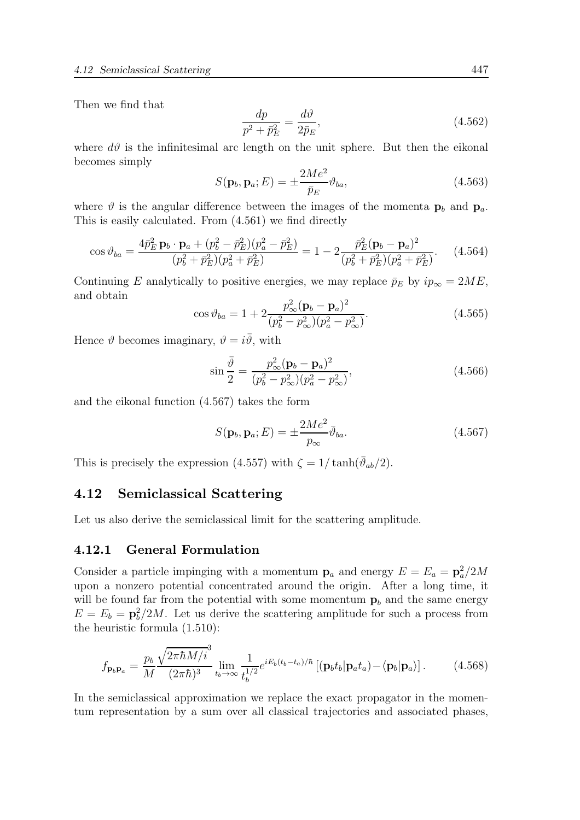Then we find that

$$
\frac{dp}{p^2 + \bar{p}_E^2} = \frac{d\vartheta}{2\bar{p}_E},\tag{4.562}
$$

where  $d\theta$  is the infinitesimal arc length on the unit sphere. But then the eikonal becomes simply

$$
S(\mathbf{p}_b, \mathbf{p}_a; E) = \pm \frac{2Me^2}{\bar{p}_E} \vartheta_{ba}, \qquad (4.563)
$$

where  $\vartheta$  is the angular difference between the images of the momenta  $p_b$  and  $p_a$ . This is easily calculated. From (4.561) we find directly

$$
\cos \vartheta_{ba} = \frac{4\bar{p}_E^2 \mathbf{p}_b \cdot \mathbf{p}_a + (p_b^2 - \bar{p}_E^2)(p_a^2 - \bar{p}_E^2)}{(p_b^2 + \bar{p}_E^2)(p_a^2 + \bar{p}_E^2)} = 1 - 2 \frac{\bar{p}_E^2 (\mathbf{p}_b - \mathbf{p}_a)^2}{(p_b^2 + \bar{p}_E^2)(p_a^2 + \bar{p}_E^2)}.
$$
 (4.564)

Continuing E analytically to positive energies, we may replace  $\bar{p}_E$  by  $ip_\infty = 2ME$ , and obtain

$$
\cos \vartheta_{ba} = 1 + 2 \frac{p_{\infty}^2 (\mathbf{p}_b - \mathbf{p}_a)^2}{(p_b^2 - p_{\infty}^2)(p_a^2 - p_{\infty}^2)}.
$$
\n(4.565)

Hence  $\vartheta$  becomes imaginary,  $\vartheta = i\overline{\vartheta}$ , with

$$
\sin\frac{\bar{\vartheta}}{2} = \frac{p_{\infty}^2 (\mathbf{p}_b - \mathbf{p}_a)^2}{(p_b^2 - p_{\infty}^2)(p_a^2 - p_{\infty}^2)},
$$
\n(4.566)

and the eikonal function (4.567) takes the form

$$
S(\mathbf{p}_b, \mathbf{p}_a; E) = \pm \frac{2Me^2}{p_{\infty}} \bar{\vartheta}_{ba}.
$$
 (4.567)

This is precisely the expression (4.557) with  $\zeta = 1/\tanh(\bar{\vartheta}_{ab}/2)$ .

## 4.12 Semiclassical Scattering

Let us also derive the semiclassical limit for the scattering amplitude.

#### 4.12.1 General Formulation

Consider a particle impinging with a momentum  $\mathbf{p}_a$  and energy  $E = E_a = \mathbf{p}_a^2/2M$ upon a nonzero potential concentrated around the origin. After a long time, it will be found far from the potential with some momentum  $\mathbf{p}_b$  and the same energy  $E = E_b = \mathbf{p}_b^2/2M$ . Let us derive the scattering amplitude for such a process from the heuristic formula (1.510):

$$
f_{\mathbf{p}_b \mathbf{p}_a} = \frac{p_b}{M} \frac{\sqrt{2\pi \hbar M/i}^3}{(2\pi \hbar)^3} \lim_{t_b \to \infty} \frac{1}{t_b^{1/2}} e^{iE_b(t_b - t_a)/\hbar} \left[ (\mathbf{p}_b t_b | \mathbf{p}_a t_a) - \langle \mathbf{p}_b | \mathbf{p}_a \rangle \right]. \tag{4.568}
$$

In the semiclassical approximation we replace the exact propagator in the momentum representation by a sum over all classical trajectories and associated phases,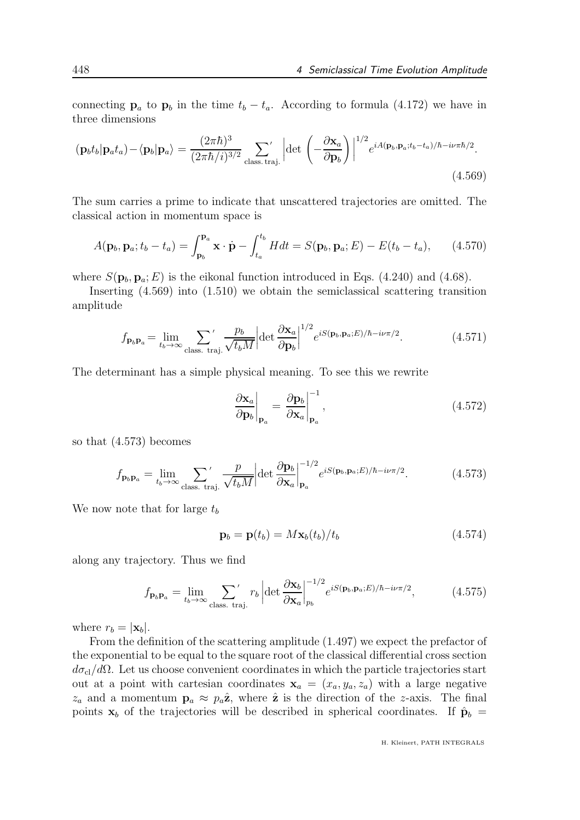connecting  $\mathbf{p}_a$  to  $\mathbf{p}_b$  in the time  $t_b - t_a$ . According to formula (4.172) we have in three dimensions

$$
(\mathbf{p}_b t_b | \mathbf{p}_a t_a) - \langle \mathbf{p}_b | \mathbf{p}_a \rangle = \frac{(2\pi\hbar)^3}{(2\pi\hbar/i)^{3/2}} \sum_{\text{class. traj.}} \left| \det \left( -\frac{\partial \mathbf{x}_a}{\partial \mathbf{p}_b} \right) \right|^{1/2} e^{iA(\mathbf{p}_b, \mathbf{p}_a; t_b - t_a)/\hbar - i\nu\pi\hbar/2}.
$$
\n(4.569)

The sum carries a prime to indicate that unscattered trajectories are omitted. The classical action in momentum space is

$$
A(\mathbf{p}_b, \mathbf{p}_a; t_b - t_a) = \int_{\mathbf{p}_b}^{\mathbf{p}_a} \mathbf{x} \cdot \dot{\mathbf{p}} - \int_{t_a}^{t_b} H dt = S(\mathbf{p}_b, \mathbf{p}_a; E) - E(t_b - t_a), \qquad (4.570)
$$

where  $S(\mathbf{p}_b, \mathbf{p}_a; E)$  is the eikonal function introduced in Eqs. (4.240) and (4.68).

Inserting (4.569) into (1.510) we obtain the semiclassical scattering transition amplitude

$$
f_{\mathbf{p}_b \mathbf{p}_a} = \lim_{t_b \to \infty} \sum_{\text{class. traj.}}' \frac{p_b}{\sqrt{t_b M}} \left| \det \frac{\partial \mathbf{x}_a}{\partial \mathbf{p}_b} \right|^{1/2} e^{i S(\mathbf{p}_b, \mathbf{p}_a; E)/\hbar - i\nu \pi/2}.
$$
 (4.571)

The determinant has a simple physical meaning. To see this we rewrite

$$
\left. \frac{\partial \mathbf{x}_a}{\partial \mathbf{p}_b} \right|_{\mathbf{p}_a} = \left. \frac{\partial \mathbf{p}_b}{\partial \mathbf{x}_a} \right|_{\mathbf{p}_a}^{-1},\tag{4.572}
$$

so that (4.573) becomes

$$
f_{\mathbf{p}_b \mathbf{p}_a} = \lim_{t_b \to \infty} \sum_{\text{class. traj.}}' \frac{p}{\sqrt{t_b M}} \left| \det \frac{\partial \mathbf{p}_b}{\partial \mathbf{x}_a} \right|_{\mathbf{p}_a}^{-1/2} e^{i S(\mathbf{p}_b, \mathbf{p}_a; E)/\hbar - i\nu \pi/2}.
$$
 (4.573)

We now note that for large  $t_b$ 

$$
\mathbf{p}_b = \mathbf{p}(t_b) = M \mathbf{x}_b(t_b) / t_b \tag{4.574}
$$

along any trajectory. Thus we find

$$
f_{\mathbf{p}_b \mathbf{p}_a} = \lim_{t_b \to \infty} \sum_{\text{class. traj.}}' r_b \left| \det \frac{\partial \mathbf{x}_b}{\partial \mathbf{x}_a} \right|_{p_b}^{-1/2} e^{i S(\mathbf{p}_b, \mathbf{p}_a; E)/\hbar - i\nu\pi/2}, \tag{4.575}
$$

where  $r_b = |\mathbf{x}_b|$ .

From the definition of the scattering amplitude (1.497) we expect the prefactor of the exponential to be equal to the square root of the classical differential cross section  $d\sigma_{\rm cl}/d\Omega$ . Let us choose convenient coordinates in which the particle trajectories start out at a point with cartesian coordinates  $x_a = (x_a, y_a, z_a)$  with a large negative  $z_a$  and a momentum  $\mathbf{p}_a \approx p_a \hat{\mathbf{z}}$ , where  $\hat{\mathbf{z}}$  is the direction of the z-axis. The final points  $x_b$  of the trajectories will be described in spherical coordinates. If  $\hat{\mathbf{p}}_b$  =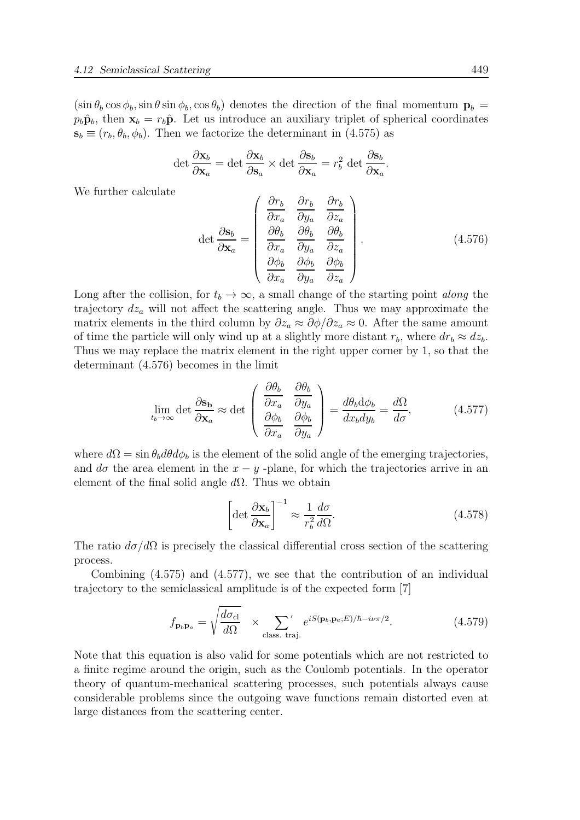$(\sin \theta_b \cos \phi_b, \sin \theta \sin \phi_b, \cos \theta_b)$  denotes the direction of the final momentum  $\mathbf{p}_b =$  $p_b\hat{\mathbf{p}}_b$ , then  $\mathbf{x}_b = r_b\hat{\mathbf{p}}$ . Let us introduce an auxiliary triplet of spherical coordinates  $\mathbf{s}_b \equiv (r_b, \theta_b, \phi_b)$ . Then we factorize the determinant in (4.575) as

$$
\det \frac{\partial \mathbf{x}_b}{\partial \mathbf{x}_a} = \det \frac{\partial \mathbf{x}_b}{\partial \mathbf{s}_a} \times \det \frac{\partial \mathbf{s}_b}{\partial \mathbf{x}_a} = r_b^2 \det \frac{\partial \mathbf{s}_b}{\partial \mathbf{x}_a}.
$$

We further calculate

$$
\det \frac{\partial \mathbf{s}_b}{\partial \mathbf{x}_a} = \begin{pmatrix} \frac{\partial r_b}{\partial x_a} & \frac{\partial r_b}{\partial y_a} & \frac{\partial r_b}{\partial z_a} \\ \frac{\partial \theta_b}{\partial x_a} & \frac{\partial \theta_b}{\partial y_a} & \frac{\partial \theta_b}{\partial z_a} \\ \frac{\partial \phi_b}{\partial x_a} & \frac{\partial \phi_b}{\partial y_a} & \frac{\partial \phi_b}{\partial z_a} \end{pmatrix} .
$$
 (4.576)

Long after the collision, for  $t_b \to \infty$ , a small change of the starting point along the trajectory  $dz_a$  will not affect the scattering angle. Thus we may approximate the matrix elements in the third column by  $\partial z_a \approx \partial \phi / \partial z_a \approx 0$ . After the same amount of time the particle will only wind up at a slightly more distant  $r_b$ , where  $dr_b \approx dz_b$ . Thus we may replace the matrix element in the right upper corner by 1, so that the determinant (4.576) becomes in the limit

$$
\lim_{t_b \to \infty} \det \frac{\partial \mathbf{s_b}}{\partial \mathbf{x}_a} \approx \det \begin{pmatrix} \frac{\partial \theta_b}{\partial x_a} & \frac{\partial \theta_b}{\partial y_a} \\ \frac{\partial \phi_b}{\partial x_a} & \frac{\partial \phi_b}{\partial y_a} \end{pmatrix} = \frac{d\theta_b d\phi_b}{dx_b dy_b} = \frac{d\Omega}{d\sigma},\tag{4.577}
$$

where  $d\Omega = \sin \theta_b d\theta d\phi_b$  is the element of the solid angle of the emerging trajectories, and  $d\sigma$  the area element in the  $x - y$ -plane, for which the trajectories arrive in an element of the final solid angle  $d\Omega$ . Thus we obtain

$$
\left[\det \frac{\partial \mathbf{x}_b}{\partial \mathbf{x}_a}\right]^{-1} \approx \frac{1}{r_b^2} \frac{d\sigma}{d\Omega}.
$$
\n(4.578)

The ratio  $d\sigma/d\Omega$  is precisely the classical differential cross section of the scattering process.

Combining (4.575) and (4.577), we see that the contribution of an individual trajectory to the semiclassical amplitude is of the expected form [7]

$$
f_{\mathbf{p}_b \mathbf{p}_a} = \sqrt{\frac{d\sigma_{\rm cl}}{d\Omega}} \quad \times \sum_{\text{class. traj.}} e^{iS(\mathbf{p}_b, \mathbf{p}_a; E)/\hbar - i\nu\pi/2}.
$$
 (4.579)

Note that this equation is also valid for some potentials which are not restricted to a finite regime around the origin, such as the Coulomb potentials. In the operator theory of quantum-mechanical scattering processes, such potentials always cause considerable problems since the outgoing wave functions remain distorted even at large distances from the scattering center.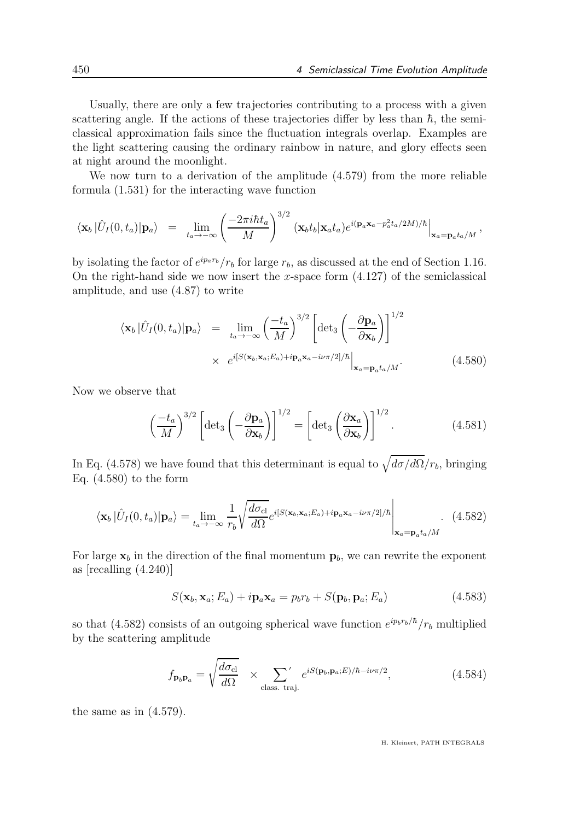Usually, there are only a few trajectories contributing to a process with a given scattering angle. If the actions of these trajectories differ by less than  $\hbar$ , the semiclassical approximation fails since the fluctuation integrals overlap. Examples are the light scattering causing the ordinary rainbow in nature, and glory effects seen at night around the moonlight.

We now turn to a derivation of the amplitude (4.579) from the more reliable formula (1.531) for the interacting wave function

$$
\langle \mathbf{x}_b | \hat{U}_I(0, t_a) | \mathbf{p}_a \rangle = \lim_{t_a \to -\infty} \left( \frac{-2\pi i \hbar t_a}{M} \right)^{3/2} (\mathbf{x}_b t_b | \mathbf{x}_a t_a) e^{i(\mathbf{p}_a \mathbf{x}_a - p_a^2 t_a/2M)/\hbar} \Big|_{\mathbf{x}_a = \mathbf{p}_a t_a/M},
$$

by isolating the factor of  $e^{ip_a r_b}/r_b$  for large  $r_b$ , as discussed at the end of Section 1.16. On the right-hand side we now insert the x-space form  $(4.127)$  of the semiclassical amplitude, and use (4.87) to write

$$
\langle \mathbf{x}_b | \hat{U}_I(0, t_a) | \mathbf{p}_a \rangle = \lim_{t_a \to -\infty} \left( \frac{-t_a}{M} \right)^{3/2} \left[ \det_3 \left( -\frac{\partial \mathbf{p}_a}{\partial \mathbf{x}_b} \right) \right]^{1/2}
$$
  
 
$$
\times e^{i[S(\mathbf{x}_b, \mathbf{x}_a; E_a) + i \mathbf{p}_a \mathbf{x}_a - i\nu \pi/2]/\hbar} \Big|_{\mathbf{x}_a = \mathbf{p}_a t_a/M}.
$$
 (4.580)

Now we observe that

$$
\left(\frac{-t_a}{M}\right)^{3/2} \left[ \det_3 \left( -\frac{\partial \mathbf{p}_a}{\partial \mathbf{x}_b} \right) \right]^{1/2} = \left[ \det_3 \left( \frac{\partial \mathbf{x}_a}{\partial \mathbf{x}_b} \right) \right]^{1/2} . \tag{4.581}
$$

In Eq. (4.578) we have found that this determinant is equal to  $\sqrt{d\sigma/d\Omega}/r_b$ , bringing Eq.  $(4.580)$  to the form

$$
\langle \mathbf{x}_b | \hat{U}_I(0, t_a) | \mathbf{p}_a \rangle = \lim_{t_a \to -\infty} \frac{1}{r_b} \sqrt{\frac{d\sigma_{\rm cl}}{d\Omega}} e^{i[S(\mathbf{x}_b, \mathbf{x}_a; E_a) + i\mathbf{p}_a \mathbf{x}_a - i\nu\pi/2]/\hbar} \Bigg|_{\mathbf{x}_a = \mathbf{p}_a t_a/M}.
$$
 (4.582)

For large  $x_b$  in the direction of the final momentum  $p_b$ , we can rewrite the exponent as [recalling (4.240)]

$$
S(\mathbf{x}_b, \mathbf{x}_a; E_a) + i \mathbf{p}_a \mathbf{x}_a = p_b r_b + S(\mathbf{p}_b, \mathbf{p}_a; E_a)
$$
(4.583)

so that (4.582) consists of an outgoing spherical wave function  $e^{ip_b r_b/\hbar}/r_b$  multiplied by the scattering amplitude

$$
f_{\mathbf{p}_b \mathbf{p}_a} = \sqrt{\frac{d\sigma_{\rm cl}}{d\Omega}} \quad \times \sum_{\rm class. \, traj.} e^{iS(\mathbf{p}_b, \mathbf{p}_a; E)/\hbar - i\nu\pi/2}, \tag{4.584}
$$

the same as in (4.579).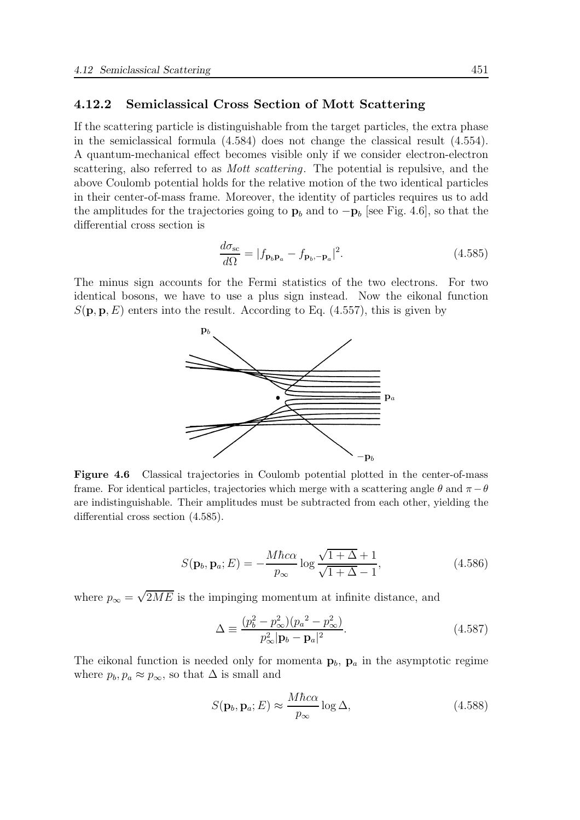### 4.12.2 Semiclassical Cross Section of Mott Scattering

If the scattering particle is distinguishable from the target particles, the extra phase in the semiclassical formula (4.584) does not change the classical result (4.554). A quantum-mechanical effect becomes visible only if we consider electron-electron scattering, also referred to as *Mott scattering*. The potential is repulsive, and the above Coulomb potential holds for the relative motion of the two identical particles in their center-of-mass frame. Moreover, the identity of particles requires us to add the amplitudes for the trajectories going to  $\mathbf{p}_b$  and to  $-\mathbf{p}_b$  [see Fig. 4.6], so that the differential cross section is

$$
\frac{d\sigma_{\rm sc}}{d\Omega} = |f_{\mathbf{p}_b \mathbf{p}_a} - f_{\mathbf{p}_b, -\mathbf{p}_a}|^2.
$$
\n(4.585)

The minus sign accounts for the Fermi statistics of the two electrons. For two identical bosons, we have to use a plus sign instead. Now the eikonal function  $S(\mathbf{p}, \mathbf{p}, E)$  enters into the result. According to Eq. (4.557), this is given by



Figure 4.6 Classical trajectories in Coulomb potential plotted in the center-of-mass frame. For identical particles, trajectories which merge with a scattering angle  $\theta$  and  $\pi - \theta$ are indistinguishable. Their amplitudes must be subtracted from each other, yielding the differential cross section (4.585).

$$
S(\mathbf{p}_b, \mathbf{p}_a; E) = -\frac{M\hbar c\alpha}{p_{\infty}} \log \frac{\sqrt{1+\Delta}+1}{\sqrt{1+\Delta}-1},
$$
\n(4.586)

where  $p_{\infty} = \sqrt{2ME}$  is the impinging momentum at infinite distance, and

$$
\Delta = \frac{(p_b^2 - p_{\infty}^2)(p_a^2 - p_{\infty}^2)}{p_{\infty}^2 |\mathbf{p}_b - \mathbf{p}_a|^2}.
$$
\n(4.587)

The eikonal function is needed only for momenta  $\mathbf{p}_b$ ,  $\mathbf{p}_a$  in the asymptotic regime where  $p_b, p_a \approx p_\infty$ , so that  $\Delta$  is small and

$$
S(\mathbf{p}_b, \mathbf{p}_a; E) \approx \frac{M\hbar c\alpha}{p_{\infty}} \log \Delta, \tag{4.588}
$$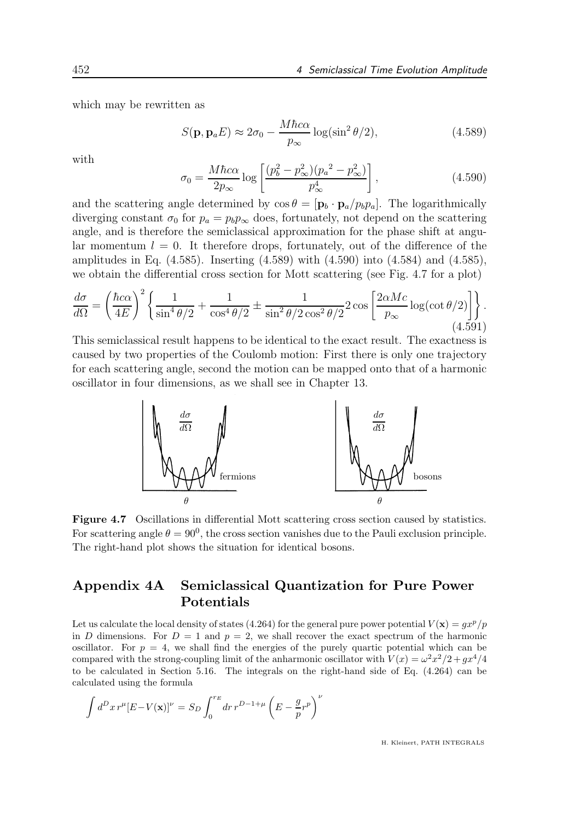which may be rewritten as

$$
S(\mathbf{p}, \mathbf{p}_a E) \approx 2\sigma_0 - \frac{M\hbar c\alpha}{p_\infty} \log(\sin^2 \theta/2), \tag{4.589}
$$

with

$$
\sigma_0 = \frac{M\hbar c\alpha}{2p_\infty} \log \left[ \frac{(p_b^2 - p_\infty^2)(p_a^2 - p_\infty^2)}{p_\infty^4} \right],\tag{4.590}
$$

and the scattering angle determined by  $\cos \theta = [\mathbf{p}_b \cdot \mathbf{p}_a / p_b p_a]$ . The logarithmically diverging constant  $\sigma_0$  for  $p_a = p_b p_\infty$  does, fortunately, not depend on the scattering angle, and is therefore the semiclassical approximation for the phase shift at angular momentum  $l = 0$ . It therefore drops, fortunately, out of the difference of the amplitudes in Eq. (4.585). Inserting (4.589) with (4.590) into (4.584) and (4.585), we obtain the differential cross section for Mott scattering (see Fig. 4.7 for a plot)

$$
\frac{d\sigma}{d\Omega} = \left(\frac{\hbar c\alpha}{4E}\right)^2 \left\{ \frac{1}{\sin^4\theta/2} + \frac{1}{\cos^4\theta/2} \pm \frac{1}{\sin^2\theta/2\cos^2\theta/2} 2\cos\left[\frac{2\alpha Mc}{p_{\infty}}\log(\cot\theta/2)\right] \right\}.
$$
\n(4.591)

This semiclassical result happens to be identical to the exact result. The exactness is caused by two properties of the Coulomb motion: First there is only one trajectory for each scattering angle, second the motion can be mapped onto that of a harmonic oscillator in four dimensions, as we shall see in Chapter 13.



Figure 4.7 Oscillations in differential Mott scattering cross section caused by statistics. For scattering angle  $\theta = 90^0$ , the cross section vanishes due to the Pauli exclusion principle. The right-hand plot shows the situation for identical bosons.

# Appendix 4A Semiclassical Quantization for Pure Power Potentials

Let us calculate the local density of states (4.264) for the general pure power potential  $V(\mathbf{x}) = qx^p/p$ in D dimensions. For  $D = 1$  and  $p = 2$ , we shall recover the exact spectrum of the harmonic oscillator. For  $p = 4$ , we shall find the energies of the purely quartic potential which can be compared with the strong-coupling limit of the anharmonic oscillator with  $V(x) = \omega^2 x^2/2 + gx^4/4$ to be calculated in Section 5.16. The integrals on the right-hand side of Eq. (4.264) can be calculated using the formula

$$
\int d^D x \, r^\mu [E - V(\mathbf{x})]^\nu = S_D \int_0^{r_E} dr \, r^{D-1+\mu} \left( E - \frac{g}{p} r^p \right)^\nu
$$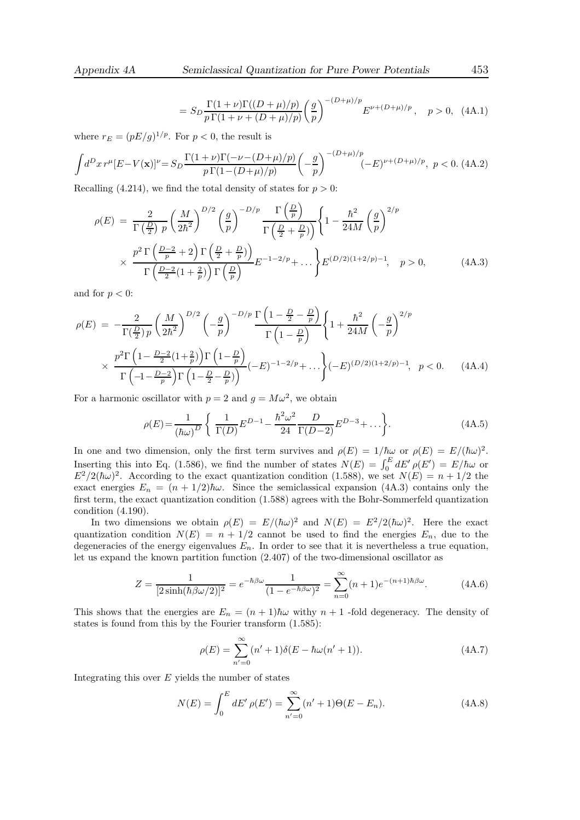$$
= S_D \frac{\Gamma(1+\nu)\Gamma((D+\mu)/p)}{p\Gamma(1+\nu+(D+\mu)/p)} \left(\frac{g}{p}\right)^{-(D+\mu)/p} E^{\nu+(D+\mu)/p}, \quad p > 0, \quad (4A.1)
$$

where  $r_E = (pE/g)^{1/p}$ . For  $p < 0$ , the result is

$$
\int d^D x \, r^\mu [E - V(\mathbf{x})]^\nu = S_D \frac{\Gamma(1+\nu)\Gamma(-\nu - (D+\mu)/p)}{p\,\Gamma(1 - (D+\mu)/p)} \left(-\frac{g}{p}\right)^{-(D+\mu)/p} (-E)^{\nu + (D+\mu)/p}, \ p < 0. \tag{4A.2}
$$

Recalling (4.214), we find the total density of states for  $p > 0$ :

$$
\rho(E) = \frac{2}{\Gamma(\frac{D}{2}) p} \left(\frac{M}{2\hbar^2}\right)^{D/2} \left(\frac{g}{p}\right)^{-D/p} \frac{\Gamma(\frac{D}{p})}{\Gamma(\frac{D}{2} + \frac{D}{p})} \left\{1 - \frac{\hbar^2}{24M} \left(\frac{g}{p}\right)^{2/p} \times \frac{p^2 \Gamma(\frac{D-2}{p} + 2) \Gamma(\frac{D}{2} + \frac{D}{p})}{\Gamma(\frac{D-2}{2}(1 + \frac{2}{p})) \Gamma(\frac{D}{p})} E^{-1 - 2/p} + \dots \right\} E^{(D/2)(1 + 2/p) - 1}, \quad p > 0,
$$
\n(4A.3)

and for  $p < 0$ :

$$
\rho(E) = -\frac{2}{\Gamma(\frac{D}{2})p} \left(\frac{M}{2\hbar^2}\right)^{D/2} \left(-\frac{g}{p}\right)^{-D/p} \frac{\Gamma\left(1 - \frac{D}{2} - \frac{D}{p}\right)}{\Gamma\left(1 - \frac{D}{p}\right)} \left\{1 + \frac{\hbar^2}{24M} \left(-\frac{g}{p}\right)^{2/p} \right\}
$$

$$
\times \frac{p^2 \Gamma\left(1 - \frac{D-2}{2}(1 + \frac{2}{p})\right) \Gamma\left(1 - \frac{D}{p}\right)}{\Gamma\left(-1 - \frac{D-2}{p}\right) \Gamma\left(1 - \frac{D}{2} - \frac{D}{p}\right)} (-E)^{-1 - 2/p} + \dots \left\{(-E)^{(D/2)(1 + 2/p) - 1}, \quad p < 0. \tag{4A.4}
$$

For a harmonic oscillator with  $p = 2$  and  $g = M\omega^2$ , we obtain

$$
\rho(E) = \frac{1}{(\hbar\omega)^D} \left\{ \frac{1}{\Gamma(D)} E^{D-1} - \frac{\hbar^2 \omega^2}{24} \frac{D}{\Gamma(D-2)} E^{D-3} + \dots \right\}.
$$
\n(4A.5)

In one and two dimension, only the first term survives and  $\rho(E) = 1/\hbar\omega$  or  $\rho(E) = E/(\hbar\omega)^2$ . Inserting this into Eq. (1.586), we find the number of states  $N(E) = \int_0^E dE' \rho(E') = E/\hbar \omega$  or  $E^2/2(\hbar\omega)^2$ . According to the exact quantization condition (1.588), we set  $N(E) = n + 1/2$  the exact energies  $E_n = (n + 1/2)\hbar\omega$ . Since the semiclassical expansion (4A.3) contains only the first term, the exact quantization condition (1.588) agrees with the Bohr-Sommerfeld quantization condition (4.190).

In two dimensions we obtain  $\rho(E) = E/(\hbar\omega)^2$  and  $N(E) = E^2/2(\hbar\omega)^2$ . Here the exact quantization condition  $N(E) = n + 1/2$  cannot be used to find the energies  $E_n$ , due to the degeneracies of the energy eigenvalues  $E_n$ . In order to see that it is nevertheless a true equation, let us expand the known partition function (2.407) of the two-dimensional oscillator as

$$
Z = \frac{1}{[2\sinh(\hbar \beta \omega/2)]^2} = e^{-\hbar \beta \omega} \frac{1}{(1 - e^{-\hbar \beta \omega})^2} = \sum_{n=0}^{\infty} (n+1)e^{-(n+1)\hbar \beta \omega}.
$$
 (4A.6)

This shows that the energies are  $E_n = (n+1)\hbar\omega$  withy  $n+1$  -fold degeneracy. The density of states is found from this by the Fourier transform (1.585):

$$
\rho(E) = \sum_{n'=0}^{\infty} (n'+1)\delta(E - \hbar\omega(n'+1)).
$$
\n(4A.7)

Integrating this over  $E$  yields the number of states

$$
N(E) = \int_0^E dE' \,\rho(E') = \sum_{n'=0}^{\infty} (n'+1)\Theta(E - E_n). \tag{4A.8}
$$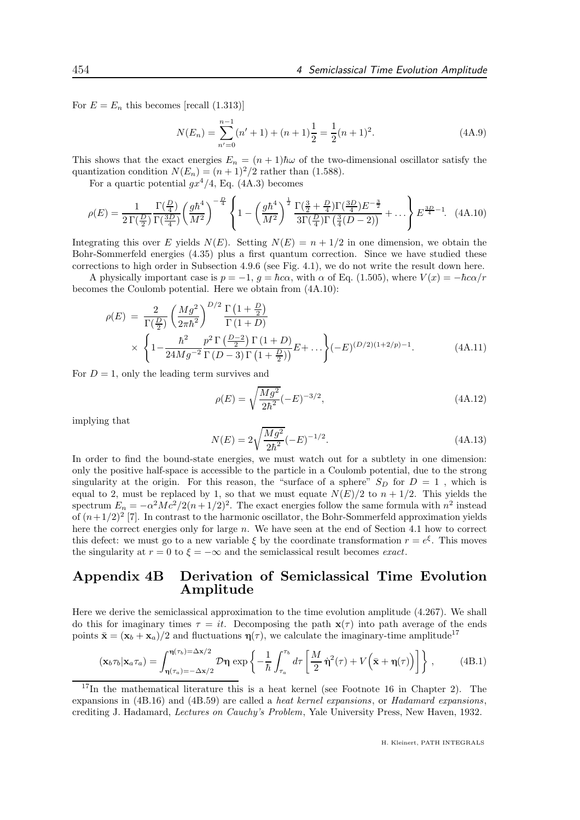For  $E = E_n$  this becomes [recall (1.313)]

$$
N(E_n) = \sum_{n'=0}^{n-1} (n'+1) + (n+1)\frac{1}{2} = \frac{1}{2}(n+1)^2.
$$
 (4A.9)

This shows that the exact energies  $E_n = (n+1)\hbar\omega$  of the two-dimensional oscillator satisfy the quantization condition  $N(E_n) = (n+1)^2/2$  rather than (1.588).

For a quartic potential  $qx^4/4$ , Eq. (4A.3) becomes

$$
\rho(E) = \frac{1}{2\,\Gamma(\frac{D}{2})} \frac{\Gamma(\frac{D}{4})}{\Gamma(\frac{3D}{4})} \left(\frac{g\hbar^4}{M^2}\right)^{-\frac{D}{4}} \left\{ 1 - \left(\frac{g\hbar^4}{M^2}\right)^{\frac{1}{2}} \frac{\Gamma(\frac{3}{2} + \frac{D}{4})\Gamma(\frac{3D}{4})E^{-\frac{3}{2}}}{3\Gamma(\frac{D}{4})\Gamma(\frac{3}{4}(D-2))} + \dots \right\} E^{\frac{3D}{4} - 1}.\tag{4A.10}
$$

Integrating this over E yields  $N(E)$ . Setting  $N(E) = n + 1/2$  in one dimension, we obtain the Bohr-Sommerfeld energies (4.35) plus a first quantum correction. Since we have studied these corrections to high order in Subsection 4.9.6 (see Fig. 4.1), we do not write the result down here.

A physically important case is  $p = -1$ ,  $q = \hbar c \alpha$ , with  $\alpha$  of Eq. (1.505), where  $V(x) = -\hbar c \alpha/r$ becomes the Coulomb potential. Here we obtain from (4A.10):

$$
\rho(E) = \frac{2}{\Gamma(\frac{D}{2})} \left( \frac{Mg^2}{2\pi\hbar^2} \right)^{D/2} \frac{\Gamma(1+\frac{D}{2})}{\Gamma(1+D)} \times \left\{ 1 - \frac{\hbar^2}{24Mg^{-2}} \frac{p^2 \Gamma(\frac{D-2}{2}) \Gamma(1+D)}{\Gamma(D-3) \Gamma(1+\frac{D}{2})} E + \dots \right\} (-E)^{(D/2)(1+2/p)-1}.
$$
\n(4A.11)

For  $D = 1$ , only the leading term survives and

$$
\rho(E) = \sqrt{\frac{Mg^2}{2\hbar^2}} (-E)^{-3/2},\tag{4A.12}
$$

implying that

$$
N(E) = 2\sqrt{\frac{Mg^2}{2\hbar^2}}(-E)^{-1/2}.
$$
\n(4A.13)

In order to find the bound-state energies, we must watch out for a subtlety in one dimension: only the positive half-space is accessible to the particle in a Coulomb potential, due to the strong singularity at the origin. For this reason, the "surface of a sphere"  $S_D$  for  $D = 1$ , which is equal to 2, must be replaced by 1, so that we must equate  $N(E)/2$  to  $n + 1/2$ . This yields the spectrum  $E_n = -\alpha^2 Mc^2/2(n+1/2)^2$ . The exact energies follow the same formula with  $n^2$  instead of  $(n+1/2)^2$  [7]. In contrast to the harmonic oscillator, the Bohr-Sommerfeld approximation yields here the correct energies only for large n. We have seen at the end of Section 4.1 how to correct this defect: we must go to a new variable  $\xi$  by the coordinate transformation  $r = e^{\xi}$ . This moves the singularity at  $r = 0$  to  $\xi = -\infty$  and the semiclassical result becomes exact.

### Appendix 4B Derivation of Semiclassical Time Evolution Amplitude

Here we derive the semiclassical approximation to the time evolution amplitude (4.267). We shall do this for imaginary times  $\tau = it$ . Decomposing the path  $\mathbf{x}(\tau)$  into path average of the ends points  $\bar{\mathbf{x}} = (\mathbf{x}_b + \mathbf{x}_a)/2$  and fluctuations  $\eta(\tau)$ , we calculate the imaginary-time amplitude<sup>17</sup>

$$
(\mathbf{x}_b \tau_b | \mathbf{x}_a \tau_a) = \int_{\eta(\tau_a) = -\Delta \mathbf{x}/2}^{\eta(\tau_b) = \Delta \mathbf{x}/2} \mathcal{D}\eta \exp\left\{-\frac{1}{\hbar} \int_{\tau_a}^{\tau_b} d\tau \left[\frac{M}{2} \dot{\eta}^2(\tau) + V(\bar{\mathbf{x}} + \eta(\tau))\right]\right\},\tag{4B.1}
$$

 $17$ In the mathematical literature this is a heat kernel (see Footnote 16 in Chapter 2). The expansions in (4B.16) and (4B.59) are called a heat kernel expansions, or Hadamard expansions, crediting J. Hadamard, Lectures on Cauchy's Problem, Yale University Press, New Haven, 1932.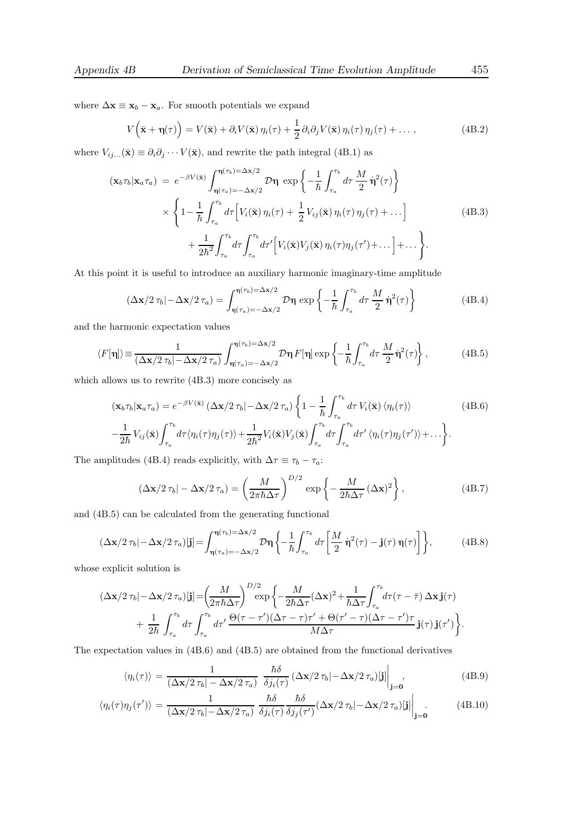where  $\Delta \mathbf{x} \equiv \mathbf{x}_b - \mathbf{x}_a$ . For smooth potentials we expand

$$
V(\bar{\mathbf{x}} + \eta(\tau)) = V(\bar{\mathbf{x}}) + \partial_i V(\bar{\mathbf{x}}) \eta_i(\tau) + \frac{1}{2} \partial_i \partial_j V(\bar{\mathbf{x}}) \eta_i(\tau) \eta_j(\tau) + \dots,
$$
 (4B.2)

where  $V_{ij...}(\bar{\mathbf{x}}) \equiv \partial_i \partial_j \cdots V(\bar{\mathbf{x}})$ , and rewrite the path integral (4B.1) as

$$
(\mathbf{x}_{b}\tau_{b}|\mathbf{x}_{a}\tau_{a}) = e^{-\beta V(\bar{\mathbf{x}})} \int_{\eta(\tau_{a})=-\Delta\mathbf{x}/2}^{\eta(\tau_{b})=\Delta\mathbf{x}/2} \mathcal{D}\eta \exp\left\{-\frac{1}{\hbar} \int_{\tau_{a}}^{\tau_{b}} d\tau \frac{M}{2} \dot{\eta}^{2}(\tau)\right\}
$$

$$
\times \left\{1 - \frac{1}{\hbar} \int_{\tau_{a}}^{\tau_{b}} d\tau \left[V_{i}(\bar{\mathbf{x}}) \eta_{i}(\tau) + \frac{1}{2} V_{ij}(\bar{\mathbf{x}}) \eta_{i}(\tau) \eta_{j}(\tau) + \dots\right] + \frac{1}{2\hbar^{2}} \int_{\tau_{a}}^{\tau_{b}} d\tau \int_{\tau_{a}}^{\tau_{b}} d\tau' \left[V_{i}(\bar{\mathbf{x}}) V_{j}(\bar{\mathbf{x}}) \eta_{i}(\tau) \eta_{j}(\tau') + \dots\right] + \dots \right\}.
$$
(4B.3)

At this point it is useful to introduce an auxiliary harmonic imaginary-time amplitude

$$
\left(\Delta \mathbf{x}/2\,\tau_b \middle| -\Delta \mathbf{x}/2\,\tau_a\right) = \int_{\eta(\tau_a) = -\Delta \mathbf{x}/2}^{\eta(\tau_b) = \Delta \mathbf{x}/2} \mathcal{D}\eta \, \exp\left\{-\frac{1}{\hbar} \int_{\tau_a}^{\tau_b} d\tau \, \frac{M}{2} \, \dot{\eta}^2(\tau)\right\} \tag{4B.4}
$$

and the harmonic expectation values

$$
\langle F[\eta] \rangle \equiv \frac{1}{(\Delta \mathbf{x}/2 \tau_b | -\Delta \mathbf{x}/2 \tau_a)} \int_{\eta(\tau_a) = -\Delta \mathbf{x}/2}^{\eta(\tau_b) = \Delta \mathbf{x}/2} \mathcal{D}\eta \, F[\eta] \exp \left\{ -\frac{1}{\hbar} \int_{\tau_a}^{\tau_b} d\tau \, \frac{M}{2} \dot{\eta}^2(\tau) \right\},\tag{4B.5}
$$

which allows us to rewrite (4B.3) more concisely as

$$
(\mathbf{x}_{b}\tau_{b}|\mathbf{x}_{a}\tau_{a}) = e^{-\beta V(\bar{\mathbf{x}})} (\Delta \mathbf{x}/2 \tau_{b}| - \Delta \mathbf{x}/2 \tau_{a}) \left\{ 1 - \frac{1}{\hbar} \int_{\tau_{a}}^{\tau_{b}} d\tau V_{i}(\bar{\mathbf{x}}) \langle \eta_{i}(\tau) \rangle \right\}
$$
(4B.6)  

$$
- \frac{1}{2\hbar} V_{ij}(\bar{\mathbf{x}}) \int_{\tau_{a}}^{\tau_{b}} d\tau \langle \eta_{i}(\tau) \eta_{j}(\tau) \rangle + \frac{1}{2\hbar^{2}} V_{i}(\bar{\mathbf{x}}) V_{j}(\bar{\mathbf{x}}) \int_{\tau_{a}}^{\tau_{b}} d\tau \int_{\tau_{a}}^{\tau_{b}} d\tau' \langle \eta_{i}(\tau) \eta_{j}(\tau') \rangle + \dots \right\}.
$$

The amplitudes (4B.4) reads explicitly, with  $\Delta\tau\equiv\tau_b-\tau_a;$ 

$$
\left(\Delta \mathbf{x}/2\,\tau_b\right| - \Delta \mathbf{x}/2\,\tau_a) = \left(\frac{M}{2\pi\hbar\Delta\tau}\right)^{D/2} \exp\left\{-\frac{M}{2\hbar\Delta\tau}\left(\Delta \mathbf{x}\right)^2\right\},\tag{4B.7}
$$

and (4B.5) can be calculated from the generating functional

$$
(\Delta \mathbf{x}/2 \tau_b | -\Delta \mathbf{x}/2 \tau_a)[\mathbf{j}] = \int_{\eta(\tau_a) = -\Delta \mathbf{x}/2}^{\eta(\tau_b) = \Delta \mathbf{x}/2} \mathcal{D}\eta \left\{ -\frac{1}{\hbar} \int_{\tau_a}^{\tau_b} d\tau \left[ \frac{M}{2} \dot{\eta}^2(\tau) - \mathbf{j}(\tau) \eta(\tau) \right] \right\},\tag{4B.8}
$$

whose explicit solution is

$$
\begin{split} (\Delta \mathbf{x}/2\,\tau_b | -\Delta \mathbf{x}/2\,\tau_a)[\mathbf{j}] = & \bigg(\frac{M}{2\pi\hbar\Delta\tau}\bigg)^{D/2} \exp\bigg\{-\frac{M}{2\hbar\Delta\tau}(\Delta \mathbf{x})^2 + \frac{1}{\hbar\Delta\tau}\int_{\tau_a}^{\tau_b} d\tau(\tau-\bar{\tau})\,\Delta \mathbf{x}\,\mathbf{j}(\tau) \\ & + \frac{1}{2\hbar}\,\int_{\tau_a}^{\tau_b}\,d\tau\int_{\tau_a}^{\tau_b}\,d\tau'\,\frac{\Theta(\tau-\tau')(\Delta\tau-\tau)\tau' + \Theta(\tau'-\tau)(\Delta\tau-\tau')\tau}{M\Delta\tau}\,\mathbf{j}(\tau)\,\mathbf{j}(\tau')\bigg\}. \end{split}
$$

The expectation values in (4B.6) and (4B.5) are obtained from the functional derivatives

$$
\langle \eta_i(\tau) \rangle = \frac{1}{(\Delta \mathbf{x}/2 \tau_b | -\Delta \mathbf{x}/2 \tau_a)} \frac{\hbar \delta}{\delta j_i(\tau)} (\Delta \mathbf{x}/2 \tau_b | -\Delta \mathbf{x}/2 \tau_a) [\mathbf{j}] \Big|_{\mathbf{j}=\mathbf{0}},
$$
(4B.9)

$$
\langle \eta_i(\tau) \eta_j(\tau') \rangle = \frac{1}{(\Delta \mathbf{x}/2 \tau_b | -\Delta \mathbf{x}/2 \tau_a)} \frac{\hbar \delta}{\delta j_i(\tau)} \frac{\hbar \delta}{\delta j_j(\tau')} (\Delta \mathbf{x}/2 \tau_b | -\Delta \mathbf{x}/2 \tau_a) [\mathbf{j}] \Big|_{\mathbf{j}=\mathbf{0}} . \tag{4B.10}
$$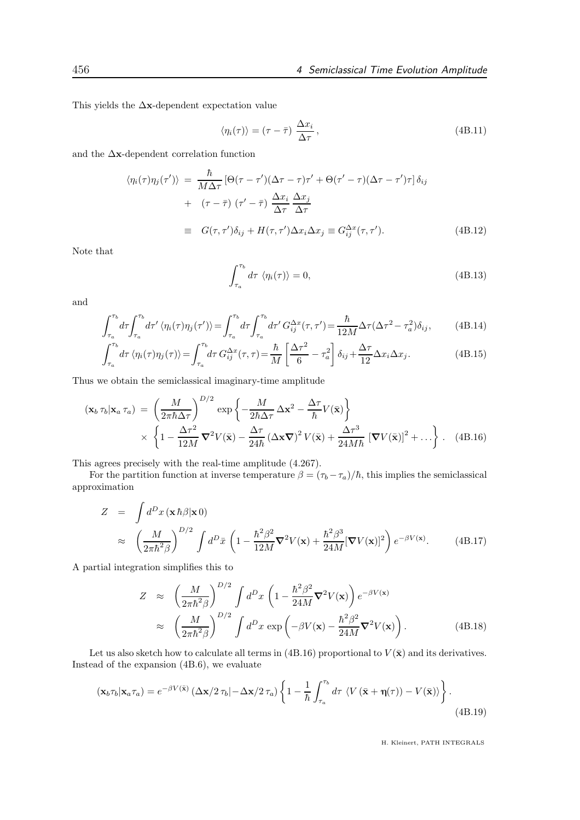This yields the ∆x-dependent expectation value

$$
\langle \eta_i(\tau) \rangle = (\tau - \bar{\tau}) \frac{\Delta x_i}{\Delta \tau}, \qquad (4B.11)
$$

and the ∆x-dependent correlation function

$$
\langle \eta_i(\tau) \eta_j(\tau') \rangle = \frac{\hbar}{M \Delta \tau} \left[ \Theta(\tau - \tau') (\Delta \tau - \tau) \tau' + \Theta(\tau' - \tau) (\Delta \tau - \tau') \tau \right] \delta_{ij}
$$
  
+ 
$$
(\tau - \bar{\tau}) (\tau' - \bar{\tau}) \frac{\Delta x_i}{\Delta \tau} \frac{\Delta x_j}{\Delta \tau}
$$
  

$$
\equiv G(\tau, \tau') \delta_{ij} + H(\tau, \tau') \Delta x_i \Delta x_j \equiv G_{ij}^{\Delta x}(\tau, \tau'). \tag{4B.12}
$$

Note that

$$
\int_{\tau_a}^{\tau_b} d\tau \langle \eta_i(\tau) \rangle = 0, \tag{4B.13}
$$

and

$$
\int_{\tau_a}^{\tau_b} d\tau \int_{\tau_a}^{\tau_b} d\tau' \langle \eta_i(\tau) \eta_j(\tau') \rangle = \int_{\tau_a}^{\tau_b} d\tau \int_{\tau_a}^{\tau_b} d\tau' G_{ij}^{\Delta x}(\tau, \tau') = \frac{\hbar}{12M} \Delta \tau (\Delta \tau^2 - \tau_a^2) \delta_{ij}, \tag{4B.14}
$$

$$
\int_{\tau_a}^{\tau_b} d\tau \langle \eta_i(\tau) \eta_j(\tau) \rangle = \int_{\tau_a}^{\tau_b} d\tau \, G_{ij}^{\Delta x}(\tau, \tau) = \frac{\hbar}{M} \left[ \frac{\Delta \tau^2}{6} - \tau_a^2 \right] \delta_{ij} + \frac{\Delta \tau}{12} \Delta x_i \Delta x_j.
$$
 (4B.15)

Thus we obtain the semiclassical imaginary-time amplitude

$$
(\mathbf{x}_b \tau_b | \mathbf{x}_a \tau_a) = \left(\frac{M}{2\pi\hbar\Delta\tau}\right)^{D/2} \exp\left\{-\frac{M}{2\hbar\Delta\tau}\Delta\mathbf{x}^2 - \frac{\Delta\tau}{\hbar}V(\bar{\mathbf{x}})\right\}
$$

$$
\times \left\{1 - \frac{\Delta\tau^2}{12M}\nabla^2V(\bar{\mathbf{x}}) - \frac{\Delta\tau}{24\hbar}(\Delta\mathbf{x}\nabla)^2V(\bar{\mathbf{x}}) + \frac{\Delta\tau^3}{24M\hbar}[\nabla V(\bar{\mathbf{x}})]^2 + \dots\right\}. \quad (4B.16)
$$

This agrees precisely with the real-time amplitude (4.267).

For the partition function at inverse temperature  $\beta = (\tau_b - \tau_a)/\hbar$ , this implies the semiclassical approximation

$$
Z = \int d^D x (\mathbf{x} \, \hbar \beta | \mathbf{x} \, 0)
$$
  
\n
$$
\approx \left(\frac{M}{2\pi \hbar^2 \beta}\right)^{D/2} \int d^D \bar{x} \left(1 - \frac{\hbar^2 \beta^2}{12M} \nabla^2 V(\mathbf{x}) + \frac{\hbar^2 \beta^3}{24M} [\nabla V(\mathbf{x})]^2\right) e^{-\beta V(\mathbf{x})}.
$$
 (4B.17)

A partial integration simplifies this to

$$
Z \approx \left(\frac{M}{2\pi\hbar^2\beta}\right)^{D/2} \int d^D x \left(1 - \frac{\hbar^2\beta^2}{24M}\nabla^2 V(\mathbf{x})\right) e^{-\beta V(\mathbf{x})}
$$

$$
\approx \left(\frac{M}{2\pi\hbar^2\beta}\right)^{D/2} \int d^D x \exp\left(-\beta V(\mathbf{x}) - \frac{\hbar^2\beta^2}{24M}\nabla^2 V(\mathbf{x})\right). \tag{4B.18}
$$

Let us also sketch how to calculate all terms in (4B.16) proportional to  $V(\bar{\mathbf{x}})$  and its derivatives. Instead of the expansion (4B.6), we evaluate

$$
(\mathbf{x}_b \tau_b | \mathbf{x}_a \tau_a) = e^{-\beta V(\bar{\mathbf{x}})} \left( \Delta \mathbf{x} / 2 \tau_b | -\Delta \mathbf{x} / 2 \tau_a \right) \left\{ 1 - \frac{1}{\hbar} \int_{\tau_a}^{\tau_b} d\tau \left\langle V(\bar{\mathbf{x}} + \eta(\tau)) - V(\bar{\mathbf{x}}) \right\rangle \right\}.
$$
\n(4B.19)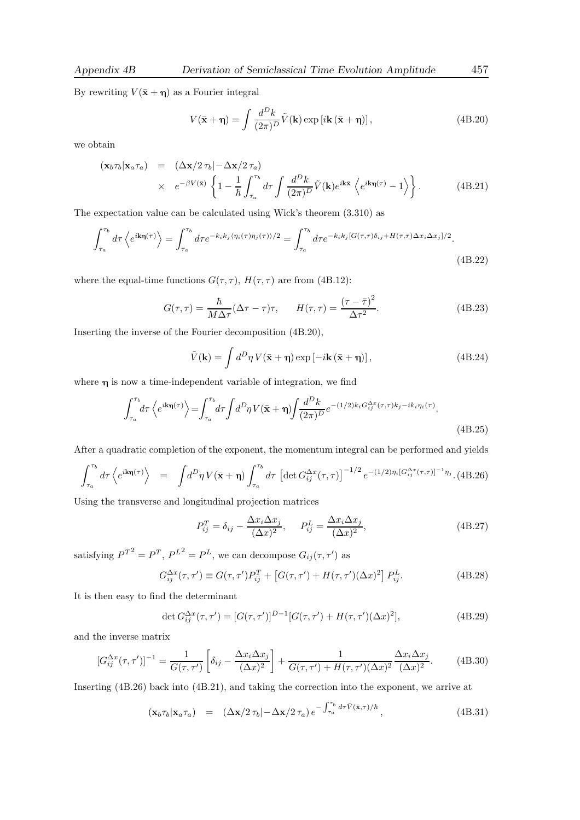By rewriting  $V(\bar{\mathbf{x}} + \eta)$  as a Fourier integral

$$
V(\bar{\mathbf{x}} + \eta) = \int \frac{d^D k}{(2\pi)^D} \tilde{V}(\mathbf{k}) \exp\left[i\mathbf{k}\left(\bar{\mathbf{x}} + \eta\right)\right],\tag{4B.20}
$$

we obtain

$$
(\mathbf{x}_b \tau_b | \mathbf{x}_a \tau_a) = (\Delta \mathbf{x}/2 \tau_b | -\Delta \mathbf{x}/2 \tau_a) \times e^{-\beta V(\bar{\mathbf{x}})} \left\{ 1 - \frac{1}{\hbar} \int_{\tau_a}^{\tau_b} d\tau \int \frac{d^D k}{(2\pi)^D} \tilde{V}(\mathbf{k}) e^{i\mathbf{k}\bar{\mathbf{x}}} \left\langle e^{i\mathbf{k}\eta(\tau)} - 1 \right\rangle \right\}.
$$
 (4B.21)

The expectation value can be calculated using Wick's theorem (3.310) as

$$
\int_{\tau_a}^{\tau_b} d\tau \left\langle e^{i\mathbf{k}\eta(\tau)} \right\rangle = \int_{\tau_a}^{\tau_b} d\tau e^{-k_i k_j \langle \eta_i(\tau) \eta_j(\tau) \rangle/2} = \int_{\tau_a}^{\tau_b} d\tau e^{-k_i k_j [G(\tau,\tau)\delta_{ij} + H(\tau,\tau)\Delta x_i \Delta x_j]/2}.
$$
\n(4B.22)

where the equal-time functions  $G(\tau, \tau)$ ,  $H(\tau, \tau)$  are from (4B.12):

$$
G(\tau,\tau) = \frac{\hbar}{M\Delta\tau}(\Delta\tau - \tau)\tau, \qquad H(\tau,\tau) = \frac{(\tau - \bar{\tau})^2}{\Delta\tau^2}.
$$
 (4B.23)

Inserting the inverse of the Fourier decomposition (4B.20),

$$
\tilde{V}(\mathbf{k}) = \int d^D \eta \, V(\bar{\mathbf{x}} + \eta) \exp\left[-i\mathbf{k} \left(\bar{\mathbf{x}} + \eta\right)\right],\tag{4B.24}
$$

where  $\eta$  is now a time-independent variable of integration, we find

$$
\int_{\tau_a}^{\tau_b} d\tau \left\langle e^{i\mathbf{k}\eta(\tau)} \right\rangle = \int_{\tau_a}^{\tau_b} d\tau \int d^D \eta \, V(\bar{\mathbf{x}} + \eta) \int \frac{d^D k}{(2\pi)^D} e^{-(1/2)k_i G_{ij}^{\Delta x}(\tau, \tau) k_j - ik_i \eta_i(\tau)}.
$$
\n(4B.25)

After a quadratic completion of the exponent, the momentum integral can be performed and yields

$$
\int_{\tau_a}^{\tau_b} d\tau \left\langle e^{i\mathbf{k}\eta(\tau)} \right\rangle = \int d^D \eta \, V(\bar{\mathbf{x}} + \eta) \int_{\tau_a}^{\tau_b} d\tau \, \left[ \det G_{ij}^{\Delta x}(\tau, \tau) \right]^{-1/2} e^{-(1/2)\eta_i \left[ G_{ij}^{\Delta x}(\tau, \tau) \right]^{-1} \eta_j} . \tag{4B.26}
$$

Using the transverse and longitudinal projection matrices

$$
P_{ij}^T = \delta_{ij} - \frac{\Delta x_i \Delta x_j}{(\Delta x)^2}, \qquad P_{ij}^L = \frac{\Delta x_i \Delta x_j}{(\Delta x)^2},
$$
\n(4B.27)

satisfying  $P^{T^2} = P^T$ ,  $P^{L^2} = P^L$ , we can decompose  $G_{ij}(\tau, \tau')$  as

$$
G_{ij}^{\Delta x}(\tau, \tau') \equiv G(\tau, \tau')P_{ij}^T + \left[G(\tau, \tau') + H(\tau, \tau')(\Delta x)^2\right]P_{ij}^L.
$$
 (4B.28)

It is then easy to find the determinant

$$
\det G_{ij}^{\Delta x}(\tau, \tau') = [G(\tau, \tau')]^{D-1} [G(\tau, \tau') + H(\tau, \tau')(\Delta x)^2], \tag{4B.29}
$$

and the inverse matrix

$$
[G_{ij}^{\Delta x}(\tau,\tau')]^{-1} = \frac{1}{G(\tau,\tau')} \left[ \delta_{ij} - \frac{\Delta x_i \Delta x_j}{(\Delta x)^2} \right] + \frac{1}{G(\tau,\tau')} + H(\tau,\tau')(\Delta x)^2 \frac{\Delta x_i \Delta x_j}{(\Delta x)^2}.
$$
 (4B.30)

Inserting (4B.26) back into (4B.21), and taking the correction into the exponent, we arrive at

$$
(\mathbf{x}_b \tau_b | \mathbf{x}_a \tau_a) = (\Delta \mathbf{x}/2 \tau_b | -\Delta \mathbf{x}/2 \tau_a) e^{-\int_{\tau_a}^{\tau_b} d\tau \bar{V}(\bar{\mathbf{x}}, \tau)/\hbar}, \qquad (4B.31)
$$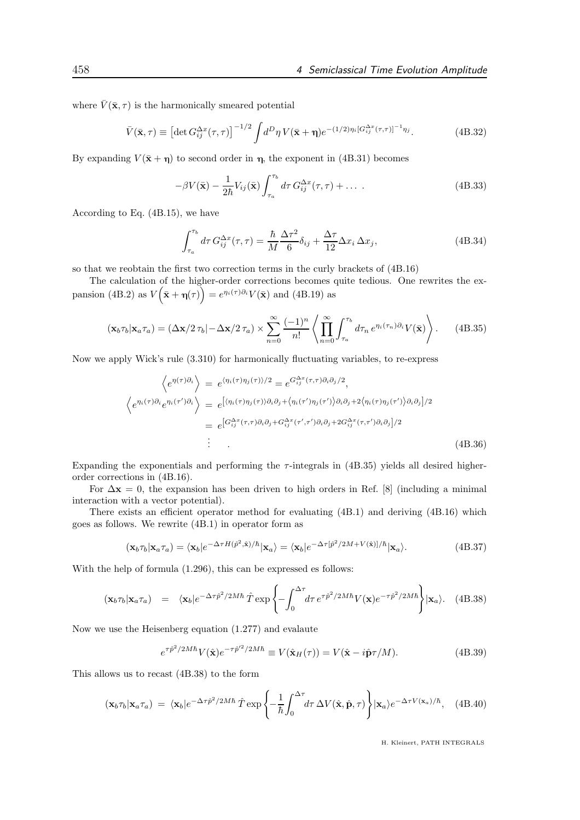where  $\bar{V}(\bar{\mathbf{x}}, \tau)$  is the harmonically smeared potential

$$
\bar{V}(\bar{\mathbf{x}},\tau) \equiv \left[ \det G_{ij}^{\Delta x}(\tau,\tau) \right]^{-1/2} \int d^D \eta \, V(\bar{\mathbf{x}} + \eta) e^{-(1/2)\eta_i \left[ G_{ij}^{\Delta x}(\tau,\tau) \right]^{-1} \eta_j}.
$$
\n(4B.32)

By expanding  $V(\bar{\mathbf{x}} + \mathbf{\eta})$  to second order in  $\eta$ , the exponent in (4B.31) becomes

$$
-\beta V(\bar{\mathbf{x}}) - \frac{1}{2\hbar} V_{ij}(\bar{\mathbf{x}}) \int_{\tau_a}^{\tau_b} d\tau \, G_{ij}^{\Delta x}(\tau, \tau) + \dots \qquad (4B.33)
$$

According to Eq. (4B.15), we have

$$
\int_{\tau_a}^{\tau_b} d\tau \, G_{ij}^{\Delta x}(\tau,\tau) = \frac{\hbar}{M} \frac{\Delta \tau^2}{6} \delta_{ij} + \frac{\Delta \tau}{12} \Delta x_i \, \Delta x_j,\tag{4B.34}
$$

so that we reobtain the first two correction terms in the curly brackets of (4B.16)

The calculation of the higher-order corrections becomes quite tedious. One rewrites the expansion (4B.2) as  $V(\bar{\mathbf{x}} + \eta(\tau)) = e^{\eta_i(\tau)\partial_i}V(\bar{\mathbf{x}})$  and (4B.19) as

$$
(\mathbf{x}_b \tau_b | \mathbf{x}_a \tau_a) = (\Delta \mathbf{x}/2 \tau_b | -\Delta \mathbf{x}/2 \tau_a) \times \sum_{n=0}^{\infty} \frac{(-1)^n}{n!} \left\langle \prod_{n=0}^{\infty} \int_{\tau_a}^{\tau_b} d\tau_n e^{\eta_i(\tau_n) \partial_i} V(\bar{\mathbf{x}}) \right\rangle. \tag{4B.35}
$$

Now we apply Wick's rule (3.310) for harmonically fluctuating variables, to re-express

$$
\left\langle e^{\eta(\tau)\partial_i} \right\rangle = e^{\langle \eta_i(\tau)\eta_j(\tau) \rangle/2} = e^{G_{ij}^{\Delta x}(\tau,\tau)\partial_i \partial_j/2},
$$
\n
$$
\left\langle e^{\eta_i(\tau)\partial_i} e^{\eta_i(\tau')\partial_i} \right\rangle = e^{\left[ \langle \eta_i(\tau)\eta_j(\tau) \rangle \partial_i \partial_j + \langle \eta_i(\tau')\eta_j(\tau') \rangle \partial_i \partial_j + 2 \langle \eta_i(\tau)\eta_j(\tau') \rangle \partial_i \partial_j \right]/2}
$$
\n
$$
= e^{\left[ G_{ij}^{\Delta x}(\tau,\tau)\partial_i \partial_j + G_{ij}^{\Delta x}(\tau',\tau') \partial_i \partial_j + 2G_{ij}^{\Delta x}(\tau,\tau') \partial_i \partial_j \right]/2}
$$
\n
$$
\vdots
$$
\n(4B.36)

Expanding the exponentials and performing the  $\tau$ -integrals in (4B.35) yields all desired higherorder corrections in (4B.16).

For  $\Delta x = 0$ , the expansion has been driven to high orders in Ref. [8] (including a minimal interaction with a vector potential).

There exists an efficient operator method for evaluating (4B.1) and deriving (4B.16) which goes as follows. We rewrite (4B.1) in operator form as

$$
(\mathbf{x}_b \tau_b | \mathbf{x}_a \tau_a) = \langle \mathbf{x}_b | e^{-\Delta \tau H(\hat{p}^2, \hat{\mathbf{x}})/\hbar} | \mathbf{x}_a \rangle = \langle \mathbf{x}_b | e^{-\Delta \tau [\hat{p}^2/2M + V(\hat{\mathbf{x}})]/\hbar} | \mathbf{x}_a \rangle.
$$
 (4B.37)

With the help of formula (1.296), this can be expressed es follows:

$$
(\mathbf{x}_b \tau_b | \mathbf{x}_a \tau_a) = \langle \mathbf{x}_b | e^{-\Delta \tau \hat{p}^2 / 2M\hbar} \hat{T} \exp \left\{-\int_0^{\Delta \tau} d\tau \, e^{\tau \hat{p}^2 / 2M\hbar} V(\mathbf{x}) e^{-\tau \hat{p}^2 / 2M\hbar} \right\} | \mathbf{x}_a \rangle. \tag{4B.38}
$$

Now we use the Heisenberg equation (1.277) and evalaute

$$
e^{\tau \hat{p}^2/2M\hbar} V(\hat{\mathbf{x}}) e^{-\tau \hat{p}'^2/2M\hbar} \equiv V(\hat{\mathbf{x}}_H(\tau)) = V(\hat{\mathbf{x}} - i\hat{\mathbf{p}}\tau/M). \tag{4B.39}
$$

This allows us to recast (4B.38) to the form

$$
(\mathbf{x}_b \tau_b | \mathbf{x}_a \tau_a) = \langle \mathbf{x}_b | e^{-\Delta \tau \hat{p}^2 / 2M\hbar} \hat{T} \exp \left\{-\frac{1}{\hbar} \int_0^{\Delta \tau} d\tau \, \Delta V(\hat{\mathbf{x}}, \hat{\mathbf{p}}, \tau) \right\} | \mathbf{x}_a \rangle e^{-\Delta \tau V(\mathbf{x}_a)/\hbar}, \quad (4B.40)
$$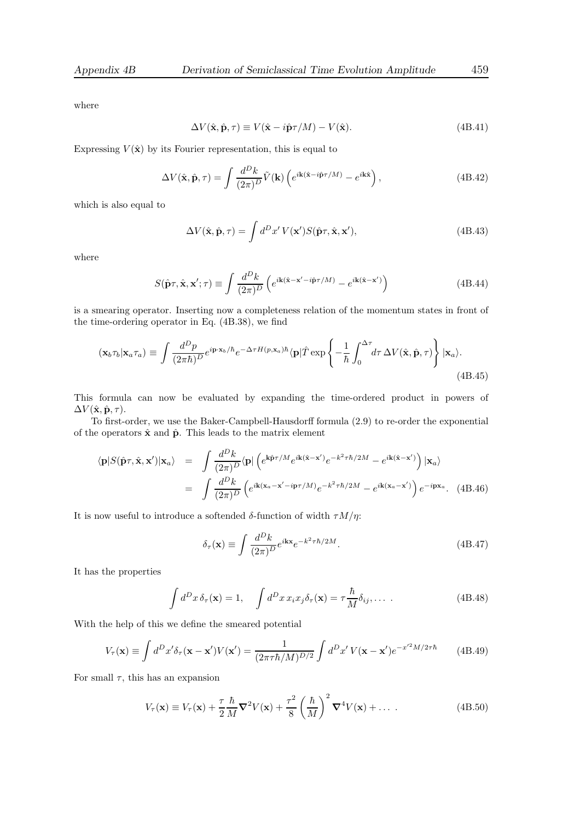where

$$
\Delta V(\hat{\mathbf{x}}, \hat{\mathbf{p}}, \tau) \equiv V(\hat{\mathbf{x}} - i\hat{\mathbf{p}}\tau/M) - V(\hat{\mathbf{x}}). \tag{4B.41}
$$

Expressing  $V(\hat{x})$  by its Fourier representation, this is equal to

$$
\Delta V(\hat{\mathbf{x}}, \hat{\mathbf{p}}, \tau) = \int \frac{d^D k}{(2\pi)^D} \tilde{V}(\mathbf{k}) \left( e^{i\mathbf{k}(\hat{\mathbf{x}} - i\hat{\mathbf{p}}\tau/M)} - e^{i\mathbf{k}\hat{\mathbf{x}}}\right), \tag{4B.42}
$$

which is also equal to

$$
\Delta V(\hat{\mathbf{x}}, \hat{\mathbf{p}}, \tau) = \int d^D x' \, V(\mathbf{x'}) S(\hat{\mathbf{p}} \tau, \hat{\mathbf{x}}, \mathbf{x'}), \tag{4B.43}
$$

where

$$
S(\hat{\mathbf{p}}\tau, \hat{\mathbf{x}}, \mathbf{x}'; \tau) \equiv \int \frac{d^D k}{(2\pi)^D} \left( e^{i\mathbf{k}(\hat{\mathbf{x}} - \mathbf{x}' - i\hat{\mathbf{p}}\tau/M)} - e^{i\mathbf{k}(\hat{\mathbf{x}} - \mathbf{x}')} \right)
$$
(4B.44)

is a smearing operator. Inserting now a completeness relation of the momentum states in front of the time-ordering operator in Eq. (4B.38), we find

$$
(\mathbf{x}_b \tau_b | \mathbf{x}_a \tau_a) \equiv \int \frac{d^D p}{(2\pi \hbar)^D} e^{i \mathbf{p} \cdot \mathbf{x}_b / \hbar} e^{-\Delta \tau H(p, \mathbf{x}_a) \hbar} \langle \mathbf{p} | \hat{T} \exp \left\{ -\frac{1}{\hbar} \int_0^{\Delta \tau} d\tau \, \Delta V(\hat{\mathbf{x}}, \hat{\mathbf{p}}, \tau) \right\} |\mathbf{x}_a \rangle.
$$
\n(4B.45)

This formula can now be evaluated by expanding the time-ordered product in powers of  $\Delta V(\hat{\mathbf{x}}, \hat{\mathbf{p}}, \tau)$ .

To first-order, we use the Baker-Campbell-Hausdorff formula (2.9) to re-order the exponential of the operators  $\hat{\mathbf{x}}$  and  $\hat{\mathbf{p}}$ . This leads to the matrix element

$$
\langle \mathbf{p} | S(\hat{\mathbf{p}}\tau, \hat{\mathbf{x}}, \mathbf{x}') | \mathbf{x}_a \rangle = \int \frac{d^D k}{(2\pi)^D} \langle \mathbf{p} | \left( e^{\mathbf{k}\hat{\mathbf{p}}\tau/M} e^{i\mathbf{k}(\hat{\mathbf{x}} - \mathbf{x}')} e^{-k^2 \tau \hbar/2M} - e^{i\mathbf{k}(\hat{\mathbf{x}} - \mathbf{x}')} \right) | \mathbf{x}_a \rangle
$$
  

$$
= \int \frac{d^D k}{(2\pi)^D} \left( e^{i\mathbf{k}(\mathbf{x}_a - \mathbf{x}' - i\mathbf{p}\tau/M)} e^{-k^2 \tau \hbar/2M} - e^{i\mathbf{k}(\mathbf{x}_a - \mathbf{x}')} \right) e^{-i\mathbf{p}\mathbf{x}_a} . \quad (4B.46)
$$

It is now useful to introduce a softended δ-function of width  $τM/η$ :

$$
\delta_{\tau}(\mathbf{x}) \equiv \int \frac{d^D k}{(2\pi)^D} e^{i\mathbf{k}\mathbf{x}} e^{-k^2 \tau \hbar/2M}.
$$
\n(4B.47)

It has the properties

$$
\int d^D x \,\delta_\tau(\mathbf{x}) = 1, \quad \int d^D x \, x_i x_j \delta_\tau(\mathbf{x}) = \tau \frac{\hbar}{M} \delta_{ij}, \dots \,.
$$
 (4B.48)

With the help of this we define the smeared potential

$$
V_{\tau}(\mathbf{x}) \equiv \int d^D x' \delta_{\tau}(\mathbf{x} - \mathbf{x}') V(\mathbf{x}') = \frac{1}{(2\pi\tau\hbar/M)^{D/2}} \int d^D x' V(\mathbf{x} - \mathbf{x}') e^{-x'^2 M/2\tau\hbar}
$$
(4B.49)

For small  $\tau$ , this has an expansion

$$
V_{\tau}(\mathbf{x}) \equiv V_{\tau}(\mathbf{x}) + \frac{\tau}{2} \frac{\hbar}{M} \nabla^2 V(\mathbf{x}) + \frac{\tau^2}{8} \left(\frac{\hbar}{M}\right)^2 \nabla^4 V(\mathbf{x}) + \dots
$$
 (4B.50)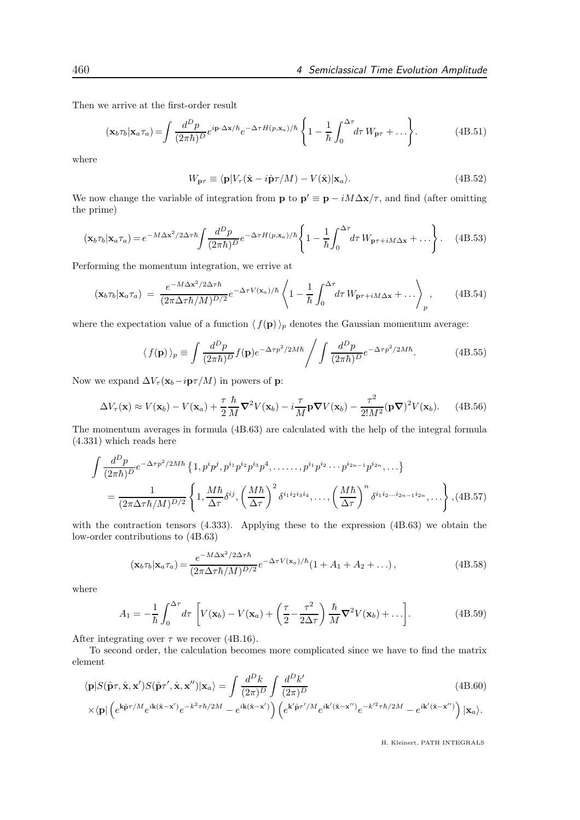Then we arrive at the first-order result

$$
(\mathbf{x}_b \tau_b | \mathbf{x}_a \tau_a) = \int \frac{d^D p}{(2\pi \hbar)^D} e^{i \mathbf{p} \cdot \Delta \mathbf{x}/\hbar} e^{-\Delta \tau H(p, \mathbf{x}_a)/\hbar} \left\{ 1 - \frac{1}{\hbar} \int_0^{\Delta \tau} d\tau W_{\mathbf{p}\tau} + \dots \right\}.
$$
 (4B.51)

where

$$
W_{\mathbf{p}\tau} \equiv \langle \mathbf{p} | V_{\tau}(\hat{\mathbf{x}} - i\hat{\mathbf{p}}\tau/M) - V(\hat{\mathbf{x}}) | \mathbf{x}_a \rangle.
$$
 (4B.52)

We now change the variable of integration from **p** to  $\mathbf{p}' \equiv \mathbf{p} - iM\Delta\mathbf{x}/\tau$ , and find (after omitting the prime)

$$
(\mathbf{x}_b \tau_b | \mathbf{x}_a \tau_a) = e^{-M \Delta \mathbf{x}^2 / 2\Delta \tau \hbar} \int \frac{d^D p}{(2\pi \hbar)^D} e^{-\Delta \tau H(p, \mathbf{x}_a) / \hbar} \left\{ 1 - \frac{1}{\hbar} \int_0^{\Delta \tau} d\tau W_{\mathbf{p}\tau + iM\Delta \mathbf{x}} + \dots \right\}.
$$
 (4B.53)

Performing the momentum integration, we errive at

$$
(\mathbf{x}_b \tau_b | \mathbf{x}_a \tau_a) = \frac{e^{-M\Delta \mathbf{x}^2/2\Delta \tau \hbar}}{(2\pi \Delta \tau \hbar / M)^{D/2}} e^{-\Delta \tau V(\mathbf{x}_a)/\hbar} \left\langle 1 - \frac{1}{\hbar} \int_0^{\Delta \tau} d\tau W_{\mathbf{p}\tau + iM\Delta \mathbf{x}} + \ldots \right\rangle_p, \qquad (4B.54)
$$

where the expectation value of a function  $\langle f(\mathbf{p})\rangle_p$  denotes the Gaussian momentum average:

$$
\langle f(\mathbf{p}) \rangle_p \equiv \int \frac{d^D p}{(2\pi\hbar)^D} f(\mathbf{p}) e^{-\Delta\tau p^2 / 2M\hbar} \Bigg/ \int \frac{d^D p}{(2\pi\hbar)^D} e^{-\Delta\tau p^2 / 2M\hbar}.\tag{4B.55}
$$

Now we expand  $\Delta V_{\tau}(\mathbf{x}_b - i\mathbf{p}\tau/M)$  in powers of **p**:

$$
\Delta V_{\tau}(\mathbf{x}) \approx V(\mathbf{x}_b) - V(\mathbf{x}_a) + \frac{\tau}{2} \frac{\hbar}{M} \nabla^2 V(\mathbf{x}_b) - i \frac{\tau}{M} \mathbf{p} \nabla V(\mathbf{x}_b) - \frac{\tau^2}{2! M^2} (\mathbf{p} \nabla)^2 V(\mathbf{x}_b).
$$
 (4B.56)

The momentum averages in formula (4B.63) are calculated with the help of the integral formula (4.331) which reads here

$$
\int \frac{d^D p}{(2\pi\hbar)^D} e^{-\Delta\tau p^2/2M\hbar} \left\{ 1, p^i p^j, p^{i_1} p^{i_2} p^{i_3} p^4, \dots, p^{i_1} p^{i_2} \cdots p^{i_{2n-1}} p^{i_{2n}}, \dots \right\}
$$
\n
$$
= \frac{1}{(2\pi\Delta\tau\hbar/M)^{D/2}} \left\{ 1, \frac{M\hbar}{\Delta\tau} \delta^{ij}, \left( \frac{M\hbar}{\Delta\tau} \right)^2 \delta^{i_1 i_2 i_3 i_4}, \dots, \left( \frac{M\hbar}{\Delta\tau} \right)^n \delta^{i_1 i_2 \dots i_{2n-1} i_{2n}}, \dots \right\}, (4B.57)
$$

with the contraction tensors (4.333). Applying these to the expression (4B.63) we obtain the low-order contributions to (4B.63)

$$
(\mathbf{x}_b \tau_b | \mathbf{x}_a \tau_a) = \frac{e^{-M\Delta \mathbf{x}^2/2\Delta \tau \hbar}}{(2\pi \Delta \tau \hbar/M)^{D/2}} e^{-\Delta \tau V(\mathbf{x}_a)/\hbar} (1 + A_1 + A_2 + \ldots),
$$
(4B.58)

where

$$
A_1 = -\frac{1}{\hbar} \int_0^{\Delta \tau} d\tau \left[ V(\mathbf{x}_b) - V(\mathbf{x}_a) + \left( \frac{\tau}{2} - \frac{\tau^2}{2\Delta \tau} \right) \frac{\hbar}{M} \nabla^2 V(\mathbf{x}_b) + \ldots \right]. \tag{4B.59}
$$

After integrating over  $\tau$  we recover (4B.16).

To second order, the calculation becomes more complicated since we have to find the matrix element

$$
\langle \mathbf{p} | S(\hat{\mathbf{p}}\tau, \hat{\mathbf{x}}, \mathbf{x'}) S(\hat{\mathbf{p}}\tau', \hat{\mathbf{x}}, \mathbf{x''}) | \mathbf{x}_a \rangle = \int \frac{d^D k}{(2\pi)^D} \int \frac{d^D k'}{(2\pi)^D} \tag{4B.60}
$$
\n
$$
\times \langle \mathbf{p} | \left( e^{\mathbf{k}\hat{\mathbf{p}}\tau/M} e^{i\mathbf{k}(\hat{\mathbf{x}}-\mathbf{x'})} e^{-k^2\tau\hbar/2M} - e^{i\mathbf{k}(\hat{\mathbf{x}}-\mathbf{x'})} \right) \left( e^{\mathbf{k'}\hat{\mathbf{p}}\tau'/M} e^{i\mathbf{k'}(\hat{\mathbf{x}}-\mathbf{x''})} e^{-k'^2\tau\hbar/2M} - e^{i\mathbf{k'}(\hat{\mathbf{x}}-\mathbf{x''})} \right) | \mathbf{x}_a \rangle.
$$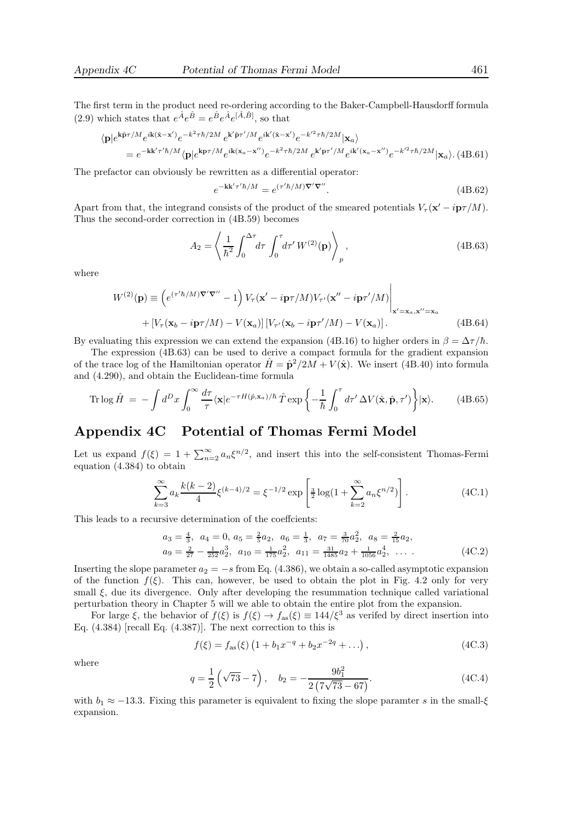The first term in the product need re-ordering according to the Baker-Campbell-Hausdorff formula (2.9) which states that  $e^{\hat{A}}e^{\hat{B}} = e^{\hat{B}}e^{\hat{A}}e^{[\hat{A},\hat{B}]}$ , so that

$$
\langle \mathbf{p} | e^{\mathbf{k}\hat{\mathbf{p}}\tau/M} e^{i\mathbf{k}(\hat{\mathbf{x}}-\mathbf{x}')} e^{-k^2\tau\hbar/2M} e^{\mathbf{k}'\hat{\mathbf{p}}\tau'/M} e^{i\mathbf{k}'(\hat{\mathbf{x}}-\mathbf{x}')} e^{-k'^2\tau\hbar/2M} |\mathbf{x}_a\rangle
$$
  
= 
$$
e^{-\mathbf{k}\mathbf{k}'\tau'\hbar/M} \langle \mathbf{p} | e^{\mathbf{k}\mathbf{p}\tau/M} e^{i\mathbf{k}(\mathbf{x}_a-\mathbf{x}'')} e^{-k^2\tau\hbar/2M} e^{\mathbf{k}'\mathbf{p}\tau'/M} e^{i\mathbf{k}'(\mathbf{x}_a-\mathbf{x}'')} e^{-k'^2\tau\hbar/2M} |\mathbf{x}_a\rangle. (4B.61)
$$

The prefactor can obviously be rewritten as a differential operator:

$$
e^{-\mathbf{k}\mathbf{k}'\tau'\hbar/M} = e^{(\tau'\hbar/M)\nabla'\nabla''}.
$$
\n(4B.62)

Apart from that, the integrand consists of the product of the smeared potentials  $V_\tau(\mathbf{x}' - i\mathbf{p}\tau/M)$ . Thus the second-order correction in (4B.59) becomes

$$
A_2 = \left\langle \frac{1}{\hbar^2} \int_0^{\Delta \tau} d\tau \int_0^{\tau} d\tau' W^{(2)}(\mathbf{p}) \right\rangle_p, \tag{4B.63}
$$

where

$$
W^{(2)}(\mathbf{p}) \equiv \left( e^{(\tau'h/M)\nabla'\nabla''} - 1 \right) V_{\tau}(\mathbf{x}' - i\mathbf{p}\tau/M) V_{\tau'}(\mathbf{x}'' - i\mathbf{p}\tau'/M) \Big|_{\mathbf{x}' = \mathbf{x}_a, \mathbf{x}'' = \mathbf{x}_a} + \left[ V_{\tau}(\mathbf{x}_b - i\mathbf{p}\tau/M) - V(\mathbf{x}_a) \right] \left[ V_{\tau'}(\mathbf{x}_b - i\mathbf{p}\tau'/M) - V(\mathbf{x}_a) \right].
$$
 (4B.64)

By evaluating this expression we can extend the expansion (4B.16) to higher orders in  $\beta = \Delta \tau / \hbar$ .

The expression (4B.63) can be used to derive a compact formula for the gradient expansion of the trace log of the Hamiltonian operator  $\hat{H} = \hat{p}^2/2M + V(\hat{x})$ . We insert (4B.40) into formula and (4.290), and obtain the Euclidean-time formula

Tr 
$$
\log \hat{H} = -\int d^D x \int_0^{\infty} \frac{d\tau}{\tau} \langle \mathbf{x} | e^{-\tau H(\hat{p}, \mathbf{x}_a)/\hbar} \hat{T} \exp \left\{ -\frac{1}{\hbar} \int_0^{\tau} d\tau' \Delta V(\hat{\mathbf{x}}, \hat{\mathbf{p}}, \tau') \right\} |\mathbf{x}\rangle.
$$
 (4B.65)

## Appendix 4C Potential of Thomas Fermi Model

Let us expand  $f(\xi) = 1 + \sum_{n=2}^{\infty} a_n \xi^{n/2}$ , and insert this into the self-consistent Thomas-Fermi equation (4.384) to obtain

$$
\sum_{k=3}^{\infty} a_k \frac{k(k-2)}{4} \xi^{(k-4)/2} = \xi^{-1/2} \exp\left[\frac{3}{2} \log(1 + \sum_{k=2}^{\infty} a_k \xi^{n/2})\right].
$$
 (4C.1)

This leads to a recursive determination of the coeffcients:

$$
a_3 = \frac{4}{3}, \ a_4 = 0, \ a_5 = \frac{2}{5}a_2, \ a_6 = \frac{1}{3}, \ a_7 = \frac{3}{70}a_2^2, \ a_8 = \frac{2}{15}a_2, a_9 = \frac{2}{27} - \frac{1}{252}a_2^3, \ a_{10} = \frac{1}{175}a_2^2, \ a_{11} = \frac{31}{1485}a_2 + \frac{1}{1056}a_2^4, \ \dots \tag{4C.2}
$$

Inserting the slope parameter  $a_2 = -s$  from Eq. (4.386), we obtain a so-called asymptotic expansion of the function  $f(\xi)$ . This can, however, be used to obtain the plot in Fig. 4.2 only for very small  $\xi$ , due its divergence. Only after developing the resummation technique called variational perturbation theory in Chapter 5 will we able to obtain the entire plot from the expansion.

For large  $\xi$ , the behavior of  $f(\xi)$  is  $f(\xi) \to f_{\text{as}}(\xi) \equiv 144/\xi^3$  as verifed by direct insertion into Eq.  $(4.384)$  [recall Eq.  $(4.387)$ ]. The next correction to this is

$$
f(\xi) = f_{\text{as}}(\xi) \left( 1 + b_1 x^{-q} + b_2 x^{-2q} + \dots \right),\tag{4C.3}
$$

where

$$
q = \frac{1}{2} \left( \sqrt{73} - 7 \right), \quad b_2 = -\frac{9b_1^2}{2 \left( 7\sqrt{73} - 67 \right)}.
$$
 (4C.4)

with  $b_1 \approx -13.3$ . Fixing this parameter is equivalent to fixing the slope paramter s in the small- $\xi$ expansion.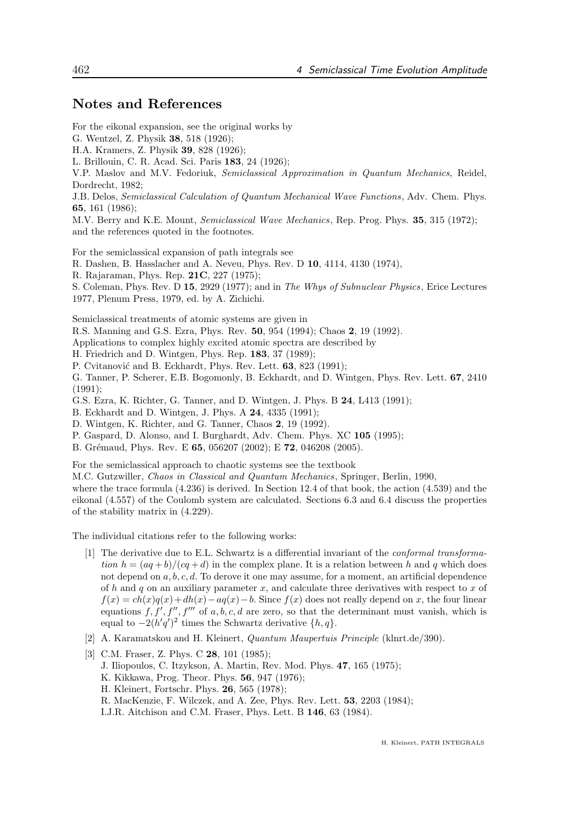### Notes and References

For the eikonal expansion, see the original works by

G. Wentzel, Z. Physik 38, 518 (1926); H.A. Kramers, Z. Physik 39, 828 (1926); L. Brillouin, C. R. Acad. Sci. Paris 183, 24 (1926); V.P. Maslov and M.V. Fedoriuk, Semiclassical Approximation in Quantum Mechanics, Reidel, Dordrecht, 1982; J.B. Delos, Semiclassical Calculation of Quantum Mechanical Wave Functions, Adv. Chem. Phys. 65, 161 (1986); M.V. Berry and K.E. Mount, Semiclassical Wave Mechanics, Rep. Prog. Phys. 35, 315 (1972); and the references quoted in the footnotes. For the semiclassical expansion of path integrals see R. Dashen, B. Hasslacher and A. Neveu, Phys. Rev. D 10, 4114, 4130 (1974), R. Rajaraman, Phys. Rep. 21C, 227 (1975);

S. Coleman, Phys. Rev. D 15, 2929 (1977); and in The Whys of Subnuclear Physics, Erice Lectures 1977, Plenum Press, 1979, ed. by A. Zichichi.

Semiclassical treatments of atomic systems are given in

R.S. Manning and G.S. Ezra, Phys. Rev. 50, 954 (1994); Chaos 2, 19 (1992).

Applications to complex highly excited atomic spectra are described by

H. Friedrich and D. Wintgen, Phys. Rep. 183, 37 (1989);

P. Cvitanović and B. Eckhardt, Phys. Rev. Lett. 63, 823 (1991);

G. Tanner, P. Scherer, E.B. Bogomonly, B. Eckhardt, and D. Wintgen, Phys. Rev. Lett. 67, 2410 (1991);

G.S. Ezra, K. Richter, G. Tanner, and D. Wintgen, J. Phys. B 24, L413 (1991);

B. Eckhardt and D. Wintgen, J. Phys. A 24, 4335 (1991);

D. Wintgen, K. Richter, and G. Tanner, Chaos 2, 19 (1992).

P. Gaspard, D. Alonso, and I. Burghardt, Adv. Chem. Phys. XC 105 (1995);

B. Grémaud, Phys. Rev. E 65, 056207 (2002); E 72, 046208 (2005).

For the semiclassical approach to chaotic systems see the textbook

M.C. Gutzwiller, Chaos in Classical and Quantum Mechanics, Springer, Berlin, 1990,

where the trace formula (4.236) is derived. In Section 12.4 of that book, the action (4.539) and the eikonal (4.557) of the Coulomb system are calculated. Sections 6.3 and 6.4 discuss the properties of the stability matrix in (4.229).

The individual citations refer to the following works:

- [1] The derivative due to E.L. Schwartz is a differential invariant of the conformal transformation  $h = (aq + b)/(cq + d)$  in the complex plane. It is a relation between h and q which does not depend on  $a, b, c, d$ . To derove it one may assume, for a moment, an artificial dependence of h and q on an auxiliary parameter x, and calculate three derivatives with respect to x of  $f(x) = ch(x)q(x)+dh(x)-aq(x)-b$ . Since  $f(x)$  does not really depend on x, the four linear equations  $f, f', f'', f''''$  of a, b, c, d are zero, so that the determinant must vanish, which is equal to  $-2(h'q')^2$  times the Schwartz derivative  $\{h, q\}.$
- [2] A. Karamatskou and H. Kleinert, Quantum Maupertuis Principle (klnrt.de/390).
- [3] C.M. Fraser, Z. Phys. C **28**, 101 (1985); J. Iliopoulos, C. Itzykson, A. Martin, Rev. Mod. Phys. 47, 165 (1975); K. Kikkawa, Prog. Theor. Phys. 56, 947 (1976); H. Kleinert, Fortschr. Phys. 26, 565 (1978); R. MacKenzie, F. Wilczek, and A. Zee, Phys. Rev. Lett. 53, 2203 (1984); I.J.R. Aitchison and C.M. Fraser, Phys. Lett. B 146, 63 (1984).